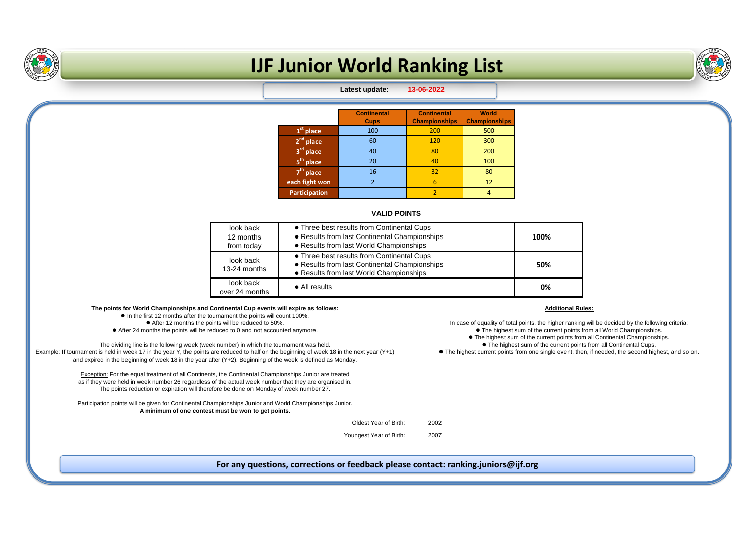

#### **Latest update: 13-06-2022**

|                       | <b>Continental</b><br><b>Cups</b> | <b>Continental</b><br><b>Championships</b> | <b>World</b><br><b>Championships</b> |
|-----------------------|-----------------------------------|--------------------------------------------|--------------------------------------|
| 1 <sup>st</sup> place | 100                               | 200                                        | 500                                  |
| $2nd$ place           | 60                                | 120                                        | 300                                  |
| 3rd place             | 40                                | 80                                         | 200                                  |
| 5 <sup>th</sup> place | 20                                | 40                                         | 100                                  |
| $7th$ place           | 16                                | 32                                         | 80                                   |
| each fight won        | $\mathcal{D}$                     | 6                                          | 12                                   |
| <b>Participation</b>  |                                   |                                            | 4                                    |

#### **VALID POINTS**

| look back<br>12 months<br>from today | • Three best results from Continental Cups<br>• Results from last Continental Championships<br>• Results from last World Championships | 100% |
|--------------------------------------|----------------------------------------------------------------------------------------------------------------------------------------|------|
| look back<br>13-24 months            | • Three best results from Continental Cups<br>• Results from last Continental Championships<br>• Results from last World Championships | 50%  |
| look back<br>over 24 months          | • All results                                                                                                                          | 0%   |

#### **The points for World Championships and Continental Cup events will expire as follows:**

 $\bullet$  In the first 12 months after the tournament the points will count 100%.

- $\bullet$  After 12 months the points will be reduced to 50%.
- l After 24 months the points will be reduced to 0 and not accounted anymore.

The dividing line is the following week (week number) in which the tournament was held. Example: If tournament is held in week 17 in the year Y, the points are reduced to half on the beginning of week 18 in the next year (Y+1) and expired in the beginning of week 18 in the year after (Y+2). Beginning of the week is defined as Monday.

> Exception: For the equal treatment of all Continents, the Continental Championships Junior are treated as if they were held in week number 26 regardless of the actual week number that they are organised in. The points reduction or expiration will therefore be done on Monday of week number 27.

> Participation points will be given for Continental Championships Junior and World Championships Junior. **A minimum of one contest must be won to get points.**

> > Oldest Year of Birth: 2002

Youngest Year of Birth: 2007

#### **Additional Rules:**

In case of equality of total points, the higher ranking will be decided by the following criteria:

- $\bullet$  The highest sum of the current points from all World Championships.
- The highest sum of the current points from all Continental Championships.
- $\bullet$  The highest sum of the current points from all Continental Cups. l The highest current points from one single event, then, if needed, the second highest, and so on.

**For any questions, corrections or feedback please contact: ranking.juniors@ijf.org**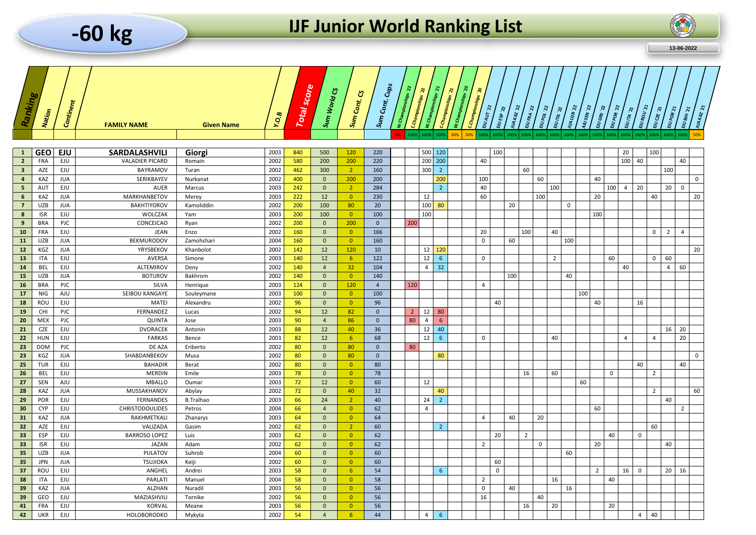



| Ranking                 | Nation            | Continent  | <b>FAMILY NAME</b>        | <b>Given Name</b> | <b>Y.O.B</b> | Total score | Sum World CS         | ୪<br>Sum Cont.  | Sum Cont.            | Cups<br>0% | å<br>00%    | Ñ<br>100%            | Ñ<br><b>bionships</b><br>å<br>100% | N<br>50% | 2<br>2<br>mpionships<br>å<br>50% | EIU AUT 2<br>100% | $\frac{1}{4}$ kkz $\frac{1}{2}$<br>EJU ESP 22<br>100%<br>100% | EJU FRA 22<br>100% | Elu POL 22<br>100% | EJU TA 22<br>100% | $\mu$ ua uza $z_2$<br><b>OOS</b> | AJU SEN 22<br>100% | EJU GRE 22<br>1009 | $\approx$<br>EJU POR<br>oos | EJU ITA 21<br>oos<br>l OOS | EJU ROV 21<br>oos    | Elu POR'Z1<br>EJU CZE 21<br>$00^{\circ}$ | EJU BIH 21     | N<br>JUA KAZ<br>50% |
|-------------------------|-------------------|------------|---------------------------|-------------------|--------------|-------------|----------------------|-----------------|----------------------|------------|-------------|----------------------|------------------------------------|----------|----------------------------------|-------------------|---------------------------------------------------------------|--------------------|--------------------|-------------------|----------------------------------|--------------------|--------------------|-----------------------------|----------------------------|----------------------|------------------------------------------|----------------|---------------------|
| $\mathbf{1}$            | <b>GEO</b>        | EJU        | <b>SARDALASHVILI</b>      | Giorgi            | 2003         | 840         | 500                  | 120             | 220                  |            |             | 500                  | 120                                |          |                                  |                   | 100                                                           |                    |                    |                   |                                  |                    |                    |                             | 20                         | 100                  |                                          |                |                     |
| $\overline{2}$          | <b>FRA</b>        | EJU        | <b>VALADIER PICARD</b>    | Romain            | 2002         | 580         | 200                  | 200             | 220                  |            |             | 200                  | 200                                |          |                                  | 40                |                                                               |                    |                    |                   |                                  |                    |                    |                             | 100<br>40                  |                      |                                          | 40             |                     |
| $\overline{\mathbf{3}}$ | AZE               | EJU        | BAYRAMOV                  | Turan             | 2002         | 462         | 300                  | $\overline{2}$  | 160                  |            |             | 300                  | $\overline{2}$                     |          |                                  |                   |                                                               | 60                 |                    |                   |                                  |                    |                    |                             |                            |                      | 100                                      |                |                     |
| $\overline{\mathbf{4}}$ | KAZ               | <b>JUA</b> | SERIKBAYEV                | Nurkanat          | 2002         | 400         | $\mathbf{0}$         | 200             | 200                  |            |             |                      | 200                                |          |                                  | 100               |                                                               |                    | 60                 |                   |                                  |                    | 40                 |                             |                            |                      |                                          |                | $\mathsf{O}$        |
| $5\phantom{.0}$         | AUT               | EJU        | <b>AUER</b>               | Marcus            | 2003         | 242         | $\overline{0}$       | $\overline{2}$  | 284                  |            |             |                      | $\overline{2}$                     |          |                                  | 40                |                                                               |                    |                    | 100               |                                  |                    |                    | 100                         | 20<br>$\overline{4}$       |                      | 20                                       | $\mathbf 0$    |                     |
| $\,$ 6 $\,$             | KAZ               | <b>JUA</b> | MARKHANBETOV              | Merey             | 2003         | 222         | 12                   | $\overline{0}$  | 230                  |            |             | 12                   |                                    |          |                                  | 60                |                                                               |                    | 100                |                   |                                  |                    | 20                 |                             |                            | 40                   |                                          |                | 20                  |
| $\overline{7}$          | <b>UZB</b>        | <b>JUA</b> | <b>BAKHTIYOROV</b>        | Kamoliddin        | 2002         | 200         | 100                  | 80              | 20                   |            |             | 100                  | 80                                 |          |                                  |                   | 20                                                            |                    |                    |                   | $\mathbf 0$                      |                    |                    |                             |                            |                      |                                          |                |                     |
| $\boldsymbol{8}$        | <b>ISR</b>        | EJU        | <b>WOLCZAK</b>            | Yam               | 2003         | 200         | 100                  | $\overline{0}$  | 100                  |            |             | 100                  |                                    |          |                                  |                   |                                                               |                    |                    |                   |                                  |                    | 100                |                             |                            |                      |                                          |                |                     |
| 9                       | <b>BRA</b>        | PJC        | CONCEICAO                 | Ryan              | 2002         | 200         | $\mathbf{0}$         | 200             | $\overline{0}$       |            | 200         |                      |                                    |          |                                  |                   |                                                               |                    |                    |                   |                                  |                    |                    |                             |                            |                      |                                          |                |                     |
| 10                      | FRA               | EJU        | <b>JEAN</b>               | Enzo              | 2002         | 160         | $\mathbf{0}$         | $\overline{0}$  | 166                  |            |             |                      |                                    |          |                                  | 20                |                                                               | 100                |                    | 40                |                                  |                    |                    |                             |                            | 0                    | 2                                        | $\overline{4}$ |                     |
| ${\bf 11}$              | <b>UZB</b>        | <b>JUA</b> | <b>BEKMURODOV</b>         | Zamohshari        | 2004         | 160         | $\mathbf{0}$         | $\overline{0}$  | 160                  |            |             |                      |                                    |          |                                  | $\mathbf 0$       | 60                                                            |                    |                    |                   | 100                              |                    |                    |                             |                            |                      |                                          |                |                     |
| $12\,$                  | KGZ               | <b>JUA</b> | YRYSBEKOV                 | Khanbolot         | 2002         | 142         | 12                   | 120             | 10                   |            |             | 12                   | 120                                |          |                                  |                   |                                                               |                    |                    |                   |                                  |                    |                    |                             |                            |                      |                                          |                | 20                  |
| 13                      | ITA               | EJU        | AVERSA                    | Simone            | 2003         | 140         | 12                   | 6 <sup>°</sup>  | 122                  |            |             | 12                   | 6                                  |          |                                  | $\mathbf 0$       |                                                               |                    |                    | $\overline{2}$    |                                  |                    |                    | 60                          |                            | 0                    | 60                                       |                |                     |
| 14                      | <b>BEL</b>        | EJU        | ALTEMIROV                 | Deny              | 2002         | 140         | $\overline{4}$       | 32 <sub>2</sub> | 104                  |            |             | $\overline{4}$       | 32                                 |          |                                  |                   |                                                               |                    |                    |                   |                                  |                    |                    |                             | 40                         |                      | $\overline{4}$                           | 60             |                     |
| 15                      | <b>UZB</b>        | <b>JUA</b> | <b>BOTUROV</b>            | Bakhrom           | 2002         | 140         | $\overline{0}$       | $\overline{0}$  | 140                  |            |             |                      |                                    |          |                                  |                   | 100                                                           |                    |                    |                   | 40                               |                    |                    |                             |                            |                      |                                          |                |                     |
| 16                      | <b>BRA</b>        | PJC        | SILVA                     | Henrique          | 2003         | 124         | $\mathbf{0}$         | 120             | $\overline{4}$       |            | 120         |                      |                                    |          |                                  | $\overline{4}$    |                                                               |                    |                    |                   |                                  |                    |                    |                             |                            |                      |                                          |                |                     |
| 17                      | NIG               | AJU        | SEIBOU KANGAYE            | Souleymane        | 2003         | 100         | $\overline{0}$       | $\overline{0}$  | 100                  |            |             |                      |                                    |          |                                  |                   |                                                               |                    |                    |                   |                                  | 100                |                    |                             |                            |                      |                                          |                |                     |
| 18                      | <b>ROU</b>        | EJU        | <b>MATEI</b>              | Alexandru         | 2002         | 96          | $\mathbf{0}$         | $\overline{0}$  | 96                   |            |             |                      |                                    |          |                                  |                   | 40                                                            |                    |                    |                   |                                  |                    | 40                 |                             |                            | 16                   |                                          |                |                     |
| 19                      | CHI               | PJC        | FERNANDEZ                 | Lucas             | 2002         | 94          | 12                   | 82              | $\overline{0}$       |            | $2^{\circ}$ | 12                   | 80                                 |          |                                  |                   |                                                               |                    |                    |                   |                                  |                    |                    |                             |                            |                      |                                          |                |                     |
| 20<br>21                | MEX<br><b>CZE</b> | PJC        | QUINTA<br><b>DVORACEK</b> | Jose              | 2003<br>2003 | 90<br>88    | $\overline{4}$<br>12 | 86<br>40        | $\overline{0}$<br>36 |            | 80          | $\overline{4}$<br>12 | 6<br>40                            |          |                                  |                   |                                                               |                    |                    |                   |                                  |                    |                    |                             |                            |                      |                                          |                |                     |
| 22                      | <b>HUN</b>        | EJU<br>EJU | <b>FARKAS</b>             | Antonin<br>Bence  | 2003         | 82          | 12                   | 6 <sup>°</sup>  | 68                   |            |             | 12                   | 6                                  |          |                                  | $\mathsf{o}$      |                                                               |                    |                    | 40                |                                  |                    |                    |                             | $\overline{a}$             | $\overline{4}$       | 16                                       | 20<br>20       |                     |
| 23                      | <b>DOM</b>        | PJC        | DE AZA                    | Eriberto          | 2002         | 80          | $\mathbf{0}$         | 80              | $\mathbf{0}$         |            | 80          |                      |                                    |          |                                  |                   |                                                               |                    |                    |                   |                                  |                    |                    |                             |                            |                      |                                          |                |                     |
| 23                      | KGZ               | <b>JUA</b> | SHABDANBEKOV              | Musa              | 2002         | 80          | $\mathbf{0}$         | 80              | $\overline{0}$       |            |             |                      | 80                                 |          |                                  |                   |                                                               |                    |                    |                   |                                  |                    |                    |                             |                            |                      |                                          |                | 0                   |
| 25                      | <b>TUR</b>        | EJU        | <b>BAHADIR</b>            | Berat             | 2002         | 80          | $\overline{0}$       | $\overline{0}$  | 80                   |            |             |                      |                                    |          |                                  |                   |                                                               |                    |                    |                   |                                  |                    |                    |                             |                            | 40                   |                                          | 40             |                     |
| 26                      | <b>BEL</b>        | EJU        | MERDIN                    | Emile             | 2003         | 78          | $\mathbf{0}$         | $\overline{0}$  | 78                   |            |             |                      |                                    |          |                                  |                   |                                                               | 16                 |                    | 60                |                                  |                    |                    | 0                           |                            | $\overline{2}$       |                                          |                |                     |
| 27                      | SEN               | AJU        | <b>MBALLO</b>             | Oumar             | 2003         | 72          | 12                   | $\overline{0}$  | 60                   |            |             | 12                   |                                    |          |                                  |                   |                                                               |                    |                    |                   |                                  | 60                 |                    |                             |                            |                      |                                          |                |                     |
| 28                      | KAZ               | <b>JUA</b> | MUSSAKHANOV               | Abylay            | 2002         | 72          | $\overline{0}$       | 40              | 32                   |            |             |                      | 40                                 |          |                                  |                   |                                                               |                    |                    |                   |                                  |                    |                    |                             |                            | $\overline{2}$       |                                          |                | 60                  |
| 29                      | POR               | EJU        | <b>FERNANDES</b>          | <b>B.Tralhao</b>  | 2003         | 66          | 24                   | $\overline{2}$  | 40                   |            |             | 24                   | $\overline{2}$                     |          |                                  |                   |                                                               |                    |                    |                   |                                  |                    |                    |                             |                            |                      | 40                                       |                |                     |
| 30                      | CYP               | EJU        | <b>CHRISTODOULIDES</b>    | Petros            | 2004         | 66          | $\overline{4}$       | $\overline{0}$  | 62                   |            |             | $\overline{4}$       |                                    |          |                                  |                   |                                                               |                    |                    |                   |                                  |                    | 60                 |                             |                            |                      |                                          | $\overline{2}$ |                     |
| 31                      | KAZ               | <b>JUA</b> | RAKHMETKALI               | Zhanarys          | 2003         | 64          | $\mathbf{0}$         | $\overline{0}$  | 64                   |            |             |                      |                                    |          |                                  | $\overline{4}$    | 40                                                            |                    | 20                 |                   |                                  |                    |                    |                             |                            |                      |                                          |                |                     |
| 32                      | AZE               | EJU        | VALIZADA                  | Gasim             | 2002         | 62          | $\mathbf{0}$         | $\overline{2}$  | 60                   |            |             |                      | $\overline{2}$                     |          |                                  |                   |                                                               |                    |                    |                   |                                  |                    |                    |                             |                            | 60                   |                                          |                |                     |
| 33                      | ESP               | EJU        | <b>BARROSO LOPEZ</b>      | Luis              | 2003         | 62          | $\mathbf{0}$         | $\overline{0}$  | 62                   |            |             |                      |                                    |          |                                  |                   | 20                                                            | $\overline{2}$     |                    |                   |                                  |                    |                    | 40                          |                            | 0                    |                                          |                |                     |
| 33                      | <b>ISR</b>        | EJU        | JAZAN                     | Adam              | 2002         | 62          | $\mathbf{0}$         | $\overline{0}$  | 62                   |            |             |                      |                                    |          |                                  | $\overline{2}$    |                                                               |                    | $\mathsf{o}$       |                   |                                  |                    | 20                 |                             |                            |                      | 40                                       |                |                     |
| 35                      | UZB               | <b>JUA</b> | <b>PULATOV</b>            | Suhrob            | 2004         | 60          | $\mathbf{0}$         | $\overline{0}$  | 60                   |            |             |                      |                                    |          |                                  |                   |                                                               |                    |                    |                   | 60                               |                    |                    |                             |                            |                      |                                          |                |                     |
| 35                      | <b>JPN</b>        | <b>JUA</b> | <b>TSUJIOKA</b>           | Keiji             | 2002         | 60          | $\overline{0}$       | $\overline{0}$  | 60                   |            |             |                      |                                    |          |                                  |                   | 60                                                            |                    |                    |                   |                                  |                    |                    |                             |                            |                      |                                          |                |                     |
| 37                      | <b>ROU</b>        | EJU        | ANGHEL                    | Andrei            | 2003         | 58          | $\mathbf{0}$         | 6 <sup>°</sup>  | 54                   |            |             |                      | 6                                  |          |                                  |                   | $\mathsf 0$                                                   |                    |                    |                   |                                  |                    | $\overline{2}$     |                             | 16<br>$\mathbf 0$          |                      | 20                                       | 16             |                     |
| 38                      | <b>ITA</b>        | EJU        | PARLATI                   | Manuel            | 2004         | 58          | $\mathbf{0}$         | $\overline{0}$  | 58                   |            |             |                      |                                    |          |                                  | $\overline{2}$    |                                                               |                    |                    | 16                |                                  |                    |                    | 40                          |                            |                      |                                          |                |                     |
| 39                      | KAZ               | <b>JUA</b> | <b>ALZHAN</b>             | Nuradil           | 2003         | 56          | $\mathbf{0}$         | $\overline{0}$  | 56                   |            |             |                      |                                    |          |                                  | $\mathsf 0$       | 40                                                            |                    |                    |                   | 16                               |                    |                    |                             |                            |                      |                                          |                |                     |
| 39                      | GEO               | EJU        | MAZIASHVILI               | Tornike           | 2002         | 56          | $\mathbf 0$          | $\overline{0}$  | 56                   |            |             |                      |                                    |          |                                  | 16                |                                                               |                    | 40                 |                   |                                  |                    |                    |                             |                            |                      |                                          |                |                     |
| 41                      | FRA               | EJU        | <b>KORVAL</b>             | Meane             | 2003         | 56          | $\mathbf 0$          | $\overline{0}$  | 56                   |            |             |                      |                                    |          |                                  |                   |                                                               | 16                 |                    | 20                |                                  |                    |                    | 20                          |                            |                      |                                          |                |                     |
| 42                      | <b>UKR</b>        | EJU        | <b>HOLOBORODKO</b>        | Mykyta            | 2002         | 54          | $\overline{4}$       | 6 <sup>°</sup>  | 44                   |            |             | $\overline{4}$       | 6                                  |          |                                  |                   |                                                               |                    |                    |                   |                                  |                    |                    |                             |                            | $\overline{4}$<br>40 |                                          |                |                     |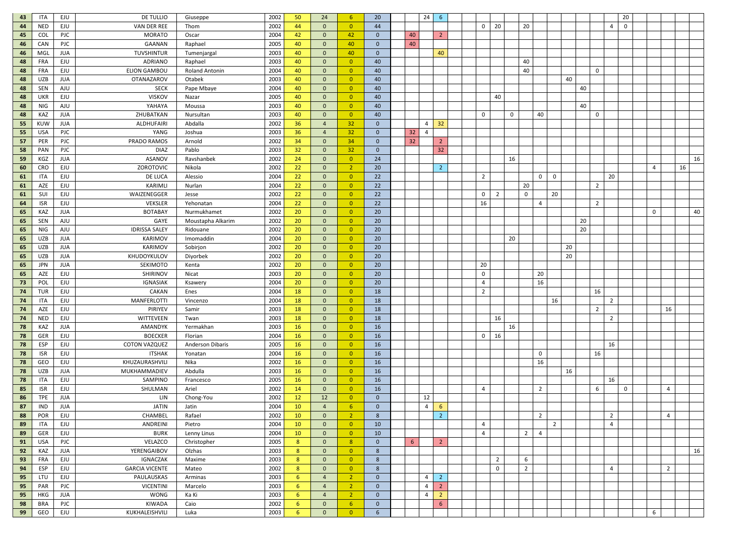| 43 | <b>ITA</b> | EJU        | DE TULLIO             | Giuseppe                | 2002 | 50             | 24             | -6             | 20              |    | 24             | 6              |                |                |                |                |                |    |    |                |                                | 20          |                |                |    |
|----|------------|------------|-----------------------|-------------------------|------|----------------|----------------|----------------|-----------------|----|----------------|----------------|----------------|----------------|----------------|----------------|----------------|----|----|----------------|--------------------------------|-------------|----------------|----------------|----|
| 44 | <b>NED</b> | EJU        | VAN DER REE           | Thom                    | 2002 | 44             | $\mathbf{0}$   | $\overline{0}$ | 44              |    |                |                | $\overline{0}$ | 20             | 20             |                |                |    |    |                | $\overline{a}$                 | $\mathbf 0$ |                |                |    |
| 45 | COL        | PJC        | <b>MORATO</b>         |                         | 2004 | 42             | $\mathbf{0}$   | 42             | $\mathbf 0$     | 40 |                | $\overline{2}$ |                |                |                |                |                |    |    |                |                                |             |                |                |    |
|    |            |            |                       | Oscar                   |      |                |                |                |                 |    |                |                |                |                |                |                |                |    |    |                |                                |             |                |                |    |
| 46 | CAN        | PJC        | GAANAN                | Raphael                 | 2005 | 40             | $\mathbf{0}$   | 40             | $\mathbf{0}$    | 40 |                |                |                |                |                |                |                |    |    |                |                                |             |                |                |    |
| 46 | MGL        | <b>JUA</b> | TUVSHINTUR            | Tumenjargal             | 2003 | 40             | $\mathbf{0}$   | 40             | $\overline{0}$  |    |                | 40             |                |                |                |                |                |    |    |                |                                |             |                |                |    |
| 48 | FRA        | EJU        | ADRIANO               | Raphael                 | 2003 | 40             | $\mathbf{0}$   | $\overline{0}$ | 40              |    |                |                |                |                | 40             |                |                |    |    |                |                                |             |                |                |    |
| 48 | <b>FRA</b> | EJU        | ELION GAMBOU          | <b>Roland Antonin</b>   | 2004 | 40             | $\mathbf{0}$   | $\overline{0}$ | 40              |    |                |                |                |                | 40             |                |                |    |    | $\mathbf 0$    |                                |             |                |                |    |
| 48 | UZB        | <b>JUA</b> | <b>OTANAZAROV</b>     | Otabek                  | 2003 | 40             | $\mathbf{0}$   | $\overline{0}$ | 40              |    |                |                |                |                |                |                |                | 40 |    |                |                                |             |                |                |    |
| 48 | SEN        | AJU        | <b>SECK</b>           | Pape Mbaye              | 2004 | 40             | $\mathbf{0}$   | $\overline{0}$ | 40              |    |                |                |                |                |                |                |                |    | 40 |                |                                |             |                |                |    |
| 48 | <b>UKR</b> | EJU        | <b>VISKOV</b>         | Nazar                   | 2005 | 40             | $\mathbf{0}$   | $\overline{0}$ | 40              |    |                |                |                | 40             |                |                |                |    |    |                |                                |             |                |                |    |
| 48 | <b>NIG</b> | AJU        | YAHAYA                | Moussa                  | 2003 | 40             | $\mathbf{0}$   | $\overline{0}$ | 40              |    |                |                |                |                |                |                |                |    | 40 |                |                                |             |                |                |    |
| 48 | KAZ        | <b>JUA</b> | ZHUBATKAN             | Nursultan               | 2003 | 40             | $\mathbf{0}$   | $\overline{0}$ | 40              |    |                |                | $\mathbf 0$    |                | $\mathbf{0}$   | 40             |                |    |    | $\mathbf 0$    |                                |             |                |                |    |
| 55 | <b>KUW</b> | <b>JUA</b> | <b>ALDHUFAIRI</b>     | Abdalla                 | 2002 | 36             | $\overline{4}$ | 32             | $\mathbf{0}$    |    | $\overline{4}$ | 32             |                |                |                |                |                |    |    |                |                                |             |                |                |    |
| 55 | <b>USA</b> | <b>PJC</b> | YANG                  | Joshua                  | 2003 | 36             | $\overline{4}$ | 32             | $\mathbf 0$     | 32 | $\overline{4}$ |                |                |                |                |                |                |    |    |                |                                |             |                |                |    |
| 57 | PER        | PJC        | PRADO RAMOS           | Arnold                  | 2002 | 34             | $\mathbf{0}$   | 34             | $\overline{0}$  | 32 |                | <sup>2</sup>   |                |                |                |                |                |    |    |                |                                |             |                |                |    |
| 58 | PAN        | PJC        | <b>DIAZ</b>           | Pablo                   | 2003 | 32             | $\mathbf{0}$   | 32             | $\mathbf{0}$    |    |                | 32             |                |                |                |                |                |    |    |                |                                |             |                |                |    |
| 59 | KGZ        | JUA        | ASANOV                | Ravshanbek              | 2002 | 24             | $\mathbf{0}$   | $\overline{0}$ | 24              |    |                |                |                |                | 16             |                |                |    |    |                |                                |             |                |                | 16 |
| 60 | CRO        | EJU        | ZOROTOVIC             | Nikola                  | 2002 | 22             | $\mathbf{0}$   | $\overline{2}$ | 20              |    |                | $\overline{2}$ |                |                |                |                |                |    |    |                |                                |             | $\overline{4}$ |                | 16 |
| 61 | <b>ITA</b> | EJU        | DE LUCA               | Alessio                 | 2004 | 22             | $\mathbf{0}$   | $\overline{0}$ | 22              |    |                |                | $\overline{2}$ |                |                | $\mathbf 0$    | $\mathsf{o}$   |    |    |                | 20                             |             |                |                |    |
| 61 | AZE        | EJU        | KARIMLI               | Nurlan                  | 2004 | 22             | $\mathbf{0}$   | $\overline{0}$ | 22              |    |                |                |                |                | 20             |                |                |    |    | $\overline{2}$ |                                |             |                |                |    |
| 61 | SUI        | EJU        | WAIZENEGGER           | Jesse                   | 2002 | 22             | $\mathbf{0}$   | $\overline{0}$ | 22              |    |                |                | 0              | $\overline{2}$ | $\mathbf 0$    |                | 20             |    |    |                |                                |             |                |                |    |
| 64 | <b>ISR</b> | EJU        | VEKSLER               | Yehonatan               | 2004 | 22             | $\mathbf{0}$   | $\overline{0}$ | 22              |    |                |                | 16             |                |                | $\overline{4}$ |                |    |    | $\overline{2}$ |                                |             |                |                |    |
| 65 | KAZ        | <b>JUA</b> | <b>BOTABAY</b>        | Nurmukhamet             | 2002 | 20             | $\mathbf{0}$   | $\overline{0}$ | 20              |    |                |                |                |                |                |                |                |    |    |                |                                |             | $\mathbf 0$    |                | 40 |
| 65 | <b>SEN</b> | AJU        | GAYE                  | Moustapha Alkarim       | 2002 | 20             | $\mathbf{0}$   | $\overline{0}$ | 20              |    |                |                |                |                |                |                |                |    | 20 |                |                                |             |                |                |    |
| 65 | NIG        | AJU        | <b>IDRISSA SALEY</b>  | Ridouane                | 2002 | 20             | $\mathbf{0}$   | $\overline{0}$ | 20              |    |                |                |                |                |                |                |                |    | 20 |                |                                |             |                |                |    |
| 65 | <b>UZB</b> | <b>JUA</b> | KARIMOV               | Imomaddin               | 2004 | 20             | $\mathbf{0}$   | $\overline{0}$ | 20              |    |                |                |                |                | 20             |                |                |    |    |                |                                |             |                |                |    |
| 65 | <b>UZB</b> | JUA        | KARIMOV               | Sobirjon                | 2002 | 20             | $\mathbf{0}$   | $\overline{0}$ | 20              |    |                |                |                |                |                |                |                | 20 |    |                |                                |             |                |                |    |
| 65 | <b>UZB</b> | <b>JUA</b> | KHUDOYKULOV           | Diyorbek                | 2002 | 20             | $\mathbf{0}$   | $\overline{0}$ | 20              |    |                |                |                |                |                |                |                | 20 |    |                |                                |             |                |                |    |
| 65 | <b>JPN</b> | <b>JUA</b> | <b>SEKIMOTO</b>       | Kenta                   | 2002 | 20             | $\mathbf{0}$   | $\overline{0}$ | 20              |    |                |                | 20             |                |                |                |                |    |    |                |                                |             |                |                |    |
| 65 | AZE        | EJU        | SHIRINOV              | Nicat                   | 2003 | 20             | $\mathbf{0}$   | $\overline{0}$ | 20              |    |                |                | $\mathbf 0$    |                |                | 20             |                |    |    |                |                                |             |                |                |    |
| 73 | POL        | EJU        | <b>IGNASIAK</b>       | Ksawery                 | 2004 | 20             | $\mathbf{0}$   | $\overline{0}$ | 20              |    |                |                | $\overline{4}$ |                |                | 16             |                |    |    |                |                                |             |                |                |    |
| 74 | <b>TUR</b> | EJU        | CAKAN                 | Enes                    | 2004 | 18             | $\mathbf{0}$   | $\overline{0}$ | 18              |    |                |                | $\overline{2}$ |                |                |                |                |    |    | 16             |                                |             |                |                |    |
| 74 | <b>ITA</b> | EJU        | MANFERLOTTI           | Vincenzo                | 2004 | 18             | $\mathbf{0}$   | $\overline{0}$ | 18              |    |                |                |                |                |                |                | 16             |    |    |                | $\overline{2}$                 |             |                |                |    |
| 74 | AZE        | EJU        | PIRIYEV               | Samir                   | 2003 | 18             | $\mathbf{0}$   | $\overline{0}$ | 18              |    |                |                |                |                |                |                |                |    |    | $\overline{2}$ |                                |             |                | 16             |    |
| 74 | <b>NED</b> | EJU        | WITTEVEEN             | Twan                    | 2003 | 18             | $\mathbf{0}$   | $\overline{0}$ | 18              |    |                |                |                | 16             |                |                |                |    |    |                | $\overline{2}$                 |             |                |                |    |
| 78 | KAZ        | <b>JUA</b> | AMANDYK               | Yermakhan               | 2003 | 16             | $\mathbf{0}$   | $\overline{0}$ | 16              |    |                |                |                |                | 16             |                |                |    |    |                |                                |             |                |                |    |
| 78 | GER        | EJU        | <b>BOECKER</b>        | Florian                 | 2004 | 16             | $\mathbf{0}$   | $\overline{0}$ | 16              |    |                |                | $\mathbf{0}$   | 16             |                |                |                |    |    |                |                                |             |                |                |    |
| 78 | ESP        | EJU        | COTON VAZQUEZ         | <b>Anderson Dibaris</b> | 2005 | 16             | $\mathbf{0}$   | $\overline{0}$ | 16              |    |                |                |                |                |                |                |                |    |    |                | 16                             |             |                |                |    |
| 78 | <b>ISR</b> | EJU        | <b>ITSHAK</b>         | Yonatan                 | 2004 | 16             | $\mathbf{0}$   | $\overline{0}$ | 16              |    |                |                |                |                |                | 0              |                |    |    | 16             |                                |             |                |                |    |
| 78 | GEO        | EJU        | KHUZAURASHVILI        | Nika                    | 2002 | 16             | $\mathbf{0}$   | $\overline{0}$ | 16              |    |                |                |                |                |                | 16             |                |    |    |                |                                |             |                |                |    |
| 78 | <b>UZB</b> | <b>JUA</b> | MUKHAMMADIEV          | Abdulla                 | 2003 | 16             | $\mathbf{0}$   | $\overline{0}$ | 16              |    |                |                |                |                |                |                |                | 16 |    |                |                                |             |                |                |    |
| 78 | <b>ITA</b> | EJU        | SAMPINO               | Francesco               | 2005 | 16             | $\mathbf{0}$   | $\overline{0}$ | 16              |    |                |                |                |                |                |                |                |    |    |                | 16                             |             |                |                |    |
| 85 | <b>ISR</b> | EJU        | SHULMAN               | Ariel                   | 2002 | 14             | $\mathbf{0}$   | $\overline{0}$ | 16              |    |                |                | $\overline{4}$ |                |                | $\overline{2}$ |                |    |    | 6              |                                | 0           |                | $\overline{4}$ |    |
| 86 | <b>TPE</b> | <b>JUA</b> | LIN                   | Chong-You               | 2002 | 12             | 12             | $\overline{0}$ | $\mathbf 0$     |    | 12             |                |                |                |                |                |                |    |    |                |                                |             |                |                |    |
| 87 | IND        | <b>JUA</b> | <b>JATIN</b>          | Jatin                   | 2004 | 10             | $\overline{4}$ | 6 <sup>1</sup> | $\mathbf 0$     |    | $\overline{4}$ | 6              |                |                |                |                |                |    |    |                |                                |             |                |                |    |
| 88 | POR        | EJU        | CHAMBEL               | Rafael                  | 2002 | 10             | $\mathbf 0$    | 2 <sup>7</sup> | $\bf 8$         |    |                | 2 <sup>7</sup> |                |                |                | $\overline{2}$ |                |    |    |                |                                |             |                |                |    |
| 89 | <b>ITA</b> | EJU        | ANDREINI              | Pietro                  | 2004 | 10             | $\mathbf{0}$   | $\overline{0}$ | 10              |    |                |                | $\overline{4}$ |                |                |                | $\overline{2}$ |    |    |                | $\mathbf{z}$<br>$\overline{4}$ |             |                | 4              |    |
| 89 | GER        | EJU        | <b>BURK</b>           | Lenny Linus             | 2004 | 10             | $\mathbf{0}$   | $\overline{0}$ | 10              |    |                |                | $\overline{4}$ |                | $\overline{2}$ | $\overline{4}$ |                |    |    |                |                                |             |                |                |    |
| 91 | <b>USA</b> | PJC        | VELAZCO               | Christopher             | 2005 | 8              | $\mathbf{0}$   | 8              | $\mathbf 0$     | 6  |                | $\overline{2}$ |                |                |                |                |                |    |    |                |                                |             |                |                |    |
| 92 | KAZ        | <b>JUA</b> | YERENGAIBOV           | Olzhas                  | 2003 | 8              | $\mathbf{0}$   | $\overline{0}$ | $8\phantom{1}$  |    |                |                |                |                |                |                |                |    |    |                |                                |             |                |                | 16 |
| 93 | FRA        | EJU        | <b>IGNACZAK</b>       | Maxime                  | 2003 | 8 <sup>°</sup> | $\mathbf{0}$   | $\overline{0}$ | 8               |    |                |                |                | $\overline{2}$ | 6              |                |                |    |    |                |                                |             |                |                |    |
| 94 | ESP        | EJU        | <b>GARCIA VICENTE</b> | Mateo                   | 2002 | 8              | $\mathbf{0}$   | $\overline{0}$ | 8               |    |                |                |                | $\mathsf{o}$   | 2              |                |                |    |    |                | $\overline{4}$                 |             |                | 2              |    |
| 95 | LTU        | EJU        | PAULAUSKAS            | Arminas                 | 2003 | 6              | $\overline{4}$ | $\overline{2}$ | $\mathbf 0$     |    | $\overline{4}$ | $\overline{2}$ |                |                |                |                |                |    |    |                |                                |             |                |                |    |
| 95 | PAR        | PJC        | <b>VICENTINI</b>      | Marcelo                 | 2003 | 6              | $\overline{4}$ | $\overline{2}$ | $\overline{0}$  |    | $\overline{4}$ | $\overline{2}$ |                |                |                |                |                |    |    |                |                                |             |                |                |    |
| 95 | HKG        | JUA        | <b>WONG</b>           | Ka Ki                   | 2003 | -6             | $\overline{4}$ | $\overline{2}$ | $\mathbf{0}$    |    | $\overline{4}$ | $\overline{2}$ |                |                |                |                |                |    |    |                |                                |             |                |                |    |
| 98 | <b>BRA</b> | PJC        | KIWADA                | Caio                    | 2002 | 6              | $\mathbf{0}$   | 6 <sup>1</sup> | $\mathbf{0}$    |    |                | 6              |                |                |                |                |                |    |    |                |                                |             |                |                |    |
| 99 | GEO        | EJU        | KUKHALEISHVILI        | Luka                    | 2003 | 6              | $\mathbf{0}$   | $\overline{0}$ | $6\overline{6}$ |    |                |                |                |                |                |                |                |    |    |                |                                |             | 6              |                |    |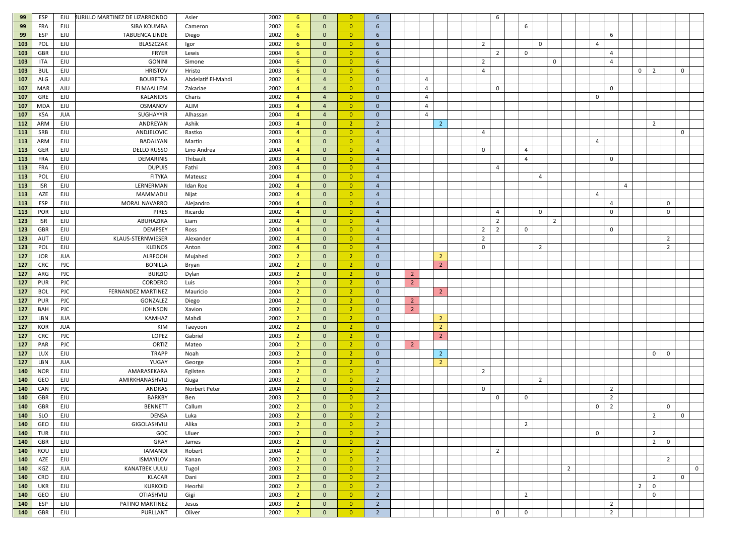| 99  | ESP        | EJU        | <b>IURILLO MARTINEZ DE LIZARRONDO</b> | Asier              | 2002 | 6              | $\mathbf{0}$   | $\overline{0}$ | 6              |                |                |                |                | 6              |                |                |                |                |                |                |                |                |                |                |             |
|-----|------------|------------|---------------------------------------|--------------------|------|----------------|----------------|----------------|----------------|----------------|----------------|----------------|----------------|----------------|----------------|----------------|----------------|----------------|----------------|----------------|----------------|----------------|----------------|----------------|-------------|
| 99  | FRA        | EJU        | SIBA KOUMBA                           | Cameron            | 2002 | 6 <sup>1</sup> | $\overline{0}$ | $\overline{0}$ | 6              |                |                |                |                |                | 6              |                |                |                |                |                |                |                |                |                |             |
| 99  | ESP        | EJU        | <b>TABUENCA LINDE</b>                 | Diego              | 2002 | 6              | $\mathbf{0}$   | $\overline{0}$ | 6              |                |                |                |                |                |                |                |                |                |                | 6              |                |                |                |                |             |
| 103 | POL        | EJU        | <b>BLASZCZAK</b>                      | Igor               | 2002 | 6              | $\mathbf{0}$   | $\overline{0}$ | 6              |                |                |                | $\overline{2}$ |                |                | $\mathbf 0$    |                |                | $\overline{4}$ |                |                |                |                |                |             |
| 103 | GBR        | EJU        | <b>FRYER</b>                          | Lewis              | 2004 | -6             | $\mathbf{0}$   | $\overline{0}$ | 6              |                |                |                |                | 2              | $\mathbf 0$    |                |                |                |                | $\overline{a}$ |                |                |                |                |             |
| 103 | <b>ITA</b> | EJU        | <b>GONINI</b>                         | Simone             | 2004 | 6              | $\overline{0}$ | $\overline{0}$ | 6              |                |                |                | 2              |                |                |                | $\mathbf 0$    |                |                | $\overline{4}$ |                |                |                |                |             |
| 103 | <b>BUL</b> | EJU        | <b>HRISTOV</b>                        | Hristo             | 2003 | 6              | $\mathbf{0}$   | $\overline{0}$ | 6              |                |                |                | 4              |                |                |                |                |                |                |                |                | $\mathbf{0}$   | $\overline{2}$ |                | $\mathbf 0$ |
| 107 | ALG        | AJU        | <b>BOUBETRA</b>                       | Abdelatif El-Mahdi | 2002 | $\overline{4}$ | $\overline{4}$ | $\overline{0}$ | $\mathbf{0}$   |                | $\overline{4}$ |                |                |                |                |                |                |                |                |                |                |                |                |                |             |
| 107 | <b>MAR</b> | AJU        | ELMAALLEM                             | Zakariae           | 2002 | $\overline{4}$ | $\overline{4}$ | $\overline{0}$ | $\mathbf{0}$   |                | $\overline{4}$ |                |                | $\mathbf 0$    |                |                |                |                |                | $\mathbf 0$    |                |                |                |                |             |
| 107 | GRE        | EJU        | KALANIDIS                             | Charis             | 2002 | $\overline{4}$ | $\overline{4}$ | $\overline{0}$ | $\overline{0}$ |                | $\overline{4}$ |                |                |                |                |                |                |                | $\mathbf 0$    |                |                |                |                |                |             |
| 107 | <b>MDA</b> | EJU        | OSMANOV                               | ALIM               | 2003 | $\overline{4}$ | $\overline{4}$ | $\overline{0}$ | $\mathbf 0$    |                | $\overline{4}$ |                |                |                |                |                |                |                |                |                |                |                |                |                |             |
| 107 | <b>KSA</b> | JUA        | SUGHAYYIR                             | Alhassan           | 2004 | $\overline{4}$ | $\overline{4}$ | $\overline{0}$ | $\mathbf{0}$   |                | $\overline{4}$ |                |                |                |                |                |                |                |                |                |                |                |                |                |             |
| 112 | ARM        | EJU        | ANDREYAN                              | Ashik              | 2003 | $\overline{4}$ | $\mathbf{0}$   | $\overline{2}$ | $\overline{2}$ |                |                | $\overline{2}$ |                |                |                |                |                |                |                |                |                |                | $\overline{2}$ |                |             |
| 113 | SRB        | EJU        | ANDJELOVIC                            | Rastko             | 2003 | $\overline{4}$ | $\mathbf{0}$   | $\overline{0}$ | $\overline{4}$ |                |                |                | 4              |                |                |                |                |                |                |                |                |                |                |                | $\mathbf 0$ |
| 113 | ARM        | EJU        | BADALYAN                              | Martin             | 2003 | $\overline{4}$ | $\mathbf{0}$   | $\overline{0}$ | $\overline{4}$ |                |                |                |                |                |                |                |                |                | $\overline{4}$ |                |                |                |                |                |             |
| 113 | GER        | EJU        | <b>DELLO RUSSO</b>                    | Lino Andrea        | 2004 | $\overline{4}$ | $\mathbf{0}$   | $\overline{0}$ | $\overline{4}$ |                |                |                | $\mathbf 0$    |                | $\overline{4}$ |                |                |                |                |                |                |                |                |                |             |
| 113 | FRA        | EJU        | <b>DEMARINIS</b>                      | Thibault           | 2003 | $\overline{4}$ | $\overline{0}$ | $\overline{0}$ | $\overline{4}$ |                |                |                |                |                | $\overline{4}$ |                |                |                |                | 0              |                |                |                |                |             |
| 113 | FRA        | EJU        | <b>DUPUIS</b>                         | Fathi              | 2003 | $\overline{4}$ | $\mathbf{0}$   | $\overline{0}$ | $\overline{4}$ |                |                |                |                | $\overline{4}$ |                |                |                |                |                |                |                |                |                |                |             |
| 113 | POL        | EJU        | <b>FITYKA</b>                         | Mateusz            | 2004 | $\overline{4}$ | $\overline{0}$ | $\overline{0}$ | $\overline{4}$ |                |                |                |                |                |                | $\overline{4}$ |                |                |                |                |                |                |                |                |             |
| 113 | <b>ISR</b> | EJU        | LERNERMAN                             | Idan Roe           | 2002 | $\overline{4}$ | $\overline{0}$ | $\overline{0}$ | $\overline{4}$ |                |                |                |                |                |                |                |                |                |                |                | $\overline{4}$ |                |                |                |             |
| 113 | AZE        | EJU        | MAMMADLI                              | Nijat              | 2002 | $\overline{4}$ | $\mathbf{0}$   | $\overline{0}$ | $\overline{4}$ |                |                |                |                |                |                |                |                |                | 4              |                |                |                |                |                |             |
| 113 | ESP        | EJU        | MORAL NAVARRO                         | Alejandro          | 2004 | $\overline{4}$ | $\mathbf{0}$   | $\overline{0}$ | $\overline{4}$ |                |                |                |                |                |                |                |                |                |                | 4              |                |                |                | 0              |             |
| 113 | POR        | EJU        | <b>PIRES</b>                          | Ricardo            | 2002 | $\overline{4}$ | $\overline{0}$ | $\overline{0}$ | $\overline{4}$ |                |                |                |                | $\overline{4}$ |                | $\mathbf 0$    |                |                |                | $\mathbf 0$    |                |                |                | $\mathbf 0$    |             |
| 123 | <b>ISR</b> | EJU        | ABUHAZIRA                             | Liam               | 2002 | $\overline{4}$ | $\overline{0}$ | $\overline{0}$ | $\overline{4}$ |                |                |                |                | $\overline{2}$ |                |                | $\overline{2}$ |                |                |                |                |                |                |                |             |
| 123 | <b>GBR</b> | EJU        | <b>DEMPSEY</b>                        | Ross               | 2004 | $\overline{4}$ | $\mathbf{0}$   | $\overline{0}$ | $\overline{4}$ |                |                |                | $\overline{2}$ | $\overline{2}$ | 0              |                |                |                |                | $\mathbf 0$    |                |                |                |                |             |
| 123 | <b>AUT</b> | EJU        | KLAUS-STERNWIESER                     | Alexander          | 2002 | $\overline{4}$ | $\mathbf{0}$   | $\overline{0}$ | $\overline{4}$ |                |                |                | $\overline{2}$ |                |                |                |                |                |                |                |                |                |                | $\overline{2}$ |             |
| 123 | POL        | EJU        | <b>KLEINOS</b>                        | Anton              | 2002 | $\overline{4}$ | $\mathbf{0}$   | $\overline{0}$ | $\overline{4}$ |                |                |                | $\mathbf 0$    |                |                | $\overline{2}$ |                |                |                |                |                |                |                | $\overline{2}$ |             |
| 127 | <b>JOR</b> | <b>JUA</b> | <b>ALRFOOH</b>                        | Mujahed            | 2002 | $2^{\circ}$    | $\mathbf{0}$   | $\overline{2}$ | $\mathbf{0}$   |                |                | $\overline{2}$ |                |                |                |                |                |                |                |                |                |                |                |                |             |
| 127 | CRC        | PJC        | <b>BONILLA</b>                        | Bryan              | 2002 | 2 <sup>1</sup> | $\mathbf{0}$   | $\overline{2}$ | $\mathbf 0$    |                |                | $\overline{2}$ |                |                |                |                |                |                |                |                |                |                |                |                |             |
| 127 | ARG        | PJC        | <b>BURZIO</b>                         | Dylan              | 2003 | $\overline{2}$ | $\mathbf{0}$   | $\overline{2}$ | $\mathbf{0}$   | $\overline{2}$ |                |                |                |                |                |                |                |                |                |                |                |                |                |                |             |
| 127 | <b>PUR</b> | PJC        | CORDERO                               | Luis               | 2004 | $\overline{2}$ | $\overline{0}$ | $\overline{2}$ | $\overline{0}$ | $\overline{2}$ |                |                |                |                |                |                |                |                |                |                |                |                |                |                |             |
| 127 | <b>BOL</b> | PJC        | FERNANDEZ MARTINEZ                    | Mauricio           | 2004 | $2^{\circ}$    | $\mathbf{0}$   | $\overline{2}$ | $\mathbf{0}$   |                |                | $\overline{2}$ |                |                |                |                |                |                |                |                |                |                |                |                |             |
| 127 | <b>PUR</b> | PJC        | GONZALEZ                              | Diego              | 2004 | 2 <sup>1</sup> | $\mathbf{0}$   | $\overline{2}$ | $\mathbf{0}$   | <sup>2</sup>   |                |                |                |                |                |                |                |                |                |                |                |                |                |                |             |
| 127 | <b>BAH</b> | <b>PJC</b> | <b>JOHNSON</b>                        | Xavion             | 2006 | $\overline{2}$ | $\mathbf{0}$   | $\overline{2}$ | $\mathbf{0}$   | $\overline{2}$ |                |                |                |                |                |                |                |                |                |                |                |                |                |                |             |
| 127 | LBN        | JUA        | KAMHAZ                                | Mahdi              | 2002 | $\overline{2}$ | $\mathbf{0}$   | $\overline{2}$ | $\mathbf{0}$   |                |                | $\overline{2}$ |                |                |                |                |                |                |                |                |                |                |                |                |             |
| 127 | <b>KOR</b> | <b>JUA</b> | KIM                                   | Taeyoon            | 2002 | $2^{\circ}$    | $\mathbf{0}$   | $\overline{2}$ | $\mathbf 0$    |                |                | $\overline{2}$ |                |                |                |                |                |                |                |                |                |                |                |                |             |
| 127 | CRC        | PJC        | LOPEZ                                 | Gabriel            | 2003 | $\overline{2}$ | $\mathbf{0}$   | $\overline{2}$ | $\mathbf{0}$   |                |                | $\overline{2}$ |                |                |                |                |                |                |                |                |                |                |                |                |             |
| 127 | PAR        | PJC        | ORTIZ                                 | Mateo              | 2004 | $\overline{2}$ | $\overline{0}$ | $\overline{2}$ | $\overline{0}$ | $\overline{2}$ |                |                |                |                |                |                |                |                |                |                |                |                |                |                |             |
| 127 | LUX        | EJU        | <b>TRAPP</b>                          | Noah               | 2003 | $\overline{2}$ | $\mathbf{0}$   | $\overline{2}$ | $\mathbf 0$    |                |                | $\overline{2}$ |                |                |                |                |                |                |                |                |                |                | $\mathbf 0$    | $\mathbf 0$    |             |
| 127 | LBN        | <b>JUA</b> | YUGAY                                 | George             | 2004 | $\overline{2}$ | $\mathbf{0}$   | $\overline{2}$ | $\mathbf{0}$   |                |                | $\overline{2}$ |                |                |                |                |                |                |                |                |                |                |                |                |             |
| 140 | <b>NOR</b> | EJU        | AMARASEKARA                           | Egilsten           | 2003 | $\overline{2}$ | $\mathbf{0}$   | $\overline{0}$ | $\overline{2}$ |                |                |                | $\overline{2}$ |                |                |                |                |                |                |                |                |                |                |                |             |
| 140 | GEO        | EJU        | AMIRKHANASHVILI                       | Guga               | 2003 | $2^{\circ}$    | $\mathbf{0}$   | $\overline{0}$ | $\overline{2}$ |                |                |                |                |                |                | $\overline{2}$ |                |                |                |                |                |                |                |                |             |
| 140 | CAN        | <b>PJC</b> | <b>ANDRAS</b>                         | Norbert Peter      | 2004 | $\overline{2}$ | $\mathbf{0}$   | $\overline{0}$ | $\overline{2}$ |                |                |                | $\mathbf 0$    |                |                |                |                |                |                | $\overline{2}$ |                |                |                |                |             |
| 140 | <b>GBR</b> | EJU        | <b>BARKBY</b>                         | Ben                | 2003 | $\overline{2}$ | $\mathbf{0}$   | $\overline{0}$ | $\overline{2}$ |                |                |                |                | $\mathbf 0$    | $\mathbf 0$    |                |                |                |                | $\overline{2}$ |                |                |                |                |             |
| 140 | GBR        | EJU        | <b>BENNETT</b>                        | Callum             | 2002 | $\overline{2}$ | $\mathbf{0}$   | $\overline{0}$ | $\overline{2}$ |                |                |                |                |                |                |                |                |                | 0              | $\overline{2}$ |                |                |                | 0              |             |
| 140 | SLO        | EJU        | <b>DENSA</b>                          | Luka               | 2003 | $2^{\circ}$    | $\mathbf 0$    | $\overline{0}$ | $\overline{2}$ |                |                |                |                |                |                |                |                |                |                |                |                |                | $\mathbf{Z}$   |                | $\cup$      |
| 140 | GEO        | EJU        | GIGOLASHVILI                          | Alika              | 2003 | $\overline{2}$ | $\mathbf{0}$   | $\overline{0}$ | $\overline{2}$ |                |                |                |                |                | $\overline{2}$ |                |                |                |                |                |                |                |                |                |             |
| 140 | TUR        | EJU        | GOC                                   | Uluer              | 2002 | $\overline{2}$ | $\mathbf{0}$   | $\overline{0}$ | $\overline{2}$ |                |                |                |                |                |                |                |                |                | $\mathbf 0$    |                |                |                | $\overline{2}$ |                |             |
| 140 | GBR        | EJU        | GRAY                                  | James              | 2003 | $\overline{2}$ | $\mathbf{0}$   | $\overline{0}$ | $\overline{2}$ |                |                |                |                |                |                |                |                |                |                |                |                |                | $\overline{2}$ | $\mathbf 0$    |             |
| 140 | ROU        | EJU        | <b>IAMANDI</b>                        | Robert             | 2004 | 2 <sup>2</sup> | $\mathbf{0}$   | $\overline{0}$ | $\overline{2}$ |                |                |                |                | $\overline{2}$ |                |                |                |                |                |                |                |                |                |                |             |
| 140 | AZE        | EJU        | <b>ISMAYILOV</b>                      | Kanan              | 2002 | $\overline{2}$ | $\mathbf 0$    | $\overline{0}$ | $\overline{2}$ |                |                |                |                |                |                |                |                |                |                |                |                |                |                | $\overline{2}$ |             |
| 140 | KGZ        | JUA        | <b>KANATBEK UULU</b>                  | Tugol              | 2003 | $\overline{2}$ | $\mathbf{0}$   | $\overline{0}$ | $\overline{2}$ |                |                |                |                |                |                |                |                | $\overline{2}$ |                |                |                |                |                |                | 0           |
| 140 | CRO        | EJU        | KLACAR                                | Dani               | 2003 | $\overline{2}$ | $\mathbf{0}$   | $\overline{0}$ | $\overline{2}$ |                |                |                |                |                |                |                |                |                |                |                |                |                | $\overline{2}$ |                | $\mathbf 0$ |
| 140 | UKR        | EJU        | <b>KURKOID</b>                        | Heorhii            | 2002 | $\overline{2}$ | $\mathbf{0}$   | $\overline{0}$ | $\overline{2}$ |                |                |                |                |                |                |                |                |                |                |                |                | $\overline{2}$ | $\mathbf 0$    |                |             |
| 140 | GEO        | EJU        | <b>OTIASHVILI</b>                     | Gigi               | 2003 | $\overline{2}$ | $\mathbf{0}$   | $\overline{0}$ | $\overline{2}$ |                |                |                |                |                | $\overline{2}$ |                |                |                |                |                |                |                | $\mathsf{o}$   |                |             |
| 140 | ESP        | EJU        | PATINO MARTINEZ                       | Jesus              | 2003 | $2^{\circ}$    | $\mathbf{0}$   | $\overline{0}$ | $\overline{2}$ |                |                |                |                |                |                |                |                |                |                | $\overline{2}$ |                |                |                |                |             |
| 140 | GBR        | EJU        | PURLLANT                              | Oliver             | 2002 | $\overline{2}$ | $\mathbf{0}$   | $\overline{0}$ | $\overline{2}$ |                |                |                |                | $\mathbf 0$    | $\mathbf 0$    |                |                |                |                | $\overline{2}$ |                |                |                |                |             |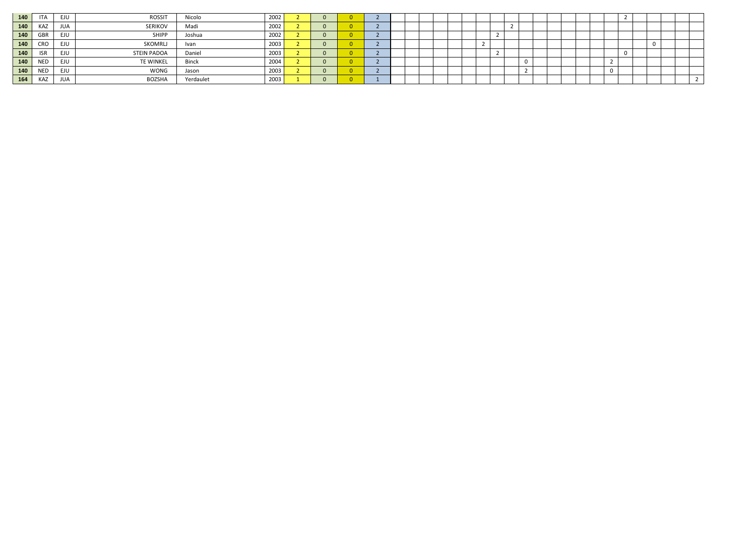| 140 | ITA        | EJU        | <b>ROSSIT</b>      | Nicolo       | 2002 |  |  |  |  |  |  |  |  |  |  |  |
|-----|------------|------------|--------------------|--------------|------|--|--|--|--|--|--|--|--|--|--|--|
| 140 | KAZ        | JUA        | SERIKOV            | Madi         | 2002 |  |  |  |  |  |  |  |  |  |  |  |
| 140 | GBR        | EJU        | <b>SHIPP</b>       | Joshua       | 2002 |  |  |  |  |  |  |  |  |  |  |  |
| 140 | CRO        | EJU        | SKOMRLJ            | Ivan         | 2003 |  |  |  |  |  |  |  |  |  |  |  |
| 140 | <b>ISR</b> | <b>LJU</b> | <b>STEIN PADOA</b> | Daniel       | 2003 |  |  |  |  |  |  |  |  |  |  |  |
| 140 | <b>NED</b> | EJU        | <b>TE WINKEL</b>   | <b>Binck</b> | 2004 |  |  |  |  |  |  |  |  |  |  |  |
| 140 | <b>NED</b> | EJU        | <b>WONG</b>        | Jason        | 2003 |  |  |  |  |  |  |  |  |  |  |  |
| 164 | KAZ        | JUA        | <b>BOZSHA</b>      | Yerdaulet    | 2003 |  |  |  |  |  |  |  |  |  |  |  |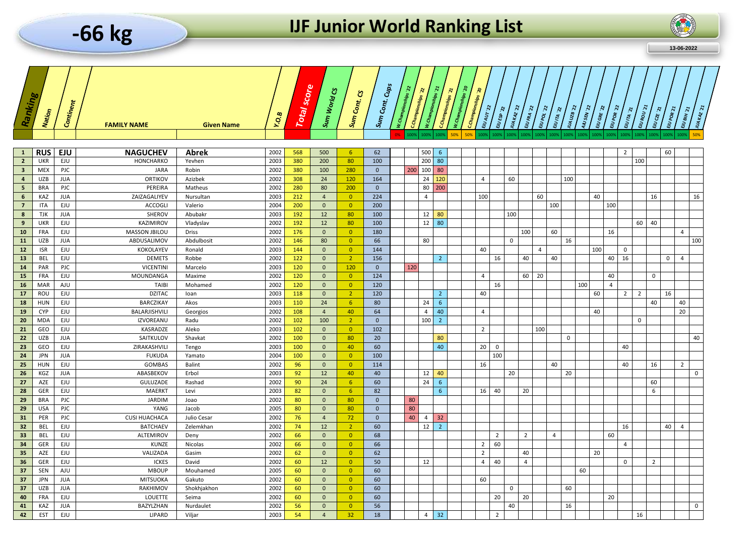



**13-06-2022**

**Ranking Nation Continent FAMILY NAME Given Name Y.O.B Total score Sum World CS Sum Cont. CS Sum Cont. Cups W.Championships `22 C.Championships `22 W.Championships `21 C.Championships `21 W.Championships `20 C.Championships `20 EJU AUT `22 EJU ESP `22 JUA KAZ `22 EJU FRA `22 EJU POL `22 EJU ITA `22 JUA UZB `22 AJU SEN `22 EJU GRE `22 EJU POR `22 EJU ITA `21 EJU ROU `21 EJU CZE `21 EJU POR`21 EJU BIH `21 JUA KAZ `21** 0% 100% 100% 100% 50% 50% 100% 100% 100% 100% 100% 100% 100% 100% 100% 100% 100% 100% 100% 100% 100% 50% **<sup>1</sup> RUS EJU NAGUCHEV Abrek** <sup>2002</sup> <sup>568</sup> <sup>500</sup> <sup>6</sup> <sup>62</sup> <sup>500</sup> <sup>6</sup> <sup>2</sup> <sup>60</sup> **2** UKR EJU HONCHARKO Yevhen 2003 380 200 80 100 200 80 100 **3** MEX PJC JARA Robin 2002 380 100 280 0 200 100 80 **4** | UZB | JUA | ORTIKOV | Azizbek | 2002 <mark>| 308 |</mark> 24 <mark>| 120 |</mark> 164 | | | 24 <mark>| 120</mark> | | | 4 | | 60 | | | | | 100 **5** BRA PJC PEREIRA Matheus 2002 280 80 200 0 80 200 **6** KAZ JUA ZAIZAGALIYEV Nursultan 2003 212 4 0 224 4 100 60 40 16 16 **7** ITA EJU ACCOGLI Valerio 2004 200 0 0 200 100 100 **8** TJK JUA SHEROV Abubakr 2003 192 12 80 100 12 80 100 **9** UKR EJU KAZIMIROV Vladyslav 2002 192 12 80 100 12 80 60 40 **10** FRA EJU MASSON JBILOU Driss 2002 176 0 0 180 100 60 16 4 **11** UZB JUA ABDUSALIMOV Abdulbosit 2002 146 80 0 66 80 0 16 100 **12** ISR EJU KOKOLAYEV Ronald 2003 144 0 0 144 40 4 100 0 **13** BEL EJU DEMETS Robbe 2002 122 0 2 156 2 16 40 40 40 16 0 4 **14** PAR PJC VICENTINI Marcelo 2003 120 0 120 0 120 **15** FRA EJU MOUNDANGA Maxime 2002 120 0 0 124 4 60 20 40 0 **16** MAR AJU TAIBI Mohamed 2002 120 0 0 120 16 100 4 **17** ROU EJU DZITAC Ioan 2003 118 0 2 120 2 40 60 2 2 16 **18** HUN EJU BARCZIKAY Akos 2003 110 24 6 80 24 6 40 40 **19** CYP EJU BALARJISHVILI Georgios 2002 108 4 40 64 4 40 4 40 20 **20** MDA EJU IZVOREANU Radu 2002 102 100 2 0 100 2 0 **21** GEO EJU KASRADZE Aleko 2003 102 0 0 102 2 100 **22** UZB JUA SAITKULOV Shavkat 2002 100 0 80 20 80 0 40 **23** GEO EJU ZIRAKASHVILI Tengo 2003 100 0 40 60 40 20 0 40 **24** JPN JUA FUKUDA Yamato 2004 100 0 0 100 100 **25 HUN EJU | COMBAS Balint | 2002 <mark>96 0 0 114</mark> | | | | | 16 | | | | | 40 | |** | 40 | 16 | 2 **26** KGZ JUA ABASBEKOV Erbol 2003 92 12 40 40 12 40 20 20 0 **27** AZE EJU GULUZADE Rashad 2002 90 24 6 60 24 6 60 **28** GER EJU MAERKT Levi 2003 82 0 6 82 6 16 40 20 6 **29 | B**RA | PJC | JARDIM | Joao | 2002 <mark>| 80 | 0 | 80 |</mark> 0 | 80 | 80 **29** USA PJC YANG Jacob 2005 80 0 80 0 80 **31** PER PJC CUSI HUACHACA Julio Cesar 2002 76 4 72 0 40 4 32 **32** BEL EJU BATCHAEV Zelemkhan 2002 74 12 2 60 12 2 16 40 4 <mark>33</mark> BEL EJU | ALTEMIROV | Deny | 2002 <mark>66 0 0 0 68 |</mark> | | | | | | 2 | | 2 | | 4 | | | | 60 **34** GER EJU KUNZE Nicolas 2002 66 0 0 66 2 60 4 **35** AZE EJU VALIZADA Gasim 2002 62 0 0 62 2 40 20 **36** GER EJU ICKES David 2002 60 12 0 50 12 4 40 4 0 2 **37** SEN AJU MBOUP Mouhamed 2005 60 0 0 60 60 **37** JPN JUA MITSUOKA Gakuto 2002 60 0 0 60 60 **37** UZB JUA RAKHIMOV Shokhjakhon 2002 60 0 0 60 0 60 **40** FRA EJU LOUETTE Seima 2002 60 0 0 60 20 20 20 **41** KAZ JUA BAZYLZHAN Nurdaulet 2002 56 0 0 56 40 16 0 **42** EST EJU LIPARD Viljar 2003 54 4 32 18 4 32 2 16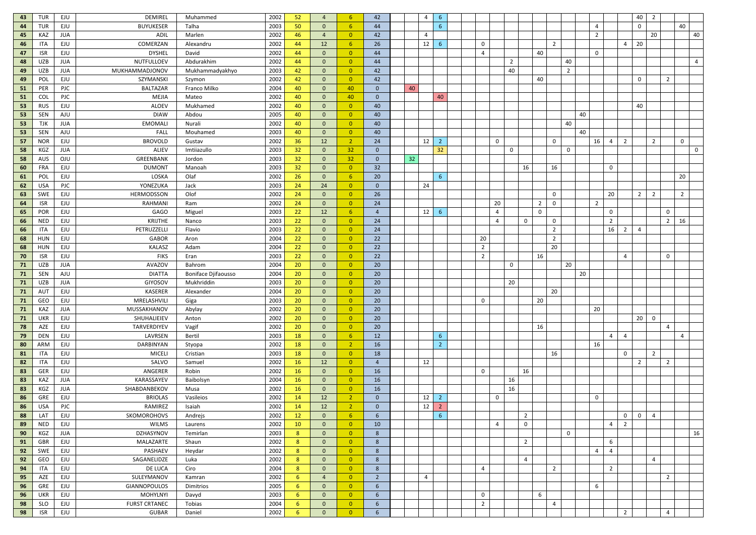| 43 | <b>TUR</b>               | EJU        | DEMIREL              | Muhammed                   | 2002 | 52              | $\overline{4}$          | -6                      | 42              |    | $\overline{4}$ | 6              |  |                |                |                |                |                |                |    |                                  |                                  | 40                               | $\overline{2}$ |                |                |                |
|----|--------------------------|------------|----------------------|----------------------------|------|-----------------|-------------------------|-------------------------|-----------------|----|----------------|----------------|--|----------------|----------------|----------------|----------------|----------------|----------------|----|----------------------------------|----------------------------------|----------------------------------|----------------|----------------|----------------|----------------|
| 44 | <b>TUR</b>               | EJU        | <b>BUYUKESER</b>     | Talha                      | 2003 | 50              | $\mathbf{0}$            | -6                      | 44              |    |                | 6              |  |                |                |                |                |                |                |    | $\overline{4}$                   |                                  | $\Omega$                         |                |                | 40             |                |
| 45 | KAZ                      | <b>JUA</b> | ADIL                 | Marlen                     | 2002 | 46              | $\overline{4}$          | $\overline{0}$          | 42              |    | $\overline{4}$ |                |  |                |                |                |                |                |                |    | $\overline{2}$                   |                                  |                                  | 20             |                |                | 40             |
| 46 | ITA                      | EJU        | COMERZAN             | Alexandru                  | 2002 | 44              | 12                      | $-6$                    | 26              |    | 12             | 6              |  | $\mathbf 0$    |                |                |                | $\overline{2}$ |                |    |                                  | $\overline{4}$                   | 20                               |                |                |                |                |
| 47 | <b>ISR</b>               | EJU        | <b>DYSHEL</b>        | David                      | 2002 | 44              | $\overline{0}$          | $\overline{0}$          | 44              |    |                |                |  | $\overline{4}$ |                |                | 40             |                |                |    | $\mathbf 0$                      |                                  |                                  |                |                |                |                |
| 48 | <b>UZB</b>               |            | NUTFULLOEV           |                            | 2002 | 44              | $\overline{0}$          | $\overline{0}$          | 44              |    |                |                |  |                |                |                |                |                | 40             |    |                                  |                                  |                                  |                |                |                | $\overline{4}$ |
|    |                          | JUA        |                      | Abdurakhim                 |      |                 |                         |                         |                 |    |                |                |  |                | $\overline{2}$ |                |                |                | $\overline{2}$ |    |                                  |                                  |                                  |                |                |                |                |
| 49 | <b>UZB</b>               | JUA        | MUKHAMMADJONOV       | Mukhammadyakhyo            | 2003 | 42              | $\mathbf{0}$            | $\overline{\mathbf{0}}$ | 42              |    |                |                |  |                | 40             |                |                |                |                |    |                                  |                                  |                                  |                |                |                |                |
| 49 | POL                      | EJU        | SZYMANSKI            | Szymon                     | 2002 | 42              | $\mathbf{0}$            | $\overline{0}$          | 42              |    |                |                |  |                |                |                | 40             |                |                |    |                                  |                                  | $\mathbf{0}$                     |                | $\overline{2}$ |                |                |
| 51 | PER                      | PJC        | <b>BALTAZAR</b>      | Franco Milko               | 2004 | 40              | $\mathbf{0}$            | 40                      | $\overline{0}$  | 40 |                |                |  |                |                |                |                |                |                |    |                                  |                                  |                                  |                |                |                |                |
| 51 | COL                      | PJC        | <b>MEJIA</b>         | Mateo                      | 2002 | 40              | $\overline{0}$          | 40                      | $\mathbf{0}$    |    |                | 40             |  |                |                |                |                |                |                |    |                                  |                                  |                                  |                |                |                |                |
| 53 | <b>RUS</b>               | EJU        | <b>ALOEV</b>         | Mukhamed                   | 2002 | 40              | $\mathbf{0}$            | $\overline{0}$          | 40              |    |                |                |  |                |                |                |                |                |                |    |                                  |                                  | 40                               |                |                |                |                |
| 53 | SEN                      | AJU        | <b>DIAW</b>          | Abdou                      | 2005 | 40              | $\mathbf{0}$            | $\overline{0}$          | 40              |    |                |                |  |                |                |                |                |                |                | 40 |                                  |                                  |                                  |                |                |                |                |
| 53 | <b>TJK</b>               | <b>JUA</b> | <b>EMOMALI</b>       | Nurali                     | 2002 | 40              | $\mathbf{0}$            | $\overline{0}$          | 40              |    |                |                |  |                |                |                |                |                | 40             |    |                                  |                                  |                                  |                |                |                |                |
| 53 | SEN                      | AJU        | FALL                 | Mouhamed                   | 2003 | 40              | $\mathbf{0}$            | $\overline{0}$          | 40              |    |                |                |  |                |                |                |                |                |                | 40 |                                  |                                  |                                  |                |                |                |                |
| 57 | <b>NOR</b>               | EJU        | <b>BROVOLD</b>       | Gustav                     | 2002 | 36              | 12                      | $\overline{2}$          | 24              |    | 12             | $\overline{2}$ |  | $\mathbf 0$    |                |                |                | $\mathbf 0$    |                |    | 16<br>$\overline{4}$             | 2                                |                                  | $\overline{2}$ |                | $\mathbf{0}$   |                |
| 58 | KGZ                      | JUA        | ALIEV                | Imtiiazullo                | 2003 | 32              | $\mathbf{0}$            | 32                      | $\mathbf{0}$    |    |                | 32             |  |                | $\mathbf 0$    |                |                |                | $\mathbf 0$    |    |                                  |                                  |                                  |                |                |                | $\mathbf 0$    |
| 58 | AUS                      | OJU        | GREENBANK            | Jordon                     | 2003 | 32 <sub>2</sub> | $\overline{0}$          | 32                      | $\mathbf{0}$    | 32 |                |                |  |                |                |                |                |                |                |    |                                  |                                  |                                  |                |                |                |                |
| 60 | FRA                      | EJU        | <b>DUMONT</b>        | Manoah                     | 2003 | 32              | $\mathbf{0}$            | $\overline{0}$          | 32              |    |                |                |  |                |                | 16             |                | 16             |                |    | 0                                |                                  |                                  |                |                |                |                |
| 61 | POL                      | EJU        | LOSKA                | Olaf                       | 2002 | 26              | $\mathbf{0}$            | 6                       | 20              |    |                | 6              |  |                |                |                |                |                |                |    |                                  |                                  |                                  |                |                | 20             |                |
| 62 | <b>USA</b>               | PJC        | YONEZUKA             | Jack                       | 2003 | 24              | 24                      | $\overline{0}$          | $\mathbf{0}$    |    | 24             |                |  |                |                |                |                |                |                |    |                                  |                                  |                                  |                |                |                |                |
| 63 | SWE                      | EJU        | <b>HERMODSSON</b>    | Olof                       | 2002 | 24              | $\mathbf{0}$            | $\overline{0}$          | 26              |    |                |                |  |                |                |                |                | $\mathbf 0$    |                |    | 20                               |                                  | $\overline{2}$                   | $\overline{2}$ |                | $\overline{2}$ |                |
| 64 | <b>ISR</b>               | EJU        | RAHMANI              | Ram                        | 2002 | 24              | $\mathbf{0}$            | $\overline{0}$          | 24              |    |                |                |  | 20             |                |                | $\overline{2}$ | $\mathbf 0$    |                |    | $\overline{2}$                   |                                  |                                  |                |                |                |                |
| 65 | POR                      | EJU        | <b>GAGO</b>          | Miguel                     | 2003 | 22              | 12                      | 6                       | $\overline{4}$  |    | 12             | 6              |  | $\overline{4}$ |                |                | $\mathsf 0$    |                |                |    | 0                                |                                  |                                  |                | 0              |                |                |
| 66 | <b>NED</b>               | EJU        | KRIJTHE              | Nanco                      | 2003 | 22              | $\mathbf{0}$            | $\overline{0}$          | 24              |    |                |                |  | $\overline{4}$ |                | 0              |                | 0              |                |    | $\overline{2}$                   |                                  |                                  |                | $\overline{2}$ | 16             |                |
| 66 | <b>ITA</b>               | EJU        | PETRUZZELLI          | Flavio                     | 2003 | 22              | $\mathbf{0}$            | $\overline{\mathbf{0}}$ | 24              |    |                |                |  |                |                |                |                | $\overline{2}$ |                |    |                                  | 16<br>$\overline{2}$             | $\overline{4}$                   |                |                |                |                |
| 68 | <b>HUN</b>               | EJU        | <b>GABOR</b>         | Aron                       | 2004 | 22              | $\mathbf{0}$            | $\overline{0}$          | 22              |    |                |                |  | 20             |                |                |                | $\overline{2}$ |                |    |                                  |                                  |                                  |                |                |                |                |
| 68 | <b>HUN</b>               | EJU        | <b>KALASZ</b>        | Adam                       | 2004 | 22              | $\mathbf{0}$            | $\overline{0}$          | 22              |    |                |                |  | $\overline{2}$ |                |                |                | 20             |                |    |                                  |                                  |                                  |                |                |                |                |
|    |                          | EJU        |                      |                            |      |                 |                         | $\overline{0}$          | 22              |    |                |                |  | $\overline{2}$ |                |                |                |                |                |    |                                  | $\overline{4}$                   |                                  |                | $\mathbf 0$    |                |                |
| 70 | <b>ISR</b><br><b>UZB</b> |            | <b>FIKS</b>          | Eran                       | 2003 | 22              | $\overline{0}$          | $\overline{0}$          | 20              |    |                |                |  |                |                |                | 16             |                | 20             |    |                                  |                                  |                                  |                |                |                |                |
| 71 |                          | <b>JUA</b> | AVAZOV               | Bahrom                     | 2004 | 20              | $\mathbf{0}$            |                         |                 |    |                |                |  |                | $\mathbf 0$    |                |                |                |                |    |                                  |                                  |                                  |                |                |                |                |
| 71 | SEN                      | AJU        | <b>DIATTA</b>        | <b>Boniface Djifaousso</b> | 2004 | 20              | $\mathbf{0}$            | $\overline{0}$          | 20              |    |                |                |  |                |                |                |                |                |                | 20 |                                  |                                  |                                  |                |                |                |                |
| 71 | <b>UZB</b>               | <b>JUA</b> | GIYOSOV              | Mukhriddin                 | 2003 | 20              | $\mathbf{0}$            | $\overline{0}$          | 20              |    |                |                |  |                | 20             |                |                |                |                |    |                                  |                                  |                                  |                |                |                |                |
| 71 | AUT                      | EJU        | <b>KASERER</b>       | Alexander                  | 2004 | 20              | $\mathbf{0}$            | $\overline{\mathbf{0}}$ | 20              |    |                |                |  |                |                |                |                | 20             |                |    |                                  |                                  |                                  |                |                |                |                |
| 71 | GEO                      | EJU        | MRELASHVILI          | Giga                       | 2003 | 20              | $\mathbf{0}$            | $\overline{0}$          | 20              |    |                |                |  | $\mathbf{0}$   |                |                | 20             |                |                |    |                                  |                                  |                                  |                |                |                |                |
| 71 | KAZ                      | JUA        | MUSSAKHANOV          | Abylay                     | 2002 | 20              | $\mathbf{0}$            | $\overline{0}$          | 20              |    |                |                |  |                |                |                |                |                |                |    | 20                               |                                  |                                  |                |                |                |                |
| 71 | <b>UKR</b>               | EJU        | SHUHALIEIEV          | Anton                      | 2002 | 20              | $\mathbf{0}$            | $\overline{0}$          | 20              |    |                |                |  |                |                |                |                |                |                |    |                                  |                                  | 20                               | 0              |                |                |                |
| 78 | AZE                      | EJU        | TARVERDIYEV          | Vagif                      | 2002 | 20              | $\mathbf{0}$            | $\overline{0}$          | 20              |    |                |                |  |                |                |                | 16             |                |                |    |                                  |                                  |                                  |                | 4              |                |                |
| 79 | DEN                      | EJU        | LAVRSEN              | Bertil                     | 2003 | 18              | $\overline{0}$          | 6                       | 12              |    |                | 6              |  |                |                |                |                |                |                |    | $\overline{4}$                   | $\overline{4}$                   |                                  |                |                | $\overline{4}$ |                |
| 80 | ARM                      | EJU        | DARBINYAN            | Styopa                     | 2002 | 18              | $\mathbf{0}$            | $\overline{2}$          | 16              |    |                | $\overline{2}$ |  |                |                |                |                |                |                |    | 16                               |                                  |                                  |                |                |                |                |
| 81 | <b>ITA</b>               | EJU        | <b>MICELI</b>        | Cristian                   | 2003 | 18              | $\mathbf{0}$            | $\overline{0}$          | 18              |    |                |                |  |                |                |                |                | 16             |                |    |                                  | $\mathbf 0$                      |                                  | $\overline{2}$ |                |                |                |
| 82 | <b>ITA</b>               | EJU        | SALVO                | Samuel                     | 2002 | 16              | 12                      | $\overline{0}$          | $\overline{4}$  |    | 12             |                |  |                |                |                |                |                |                |    |                                  |                                  | $\overline{2}$                   |                | $\overline{2}$ |                |                |
| 83 | GER                      | EJU        | ANGERER              | Robin                      | 2002 | 16              | $\mathbf{0}$            | $\overline{0}$          | 16              |    |                |                |  | 0              |                | 16             |                |                |                |    |                                  |                                  |                                  |                |                |                |                |
| 83 | KAZ                      | JUA        | KARASSAYEV           | Baibolsyn                  | 2004 | 16              | $\mathbf{0}$            | $\overline{0}$          | 16              |    |                |                |  |                | 16             |                |                |                |                |    |                                  |                                  |                                  |                |                |                |                |
| 83 | KGZ                      | <b>JUA</b> | SHABDANBEKOV         | Musa                       | 2002 | 16              | $\mathbf{0}$            | $\overline{0}$          | 16              |    |                |                |  |                | 16             |                |                |                |                |    |                                  |                                  |                                  |                |                |                |                |
| 86 | GRE                      | EJU        | <b>BRIOLAS</b>       | Vasileios                  | 2002 | 14              | 12                      | $\overline{2}$          | $\mathbf{0}$    |    | 12             | $\overline{2}$ |  | $\mathsf{o}$   |                |                |                |                |                |    | $\mathbf 0$                      |                                  |                                  |                |                |                |                |
| 86 | <b>USA</b>               | PJC        | RAMIREZ              | Isaiah                     | 2002 | 14              | 12                      | $\overline{2}$          | $\overline{0}$  |    | 12             | $\overline{2}$ |  |                |                |                |                |                |                |    |                                  |                                  |                                  |                |                |                |                |
| 88 | LAT                      | EJU        | <b>SKOMOROHOVS</b>   | Andrejs                    | 2002 | $12$            | $\overline{\mathbf{0}}$ | $6^{\circ}$             | $\sqrt{6}$      |    |                | 6 <sup>1</sup> |  |                |                | $\overline{2}$ |                |                |                |    |                                  |                                  | $\overline{0}$<br>$\overline{0}$ | -4             |                |                |                |
| 89 | <b>NED</b>               | EJU        | <b>WILMS</b>         | Laurens                    | 2002 | 10              | $\mathbf{0}$            | $\overline{0}$          | 10              |    |                |                |  | $\overline{4}$ |                | $\mathsf{o}$   |                |                |                |    |                                  | $\overline{2}$<br>$\overline{4}$ |                                  |                |                |                |                |
| 90 | KGZ                      | JUA        | DZHASYNOV            | Temirlan                   | 2003 | 8               | $\mathbf{0}$            | $\overline{0}$          | 8               |    |                |                |  |                |                |                |                |                | $\mathsf{o}$   |    |                                  |                                  |                                  |                |                |                | 16             |
| 91 | GBR                      | EJU        | MALAZARTE            | Shaun                      | 2002 | 8               | $\mathbf{0}$            | $\overline{0}$          | 8               |    |                |                |  |                |                | 2              |                |                |                |    | 6                                |                                  |                                  |                |                |                |                |
| 92 | SWE                      | EJU        | PASHAEV              | Heydar                     | 2002 | 8               | $\mathbf{0}$            | $\overline{0}$          | 8               |    |                |                |  |                |                |                |                |                |                |    | $\overline{4}$<br>$\overline{4}$ |                                  |                                  |                |                |                |                |
| 92 | GEO                      | EJU        | SAGANELIDZE          | Luka                       | 2002 | 8               | $\mathbf{0}$            | $\overline{0}$          | 8               |    |                |                |  |                |                | $\overline{4}$ |                |                |                |    |                                  |                                  |                                  | $\overline{4}$ |                |                |                |
| 94 | ITA                      | EJU        | DE LUCA              | Ciro                       | 2004 | 8               | $\mathbf{0}$            | $\overline{\mathbf{0}}$ | $8\phantom{1}$  |    |                |                |  | 4              |                |                |                | $\overline{2}$ |                |    | $\overline{2}$                   |                                  |                                  |                |                |                |                |
| 95 | AZE                      | EJU        | SULEYMANOV           | Kamran                     | 2002 | 6               | $\overline{4}$          | $\overline{\mathbf{0}}$ | $\overline{2}$  |    | $\overline{4}$ |                |  |                |                |                |                |                |                |    |                                  |                                  |                                  |                | $\overline{2}$ |                |                |
| 96 | GRE                      | EJU        | <b>GIANNOPOULOS</b>  | Dimitrios                  | 2005 | 6               | $\mathbf{0}$            | $\overline{0}$          | 6               |    |                |                |  |                |                |                |                |                |                |    | 6                                |                                  |                                  |                |                |                |                |
| 96 | UKR                      | EJU        | MOHYLNYI             | Davyd                      | 2003 | 6               | $\mathbf{0}$            | $\overline{0}$          | $6\overline{6}$ |    |                |                |  | $\mathbf 0$    |                |                | 6              |                |                |    |                                  |                                  |                                  |                |                |                |                |
| 98 |                          |            |                      |                            |      |                 |                         |                         |                 |    |                |                |  |                |                |                |                |                |                |    |                                  |                                  |                                  |                |                |                |                |
|    | SLO                      | EJU        | <b>FURST CRTANEC</b> | Tobias                     | 2004 | 6               | $\mathbf{0}$            | $\overline{0}$          | $6\overline{6}$ |    |                |                |  | $\overline{2}$ |                |                |                | $\overline{4}$ |                |    |                                  |                                  |                                  |                |                |                |                |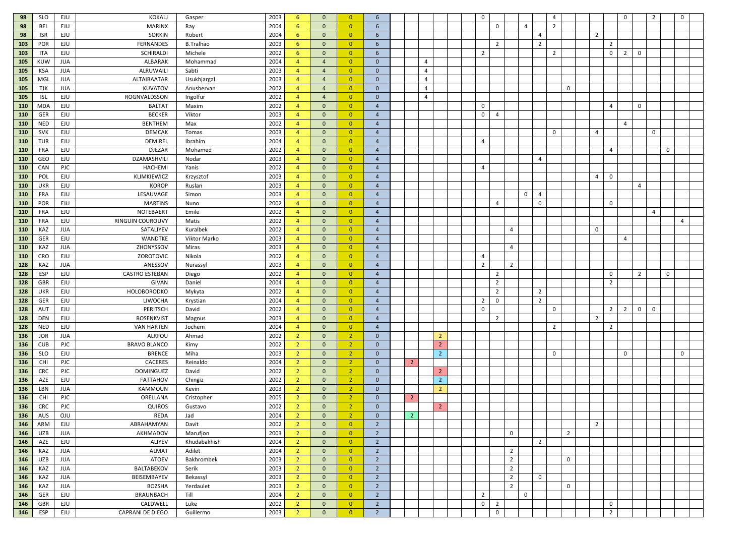| 98  | <b>SLO</b> | EJU        | KOKALJ                  | Gasper       | 2003 | 6              | $\mathbf{0}$   | $\overline{0}$ | 6              |                |                |                | $\mathbf 0$    |                |                |                | $\overline{4}$ |                |                |                | $\mathbf 0$    |                | $\overline{2}$ |              | $\mathbf 0$    |
|-----|------------|------------|-------------------------|--------------|------|----------------|----------------|----------------|----------------|----------------|----------------|----------------|----------------|----------------|----------------|----------------|----------------|----------------|----------------|----------------|----------------|----------------|----------------|--------------|----------------|
| 98  | <b>BEL</b> | EJU        | <b>MARINX</b>           | Ray          | 2004 | 6              | $\mathbf{0}$   | $\overline{0}$ | 6              |                |                |                |                | $\mathbf 0$    | $\overline{4}$ |                | $\overline{2}$ |                |                |                |                |                |                |              |                |
| 98  | <b>ISR</b> | EJU        | <b>SORKIN</b>           | Robert       | 2004 | 6              | $\mathbf{0}$   | $\overline{0}$ | 6              |                |                |                |                |                |                | 4              |                |                | $\overline{2}$ |                |                |                |                |              |                |
| 103 | POR        | EJU        | <b>FERNANDES</b>        | B.Tralhao    | 2003 | 6              | $\mathbf{0}$   | $\overline{0}$ | 6              |                |                |                |                | $\overline{2}$ |                | $\overline{2}$ |                |                |                | $\overline{2}$ |                |                |                |              |                |
| 103 | ITA        | EJU        | SCHIRALDI               | Michele      | 2002 | 6              | $\mathbf{0}$   | $\overline{0}$ | 6              |                |                |                | $\overline{2}$ |                |                |                | $\overline{2}$ |                |                | $\mathbf 0$    | 2              | $\mathbf 0$    |                |              |                |
| 105 | <b>KUW</b> | JUA        | ALBARAK                 | Mohammad     | 2004 | $\overline{4}$ | $\overline{4}$ | $\overline{0}$ | $\mathbf{0}$   |                | $\overline{4}$ |                |                |                |                |                |                |                |                |                |                |                |                |              |                |
| 105 | <b>KSA</b> | JUA        | ALRUWAILI               | Sabti        | 2003 | $\overline{4}$ | $\overline{4}$ | $\overline{0}$ | $\mathbf{0}$   |                | $\overline{4}$ |                |                |                |                |                |                |                |                |                |                |                |                |              |                |
| 105 | MGL        | JUA        | ALTAIBAATAR             | Usukhjargal  | 2003 | $\overline{4}$ | $\overline{4}$ | $\overline{0}$ | $\mathbf{0}$   |                | $\overline{4}$ |                |                |                |                |                |                |                |                |                |                |                |                |              |                |
| 105 | TJK        | JUA        | <b>KUVATOV</b>          | Anushervan   | 2002 | $\overline{4}$ | $\overline{4}$ | $\overline{0}$ | $\mathbf{0}$   |                | $\overline{4}$ |                |                |                |                |                |                | $\mathbf 0$    |                |                |                |                |                |              |                |
| 105 | <b>ISL</b> | EJU        | ROGNVALDSSON            | Ingolfur     | 2002 | $\overline{4}$ | $\overline{4}$ | $\overline{0}$ | $\mathbf{0}$   |                | $\overline{4}$ |                |                |                |                |                |                |                |                |                |                |                |                |              |                |
| 110 | <b>MDA</b> | EJU        | <b>BALTAT</b>           | Maxim        | 2002 | $\overline{4}$ | $\mathbf{0}$   | $\overline{0}$ | $\overline{4}$ |                |                |                | $\mathbf 0$    |                |                |                |                |                |                | 4              |                | $\mathbf 0$    |                |              |                |
| 110 | GER        | EJU        | <b>BECKER</b>           | Viktor       | 2003 | $\overline{4}$ | $\mathbf{0}$   | $\overline{0}$ | $\overline{4}$ |                |                |                | $\mathbf{0}$   | $\overline{4}$ |                |                |                |                |                |                |                |                |                |              |                |
| 110 | <b>NED</b> | EJU        | <b>BENTHEM</b>          | Max          | 2002 | $\overline{4}$ | $\mathbf{0}$   | $\overline{0}$ | $\overline{4}$ |                |                |                |                |                |                |                |                |                |                |                | $\overline{4}$ |                |                |              |                |
| 110 | <b>SVK</b> | EJU        | <b>DEMCAK</b>           | Tomas        | 2003 | $\overline{4}$ | $\overline{0}$ | $\overline{0}$ | $\overline{4}$ |                |                |                |                |                |                |                | $\Omega$       |                | $\overline{4}$ |                |                |                | $\mathbf 0$    |              |                |
| 110 | <b>TUR</b> | EJU        | DEMIREL                 | Ibrahim      | 2004 | $\overline{4}$ | $\mathbf{0}$   | $\overline{0}$ | $\overline{4}$ |                |                |                | $\overline{4}$ |                |                |                |                |                |                |                |                |                |                |              |                |
| 110 | <b>FRA</b> | EJU        | <b>DJEZAR</b>           | Mohamed      | 2002 | $\overline{4}$ | $\mathbf{0}$   | $\overline{0}$ | $\overline{4}$ |                |                |                |                |                |                |                |                |                |                | $\overline{4}$ |                |                |                | $\mathbf{0}$ |                |
| 110 | GEO        | EJU        | DZAMASHVILI             | Nodar        | 2003 | $\overline{4}$ | $\mathbf{0}$   | $\overline{0}$ | $\overline{4}$ |                |                |                |                |                |                | $\overline{4}$ |                |                |                |                |                |                |                |              |                |
| 110 | CAN        | PJC        | <b>HACHEMI</b>          | Yanis        | 2002 | $\overline{4}$ | $\mathbf{0}$   | $\overline{0}$ | $\overline{4}$ |                |                |                | $\overline{4}$ |                |                |                |                |                |                |                |                |                |                |              |                |
| 110 | POL        | EJU        | KLIMKIEWICZ             | Krzysztof    | 2003 | $\overline{4}$ | $\mathbf{0}$   | $\overline{0}$ | $\overline{4}$ |                |                |                |                |                |                |                |                |                | $\overline{4}$ | $\mathbf 0$    |                |                |                |              |                |
| 110 | UKR        | EJU        | <b>KOROP</b>            | Ruslan       | 2003 | $\overline{4}$ | $\mathbf{0}$   | $\overline{0}$ | $\overline{4}$ |                |                |                |                |                |                |                |                |                |                |                |                | $\overline{4}$ |                |              |                |
| 110 | <b>FRA</b> | EJU        | LESAUVAGE               | Simon        | 2003 | $\overline{4}$ | $\mathbf{0}$   | $\overline{0}$ | $\overline{4}$ |                |                |                |                |                | 0              | $\overline{4}$ |                |                |                |                |                |                |                |              |                |
| 110 | POR        | EJU        | <b>MARTINS</b>          | Nuno         | 2002 | $\overline{4}$ | $\mathbf{0}$   | $\overline{0}$ | $\overline{4}$ |                |                |                |                | $\overline{4}$ |                | $\mathbf 0$    |                |                |                | 0              |                |                |                |              |                |
| 110 | <b>FRA</b> | EJU        | NOTEBAERT               | Emile        | 2002 | $\overline{4}$ | $\mathbf{0}$   | $\overline{0}$ | $\overline{4}$ |                |                |                |                |                |                |                |                |                |                |                |                |                | $\overline{4}$ |              |                |
| 110 | <b>FRA</b> | EJU        | <b>RINGUIN COUROUVY</b> | Matis        | 2002 | $\overline{4}$ | $\mathbf{0}$   | $\overline{0}$ | $\overline{4}$ |                |                |                |                |                |                |                |                |                |                |                |                |                |                |              | $\overline{4}$ |
| 110 | KAZ        | JUA        | SATALIYEV               | Kuralbek     | 2002 | $\overline{4}$ | $\mathbf{0}$   | $\overline{0}$ | $\overline{4}$ |                |                |                |                |                | 4              |                |                |                | 0              |                |                |                |                |              |                |
| 110 | GER        | EJU        | WANDTKE                 | Viktor Marko | 2003 | $\overline{4}$ | $\mathbf{0}$   | $\overline{0}$ | $\overline{4}$ |                |                |                |                |                |                |                |                |                |                |                | $\overline{4}$ |                |                |              |                |
| 110 | KAZ        | JUA        | ZHONYSSOV               | Miras        | 2003 | $\overline{4}$ | $\mathbf{0}$   | $\overline{0}$ | $\overline{4}$ |                |                |                |                |                | 4              |                |                |                |                |                |                |                |                |              |                |
| 110 | CRO        | EJU        | ZOROTOVIC               | Nikola       | 2002 | $\overline{4}$ | $\overline{0}$ | $\overline{0}$ | $\overline{4}$ |                |                |                | $\overline{4}$ |                |                |                |                |                |                |                |                |                |                |              |                |
| 128 | KAZ        | JUA        | ANESSOV                 | Nurassyl     | 2003 | $\overline{4}$ | $\mathbf{0}$   | $\overline{0}$ | $\overline{4}$ |                |                |                | $\overline{2}$ |                | $\overline{2}$ |                |                |                |                |                |                |                |                |              |                |
| 128 | ESP        | EJU        | <b>CASTRO ESTEBAN</b>   | Diego        | 2002 | $\overline{4}$ | $\mathbf{0}$   | $\overline{0}$ | $\overline{4}$ |                |                |                |                | $\overline{2}$ |                |                |                |                |                | 0              |                | $\overline{2}$ |                | $\mathbf{0}$ |                |
| 128 | GBR        | EJU        | <b>GIVAN</b>            | Daniel       | 2004 | $\overline{4}$ | $\mathbf{0}$   | $\overline{0}$ | $\overline{4}$ |                |                |                |                | $\overline{2}$ |                |                |                |                |                | $\overline{2}$ |                |                |                |              |                |
| 128 | <b>UKR</b> | EJU        | HOLOBORODKO             | Mykyta       | 2002 | $\overline{4}$ | $\mathbf{0}$   | $\overline{0}$ | $\overline{4}$ |                |                |                |                | $\overline{2}$ |                | $\overline{2}$ |                |                |                |                |                |                |                |              |                |
| 128 | GER        | EJU        | LIWOCHA                 | Krystian     | 2004 | $\overline{4}$ | $\mathbf{0}$   | $\overline{0}$ | $\overline{4}$ |                |                |                | $\overline{2}$ | $\mathbf 0$    |                | $\overline{2}$ |                |                |                |                |                |                |                |              |                |
| 128 | AUT        | EJU        | PERITSCH                | David        | 2002 | $\overline{4}$ | $\mathbf{0}$   | $\overline{0}$ | $\overline{4}$ |                |                |                | $\mathbf 0$    |                |                |                | 0              |                |                | $\overline{2}$ | $\overline{2}$ | $\mathbf 0$    | $\mathbf 0$    |              |                |
| 128 | <b>DEN</b> | EJU        | <b>ROSENKVIST</b>       | Magnus       | 2003 | $\overline{4}$ | $\mathbf{0}$   | $\overline{0}$ | $\overline{4}$ |                |                |                |                | $\overline{2}$ |                |                |                |                | $\overline{2}$ |                |                |                |                |              |                |
| 128 | <b>NED</b> | EJU        | <b>VAN HARTEN</b>       | Jochem       | 2004 | $\overline{4}$ | $\mathbf{0}$   | $\overline{0}$ | $\overline{4}$ |                |                |                |                |                |                |                | 2              |                |                | $\overline{2}$ |                |                |                |              |                |
| 136 | <b>JOR</b> | JUA        | ALRFOU                  | Ahmad        | 2002 | $\overline{2}$ | $\mathbf{0}$   | $\overline{2}$ | $\mathbf{0}$   |                |                | $\overline{2}$ |                |                |                |                |                |                |                |                |                |                |                |              |                |
| 136 | <b>CUB</b> | PJC        | <b>BRAVO BLANCO</b>     | Kimy         | 2002 | $\overline{2}$ | $\mathbf{0}$   | $\overline{2}$ | $\mathbf{0}$   |                |                | $\overline{2}$ |                |                |                |                |                |                |                |                |                |                |                |              |                |
| 136 | <b>SLO</b> | EJU        | <b>BRENCE</b>           | Miha         | 2003 | $\overline{2}$ | $\overline{0}$ | $\overline{2}$ | $\mathbf{0}$   |                |                | $\overline{2}$ |                |                |                |                | $\Omega$       |                |                |                | 0              |                |                |              | 0              |
| 136 | CHI        | PJC        | CACERES                 | Reinaldo     | 2004 | $\overline{2}$ | $\mathbf{0}$   | $\overline{2}$ | $\mathbf{0}$   | $\overline{2}$ |                |                |                |                |                |                |                |                |                |                |                |                |                |              |                |
| 136 | CRC        | PJC        | <b>DOMINGUEZ</b>        | David        | 2002 | 2 <sup>2</sup> | $\mathbf{0}$   | $\overline{2}$ | $\mathbf{0}$   |                |                | <sup>2</sup>   |                |                |                |                |                |                |                |                |                |                |                |              |                |
| 136 | AZE        | EJU        | <b>FATTAHOV</b>         | Chingiz      | 2002 | $\overline{2}$ | $\mathbf{0}$   | $\overline{2}$ | $\mathbf{0}$   |                |                | $\overline{2}$ |                |                |                |                |                |                |                |                |                |                |                |              |                |
| 136 | LBN        | JUA        | <b>KAMMOUN</b>          | Kevin        | 2003 | $\overline{2}$ | $\mathbf{0}$   | $\overline{2}$ | $\mathbf{0}$   |                |                | $\overline{2}$ |                |                |                |                |                |                |                |                |                |                |                |              |                |
| 136 | CHI        | <b>PJC</b> | ORELLANA                | Cristopher   | 2005 | $\overline{2}$ | $\overline{0}$ | $\overline{2}$ | $\mathbf{0}$   | $\overline{2}$ |                |                |                |                |                |                |                |                |                |                |                |                |                |              |                |
| 136 | <b>CRC</b> | <b>PJC</b> | <b>QUIROS</b>           | Gustavo      | 2002 | $\overline{2}$ | $\mathbf{0}$   | $\overline{2}$ | $\mathbf{0}$   |                |                | $\overline{2}$ |                |                |                |                |                |                |                |                |                |                |                |              |                |
| 136 | AUS        | OJU        | REDA                    | Jad          | 2004 | $\overline{2}$ | $\mathbf 0$    | $\sqrt{2}$     | $\mathbf 0$    | $2^{\circ}$    |                |                |                |                |                |                |                |                |                |                |                |                |                |              |                |
| 146 | ARM        | EJU        | ABRAHAMYAN              | Davit        | 2002 | $\overline{2}$ | $\mathbf{0}$   | $\overline{0}$ | $\overline{2}$ |                |                |                |                |                |                |                |                |                | $\overline{2}$ |                |                |                |                |              |                |
| 146 | UZB        | JUA        | AKHMADOV                | Marufjon     | 2003 | $2^{\circ}$    | $\mathbf{0}$   | $\overline{0}$ | $\overline{2}$ |                |                |                |                |                | $\mathbf{0}$   |                |                | $\overline{2}$ |                |                |                |                |                |              |                |
| 146 | AZE        | EJU        | ALIYEV                  | Khudabakhish | 2004 | $2^{\circ}$    | $\mathbf{0}$   | $\overline{0}$ | $\overline{2}$ |                |                |                |                |                |                | $\overline{2}$ |                |                |                |                |                |                |                |              |                |
| 146 | KAZ        | JUA        | <b>ALMAT</b>            | Adilet       | 2004 | $2^{\circ}$    | $\mathbf{0}$   | $\overline{0}$ | $\overline{2}$ |                |                |                |                |                | $\overline{2}$ |                |                |                |                |                |                |                |                |              |                |
| 146 | <b>UZB</b> | JUA        | <b>ATOEV</b>            | Bakhrombek   | 2003 | 2 <sup>7</sup> | $\mathbf{0}$   | $\overline{0}$ | $\overline{2}$ |                |                |                |                |                | $\overline{2}$ |                |                | $\mathsf{o}$   |                |                |                |                |                |              |                |
| 146 | KAZ        | JUA        | BALTABEKOV              | Serik        | 2003 | $2^{\circ}$    | $\mathbf{0}$   | $\overline{0}$ | $\overline{2}$ |                |                |                |                |                | $\overline{2}$ |                |                |                |                |                |                |                |                |              |                |
| 146 | KAZ        | JUA        | BEISEMBAYEV             | Bekassyl     | 2003 | $2^{\circ}$    | $\mathbf{0}$   | $\overline{0}$ | $\overline{2}$ |                |                |                |                |                | $\overline{2}$ | $\mathbf 0$    |                |                |                |                |                |                |                |              |                |
| 146 | KAZ        | <b>JUA</b> | <b>BOZSHA</b>           | Yerdaulet    | 2003 | $2^{\circ}$    | $\mathbf{0}$   | $\overline{0}$ | $\overline{2}$ |                |                |                |                |                | $\overline{2}$ |                |                | 0              |                |                |                |                |                |              |                |
| 146 | GER        | EJU        | BRAUNBACH               | Till         | 2004 | $2^{\circ}$    | $\mathbf{0}$   | $\overline{0}$ | $\overline{2}$ |                |                |                | $\overline{2}$ |                | $\mathbf 0$    |                |                |                |                |                |                |                |                |              |                |
| 146 | GBR        | EJU        | CALDWELL                | Luke         | 2002 | $\overline{2}$ | $\mathbf{0}$   | $\overline{0}$ | $\overline{2}$ |                |                |                | $\overline{0}$ | $\overline{2}$ |                |                |                |                |                | $\mathbf 0$    |                |                |                |              |                |
| 146 | ESP        | EJU        | CAPRANI DE DIEGO        | Guillermo    | 2003 | $2^{\circ}$    | $\mathbf{0}$   | $\overline{0}$ | $\overline{2}$ |                |                |                |                | $\mathbf 0$    |                |                |                |                |                | $\overline{2}$ |                |                |                |              |                |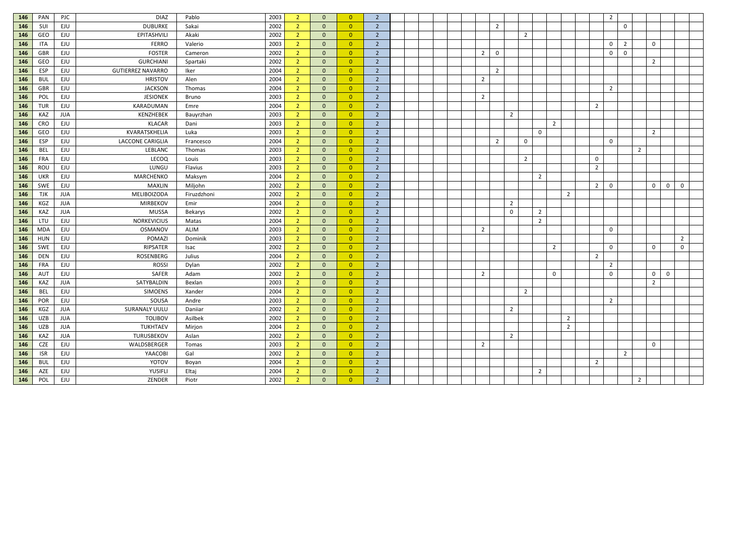| 146 | PAN        | PJC | <b>DIAZ</b>              | Pablo       | 2003 | $\overline{2}$ | $\Omega$       | $\overline{0}$          | $\overline{2}$ |  |  |                |                |                |                |                |                |                | $\overline{2}$                |             |                |                |             |                |
|-----|------------|-----|--------------------------|-------------|------|----------------|----------------|-------------------------|----------------|--|--|----------------|----------------|----------------|----------------|----------------|----------------|----------------|-------------------------------|-------------|----------------|----------------|-------------|----------------|
| 146 | SUI        | EJU | <b>DUBURKE</b>           | Sakai       | 2002 | $\overline{2}$ | $\Omega$       | $\overline{0}$          | $\overline{2}$ |  |  |                | $\overline{2}$ |                |                |                |                |                |                               | $\mathbf 0$ |                |                |             |                |
| 146 | GEO        | EJU | EPITASHVILI              | Akaki       | 2002 | $\overline{2}$ | $\overline{0}$ | $\overline{0}$          | $\overline{2}$ |  |  |                |                | $\overline{2}$ |                |                |                |                |                               |             |                |                |             |                |
| 146 | <b>ITA</b> | EJU | <b>FERRO</b>             | Valerio     | 2003 | $\overline{2}$ | $\overline{0}$ | $\overline{0}$          | $\overline{2}$ |  |  |                |                |                |                |                |                |                | $\mathbf 0$                   | 2           |                | $\Omega$       |             |                |
| 146 | GBR        | EJU | <b>FOSTER</b>            | Cameron     | 2002 | $\overline{2}$ | $\mathbf{0}$   | $\overline{0}$          | $\overline{2}$ |  |  | $\overline{2}$ | $\mathbf 0$    |                |                |                |                |                | $\mathbf 0$                   | $\mathbf 0$ |                |                |             |                |
| 146 | GEO        | EJU | <b>GURCHIANI</b>         | Spartaki    | 2002 | $\overline{2}$ | $\overline{0}$ | $\overline{0}$          | $\overline{2}$ |  |  |                |                |                |                |                |                |                |                               |             |                | 2              |             |                |
| 146 | ESP        | EJU | <b>GUTIERREZ NAVARRO</b> | Iker        | 2004 | $\overline{2}$ | $\overline{0}$ | $\overline{0}$          | $\overline{2}$ |  |  |                | $\overline{2}$ |                |                |                |                |                |                               |             |                |                |             |                |
| 146 | <b>BUL</b> | EJU | <b>HRISTOV</b>           | Alen        | 2004 | $\overline{2}$ | $\overline{0}$ | $\overline{0}$          | $\overline{2}$ |  |  | $\overline{2}$ |                |                |                |                |                |                |                               |             |                |                |             |                |
| 146 | GBR        | EJU | <b>JACKSON</b>           | Thomas      | 2004 | $\overline{2}$ | $\overline{0}$ | $\overline{0}$          | $\overline{2}$ |  |  |                |                |                |                |                |                |                | $\overline{2}$                |             |                |                |             |                |
| 146 | POL        | EJU | <b>JESIONEK</b>          | Bruno       | 2003 | $\overline{2}$ | $\overline{0}$ | $\overline{0}$          | $\overline{2}$ |  |  | $\overline{2}$ |                |                |                |                |                |                |                               |             |                |                |             |                |
| 146 | <b>TUR</b> | EJU | KARADUMAN                | Emre        | 2004 | $\overline{2}$ | $\mathbf{0}$   | $\overline{0}$          | $\overline{2}$ |  |  |                |                |                |                |                |                | $\overline{2}$ |                               |             |                |                |             |                |
| 146 | KAZ        | JUA | <b>KENZHEBEK</b>         | Bauyrzhan   | 2003 | $\overline{2}$ | $\overline{0}$ | $\overline{0}$          | $\overline{2}$ |  |  |                |                | 2              |                |                |                |                |                               |             |                |                |             |                |
| 146 | <b>CRO</b> | EJU | <b>KLACAR</b>            | Dani        | 2003 | $\overline{2}$ | $\overline{0}$ | $\overline{0}$          | $\overline{2}$ |  |  |                |                |                |                | $\overline{2}$ |                |                |                               |             |                |                |             |                |
| 146 | GEO        | EJU | KVARATSKHELIA            | Luka        | 2003 | $\overline{2}$ | $\Omega$       | $\overline{0}$          | $\overline{2}$ |  |  |                |                |                | $\Omega$       |                |                |                |                               |             |                | $\overline{2}$ |             |                |
| 146 | ESP        | EJU | LACCONE CARIGLIA         | Francesco   | 2004 | $\overline{2}$ | $\Omega$       | $\overline{0}$          | $\overline{2}$ |  |  |                | $\overline{2}$ | $\mathbf{0}$   |                |                |                |                | $\mathbf 0$                   |             |                |                |             |                |
| 146 | <b>BEL</b> | EJU | LEBLANC                  | Thomas      | 2003 | $\overline{2}$ | $\Omega$       | $\overline{0}$          | $\overline{2}$ |  |  |                |                |                |                |                |                |                |                               |             | $\overline{2}$ |                |             |                |
| 146 | <b>FRA</b> | EJU | LECOQ                    | Louis       | 2003 | $\overline{2}$ | $\overline{0}$ | $\overline{0}$          | $\overline{2}$ |  |  |                |                | 2              |                |                |                | $\Omega$       |                               |             |                |                |             |                |
| 146 | ROU        | EJU | LUNGU                    | Flavius     | 2003 | $\overline{2}$ | $\overline{0}$ | $\overline{0}$          | $\overline{2}$ |  |  |                |                |                |                |                |                | $\overline{2}$ |                               |             |                |                |             |                |
| 146 | <b>UKR</b> | EJU | <b>MARCHENKO</b>         | Maksym      | 2004 | $\overline{2}$ | $\overline{0}$ | $\overline{0}$          | $\overline{2}$ |  |  |                |                |                | $\overline{2}$ |                |                |                |                               |             |                |                |             |                |
| 146 | SWE        | EJU | <b>MAXLIN</b>            | Miljohn     | 2002 | $\overline{2}$ | $\overline{0}$ | $\overline{0}$          | $\overline{2}$ |  |  |                |                |                |                |                |                |                | $2^{\circ}$<br>$\overline{0}$ |             |                | $\mathbf{0}$   | $\mathbf 0$ | $\mathbf 0$    |
| 146 | TJK        | JUA | MELIBOIZODA              | Firuzdzhoni | 2002 | $\overline{2}$ | $\overline{0}$ | $\overline{0}$          | $\overline{2}$ |  |  |                |                |                |                |                | $\overline{2}$ |                |                               |             |                |                |             |                |
| 146 | KGZ        | JUA | <b>MIRBEKOV</b>          | Emir        | 2004 | $\overline{2}$ | $\mathbf{0}$   | $\overline{0}$          | $\overline{2}$ |  |  |                |                | $\overline{2}$ |                |                |                |                |                               |             |                |                |             |                |
| 146 | KAZ        | JUA | <b>MUSSA</b>             | Bekarys     | 2002 | $\overline{2}$ | $\overline{0}$ | $\overline{0}$          | $\overline{2}$ |  |  |                |                | $\mathsf 0$    | $\overline{2}$ |                |                |                |                               |             |                |                |             |                |
| 146 | LTU        | EJU | <b>NORKEVICIUS</b>       | Matas       | 2004 | $\overline{2}$ | $\mathbf{0}$   | $\overline{\mathbf{0}}$ | $\overline{2}$ |  |  |                |                |                | $\overline{2}$ |                |                |                |                               |             |                |                |             |                |
| 146 | <b>MDA</b> | EJU | OSMANOV                  | ALIM        | 2003 | $\overline{2}$ | $\mathbf{0}$   | $\overline{0}$          | $\overline{2}$ |  |  | $\overline{2}$ |                |                |                |                |                |                | $\overline{0}$                |             |                |                |             |                |
| 146 | <b>HUN</b> | EJU | POMAZI                   | Dominik     | 2003 | $\overline{2}$ | $\Omega$       | $\Omega$                | $\overline{2}$ |  |  |                |                |                |                |                |                |                |                               |             |                |                |             | $\overline{2}$ |
| 146 | SWE        | EJU | <b>RIPSATER</b>          | Isac        | 2002 | $\overline{2}$ | $\overline{0}$ | $\overline{0}$          | $\overline{2}$ |  |  |                |                |                |                | $\overline{2}$ |                |                | $\overline{0}$                |             |                | $\Omega$       |             | $\mathbf 0$    |
| 146 | <b>DEN</b> | EJU | ROSENBERG                | Julius      | 2004 | $\overline{2}$ | $\Omega$       | $\overline{0}$          | $\overline{2}$ |  |  |                |                |                |                |                |                | $\overline{2}$ |                               |             |                |                |             |                |
| 146 | <b>FRA</b> | EJU | <b>ROSSI</b>             | Dylan       | 2002 | $\overline{2}$ | $\Omega$       | $\overline{0}$          | $\overline{2}$ |  |  |                |                |                |                |                |                |                | $\overline{2}$                |             |                |                |             |                |
| 146 | AUT        | EJU | <b>SAFER</b>             | Adam        | 2002 | $\overline{2}$ | $\overline{0}$ | $\overline{0}$          | $\overline{2}$ |  |  | $\overline{2}$ |                |                |                | $\mathbf 0$    |                |                | $\overline{0}$                |             |                | $\Omega$       | $\mathbf 0$ |                |
| 146 | KAZ        | JUA | SATYBALDIN               | Bexlan      | 2003 | $\overline{2}$ | $\mathbf{0}$   | $\overline{0}$          | $\overline{2}$ |  |  |                |                |                |                |                |                |                |                               |             |                | $\overline{2}$ |             |                |
| 146 | <b>BEL</b> | EJU | <b>SIMOENS</b>           | Xander      | 2004 | $\overline{2}$ | $\overline{0}$ | $\overline{0}$          | $\overline{2}$ |  |  |                |                | 2              |                |                |                |                |                               |             |                |                |             |                |
| 146 | POR        | EJU | SOUSA                    | Andre       | 2003 | $\overline{2}$ | $\overline{0}$ | $\overline{0}$          | $\overline{2}$ |  |  |                |                |                |                |                |                |                | $\overline{2}$                |             |                |                |             |                |
| 146 | KGZ        | JUA | SURANALY UULU            | Daniiar     | 2002 | $\overline{2}$ | $\overline{0}$ | $\overline{0}$          | $\overline{2}$ |  |  |                |                | $\overline{2}$ |                |                |                |                |                               |             |                |                |             |                |
| 146 | <b>UZB</b> | JUA | <b>TOLIBOV</b>           | Asilbek     | 2002 | $\overline{2}$ | $\mathbf{0}$   | $\overline{\mathbf{0}}$ | $\overline{2}$ |  |  |                |                |                |                |                | $\overline{2}$ |                |                               |             |                |                |             |                |
| 146 | <b>UZB</b> | JUA | <b>TUKHTAEV</b>          | Mirjon      | 2004 | $\overline{2}$ | $\overline{0}$ | $\overline{0}$          | $\overline{2}$ |  |  |                |                |                |                |                | $\overline{2}$ |                |                               |             |                |                |             |                |
| 146 | KAZ        | JUA | TURUSBEKOV               | Aslan       | 2002 | $\overline{2}$ | $\mathbf{0}$   | $\overline{0}$          | $\overline{2}$ |  |  |                |                | $\overline{2}$ |                |                |                |                |                               |             |                |                |             |                |
| 146 | CZE        | EJU | WALDSBERGER              | Tomas       | 2003 | <sup>2</sup>   | $\overline{0}$ | $\overline{0}$          | $\overline{2}$ |  |  | 2              |                |                |                |                |                |                |                               |             |                | $\mathbf 0$    |             |                |
| 146 | <b>ISR</b> | EJU | YAACOBI                  | Gal         | 2002 | $\overline{2}$ | $\Omega$       | $\overline{0}$          | $\overline{2}$ |  |  |                |                |                |                |                |                |                |                               | 2           |                |                |             |                |
| 146 | <b>BUL</b> | EJU | YOTOV                    | Boyan       | 2004 | $\overline{2}$ | $\Omega$       | $\overline{0}$          | $\overline{2}$ |  |  |                |                |                |                |                |                |                | $\overline{2}$                |             |                |                |             |                |
| 146 | AZE        | EJU | YUSIFLI                  | Eltaj       | 2004 | $\overline{2}$ | $\Omega$       | $\overline{0}$          | $\overline{2}$ |  |  |                |                |                | 2              |                |                |                |                               |             |                |                |             |                |
| 146 | POL        | EJU | ZENDER                   | Piotr       | 2002 | $\overline{2}$ | $\mathbf{0}$   | $\overline{0}$          | $\overline{2}$ |  |  |                |                |                |                |                |                |                |                               |             | $\overline{2}$ |                |             |                |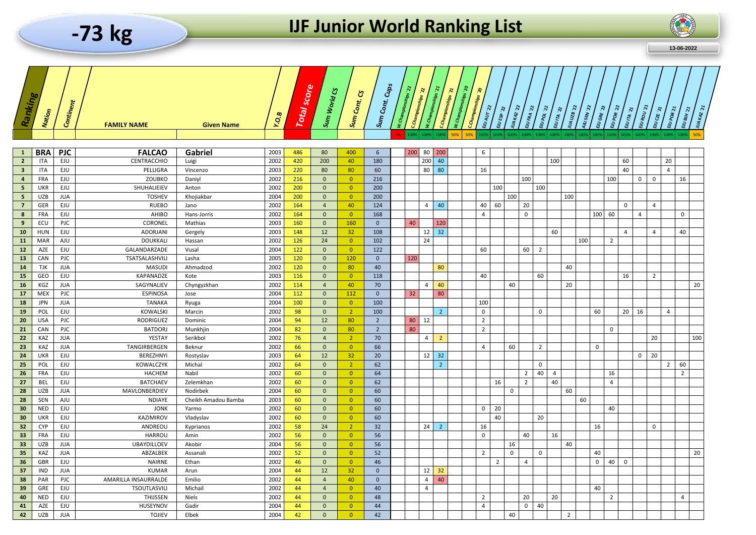



**13-06-2022**

**Ranking Nation Continent FAMILY NAME Given Name Y.O.B Total score Sum World CS Sum Cont. CS Sum Cont. Cups W.Championships `22 C.Championships `22 W.Championships `21 C.Championships `21 W.Championships `20 C.Championships `20 EJU AUT `22 EJU ESP `22 JUA KAZ `22 EJU FRA `22 EJU POL `22 EJU ITA `22 JUA UZB `22 AJU SEN `22 EJU GRE `22 EJU POR `22 EJU ITA `21 EJU ROU `21 EJU CZE `21 EJU POR`21 EJU BIH `21 JUA KAZ `21** 0% 100% 100% 100% 50% 50% 100% 100% 100% 100% 100% 100% 100% 100% 100% 100% 100% 100% 100% 100% 100% 50% **<sup>1</sup> BRA PJC FALCAO Gabriel** <sup>2003</sup> <sup>486</sup> <sup>80</sup> <sup>400</sup> <sup>6</sup> <sup>200</sup> <sup>80</sup> <sup>200</sup> <sup>6</sup> **2** ITA EJU CENTRACCHIO Luigi 2002 420 200 40 180 200 40 100 60 20 **3** ITA EJU PELLIGRA Vincenzo 2003 220 80 80 60 80 80 16 40 4 **4** FRA EJU ZOUBKO Daniyl 2002 216 0 0 216 100 100 0 0 16 **5** UKR EJU SHUHALIEIEV Anton 2002 200 0 0 200 100 100 **5** UZB JUA TOSHEV Khojiakbar 2004 200 0 0 200 100 100 **7** GER EJU RUEBO Jano 2002 164 4 40 124 4 40 40 60 20 0 4 **8** FRA EJU AHIBO Hans-Jorris 2002 164 0 0 168 4 0 100 60 4 0 **9** ECU PJC CORONEL Mathias 2003 160 0 160 0 40 120 **10** HUN EJU ADORJANI Gergely 2003 148 12 32 108 12 32 60 4 4 40 **11** MAR AJU DOUKKALI Hassan 2002 126 24 0 102 24 100 2 **12** AZE EJU GALANDARZADE Vusal 2004 122 0 0 122 60 60 2 **13** CAN PJC TSATSALASHVILI Lasha 2005 120 0 120 0 120 **14** TJK JUA MASUDI Ahmadzod 2002 120 0 80 40 80 40 **15** GEO EJU KAPANADZE Kote 2003 116 0 0 118 40 60 16 2 **16** KGZ JUA SAGYNALIEV Chyngyzkhan 2002 114 4 40 70 4 40 40 20 20 **17** MEX PJC ESPINOSA Jose 2004 112 0 112 0 32 80 **18** JPN JUA TANAKA Ryuga 2004 100 0 0 100 100 **19** POL EJU KOWALSKI Marcin 2002 98 0 2 100 2 0 0 60 20 16 4 <mark>20</mark> | USA | PJC | RODRIGUEZ | Dominic | 2004 <mark>| 94 |</mark> 12 | <mark>80 |</mark> 2 | | 80 | 12 | | | | | 2 **21** CAN PJC BATDORJ Munkhjin 2004 82 0 80 2 80 2 0 **22** KAZ JUA YESTAY Serikbol 2002 76 4 2 70 4 2 20 100 <mark>23 K</mark>AZ | JUA | TANGIRBERGEN | Beknur | 2002 <mark>| 66 |</mark> 0 | 0 | 66 | | | | | | | | | | 4 | | 60 | | | 2 | | | | | | 0 **24** UKR EJU BEREZHNYI Rostyslav 2003 64 12 32 20 12 32 0 20 **25** POL EJU KOWALCZYK Michal 2002 64 0 2 62 2 0 2 60 **26** FRA EJU HACHEM Nabil 2002 60 0 0 64 2 40 4 16 2 **27** BEL EJU BATCHAEV Zelemkhan 2002 60 0 0 62 16 2 40 4 <mark>28</mark> UZB | JUA | MAVLONBERDIEV | Nodirbek | 2004 <mark>| 60 | 0 | 0 |</mark> 60 | | | | | | | | | | | | | | | | | 60 **28** SEN AJU NDIAYE Cheikh Amadou Bamba 2003 60 0 0 60 60 **30 NED EJU | CONK | Yarmo | 2002 <mark>60 |</mark> 0 | 60 |** | | | | | | | | | | | | | | | | | 40 | 20 | | | | | | | | | | | | | **30** UKR EJU KAZIMIROV Vladyslav 2002 60 0 0 60 40 20 **32** CYP | EJU | ANDREOU | Kyprianos | 2002 <mark>| 58 | 24 | 2 |</mark> 32 | | |24 | 2 | | | 16 | | | | | | | | | | | | | | | **33** FRA EJU HARROU Amin 2002 56 0 0 56 0 40 16 **33** UZB JUA UBAYDILLOEV Akobir 2004 56 0 0 56 16 40 **35** KAZ JUA ABZALBEK Assanali 2002 52 0 0 52 2 0 0 40 20 **36** GBR EJU NAIRNE Ethan 2002 46 0 0 46 2 4 0 40 0 **37** IND JUA KUMAR Arun 2004 44 12 32 0 12 32 **38** PAR PJC | AMARILLA INSAURRALDE | Emilio | 2002 <mark>| 44 |</mark> 4 | 40 | 0 | | | 4 40 **39** GRE EJU TSOUTLASVILI Michail 2002 44 4 0 40 4 40 **40** NED EJU THIJSSEN Niels 2002 44 0 0 48 2 20 20 2 4 <mark>41</mark> AZE | EJU | HUSEYNOV | Gadir | 2004 <mark>| 44 |</mark> 0 | <mark>0 |</mark> 44 | | | | | | | | | | | | | | | | 0 | 40 **42** UZB JUA TOJIEV Elbek 2004 42 0 0 42 40 2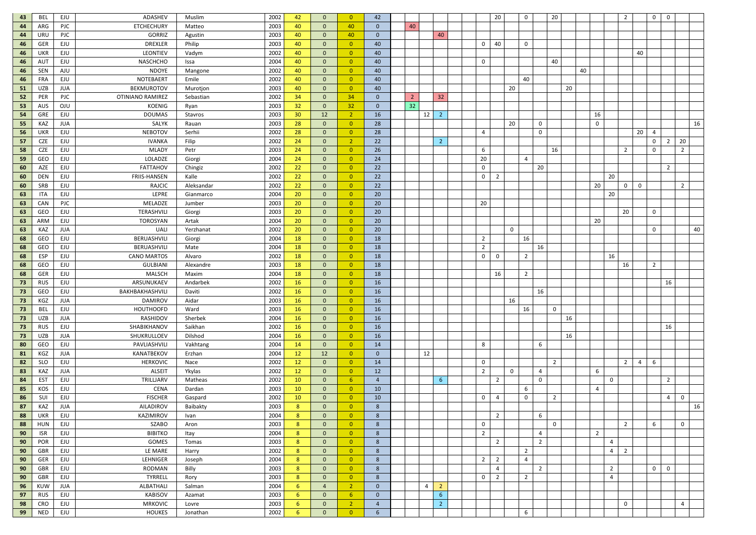| 43       | <b>BEL</b> | EJU        | ADASHEV                  | 2002<br>Muslim                    | 42              | $\mathbf{0}$                 | $\overline{0}$       | 42                   |                 |                 |                | 20             |             | $\mathbf 0$       | 20           |    |    |                |                | $\overline{2}$ |                         | $\mathsf{o}$<br>$\mathbf 0$   |                |                |
|----------|------------|------------|--------------------------|-----------------------------------|-----------------|------------------------------|----------------------|----------------------|-----------------|-----------------|----------------|----------------|-------------|-------------------|--------------|----|----|----------------|----------------|----------------|-------------------------|-------------------------------|----------------|----------------|
| 44       | ARG        | <b>PJC</b> | <b>ETCHECHURY</b>        | 2003<br>Matteo                    | 40              | $\mathbf{0}$                 | 40                   | $\mathbf{0}$         | 40              |                 |                |                |             |                   |              |    |    |                |                |                |                         |                               |                |                |
| 44       | URU        | <b>PJC</b> | <b>GORRIZ</b>            | 2003<br>Agustin                   | 40              | $\mathbf{0}$                 | 40                   | $\mathbf{0}$         |                 | 40              |                |                |             |                   |              |    |    |                |                |                |                         |                               |                |                |
| 46       | GER        | EJU        | <b>DREXLER</b>           | 2003<br>Philip                    | 40              | $\mathbf{0}$                 | $\overline{0}$       | 40                   |                 |                 | $\mathbf 0$    | 40             |             | $\mathbf 0$       |              |    |    |                |                |                |                         |                               |                |                |
| 46       | <b>UKR</b> | EJU        | LEONTIEV                 | 2002<br>Vadym                     | 40              | $\mathbf{0}$                 | $\overline{0}$       | 40                   |                 |                 |                |                |             |                   |              |    |    |                |                |                | 40                      |                               |                |                |
| 46       | AUT        | EJU        | <b>NASCHCHO</b>          | 2004<br>Issa                      | 40              | $\mathbf{0}$                 | $\overline{0}$       | 40                   |                 |                 | 0              |                |             |                   | 40           |    |    |                |                |                |                         |                               |                |                |
| 46       | <b>SEN</b> | AJU        | <b>NDOYE</b>             | 2002<br>Mangone                   | 40              | $\mathbf{0}$                 | $\overline{0}$       | 40                   |                 |                 |                |                |             |                   |              |    | 40 |                |                |                |                         |                               |                |                |
| 46       | <b>FRA</b> | EJU        | NOTEBAERT                | Emile<br>2002                     | 40              | $\mathbf{0}$                 | $\overline{0}$       | 40                   |                 |                 |                |                |             | 40                |              |    |    |                |                |                |                         |                               |                |                |
| 51       | <b>UZB</b> | JUA        | <b>BEKMUROTOV</b>        | 2003<br>Murotjon                  | 40              | $\mathbf{0}$                 | $\overline{0}$       | 40                   |                 |                 |                |                | 20          |                   |              | 20 |    |                |                |                |                         |                               |                |                |
| 52       | PER        | <b>PJC</b> | OTINIANO RAMIREZ         | 2002<br>Sebastian                 | 34              | $\mathbf{0}$                 | 34                   | $\mathbf{0}$         | $\overline{2}$  | 32              |                |                |             |                   |              |    |    |                |                |                |                         |                               |                |                |
| 53       | <b>AUS</b> | <b>OJU</b> | KOENIG                   | 2003<br>Ryan                      | 32              | $\mathbf{0}$                 | 32 <sub>2</sub>      | $\overline{0}$       | 32 <sup>2</sup> |                 |                |                |             |                   |              |    |    |                |                |                |                         |                               |                |                |
| 54       | GRE        | EJU        | <b>DOUMAS</b>            | 2003<br>Stavros                   | 30 <sup>°</sup> | 12                           | $\overline{2}$       | 16                   | 12              | $\overline{2}$  |                |                |             |                   |              |    |    | 16             |                |                |                         |                               |                |                |
| 55       | KAZ        | JUA        | SALYK                    | 2003<br>Rauan                     | 28              | $\mathbf{0}$                 | $\overline{0}$       | 28                   |                 |                 |                |                | 20          | $\mathbf 0$       |              |    |    | $\mathbf 0$    |                |                |                         |                               |                | 16             |
| 56       | <b>UKR</b> | EJU        | <b>NEBOTOV</b>           | 2002<br>Serhii                    | 28              | $\mathbf{0}$                 | $\overline{0}$       | 28                   |                 |                 | $\overline{4}$ |                |             | $\mathbf 0$       |              |    |    |                |                |                | 20                      | $\overline{4}$                |                |                |
| 57       | CZE        | EJU        | <b>IVANKA</b>            | Filip<br>2002                     | 24              | $\mathbf{0}$                 | $\overline{2}$       | 22                   |                 | $\overline{2}$  |                |                |             |                   |              |    |    |                |                |                |                         | $\overline{2}$<br>$\mathbf 0$ |                | 20             |
| 58       | <b>CZE</b> | EJU        | <b>MLADY</b>             | 2003<br>Petr                      | 24              | $\mathbf{0}$                 | $\overline{0}$       | 26                   |                 |                 | 6              |                |             |                   | 16           |    |    |                |                | $\overline{2}$ |                         | $\mathbf 0$                   |                | $\overline{2}$ |
| 59       | GEO        | EJU        | LOLADZE                  | 2004<br>Giorgi                    | 24              | $\mathbf{0}$                 | $\overline{0}$       | 24                   |                 |                 | 20             |                |             | $\overline{4}$    |              |    |    |                |                |                |                         |                               |                |                |
| 60       | AZE        | EJU        | <b>FATTAHOV</b>          | 2002<br>Chingiz                   | 22              | $\mathbf{0}$                 | $\overline{0}$       | 22                   |                 |                 | $\mathsf{o}$   |                |             | 20                |              |    |    |                |                |                |                         | 2                             |                |                |
| 60       | DEN        | EJU        | <b>FRIIS-HANSEN</b>      | Kalle<br>2002                     | 22              | $\mathbf{0}$                 | $\overline{0}$       | 22                   |                 |                 | $\mathbf 0$    | $\overline{2}$ |             |                   |              |    |    |                | 20             |                |                         |                               |                |                |
| 60       | SRB        | EJU        | <b>RAJCIC</b>            | 2002<br>Aleksandar                | 22              | $\mathbf{0}$                 | $\overline{0}$       | 22                   |                 |                 |                |                |             |                   |              |    |    | 20             |                | 0              | $\overline{\mathbf{0}}$ |                               |                | $\overline{2}$ |
| 63       | ITA        | EJU        | LEPRE                    | 2004<br>Gianmarco                 | 20              | $\mathbf{0}$                 | $\overline{0}$       | 20                   |                 |                 |                |                |             |                   |              |    |    |                | 20             |                |                         |                               |                |                |
| 63       | CAN        | <b>PJC</b> | MELADZE                  | 2003<br>Jumber                    | 20              | $\mathbf{0}$                 | $\overline{0}$       | 20                   |                 |                 | 20             |                |             |                   |              |    |    |                |                |                |                         |                               |                |                |
| 63       | GEO        | EJU        | TERASHVILI               | 2003<br>Giorgi                    | 20              | $\mathbf{0}$                 | $\overline{0}$       | 20                   |                 |                 |                |                |             |                   |              |    |    |                |                | 20             |                         | $\mathbf 0$                   |                |                |
| 63       | ARM        | EJU        | <b>TOROSYAN</b>          | 2004<br>Artak                     | 20              | $\mathbf{0}$                 | $\overline{0}$       | 20                   |                 |                 |                |                |             |                   |              |    |    | 20             |                |                |                         |                               |                |                |
| 63       | KAZ        | <b>JUA</b> | UALI                     | 2002<br>Yerzhanat                 | 20              | $\mathbf{0}$                 | $\overline{0}$       | 20                   |                 |                 |                |                | $\mathbf 0$ |                   |              |    |    |                |                |                |                         | $\mathbf 0$                   |                | 40             |
| 68       | GEO        | EJU        | BERUASHVILI              | 2004<br>Giorgi                    | 18              | $\mathbf{0}$                 | $\overline{0}$       | 18                   |                 |                 | $\overline{2}$ |                |             | 16                |              |    |    |                |                |                |                         |                               |                |                |
| 68       | GEO        | EJU        | BERUASHVILI              | 2004<br>Mate                      | 18              | $\mathbf{0}$                 | $\overline{0}$       | 18                   |                 |                 | $\overline{2}$ |                |             | 16                |              |    |    |                |                |                |                         |                               |                |                |
| 68       | ESP        | EJU        | <b>CANO MARTOS</b>       | 2002<br>Alvaro                    | 18              | $\mathbf{0}$                 | $\overline{0}$       | 18                   |                 |                 | $\mathbf{0}$   | 0              |             | $\overline{2}$    |              |    |    |                | 16             |                |                         |                               |                |                |
| 68       | GEO        | EJU        | <b>GULBIANI</b>          | 2003<br>Alexandre                 | 18              | $\mathbf{0}$                 | $\overline{0}$       | 18                   |                 |                 |                |                |             |                   |              |    |    |                |                | 16             |                         | $\overline{2}$                |                |                |
| 68       | GER        | EJU        | MALSCH                   | Maxim<br>2004                     | 18              | $\mathbf{0}$                 | $\overline{0}$       | 18                   |                 |                 |                | 16             |             | $\overline{2}$    |              |    |    |                |                |                |                         |                               |                |                |
| 73       | <b>RUS</b> | EJU        | ARSUNUKAEV               | 2002<br>Andarbek                  | 16              | $\mathbf{0}$                 | $\overline{0}$       | 16                   |                 |                 |                |                |             |                   |              |    |    |                |                |                |                         |                               | 16             |                |
| 73       | GEO        | EJU        | BAKHBAKHASHVILI          | 2002<br>Daviti                    | 16              | $\mathbf{0}$                 | $\overline{0}$       | 16                   |                 |                 |                |                |             | 16                |              |    |    |                |                |                |                         |                               |                |                |
| 73       | KGZ        | JUA        | <b>DAMIROV</b>           | Aidar<br>2003                     | 16              | $\mathbf{0}$                 | $\overline{0}$       | 16                   |                 |                 |                |                | 16          |                   |              |    |    |                |                |                |                         |                               |                |                |
| 73       | <b>BEL</b> | EJU        | <b>HOUTHOOFD</b>         | 2003<br>Ward                      | 16              | $\mathbf{0}$                 | $\overline{0}$       | 16                   |                 |                 |                |                |             | 16                | $\mathsf{O}$ |    |    |                |                |                |                         |                               |                |                |
| 73       | <b>UZB</b> | <b>JUA</b> | RASHIDOV                 | Sherbek<br>2004                   | 16              | $\mathbf{0}$                 | $\overline{0}$       | 16                   |                 |                 |                |                |             |                   |              | 16 |    |                |                |                |                         |                               |                |                |
| 73       | <b>RUS</b> | EJU        | SHABIKHANOV              | Saikhan<br>2002                   | 16              | $\mathbf{0}$                 | $\overline{0}$       | 16                   |                 |                 |                |                |             |                   |              |    |    |                |                |                |                         |                               | 16             |                |
| 73       | UZB        | JUA        | SHUKRULLOEV              | 2004<br>Dilshod                   | 16              | $\mathbf{0}$                 | $\overline{0}$       | 16                   |                 |                 |                |                |             |                   |              | 16 |    |                |                |                |                         |                               |                |                |
| 80       | GEO        | EJU        | PAVLIASHVILI             | Vakhtang<br>2004                  | 14              | $\mathbf{0}$                 | $\overline{0}$       | 14                   |                 |                 | 8              |                |             | 6                 |              |    |    |                |                |                |                         |                               |                |                |
| 81       | KGZ        | JUA        | KANATBEKOV               | 2004<br>Erzhan                    | 12              | 12                           | $\overline{0}$       | $\mathbf{0}$         | 12              |                 |                |                |             |                   |              |    |    |                |                |                |                         |                               |                |                |
| 82       | <b>SLO</b> | EJU        | <b>HERKOVIC</b>          | 2002<br>Nace                      | 12              | $\mathbf{0}$                 | $\overline{0}$       | 14                   |                 |                 | $\mathbf 0$    |                |             |                   | 2            |    |    |                |                | $\overline{2}$ | $\overline{4}$          | 6                             |                |                |
| 83       | KAZ        | JUA        | ALSEIT                   | 2002<br>Ykylas                    | 12              | $\mathbf{0}$                 | $\overline{0}$       | 12                   |                 |                 | $\overline{2}$ |                | $\mathbf 0$ | $\overline{4}$    |              |    |    | 6              |                |                |                         | $\overline{2}$                |                |                |
| 84<br>85 | EST<br>KOS | EJU<br>EJU | TRILLJARV<br><b>CENA</b> | 2002<br>Matheas<br>2003<br>Dardan | 10<br>10        | $\mathbf{0}$<br>$\mathbf{0}$ | -6<br>$\overline{0}$ | $\overline{4}$<br>10 |                 | 6               |                | 2              |             | $\mathsf{o}$<br>6 |              |    |    | $\overline{4}$ | 0              |                |                         |                               |                |                |
| 86       | SUI        | EJU        | <b>FISCHER</b>           | 2002<br>Gaspard                   | 10              | $\mathbf{0}$                 | $\overline{0}$       | 10                   |                 |                 | $\mathbf 0$    | $\overline{4}$ |             | 0                 | 2            |    |    |                |                |                |                         |                               | $\overline{4}$ | $^{\circ}$     |
| 87       | KAZ        | JUA        | AILADIROV                | 2003<br>Baibakty                  | 8               | $\mathbf{0}$                 | $\overline{0}$       | 8                    |                 |                 |                |                |             |                   |              |    |    |                |                |                |                         |                               |                | 16             |
| 88       | <b>UKR</b> | EJU        | KAZIMIROV                | 2004<br>Ivan                      | 8               | $\mathbf 0$                  | $\overline{0}$       | $\,$ 8               |                 |                 |                | $\mathbf{Z}$   |             | 6                 |              |    |    |                |                |                |                         |                               |                |                |
| 88       | <b>HUN</b> | EJU        | SZABO                    | 2003<br>Aron                      | 8               | $\mathbf{0}$                 | $\overline{0}$       | $8\phantom{1}$       |                 |                 | 0              |                |             |                   | $\mathbf 0$  |    |    |                |                | $\overline{2}$ |                         | 6                             |                | $\mathbf 0$    |
| 90       | <b>ISR</b> | EJU        | <b>BIBITKO</b>           | 2004<br>Itay                      | 8               | $\mathbf{0}$                 | $\overline{0}$       | $8\phantom{1}$       |                 |                 | $\overline{2}$ |                |             | $\overline{4}$    |              |    |    | $\overline{2}$ |                |                |                         |                               |                |                |
| 90       | POR        | EJU        | GOMES                    | 2003<br>Tomas                     | 8               | $\mathbf{0}$                 | $\overline{0}$       | $8\phantom{1}$       |                 |                 |                | $\overline{2}$ |             | $\overline{2}$    |              |    |    |                | 4              |                |                         |                               |                |                |
| 90       | GBR        | EJU        | LE MARE                  | 2002<br>Harry                     | 8 <sup>°</sup>  | $\mathbf{0}$                 | $\overline{0}$       | 8                    |                 |                 |                |                |             | $\overline{2}$    |              |    |    |                | $4 \mid 2$     |                |                         |                               |                |                |
| 90       | GER        | EJU        | LEHNIGER                 | 2004<br>Joseph                    | 8               | $\mathbf{0}$                 | $\overline{0}$       | $8\phantom{1}$       |                 |                 | $\overline{2}$ | $\overline{2}$ |             | $\overline{4}$    |              |    |    |                |                |                |                         |                               |                |                |
| 90       | GBR        | EJU        | RODMAN                   | Billy<br>2003                     | 8               | $\mathbf{0}$                 | $\overline{0}$       | 8                    |                 |                 |                | $\overline{4}$ |             | $\overline{2}$    |              |    |    |                | $\overline{2}$ |                |                         | $\mathbf{0}$<br>$\mathbf 0$   |                |                |
| 90       | GBR        | EJU        | TYRRELL                  | 2003<br>Rory                      | 8               | $\mathbf{0}$                 | $\overline{0}$       | $8\phantom{1}$       |                 |                 | $\mathbf 0$    | $\overline{2}$ |             | $\overline{2}$    |              |    |    |                | 4              |                |                         |                               |                |                |
| 96       | <b>KUW</b> | JUA        | ALBATHALI                | 2004<br>Salman                    | 6               | $\overline{4}$               | $\overline{2}$       | $\overline{0}$       | $\overline{4}$  | $\overline{2}$  |                |                |             |                   |              |    |    |                |                |                |                         |                               |                |                |
| 97       | <b>RUS</b> | EJU        | <b>KABISOV</b>           | 2003<br>Azamat                    | $6^{\circ}$     | $\mathbf 0$                  | 6 <sup>1</sup>       | $\mathbf 0$          |                 | $6\overline{6}$ |                |                |             |                   |              |    |    |                |                |                |                         |                               |                |                |
| 98       | CRO        | EJU        | <b>MRKOVIC</b>           | 2003<br>Lovre                     | 6               | $\mathbf{0}$                 | $\overline{2}$       | $\overline{4}$       |                 | $2^{\circ}$     |                |                |             |                   |              |    |    |                |                | $\mathbf{0}$   |                         |                               |                | 4              |
| 99       | <b>NED</b> | EJU        | <b>HOUKES</b>            | 2002<br>Jonathan                  | $6^{\circ}$     | $\overline{0}$               | $\overline{0}$       | $6\overline{6}$      |                 |                 |                |                |             | 6                 |              |    |    |                |                |                |                         |                               |                |                |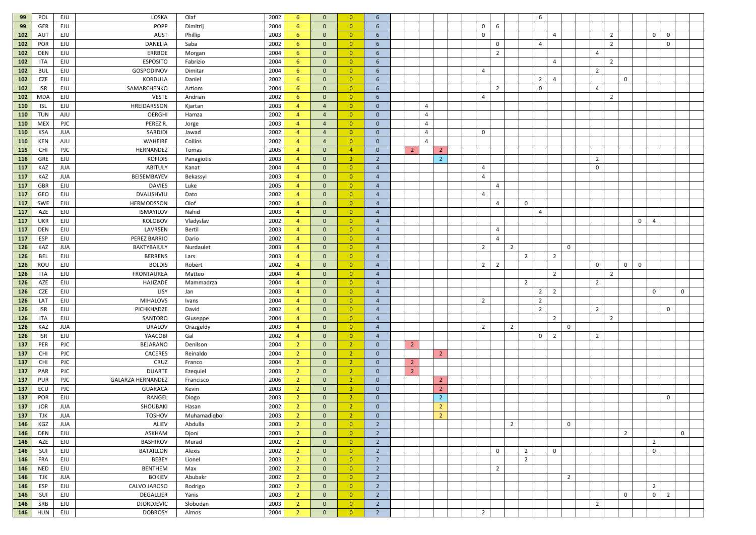| 99  | POL        | EJU        | LOSKA                    | Olaf               | 2002 | -6             | $\mathbf{0}$   | $\overline{0}$          | 6              |                |                |                |                |                |                | 6              |                |                |                |                |                |             |                |                |             |  |
|-----|------------|------------|--------------------------|--------------------|------|----------------|----------------|-------------------------|----------------|----------------|----------------|----------------|----------------|----------------|----------------|----------------|----------------|----------------|----------------|----------------|----------------|-------------|----------------|----------------|-------------|--|
| 99  | GER        | EJU        | POPP                     | Dimitrij           | 2004 | 6              | $\overline{0}$ | $\overline{0}$          | 6              |                |                |                | $\mathbf 0$    | 6              |                |                |                |                |                |                |                |             |                |                |             |  |
| 102 |            | EJU        | AUST                     | Phillip            | 2003 | 6              | $\mathbf{0}$   | $\overline{0}$          | 6              |                |                |                | $\mathsf{O}$   |                |                |                | 4              |                |                | $\overline{2}$ |                |             | $\mathbf{0}$   | 0              |             |  |
|     | AUT        |            | <b>DANELIA</b>           |                    |      | 6              | $\overline{0}$ | $\overline{0}$          | 6              |                |                |                |                | $\mathbf{0}$   |                | $\overline{4}$ |                |                |                | $\overline{2}$ |                |             |                | $\mathbf 0$    |             |  |
| 102 | <b>POR</b> | EJU        |                          | Saba               | 2002 |                |                |                         |                |                |                |                |                |                |                |                |                |                | $\overline{4}$ |                |                |             |                |                |             |  |
| 102 | <b>DEN</b> | EJU        | <b>ERRBOE</b>            | Morgan             | 2004 | $6^{\circ}$    | $\mathbf{0}$   | $\overline{0}$          | 6              |                |                |                |                | $\overline{2}$ |                |                |                |                |                |                |                |             |                |                |             |  |
| 102 | <b>ITA</b> | EJU        | <b>ESPOSITO</b>          | Fabrizio           | 2004 | 6              | $\mathbf{0}$   | $\overline{0}$          | 6              |                |                |                |                |                |                |                | 4              |                |                | $\overline{2}$ |                |             |                |                |             |  |
| 102 | <b>BUL</b> | EJU        | GOSPODINOV               | Dimitar            | 2004 | 6 <sup>1</sup> | $\mathbf{0}$   | $\overline{0}$          | 6              |                |                |                | $\overline{4}$ |                |                |                |                |                | $\overline{2}$ |                |                |             |                |                |             |  |
| 102 | CZE        | EJU        | KORDULA                  | Daniel             | 2002 | 6              | $\mathbf{0}$   | $\overline{0}$          | 6              |                |                |                |                |                |                | $\overline{2}$ | $\overline{a}$ |                |                |                | $\mathbf 0$    |             |                |                |             |  |
| 102 | <b>ISR</b> | EJU        | SAMARCHENKO              | Artiom             | 2004 | 6              | $\mathbf{0}$   | $\overline{0}$          | 6              |                |                |                |                | $\overline{2}$ |                | 0              |                |                | $\overline{4}$ |                |                |             |                |                |             |  |
| 102 | <b>MDA</b> | EJU        | <b>VESTE</b>             | Andrian            | 2002 | 6              | $\mathbf{0}$   | $\overline{0}$          | 6              |                |                |                | $\overline{4}$ |                |                |                |                |                |                | $\overline{2}$ |                |             |                |                |             |  |
| 110 | <b>ISL</b> | EJU        | HREIDARSSON              | Kjartan            | 2003 | $\overline{4}$ | $\overline{4}$ | $\overline{0}$          | $\overline{0}$ |                | $\overline{4}$ |                |                |                |                |                |                |                |                |                |                |             |                |                |             |  |
| 110 | <b>TUN</b> | AJU        | <b>OERGHI</b>            | Hamza              | 2002 | $\overline{4}$ | $\overline{4}$ | $\overline{0}$          | $\mathbf{0}$   |                | $\overline{4}$ |                |                |                |                |                |                |                |                |                |                |             |                |                |             |  |
| 110 | <b>MEX</b> | PJC        | PEREZ R.                 | Jorge              | 2003 | $\overline{4}$ | $\overline{4}$ | $\overline{0}$          | $\mathbf{0}$   |                | $\overline{4}$ |                |                |                |                |                |                |                |                |                |                |             |                |                |             |  |
| 110 | <b>KSA</b> | <b>JUA</b> | SARDIDI                  | Jawad              | 2002 | $\overline{4}$ | $\overline{4}$ | $\overline{0}$          | $\mathbf{0}$   |                | $\overline{4}$ |                | 0              |                |                |                |                |                |                |                |                |             |                |                |             |  |
| 110 | KEN        | AJU        | WAHEIRE                  | Collins            | 2002 | $\overline{4}$ | $\overline{4}$ | $\overline{0}$          | $\overline{0}$ |                | $\overline{4}$ |                |                |                |                |                |                |                |                |                |                |             |                |                |             |  |
| 115 | CHI        | PJC        | HERNANDEZ                | Tomas              | 2005 | $\overline{4}$ | $\mathbf{0}$   | $\overline{4}$          | $\overline{0}$ | $\overline{2}$ |                | $\overline{2}$ |                |                |                |                |                |                |                |                |                |             |                |                |             |  |
| 116 | GRE        | EJU        | <b>KOFIDIS</b>           | Panagiotis         | 2003 | $\overline{4}$ | $\mathbf{0}$   | $\overline{2}$          | $\overline{2}$ |                |                | $2^{\circ}$    |                |                |                |                |                |                | 2              |                |                |             |                |                |             |  |
| 117 | KAZ        | <b>JUA</b> | <b>ABITULY</b>           | Kanat              | 2004 | $\overline{4}$ | $\mathbf{0}$   | $\overline{0}$          | $\overline{4}$ |                |                |                | $\overline{4}$ |                |                |                |                |                | $\mathbf 0$    |                |                |             |                |                |             |  |
| 117 | KAZ        | <b>JUA</b> | BEISEMBAYEV              | Bekassyl           | 2003 | $\overline{4}$ | $\mathbf{0}$   | $\overline{0}$          | $\overline{4}$ |                |                |                | $\overline{4}$ |                |                |                |                |                |                |                |                |             |                |                |             |  |
| 117 | GBR        | EJU        | <b>DAVIES</b>            | Luke               | 2005 | $\overline{4}$ | $\mathbf{0}$   | $\overline{0}$          | $\overline{4}$ |                |                |                |                | $\overline{4}$ |                |                |                |                |                |                |                |             |                |                |             |  |
| 117 | GEO        | EJU        | DVALISHVILI              | Dato               | 2002 | $\overline{4}$ | $\mathbf{0}$   | $\overline{0}$          | $\overline{4}$ |                |                |                | $\overline{4}$ |                |                |                |                |                |                |                |                |             |                |                |             |  |
| 117 | SWE        | EJU        | HERMODSSON               | Olof               | 2002 | $\overline{4}$ | $\mathbf{0}$   | $\overline{0}$          | $\overline{4}$ |                |                |                |                | $\overline{4}$ |                | $\mathsf 0$    |                |                |                |                |                |             |                |                |             |  |
| 117 | AZE        | EJU        | <b>ISMAYILOV</b>         | Nahid              | 2003 | $\overline{4}$ | $\mathbf{0}$   | $\overline{0}$          | $\overline{4}$ |                |                |                |                |                |                | $\overline{4}$ |                |                |                |                |                |             |                |                |             |  |
| 117 | <b>UKR</b> | EJU        | <b>KOLOBOV</b>           | Vladyslav          | 2002 | $\overline{4}$ | $\mathbf{0}$   | $\overline{\mathbf{0}}$ | $\overline{4}$ |                |                |                |                |                |                |                |                |                |                |                |                | $\mathbf 0$ | $\overline{4}$ |                |             |  |
| 117 | <b>DEN</b> | EJU        | LAVRSEN                  | Bertil             | 2003 | $\overline{4}$ | $\mathbf{0}$   | $\overline{0}$          | $\overline{4}$ |                |                |                |                | $\overline{4}$ |                |                |                |                |                |                |                |             |                |                |             |  |
| 117 | ESP        |            | PEREZ BARRIO             |                    | 2002 | $\overline{4}$ | $\mathbf{0}$   | $\overline{0}$          | $\overline{4}$ |                |                |                |                | $\overline{4}$ |                |                |                |                |                |                |                |             |                |                |             |  |
|     |            | EJU        |                          | Dario<br>Nurdaulet |      |                | $\mathbf{0}$   | $\overline{0}$          | $\overline{4}$ |                |                |                | $\overline{2}$ |                |                |                |                |                |                |                |                |             |                |                |             |  |
| 126 | KAZ        | <b>JUA</b> | BAKTYBAIULY              |                    | 2003 | $\overline{4}$ |                |                         |                |                |                |                |                |                | 2              |                |                | 0              |                |                |                |             |                |                |             |  |
| 126 | <b>BEL</b> | EJU        | <b>BERRENS</b>           | Lars               | 2003 | $\overline{4}$ | $\mathbf{0}$   | $\overline{0}$          | $\overline{4}$ |                |                |                |                |                |                | $\overline{2}$ | $\overline{2}$ |                |                |                |                |             |                |                |             |  |
| 126 | ROU        | EJU        | <b>BOLDIS</b>            | Robert             | 2002 | $\overline{4}$ | $\mathbf{0}$   | $\overline{0}$          | $\overline{4}$ |                |                |                | $\overline{2}$ | $\overline{2}$ |                |                |                |                | $\mathbf 0$    |                | $\mathbf{0}$   | $\mathbf 0$ |                |                |             |  |
| 126 | <b>ITA</b> | EJU        | <b>FRONTAUREA</b>        | Matteo             | 2004 | $\overline{4}$ | $\mathbf{0}$   | $\overline{0}$          | $\overline{4}$ |                |                |                |                |                |                |                | $\overline{2}$ |                |                | $\overline{2}$ |                |             |                |                |             |  |
| 126 | AZE        | EJU        | HAJIZADE                 | Mammadrza          | 2004 | $\overline{4}$ | $\mathbf{0}$   | $\overline{\mathbf{0}}$ | $\overline{4}$ |                |                |                |                |                |                | $\overline{2}$ |                |                | $\overline{2}$ |                |                |             |                |                |             |  |
| 126 | CZE        | EJU        | LISY                     | Jan                | 2003 | $\overline{4}$ | $\overline{0}$ | $\overline{0}$          | $\overline{4}$ |                |                |                |                |                |                | $\overline{2}$ | $\overline{2}$ |                |                |                |                |             | $\mathbf{0}$   |                | $\mathbf 0$ |  |
| 126 | LAT        | EJU        | <b>MIHALOVS</b>          | Ivans              | 2004 | $\overline{4}$ | $\mathbf{0}$   | $\overline{0}$          | $\overline{4}$ |                |                |                | $\overline{2}$ |                |                | $\overline{2}$ |                |                |                |                |                |             |                |                |             |  |
| 126 | <b>ISR</b> | EJU        | PICHKHADZE               | David              | 2002 | $\overline{4}$ | $\mathbf{0}$   | $\overline{0}$          | $\overline{4}$ |                |                |                |                |                |                | $\overline{2}$ |                |                | $\overline{2}$ |                |                |             |                | $\Omega$       |             |  |
| 126 | <b>ITA</b> | EJU        | SANTORO                  | Giuseppe           | 2004 | $\overline{4}$ | $\mathbf{0}$   | $\overline{0}$          | $\overline{4}$ |                |                |                |                |                |                |                | $\overline{2}$ |                |                | $\overline{2}$ |                |             |                |                |             |  |
| 126 | KAZ        | <b>JUA</b> | <b>URALOV</b>            | Orazgeldy          | 2003 | $\overline{4}$ | $\mathbf{0}$   | $\overline{0}$          | $\overline{4}$ |                |                |                | $\overline{2}$ |                | $\overline{2}$ |                |                | $\mathbf 0$    |                |                |                |             |                |                |             |  |
| 126 | <b>ISR</b> | EJU        | YAACOBI                  | Gal                | 2002 | $\overline{4}$ | $\mathbf{0}$   | $\overline{0}$          | $\overline{4}$ |                |                |                |                |                |                | $\mathbf 0$    | $\overline{2}$ |                | $\overline{2}$ |                |                |             |                |                |             |  |
| 137 | PER        | PJC        | <b>BEJARANO</b>          | Denilson           | 2004 | $\overline{2}$ | $\mathbf{0}$   | $\overline{2}$          | $\mathbf{0}$   | $\overline{2}$ |                |                |                |                |                |                |                |                |                |                |                |             |                |                |             |  |
| 137 | CHI        | PJC        | CACERES                  | Reinaldo           | 2004 | 2 <sup>7</sup> | $\mathbf{0}$   | $\overline{2}$          | $\mathbf{0}$   |                |                | $\overline{2}$ |                |                |                |                |                |                |                |                |                |             |                |                |             |  |
| 137 | <b>CHI</b> | PJC        | CRUZ                     | Franco             | 2004 | $\overline{2}$ | $\mathbf{0}$   | $\overline{2}$          | $\overline{0}$ | $\overline{2}$ |                |                |                |                |                |                |                |                |                |                |                |             |                |                |             |  |
| 137 | PAR        | PJC        | <b>DUARTE</b>            | Ezequiel           | 2003 | $2^{\circ}$    | $\mathbf{0}$   | $\overline{2}$          | $\mathbf{0}$   | $\overline{2}$ |                |                |                |                |                |                |                |                |                |                |                |             |                |                |             |  |
| 137 | <b>PUR</b> | PJC        | <b>GALARZA HERNANDEZ</b> | Francisco          | 2006 | $\overline{2}$ | $\mathbf{0}$   | $\overline{2}$          | $\overline{0}$ |                |                | $\overline{2}$ |                |                |                |                |                |                |                |                |                |             |                |                |             |  |
| 137 | ECU        | PJC        | <b>GUARACA</b>           | Kevin              | 2003 | $\overline{2}$ | $\overline{0}$ | $\overline{2}$          | $\overline{0}$ |                |                | <sup>2</sup>   |                |                |                |                |                |                |                |                |                |             |                |                |             |  |
| 137 | POR        | EJU        | RANGEL                   | Diogo              | 2003 | $\overline{2}$ | $\mathbf{0}$   | $\overline{2}$          | $\mathbf 0$    |                |                | $\overline{2}$ |                |                |                |                |                |                |                |                |                |             |                | 0              |             |  |
| 137 | <b>JOR</b> | <b>JUA</b> | SHOUBAKI                 | Hasan              | 2002 | $\overline{2}$ | $\mathbf{0}$   | $\overline{2}$          | $\mathbf{0}$   |                |                | $\overline{2}$ |                |                |                |                |                |                |                |                |                |             |                |                |             |  |
| 137 | TJK        | JUA        | TOSHOV                   | Muhamadiqbol       | 2003 | $\overline{2}$ | $\mathbf{0}$   | -2                      | $\mathbf{0}$   |                |                | 2              |                |                |                |                |                |                |                |                |                |             |                |                |             |  |
| 146 | KGZ        | JUA        | ALIEV                    | Abdulla            | 2003 | $\overline{2}$ | $\mathbf{0}$   | $\overline{0}$          | $\overline{2}$ |                |                |                |                |                | $\overline{2}$ |                |                | 0              |                |                |                |             |                |                |             |  |
| 146 | <b>DEN</b> | EJU        | ASKHAM                   | Djoni              | 2003 | $2^{\circ}$    | $\mathbf{0}$   | $\overline{0}$          | $\overline{2}$ |                |                |                |                |                |                |                |                |                |                |                | $\overline{2}$ |             |                |                | 0           |  |
| 146 | AZE        | EJU        | <b>BASHIROV</b>          | Murad              | 2002 | 2 <sup>7</sup> | $\mathbf{0}$   | $\overline{0}$          | $\overline{2}$ |                |                |                |                |                |                |                |                |                |                |                |                |             | $\overline{2}$ |                |             |  |
| 146 | SUI        | EJU        |                          | Alexis             | 2002 | 2 <sup>7</sup> | $\mathbf{0}$   | $\overline{0}$          | $\overline{2}$ |                |                |                |                | $\mathbf{0}$   |                | $\overline{2}$ | $\mathbf 0$    |                |                |                |                |             | $\mathbf 0$    |                |             |  |
|     |            |            | <b>BATAILLON</b>         |                    |      |                |                |                         |                |                |                |                |                |                |                |                |                |                |                |                |                |             |                |                |             |  |
| 146 | FRA        | EJU        | <b>BEBEY</b>             | Lionel             | 2003 | $2^{\circ}$    | $\mathbf{0}$   | $\overline{0}$          | $\overline{2}$ |                |                |                |                |                |                | $\overline{2}$ |                |                |                |                |                |             |                |                |             |  |
| 146 | NED        | EJU        | <b>BENTHEM</b>           | Max                | 2002 | $2^{\circ}$    | $\mathbf{0}$   | $\overline{0}$          | $\overline{2}$ |                |                |                |                | $\overline{2}$ |                |                |                |                |                |                |                |             |                |                |             |  |
| 146 | <b>TJK</b> | <b>JUA</b> | <b>BOKIEV</b>            | Abubakr            | 2002 | 2 <sup>7</sup> | $\mathbf{0}$   | $\overline{0}$          | $\overline{2}$ |                |                |                |                |                |                |                |                | $\overline{2}$ |                |                |                |             |                |                |             |  |
| 146 | ESP        | EJU        | CALVO JAROSO             | Rodrigo            | 2002 | $2^{\circ}$    | $\mathbf{0}$   | $\overline{0}$          | $\overline{2}$ |                |                |                |                |                |                |                |                |                |                |                |                |             | $\overline{2}$ |                |             |  |
| 146 | SUI        | EJU        | DEGALLIER                | Yanis              | 2003 | $2^{\circ}$    | $\mathbf{0}$   | $\overline{0}$          | $\overline{2}$ |                |                |                |                |                |                |                |                |                |                |                | $\mathbf 0$    |             | $\mathbf 0$    | $\overline{2}$ |             |  |
| 146 | SRB        | EJU        | <b>DJORDJEVIC</b>        | Slobodan           | 2003 | $2^{\circ}$    | $\mathbf{0}$   | $\overline{0}$          | $\overline{2}$ |                |                |                |                |                |                |                |                |                | $\overline{2}$ |                |                |             |                |                |             |  |
| 146 | <b>HUN</b> | EJU        | <b>DOBROSY</b>           | Almos              | 2004 | 2 <sup>7</sup> | $\mathbf{0}$   | $\overline{0}$          | $\overline{2}$ |                |                |                | $\overline{2}$ |                |                |                |                |                |                |                |                |             |                |                |             |  |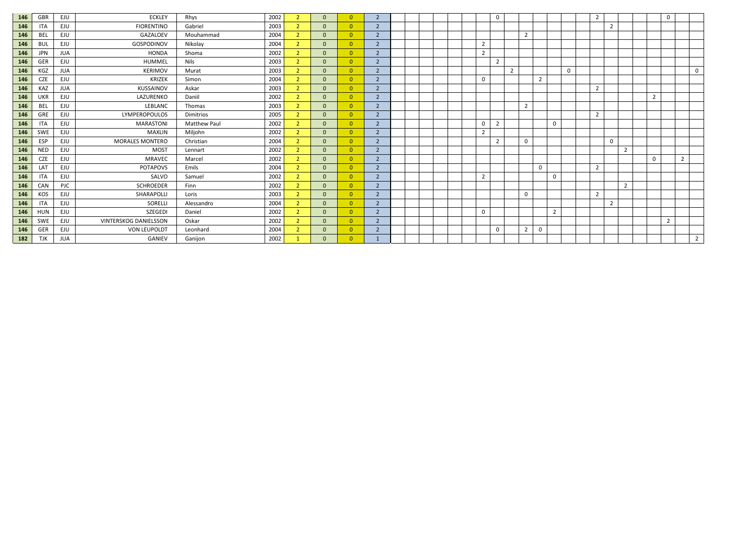| 146 | GBR        | EJU        | <b>ECKLEY</b>                | Rhys                | 2002 |                | $\Omega$ | $\Omega$       | $\overline{2}$ |  |  |                | $\mathbf 0$    |                |                |                |          |                |                |                | $\Omega$       |                |   |
|-----|------------|------------|------------------------------|---------------------|------|----------------|----------|----------------|----------------|--|--|----------------|----------------|----------------|----------------|----------------|----------|----------------|----------------|----------------|----------------|----------------|---|
| 146 | <b>ITA</b> | EJU        | <b>FIORENTINO</b>            | Gabriel             | 2003 |                |          | $\Omega$       | $\overline{2}$ |  |  |                |                |                |                |                |          |                | $\overline{2}$ |                |                |                |   |
| 146 | <b>BEL</b> | EJU        | <b>GAZALOEV</b>              | Mouhammad           | 2004 | $\mathbf{D}$   |          | $\Omega$       | $\overline{2}$ |  |  |                |                | $\overline{2}$ |                |                |          |                |                |                |                |                |   |
| 146 | <b>BUL</b> | EJU        | GOSPODINOV                   | Nikolay             | 2004 | $\overline{2}$ | $\Omega$ | $\Omega$       | $\overline{2}$ |  |  | 2              |                |                |                |                |          |                |                |                |                |                |   |
| 146 | <b>JPN</b> | JUA        | <b>HONDA</b>                 | Shoma               | 2002 |                |          | $\mathbf{0}$   | $\overline{2}$ |  |  | $\overline{2}$ |                |                |                |                |          |                |                |                |                |                |   |
| 146 | GER        | EJU        | HUMMEL                       | <b>Nils</b>         | 2003 |                | $\Omega$ | $\Omega$       | $\overline{2}$ |  |  |                | $\overline{2}$ |                |                |                |          |                |                |                |                |                |   |
| 146 | KGZ        | <b>JUA</b> | <b>KERIMOV</b>               | Murat               | 2003 |                | $\Omega$ | $\Omega$       | $\overline{2}$ |  |  |                |                | $\overline{2}$ |                |                | $\Omega$ |                |                |                |                |                | 0 |
| 146 | <b>CZE</b> | EJU        | <b>KRIZEK</b>                | Simon               | 2004 |                |          | $\overline{0}$ | $\overline{2}$ |  |  | $\mathbf 0$    |                |                | $\overline{2}$ |                |          |                |                |                |                |                |   |
| 146 | KAZ        | <b>JUA</b> | <b>KUSSAINOV</b>             | Askar               | 2003 | $\overline{2}$ | $\Omega$ | $\Omega$       | $\overline{2}$ |  |  |                |                |                |                |                |          | $\overline{2}$ |                |                |                |                |   |
| 146 | <b>UKR</b> | EJU        | LAZURENKO                    | Daniil              | 2002 | $\overline{2}$ |          | $\Omega$       | $\overline{2}$ |  |  |                |                |                |                |                |          |                |                |                | $\overline{2}$ |                |   |
| 146 | <b>BEL</b> | EJU        | LEBLANC                      | Thomas              | 2003 |                |          | $\mathbf{0}$   | $\overline{2}$ |  |  |                |                | $\overline{2}$ |                |                |          |                |                |                |                |                |   |
| 146 | GRE        | EJU        | <b>LYMPEROPOULOS</b>         | Dimitrios           | 2005 | $\overline{2}$ | $\Omega$ | $\overline{0}$ | $\overline{2}$ |  |  |                |                |                |                |                |          | $\overline{2}$ |                |                |                |                |   |
| 146 | <b>ITA</b> | EJU        | <b>MARASTONI</b>             | <b>Matthew Paul</b> | 2002 | <sup>2</sup>   | $\Omega$ | $\overline{0}$ | $\overline{2}$ |  |  | $\mathbf 0$    | $\overline{2}$ |                |                | $\mathbf 0$    |          |                |                |                |                |                |   |
| 146 | SWE        | EJU        | <b>MAXLIN</b>                | Miljohn             | 2002 |                |          | $\mathbf{0}$   | $\overline{2}$ |  |  | $\overline{2}$ |                |                |                |                |          |                |                |                |                |                |   |
| 146 | ESP        | EJU        | <b>MORALES MONTERO</b>       | Christian           | 2004 | $\overline{2}$ | $\Omega$ | $\Omega$       | $\overline{2}$ |  |  |                | $\overline{2}$ | $\mathbf 0$    |                |                |          |                | $\Omega$       |                |                |                |   |
| 146 | <b>NED</b> | EJU        | <b>MOST</b>                  | Lennart             | 2002 | $\overline{2}$ |          | $\overline{0}$ | $\overline{2}$ |  |  |                |                |                |                |                |          |                |                | $\overline{2}$ |                |                |   |
| 146 | <b>CZE</b> | EJU        | <b>MRAVEC</b>                | Marcel              | 2002 |                |          | $\Omega$       | $\overline{2}$ |  |  |                |                |                |                |                |          |                |                |                | $\mathbf 0$    | $\overline{2}$ |   |
| 146 | LAT        | EJU        | <b>POTAPOVS</b>              | Emils               | 2004 |                |          | $\Omega$       | $\overline{2}$ |  |  |                |                |                | 0              |                |          | $\overline{2}$ |                |                |                |                |   |
| 146 | <b>ITA</b> | EJU        | SALVO                        | Samuel              | 2002 |                |          | $\Omega$       | $\overline{2}$ |  |  | $\overline{2}$ |                |                |                | $\Omega$       |          |                |                |                |                |                |   |
| 146 | CAN        | <b>PJC</b> | <b>SCHROEDER</b>             | Finn                | 2002 |                |          | $\overline{0}$ | $\overline{2}$ |  |  |                |                |                |                |                |          |                |                | $\overline{2}$ |                |                |   |
| 146 | KOS        | EJU        | SHARAPOLLI                   | Loris               | 2003 | $\overline{2}$ | $\Omega$ | $\overline{0}$ | $\overline{2}$ |  |  |                |                | $\mathbf{0}$   |                |                |          | 2              |                |                |                |                |   |
| 146 | <b>ITA</b> | EJU        | SORELLI                      | Alessandro          | 2004 |                |          | $\Omega$       | $\overline{2}$ |  |  |                |                |                |                |                |          |                | $\overline{2}$ |                |                |                |   |
| 146 | <b>HUN</b> | EJU        | <b>SZEGEDI</b>               | Daniel              | 2002 |                |          | $\Omega$       | $\overline{2}$ |  |  | $\mathbf 0$    |                |                |                | $\overline{2}$ |          |                |                |                |                |                |   |
| 146 | SWE        | EJU        | <b>VINTERSKOG DANIELSSON</b> | Oskar               | 2002 |                |          | $\Omega$       | $\overline{2}$ |  |  |                |                |                |                |                |          |                |                |                | $\overline{2}$ |                |   |
| 146 | GER        | EJU        | <b>VON LEUPOLDT</b>          | Leonhard            | 2004 |                |          | $\overline{0}$ | $\overline{2}$ |  |  |                | $\mathbf 0$    | $\overline{2}$ | 0              |                |          |                |                |                |                |                |   |
| 182 | TJK        | JUA        | GANIEV                       | Ganijon             | 2002 |                |          | $\Omega$       |                |  |  |                |                |                |                |                |          |                |                |                |                |                | 2 |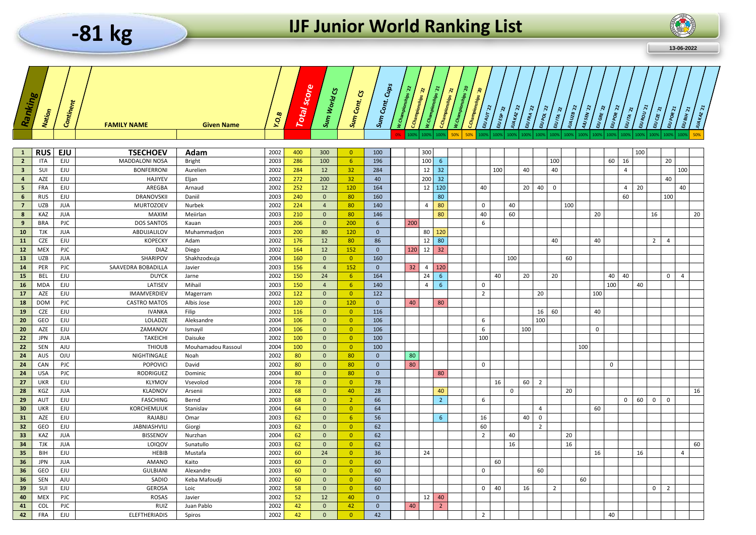



| Ranking                 | Nation            | Continent  | <b>FAMILY NAME</b>                        | <b>Given Name</b>      | <b>Y.O.B</b> | Total score | Sum World CS                   | ୪<br>$sum_{comp}$                | Sum Cont.      | Cups | ة<br>5<br>nno | Ñ<br><b>bionships</b><br>00% | Ñ<br>$\tilde{\bm{\mathcal{N}}}$<br>Ő<br>100 | $\mathcal{S}$<br>50%<br>50% | $\overline{a}$<br>-Championships<br><b>EJU AUT</b><br>100% | $\beta$<br>Elu <sub>ESP22</sub><br>100% | $\mu$ ua kaz $\geq$<br>100% | EJU FRA 22<br>100% | Elu POL 22<br>100% | EJU TA 22<br>100%<br>1009 | $\frac{1}{4}u_{28}u_{28}$<br>100% | AJU SEN 22<br>EJU GRE 22<br>100% | $\approx$<br>EJU POR<br>.009 | EJU ITA 21<br>oos | EJU ROU 21<br>1009 | EJU CZE 21     | Elu POR'Z1<br>$00^{\circ}$ | -77<br>EJU BIH 21<br>JUA KAZ<br>50% |  |
|-------------------------|-------------------|------------|-------------------------------------------|------------------------|--------------|-------------|--------------------------------|----------------------------------|----------------|------|---------------|------------------------------|---------------------------------------------|-----------------------------|------------------------------------------------------------|-----------------------------------------|-----------------------------|--------------------|--------------------|---------------------------|-----------------------------------|----------------------------------|------------------------------|-------------------|--------------------|----------------|----------------------------|-------------------------------------|--|
| $\mathbf{1}$            | <b>RUS</b>        | <b>EJU</b> | <b>TSECHOEV</b>                           | Adam                   | 2002         | 400         | 300                            | $\overline{0}$                   | 100            |      |               | 300                          |                                             |                             |                                                            |                                         |                             |                    |                    |                           |                                   |                                  |                              |                   | 100                |                |                            |                                     |  |
| $\overline{2}$          | <b>ITA</b>        | EJU        | <b>MADDALONI NOSA</b>                     | <b>Bright</b>          | 2003         | 286         | 100                            | 6 <sup>°</sup>                   | 196            |      |               | 100                          | 6                                           |                             |                                                            |                                         |                             |                    |                    | 100                       |                                   |                                  | 60                           | 16                |                    |                | 20                         |                                     |  |
| $\overline{\mathbf{3}}$ | SUI               | EJU        | <b>BONFERRONI</b>                         | Aurelien               | 2002         | 284         | 12                             | 32 <sub>2</sub>                  | 284            |      |               | 12                           | 32                                          |                             |                                                            | 100                                     |                             | 40                 |                    | 40                        |                                   |                                  |                              | $\overline{4}$    |                    |                |                            | 100                                 |  |
| $\overline{\mathbf{4}}$ | AZE               | EJU        | <b>HAJIYEV</b>                            | Eljan                  | 2002         | 272         | 200                            | 32                               | 40             |      |               | 200                          | 32                                          |                             |                                                            |                                         |                             |                    |                    |                           |                                   |                                  |                              |                   |                    |                | 40                         |                                     |  |
| 5 <sub>5</sub>          | FRA               | EJU        | AREGBA                                    | Arnaud                 | 2002         | 252         | 12                             | 120                              | 164            |      |               | 12                           | 120                                         |                             | 40                                                         |                                         |                             | 20                 | 40                 | $\mathsf 0$               |                                   |                                  |                              | $\overline{4}$    | 20                 |                |                            | 40                                  |  |
| $\,$ 6 $\,$             | <b>RUS</b>        | EJU        | <b>DRANOVSKII</b>                         | Daniil                 | 2003         | 240         | $\mathbf{0}$                   | 80                               | 160            |      |               |                              | 80                                          |                             |                                                            |                                         |                             |                    |                    |                           |                                   |                                  |                              | 60                |                    |                | 100                        |                                     |  |
| $\overline{7}$          | <b>UZB</b>        | <b>JUA</b> | MURTOZOEV                                 | Nurbek                 | 2002         | 224         | $\overline{4}$                 | 80                               | 140            |      |               | $\overline{4}$               | 80                                          |                             | $\mathsf{O}$                                               |                                         | 40                          |                    |                    | 100                       |                                   |                                  |                              |                   |                    |                |                            |                                     |  |
| $\bf{8}$                | KAZ               | <b>JUA</b> | <b>MAXIM</b>                              | Meiirlan               | 2003         | 210         | $\mathbf{0}$                   | 80                               | 146            |      |               |                              | 80                                          |                             | 40                                                         |                                         | 60                          |                    |                    |                           |                                   | 20                               |                              |                   |                    | 16             |                            | 20                                  |  |
| 9                       | <b>BRA</b>        | PJC        | <b>DOS SANTOS</b>                         | Kauan                  | 2003         | 206         | $\mathbf{0}$                   | 200                              | 6              |      | 200           |                              |                                             |                             | 6                                                          |                                         |                             |                    |                    |                           |                                   |                                  |                              |                   |                    |                |                            |                                     |  |
| 10                      | TJK               | <b>JUA</b> | ABDUJALILOV                               | Muhammadjon            | 2003         | 200         | 80                             | 120                              | $\overline{0}$ |      |               | 80                           | 120                                         |                             |                                                            |                                         |                             |                    |                    |                           |                                   |                                  |                              |                   |                    |                |                            |                                     |  |
| 11                      | <b>CZE</b>        | EJU        | <b>KOPECKY</b>                            | Adam                   | 2002         | 176         | 12                             | 80                               | 86             |      |               | 12                           | 80                                          |                             |                                                            |                                         |                             |                    |                    | 40                        |                                   | 40                               |                              |                   |                    | $\overline{2}$ | $\overline{4}$             |                                     |  |
| $12$                    | <b>MEX</b>        | PJC        | <b>DIAZ</b>                               | Diego                  | 2002         | 164         | 12                             | 152                              | $\overline{0}$ |      | 120           | 12                           | 32                                          |                             |                                                            |                                         |                             |                    |                    |                           |                                   |                                  |                              |                   |                    |                |                            |                                     |  |
| 13                      | <b>UZB</b>        | <b>JUA</b> | SHARIPOV                                  | Shakhzodxuja           | 2004<br>2003 | 160         | $\mathbf{0}$<br>$\overline{4}$ | $\overline{0}$<br>152            | 160            |      | 32            |                              |                                             |                             |                                                            |                                         | 100                         |                    |                    | 60                        |                                   |                                  |                              |                   |                    |                |                            |                                     |  |
| 14                      | PER<br><b>BEL</b> | PJC<br>EJU | SAAVEDRA BOBADILLA<br><b>DUYCK</b>        | Javier                 | 2002         | 156<br>150  | 24                             |                                  | $\overline{0}$ |      |               | $\overline{4}$               | 120<br>6                                    |                             |                                                            | 40                                      |                             | 20                 |                    | 20                        |                                   |                                  |                              | 40                |                    |                |                            | $\overline{4}$                      |  |
| 15                      |                   |            |                                           | Jarne                  | 2003         |             |                                | 6 <sup>1</sup><br>6 <sup>1</sup> | 164            |      |               | 24<br>$\overline{a}$         | 6                                           |                             |                                                            |                                         |                             |                    |                    |                           |                                   |                                  | 40                           |                   |                    |                | 0                          |                                     |  |
| 16<br>17                | <b>MDA</b><br>AZE | EJU<br>EJU | LATISEV                                   | Mihail                 | 2002         | 150         | $\overline{4}$<br>$\mathbf{0}$ | $\overline{0}$                   | 140<br>122     |      |               |                              |                                             |                             | $\mathbf 0$<br>$\overline{2}$                              |                                         |                             |                    | 20                 |                           |                                   | 100                              | 100                          |                   | 40                 |                |                            |                                     |  |
| 18                      | <b>DOM</b>        | PJC        | <b>IMAMVERDIEV</b><br><b>CASTRO MATOS</b> | Magerram<br>Albis Jose | 2002         | 122<br>120  | $\mathbf 0$                    | 120                              | $\overline{0}$ |      | 40            |                              | 80                                          |                             |                                                            |                                         |                             |                    |                    |                           |                                   |                                  |                              |                   |                    |                |                            |                                     |  |
| 19                      | CZE               | EJU        | <b>IVANKA</b>                             | Filip                  | 2002         | 116         | $\mathbf 0$                    | $\overline{0}$                   | 116            |      |               |                              |                                             |                             |                                                            |                                         |                             |                    | 16                 | 60                        |                                   | 40                               |                              |                   |                    |                |                            |                                     |  |
| 20                      | GEO               | EJU        | LOLADZE                                   | Aleksandre             | 2004         | 106         | $\mathbf{0}$                   | $\overline{0}$                   | 106            |      |               |                              |                                             |                             | 6                                                          |                                         |                             |                    | 100                |                           |                                   |                                  |                              |                   |                    |                |                            |                                     |  |
| 20                      | AZE               | EJU        | ZAMANOV                                   | Ismayil                | 2004         | 106         | $\mathbf{0}$                   | $\overline{0}$                   | 106            |      |               |                              |                                             |                             | 6                                                          |                                         |                             | 100                |                    |                           |                                   | $\mathbf 0$                      |                              |                   |                    |                |                            |                                     |  |
| $22$                    | <b>JPN</b>        | <b>JUA</b> | <b>TAKEICHI</b>                           | Daisuke                | 2002         | 100         | $\mathbf{0}$                   | $\overline{0}$                   | 100            |      |               |                              |                                             |                             | 100                                                        |                                         |                             |                    |                    |                           |                                   |                                  |                              |                   |                    |                |                            |                                     |  |
| 22                      | SEN               | AJU        | <b>THIOUB</b>                             | Mouhamadou Rassoul     | 2004         | 100         | $\mathbf 0$                    | $\overline{0}$                   | 100            |      |               |                              |                                             |                             |                                                            |                                         |                             |                    |                    |                           | 100                               |                                  |                              |                   |                    |                |                            |                                     |  |
| 24                      | AUS               | OJU        | NIGHTINGALE                               | Noah                   | 2002         | 80          | $\mathbf{0}$                   | 80                               | $\overline{0}$ |      | 80            |                              |                                             |                             |                                                            |                                         |                             |                    |                    |                           |                                   |                                  |                              |                   |                    |                |                            |                                     |  |
| 24                      | CAN               | PJC        | POPOVICI                                  | David                  | 2002         | 80          | $\mathbf 0$                    | 80                               | $\overline{0}$ |      | 80            |                              |                                             |                             | $\mathbf 0$                                                |                                         |                             |                    |                    |                           |                                   |                                  | $\mathsf{O}$                 |                   |                    |                |                            |                                     |  |
| 24                      | <b>USA</b>        | PJC        | RODRIGUEZ                                 | Dominic                | 2004         | 80          | $\mathbf{0}$                   | 80                               | $\mathbf{0}$   |      |               |                              | 80                                          |                             |                                                            |                                         |                             |                    |                    |                           |                                   |                                  |                              |                   |                    |                |                            |                                     |  |
| 27                      | <b>UKR</b>        | EJU        | <b>KLYMOV</b>                             | Vsevolod               | 2004         | 78          | $\mathbf{0}$                   | $\overline{0}$                   | 78             |      |               |                              |                                             |                             |                                                            | 16                                      |                             | 60                 | $\overline{2}$     |                           |                                   |                                  |                              |                   |                    |                |                            |                                     |  |
| 28                      | KGZ               | JUA        | KLADNOV                                   | Arsenii                | 2002         | 68          | $\mathbf{0}$                   | 40                               | 28             |      |               |                              | 40                                          |                             |                                                            |                                         | $\mathbf 0$                 |                    |                    | 20                        |                                   |                                  |                              |                   |                    |                |                            | 16                                  |  |
| 29                      | <b>AUT</b>        | EJU        | <b>FASCHING</b>                           | Bernd                  | 2003         | 68          | $\mathbf{0}$                   | $\overline{2}$                   | 66             |      |               |                              | $\overline{2}$                              |                             | 6                                                          |                                         |                             |                    |                    |                           |                                   |                                  |                              | $\mathsf{O}$      | 60                 | $\mathbf 0$    | $\mathbf 0$                |                                     |  |
| 30                      | <b>UKR</b>        | EJU        | KORCHEMLIUK                               | Stanislav              | 2004         | 64          | $\mathbf{0}$                   | $\overline{0}$                   | 64             |      |               |                              |                                             |                             |                                                            |                                         |                             |                    | $\overline{4}$     |                           |                                   | 60                               |                              |                   |                    |                |                            |                                     |  |
| 31                      | AZE               | EJU        | RAJABLI                                   | Omar                   | 2003         | 62          | $\mathbf{0}$                   | 6 <sup>°</sup>                   | 56             |      |               |                              | 6                                           |                             | 16                                                         |                                         |                             | 40                 | $\mathsf 0$        |                           |                                   |                                  |                              |                   |                    |                |                            |                                     |  |
| 32                      | GEO               | EJU        | JABNIASHVILI                              | Giorgi                 | 2003         | 62          | $\mathbf{0}$                   | $\overline{0}$                   | 62             |      |               |                              |                                             |                             | 60                                                         |                                         |                             |                    | $\overline{2}$     |                           |                                   |                                  |                              |                   |                    |                |                            |                                     |  |
| 33                      | KAZ               | JUA        | <b>BISSENOV</b>                           | Nurzhan                | 2004         | 62          | $\mathbf{0}$                   | $\overline{0}$                   | 62             |      |               |                              |                                             |                             | $\overline{2}$                                             |                                         | 40                          |                    |                    | 20                        |                                   |                                  |                              |                   |                    |                |                            |                                     |  |
| 34                      | <b>TJK</b>        | <b>JUA</b> | LOIQOV                                    | Sunatullo              | 2003         | 62          | $\mathbf{0}$                   | $\overline{0}$                   | 62             |      |               |                              |                                             |                             |                                                            |                                         | 16                          |                    |                    | 16                        |                                   |                                  |                              |                   |                    |                |                            | 60                                  |  |
| 35                      | BIH               | EJU        | HEBIB                                     | Mustafa                | 2002         | 60          | 24                             | $\overline{0}$                   | 36             |      |               | 24                           |                                             |                             |                                                            |                                         |                             |                    |                    |                           |                                   | 16                               |                              |                   | 16                 |                |                            | $\overline{4}$                      |  |
| 36                      | <b>JPN</b>        | <b>JUA</b> | AMANO                                     | Kaito                  | 2003         | 60          | $\mathbf{0}$                   | $\overline{0}$                   | 60             |      |               |                              |                                             |                             |                                                            | 60                                      |                             |                    |                    |                           |                                   |                                  |                              |                   |                    |                |                            |                                     |  |
| 36                      | GEO               | EJU        | <b>GULBIANI</b>                           | Alexandre              | 2003         | 60          | $\mathbf{0}$                   | $\overline{0}$                   | 60             |      |               |                              |                                             |                             | $\mathbf 0$                                                |                                         |                             |                    | 60                 |                           |                                   |                                  |                              |                   |                    |                |                            |                                     |  |
| 36                      | SEN               | AJU        | SADIO                                     | Keba Mafoudji          | 2002         | 60          | $\mathbf{0}$                   | $\overline{0}$                   | 60             |      |               |                              |                                             |                             |                                                            |                                         |                             |                    |                    |                           | 60                                |                                  |                              |                   |                    |                |                            |                                     |  |
| 39                      | SUI               | EJU        | <b>GEROSA</b>                             | Loic                   | 2002         | 58          | $\mathbf 0$                    | $\overline{0}$                   | 60             |      |               |                              |                                             |                             | $\mathbf 0$                                                | 40                                      |                             | 16                 |                    | $\overline{2}$            |                                   |                                  |                              |                   |                    | $\mathbf{0}$   | $\overline{2}$             |                                     |  |
| 40                      | <b>MEX</b>        | PJC        | <b>ROSAS</b>                              | Javier                 | 2002         | 52          | 12                             | 40                               | $\overline{0}$ |      |               | 12                           | 40                                          |                             |                                                            |                                         |                             |                    |                    |                           |                                   |                                  |                              |                   |                    |                |                            |                                     |  |
| 41                      | COL               | PJC        | RUIZ                                      | Juan Pablo             | 2002         | 42          | $\mathbf 0$                    | 42                               | $\overline{0}$ |      | 40            |                              | $\overline{2}$                              |                             |                                                            |                                         |                             |                    |                    |                           |                                   |                                  |                              |                   |                    |                |                            |                                     |  |
| 42                      | FRA               | EJU        | <b>ELEFTHERIADIS</b>                      | Spiros                 | 2002         | 42          | $\mathbf{0}$                   | $\overline{0}$                   | 42             |      |               |                              |                                             |                             | $\overline{2}$                                             |                                         |                             |                    |                    |                           |                                   |                                  | 40                           |                   |                    |                |                            |                                     |  |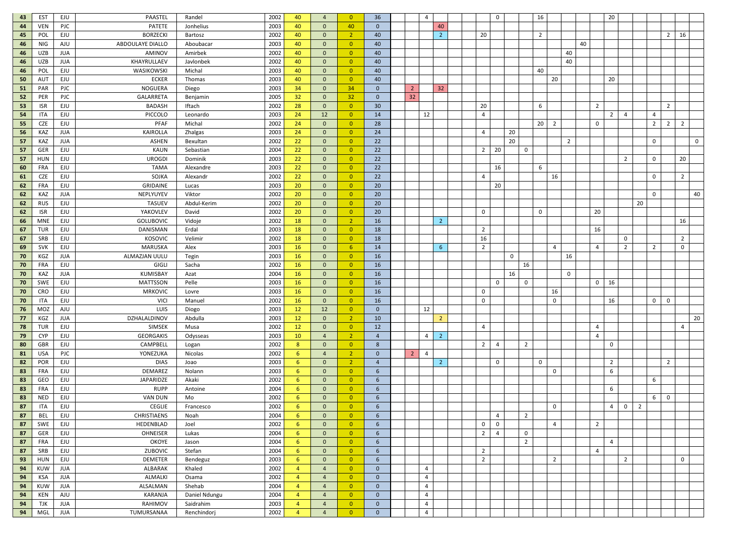| 43 | <b>EST</b> | EJU        | PAASTEL          | Randel        | 2002 | 40             | $\overline{4}$ | $\overline{0}$ | 36              | $\overline{4}$                   |                |                | $\mathbf 0$    |             | 16             |                |                |    |                | 20             |                               |                |                |                |             |
|----|------------|------------|------------------|---------------|------|----------------|----------------|----------------|-----------------|----------------------------------|----------------|----------------|----------------|-------------|----------------|----------------|----------------|----|----------------|----------------|-------------------------------|----------------|----------------|----------------|-------------|
| 44 | <b>VEN</b> | PJC        | PATETE           | Jonhelius     | 2003 | 40             | $\mathbf{0}$   | 40             | $\mathbf{0}$    |                                  | 40             |                |                |             |                |                |                |    |                |                |                               |                |                |                |             |
| 45 | POL        | EJU        | <b>BORZECKI</b>  | Bartosz       | 2002 | 40             | $\mathbf{0}$   | $\overline{2}$ | 40              |                                  | $\overline{2}$ | 20             |                |             | $\overline{2}$ |                |                |    |                |                |                               |                | $\overline{2}$ | 16             |             |
| 46 | NIG        | AJU        | ABDOULAYE DIALLO | Aboubacar     | 2003 | 40             | $\mathbf{0}$   | $\overline{0}$ | 40              |                                  |                |                |                |             |                |                |                | 40 |                |                |                               |                |                |                |             |
| 46 | <b>UZB</b> | JUA        | AMINOV           | Amirbek       | 2002 | 40             | $\mathbf{0}$   | $\overline{0}$ | 40              |                                  |                |                |                |             |                |                | 40             |    |                |                |                               |                |                |                |             |
| 46 | <b>UZB</b> | JUA        | KHAYRULLAEV      | Javlonbek     | 2002 | 40             | $\mathbf{0}$   | $\overline{0}$ | 40              |                                  |                |                |                |             |                |                | 40             |    |                |                |                               |                |                |                |             |
| 46 | POL        | EJU        | WASIKOWSKI       | Michal        | 2003 | 40             | $\mathbf{0}$   | $\overline{0}$ | 40              |                                  |                |                |                |             | 40             |                |                |    |                |                |                               |                |                |                |             |
| 50 | AUT        | EJU        | <b>ECKER</b>     | Thomas        | 2003 | 40             | $\mathbf{0}$   | $\overline{0}$ | 40              |                                  |                |                |                |             |                | 20             |                |    |                | 20             |                               |                |                |                |             |
| 51 | PAR        | PJC        | <b>NOGUERA</b>   | Diego         | 2003 | 34             | $\mathbf{0}$   | 34             | $\mathbf{0}$    | $\overline{2}$                   | 32             |                |                |             |                |                |                |    |                |                |                               |                |                |                |             |
| 52 | PER        | PJC        | GALARRETA        | Benjamin      | 2005 | 32             | $\mathbf{0}$   | 32             | $\mathbf{0}$    | 32                               |                |                |                |             |                |                |                |    |                |                |                               |                |                |                |             |
| 53 | <b>ISR</b> | EJU        | <b>BADASH</b>    | Iftach        | 2002 | 28             | $\mathbf{0}$   | $\overline{0}$ | 30 <sup>°</sup> |                                  |                | 20             |                |             | 6              |                |                |    | $\overline{2}$ |                |                               |                | $\overline{2}$ |                |             |
| 54 | ITA        | EJU        | PICCOLO          | Leonardo      | 2003 | 24             | 12             | $\overline{0}$ | 14              | 12                               |                | $\overline{4}$ |                |             |                |                |                |    |                | $2^{\circ}$    | $\overline{4}$                | $\overline{4}$ |                |                |             |
| 55 | <b>CZE</b> | EJU        | PFAF             | Michal        | 2002 | 24             | $\mathbf{0}$   | $\overline{0}$ | 28              |                                  |                |                |                |             | 20             | $\overline{2}$ |                |    | $\mathbf 0$    |                |                               | $\overline{2}$ | 2              | $\overline{2}$ |             |
| 56 | KAZ        | JUA        | KAIROLLA         | Zhalgas       | 2003 | 24             | $\mathbf{0}$   | $\overline{0}$ | 24              |                                  |                | 4              |                | 20          |                |                |                |    |                |                |                               |                |                |                |             |
| 57 | KAZ        | JUA        | <b>ASHEN</b>     | Bexultan      | 2002 | 22             | $\mathbf{0}$   | $\overline{0}$ | 22              |                                  |                |                |                | 20          |                |                | $\overline{2}$ |    |                |                |                               | $\mathbf 0$    |                |                | $\mathbf 0$ |
| 57 | GER        | EJU        | <b>KAUN</b>      | Sebastian     | 2004 | 22             | $\mathbf{0}$   | $\overline{0}$ | 22              |                                  |                | $2^{\prime}$   | 20             |             | $\mathsf{o}$   |                |                |    |                |                |                               |                |                |                |             |
| 57 | <b>HUN</b> | EJU        | <b>UROGDI</b>    | Dominik       | 2003 | 22             | $\mathbf{0}$   | $\overline{0}$ | 22              |                                  |                |                |                |             |                |                |                |    |                |                | $\overline{2}$                | $\mathbf 0$    |                | 20             |             |
| 60 | FRA        | EJU        | <b>TAMA</b>      | Alexandre     | 2003 | 22             | $\mathbf{0}$   | $\overline{0}$ | 22              |                                  |                |                | 16             |             | 6              |                |                |    |                |                |                               |                |                |                |             |
| 61 | CZE        | EJU        | SOJKA            | Alexandr      | 2002 | 22             | $\mathbf{0}$   | $\overline{0}$ | 22              |                                  |                | $\overline{4}$ |                |             |                | 16             |                |    |                |                |                               | $\mathbf 0$    |                | $\overline{2}$ |             |
| 62 | FRA        | EJU        | GRIDAINE         | Lucas         | 2003 | 20             | $\mathbf{0}$   | $\overline{0}$ | 20              |                                  |                |                | 20             |             |                |                |                |    |                |                |                               |                |                |                |             |
| 62 | KAZ        | <b>JUA</b> | NEPLYUYEV        | Viktor        | 2002 | 20             | $\mathbf{0}$   | $\overline{0}$ | 20              |                                  |                |                |                |             |                |                |                |    |                |                |                               | $\mathbf 0$    |                |                | 40          |
| 62 | <b>RUS</b> | EJU        | <b>TASUEV</b>    | Abdul-Kerim   | 2002 | 20             | $\mathbf{0}$   | $\overline{0}$ | 20              |                                  |                |                |                |             |                |                |                |    |                |                |                               | 20             |                |                |             |
| 62 | <b>ISR</b> | EJU        | YAKOVLEV         | David         | 2002 | 20             | $\mathbf{0}$   | $\overline{0}$ | 20              |                                  |                | $\mathbf 0$    |                |             | $\mathbf 0$    |                |                |    | 20             |                |                               |                |                |                |             |
| 66 | <b>MNE</b> | EJU        | <b>GOLUBOVIC</b> | Vidoje        | 2002 | 18             | $\mathbf{0}$   | $\overline{2}$ | 16              |                                  | $\overline{2}$ |                |                |             |                |                |                |    |                |                |                               |                |                | 16             |             |
| 67 | <b>TUR</b> | EJU        | DANISMAN         | Erdal         | 2003 | 18             | $\mathbf{0}$   | $\overline{0}$ | 18              |                                  |                | $\overline{2}$ |                |             |                |                |                |    | 16             |                |                               |                |                |                |             |
| 67 | SRB        | EJU        | KOSOVIC          | Velimir       | 2002 | 18             | $\mathbf{0}$   | $\overline{0}$ | 18              |                                  |                | 16             |                |             |                |                |                |    |                |                | 0                             |                |                | $\overline{2}$ |             |
| 69 | <b>SVK</b> | EJU        | <b>MARUSKA</b>   | Alex          | 2003 | 16             | $\mathbf{0}$   | 6              | 14              |                                  | 6              | $\overline{2}$ |                |             |                | $\overline{4}$ |                |    | $\overline{4}$ |                | $\overline{2}$                | $\overline{2}$ |                | $\mathbf 0$    |             |
| 70 | KGZ        | JUA        | ALMAZJAN UULU    | Tegin         | 2003 | 16             | $\mathbf{0}$   | $\overline{0}$ | 16              |                                  |                |                |                | $\mathbf 0$ |                |                | 16             |    |                |                |                               |                |                |                |             |
| 70 | FRA        | EJU        | GIGLI            | Sacha         | 2002 | <b>16</b>      | $\mathbf{0}$   | $\overline{0}$ | 16              |                                  |                |                |                |             | 16             |                |                |    |                |                |                               |                |                |                |             |
| 70 | KAZ        | JUA        | KUMISBAY         | Azat          | 2004 | 16             | $\mathbf{0}$   | $\overline{0}$ | 16              |                                  |                |                |                | 16          |                |                | 0              |    |                |                |                               |                |                |                |             |
| 70 | SWE        | EJU        | <b>MATTSSON</b>  | Pelle         | 2003 | 16             | $\mathbf{0}$   | $\overline{0}$ | 16              |                                  |                |                | $\mathsf{O}$   |             | 0              |                |                |    | 0              | 16             |                               |                |                |                |             |
| 70 | CRO        | EJU        | <b>MRKOVIC</b>   | Lovre         | 2003 | 16             | $\mathbf{0}$   | $\overline{0}$ | <b>16</b>       |                                  |                | 0              |                |             |                | 16             |                |    |                |                |                               |                |                |                |             |
| 70 | <b>ITA</b> | EJU        | <b>VICI</b>      | Manuel        | 2002 | 16             | $\mathbf{0}$   | $\overline{0}$ | 16              |                                  |                | $\mathbf 0$    |                |             |                | $\mathbf 0$    |                |    |                | 16             |                               | $\mathbf 0$    | $\mathbf 0$    |                |             |
| 76 | MOZ        | AJU        | LUIS             | Diogo         | 2003 | 12             | 12             | $\overline{0}$ | $\mathbf{0}$    | 12                               |                |                |                |             |                |                |                |    |                |                |                               |                |                |                |             |
| 77 | KGZ        | JUA        | DZHALALDINOV     | Abdulla       | 2003 | 12             | $\mathbf{0}$   | $\overline{2}$ | 10              |                                  | $\overline{2}$ |                |                |             |                |                |                |    |                |                |                               |                |                |                | 20          |
| 78 | <b>TUR</b> | EJU        | <b>SIMSEK</b>    | Musa          | 2002 | 12             | $\mathbf{0}$   | $\overline{0}$ | 12              |                                  |                | $\overline{4}$ |                |             |                |                |                |    | 4              |                |                               |                |                | $\overline{4}$ |             |
| 79 | <b>CYP</b> | EJU        | <b>GEORGAKIS</b> | Odysseas      | 2003 | 10             | $\overline{4}$ | $\overline{2}$ | $\overline{4}$  | $\overline{4}$                   | $\overline{2}$ |                |                |             |                |                |                |    | $\overline{4}$ |                |                               |                |                |                |             |
| 80 | GBR        | EJU        | CAMPBELL         | Logan         | 2002 | 8              | $\mathbf{0}$   | $\overline{0}$ | 8               |                                  |                | $\overline{2}$ | $\overline{4}$ |             | $\overline{2}$ |                |                |    |                | $\mathbf 0$    |                               |                |                |                |             |
| 81 | <b>USA</b> | PJC        | YONEZUKA         | Nicolas       | 2002 | 6              | $\overline{4}$ | $\overline{2}$ | $\mathbf{0}$    | $\overline{2}$<br>$\overline{4}$ |                |                |                |             |                |                |                |    |                |                |                               |                |                |                |             |
| 82 | POR        | EJU        | <b>DIAS</b>      | Joao          | 2003 | $6^{\circ}$    | $\mathbf{0}$   | $\overline{2}$ | $\overline{4}$  |                                  | $\overline{2}$ |                | $\mathbf{0}$   |             | 0              |                |                |    |                | 2              |                               |                | $\overline{2}$ |                |             |
| 83 | FRA        | EJU        | DEMAREZ          | Nolann        | 2003 | 6              | $\mathbf{0}$   | $\overline{0}$ | 6               |                                  |                |                |                |             |                | $\mathbf 0$    |                |    |                | 6              |                               |                |                |                |             |
| 83 | GEO        | EJU        | JAPARIDZE        | Akaki         | 2002 | 6              | $\mathbf{0}$   | $\overline{0}$ | 6               |                                  |                |                |                |             |                |                |                |    |                |                |                               | 6              |                |                |             |
| 83 | FRA        | EJU        | <b>RUPP</b>      | Antoine       | 2004 | $6^{\circ}$    | $\mathbf{0}$   | $\overline{0}$ | 6               |                                  |                |                |                |             |                |                |                |    |                | 6              |                               |                |                |                |             |
| 83 | <b>NED</b> | EJU        | <b>VAN DUN</b>   | Mo            | 2002 | 6              | $\mathbf{0}$   | $\overline{0}$ | 6               |                                  |                |                |                |             |                |                |                |    |                |                |                               | 6              | $\mathbf 0$    |                |             |
| 87 | <b>ITA</b> | EJU        | CEGLIE           | Francesco     | 2002 | 6              | $\mathbf{0}$   | $\overline{0}$ | 6               |                                  |                |                |                |             |                | $\mathbf 0$    |                |    |                | $\overline{4}$ | $\mathbf 0$<br>$\overline{2}$ |                |                |                |             |
| 87 | <b>BEL</b> | EJU        | CHRISTIAENS      | Noah          | 2004 | 6 <sup>1</sup> | $\mathbf 0$    | $\overline{0}$ | $\sqrt{6}$      |                                  |                |                | 4              |             | $\mathcal{L}$  |                |                |    |                |                |                               |                |                |                |             |
| 87 | SWE        | EJU        | HEDENBLAD        | Joel          | 2002 | 6 <sup>1</sup> | $\mathbf{0}$   | $\overline{0}$ | 6               |                                  |                | 0              | $\mathbf 0$    |             |                | $\overline{4}$ |                |    | $\overline{2}$ |                |                               |                |                |                |             |
| 87 | GER        | EJU        | OHNEISER         | Lukas         | 2004 | 6 <sup>1</sup> | $\mathbf{0}$   | $\overline{0}$ | 6               |                                  |                | $\overline{2}$ | $\overline{4}$ |             | $\mathbf 0$    |                |                |    |                |                |                               |                |                |                |             |
| 87 | <b>FRA</b> | EJU        | OKOYE            | Jason         | 2004 | 6 <sup>1</sup> | $\mathbf{0}$   | $\overline{0}$ | $6\overline{6}$ |                                  |                |                |                |             | $\overline{2}$ |                |                |    |                | $\overline{4}$ |                               |                |                |                |             |
| 87 | SRB        | EJU        | ZUBOVIC          | Stefan        | 2004 | 6              | $\mathbf{0}$   | $\overline{0}$ | 6               |                                  |                | $\overline{2}$ |                |             |                |                |                |    | 4              |                |                               |                |                |                |             |
| 93 | <b>HUN</b> | EJU        | DEMETER          | Bendeguz      | 2003 | 6 <sup>1</sup> | $\mathbf{0}$   | $\overline{0}$ | $6\overline{6}$ |                                  |                | $\overline{2}$ |                |             |                | $\overline{2}$ |                |    |                |                | $\overline{2}$                |                |                | $\mathsf{O}$   |             |
| 94 | <b>KUW</b> | JUA        | ALBARAK          | Khaled        | 2002 | $\overline{4}$ | $\overline{4}$ | $\overline{0}$ | $\mathbf 0$     | $\overline{4}$                   |                |                |                |             |                |                |                |    |                |                |                               |                |                |                |             |
| 94 | <b>KSA</b> | <b>JUA</b> | ALMALKI          | Osama         | 2002 | $\overline{4}$ | $\overline{4}$ | $\overline{0}$ | $\mathbf 0$     | $\overline{4}$                   |                |                |                |             |                |                |                |    |                |                |                               |                |                |                |             |
| 94 | <b>KUW</b> | JUA        | ALSALMAN         | Shehab        | 2004 | $\overline{4}$ | $\overline{4}$ | $\overline{0}$ | $\mathbf{0}$    | $\overline{4}$                   |                |                |                |             |                |                |                |    |                |                |                               |                |                |                |             |
| 94 | KEN        | AJU        | KARANJA          | Daniel Ndungu | 2004 | $\overline{4}$ | $\overline{4}$ | $\overline{0}$ | $\mathbf{0}$    | $\overline{4}$                   |                |                |                |             |                |                |                |    |                |                |                               |                |                |                |             |
| 94 | TJK        | JUA        | RAHIMOV          | Saidrahim     | 2003 | $\overline{4}$ | $\overline{4}$ | $\overline{0}$ | $\mathbf{0}$    | $\overline{4}$                   |                |                |                |             |                |                |                |    |                |                |                               |                |                |                |             |
| 94 | MGL        | <b>JUA</b> | TUMURSANAA       | Renchindorj   | 2002 | $\overline{4}$ | $\overline{4}$ | $\overline{0}$ | $\mathbf{0}$    | $\overline{4}$                   |                |                |                |             |                |                |                |    |                |                |                               |                |                |                |             |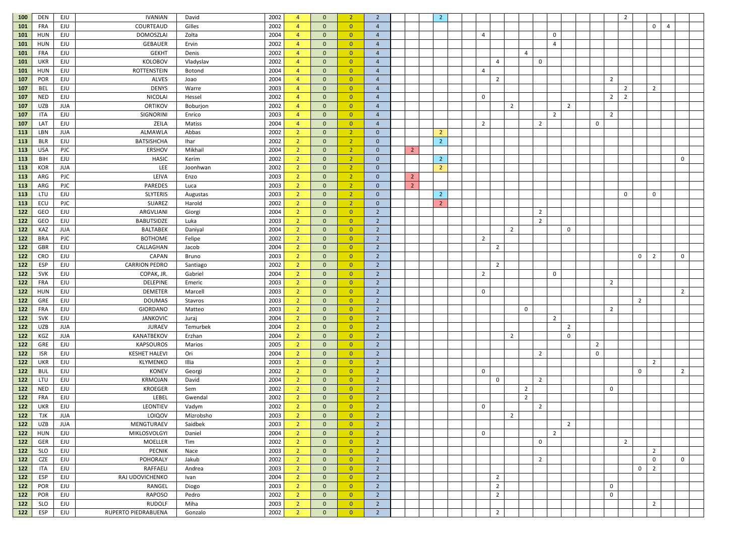| 100              | <b>DEN</b> | EJU               | <b>IVANIAN</b>       | David     | 2002<br>$\overline{4}$ | $\mathbf{0}$                   | $\overline{2}$                   | $\overline{2}$                 |                                  | $\overline{2}$ |                |                |                |                |                |                |                |                | $\overline{2}$ |                |                |                |                |
|------------------|------------|-------------------|----------------------|-----------|------------------------|--------------------------------|----------------------------------|--------------------------------|----------------------------------|----------------|----------------|----------------|----------------|----------------|----------------|----------------|----------------|----------------|----------------|----------------|----------------|----------------|----------------|
| 101              | FRA        | EJU               | COURTEAUD            | Gilles    | 2002<br>$\overline{4}$ | $\mathbf{0}$                   | $\overline{0}$                   | $\overline{4}$                 |                                  |                |                |                |                |                |                |                |                |                |                |                | $\mathbf 0$    | $\overline{4}$ |                |
| 101              | <b>HUN</b> | EJU               | DOMOSZLAI            | Zolta     | 2004<br>$\overline{4}$ | $\overline{0}$                 | $\overline{0}$                   | $\overline{4}$                 |                                  |                | $\overline{4}$ |                |                |                | 0              |                |                |                |                |                |                |                |                |
| 101              | <b>HUN</b> | EJU               | <b>GEBAUER</b>       | Ervin     | 2002<br>$\overline{4}$ | $\mathbf{0}$                   | $\overline{0}$                   | $\overline{4}$                 |                                  |                |                |                |                |                | $\overline{4}$ |                |                |                |                |                |                |                |                |
| 101              | FRA        | EJU               | <b>GEKHT</b>         | Denis     | 2002<br>$\overline{4}$ | $\mathbf{0}$                   | $\overline{0}$                   | $\overline{4}$                 |                                  |                |                |                | $\overline{4}$ |                |                |                |                |                |                |                |                |                |                |
| 101              | <b>UKR</b> | EJU               | KOLOBOV              | Vladyslav | 2002<br>$\overline{4}$ | $\overline{0}$                 | $\overline{0}$                   | $\overline{4}$                 |                                  |                |                | $\overline{4}$ |                | 0              |                |                |                |                |                |                |                |                |                |
| 101              | <b>HUN</b> | EJU               | ROTTENSTEIN          | Botond    | 2004<br>$\overline{4}$ | $\overline{0}$                 | $\overline{0}$                   | $\overline{4}$                 |                                  |                | $\overline{4}$ |                |                |                |                |                |                |                |                |                |                |                |                |
| 107              | POR        | EJU               | ALVES                | Joao      | 2004<br>$\overline{4}$ | $\mathbf{0}$                   | $\overline{0}$                   | $\overline{4}$                 |                                  |                |                | $\overline{2}$ |                |                |                |                |                | $\overline{2}$ |                |                |                |                |                |
| 107              | <b>BEL</b> | EJU               | <b>DENYS</b>         | Warre     | 2003<br>$\overline{4}$ | $\mathbf{0}$                   | $\overline{0}$                   | $\overline{4}$                 |                                  |                |                |                |                |                |                |                |                |                | $\overline{2}$ |                | $\overline{2}$ |                |                |
| 107              | <b>NED</b> | EJU               | <b>NICOLAI</b>       | Hessel    | 2002<br>$\overline{4}$ | $\overline{0}$                 | $\overline{0}$                   | $\overline{4}$                 |                                  |                | 0              |                |                |                |                |                |                | $\overline{2}$ | $\overline{2}$ |                |                |                |                |
| 107              | <b>UZB</b> | JUA               | <b>ORTIKOV</b>       | Boburjon  | 2002<br>$\overline{4}$ | $\mathbf{0}$                   | $\overline{0}$                   | $\overline{4}$                 |                                  |                |                |                | $\overline{2}$ |                |                | $\overline{2}$ |                |                |                |                |                |                |                |
| 107              | ITA        | EJU               | SIGNORINI            | Enrico    | 2003<br>$\overline{4}$ | $\mathbf{0}$                   | $\overline{0}$                   | $\overline{4}$                 |                                  |                |                |                |                |                | $\overline{2}$ |                |                | $\overline{2}$ |                |                |                |                |                |
| 107              | LAT        | EJU               | ZEILA                | Matiss    | 2004<br>$\overline{4}$ | $\mathbf{0}$                   | $\overline{0}$                   | $\overline{4}$                 |                                  |                | $\overline{2}$ |                |                | $\overline{2}$ |                |                | 0              |                |                |                |                |                |                |
| 113              | LBN        | <b>JUA</b>        | ALMAWLA              | Abbas     | 2002<br>$\overline{2}$ | $\mathbf{0}$                   | $\overline{2}$                   | $\overline{0}$                 |                                  | $\overline{2}$ |                |                |                |                |                |                |                |                |                |                |                |                |                |
| 113              | <b>BLR</b> | EJU               | <b>BATSISHCHA</b>    | Ihar      | 2002<br>2 <sup>1</sup> | $\mathbf{0}$                   | $\overline{2}$                   | $\mathbf 0$                    |                                  | $\overline{2}$ |                |                |                |                |                |                |                |                |                |                |                |                |                |
| 113              | <b>USA</b> | PJC               | <b>ERSHOV</b>        | Mikhail   | 2004<br>$\overline{2}$ | $\mathbf{0}$                   | $\overline{2}$                   | $\mathbf{0}$                   | $\overline{2}$                   |                |                |                |                |                |                |                |                |                |                |                |                |                |                |
| 113              | BIH        | EJU               | <b>HASIC</b>         |           | 2002<br>$\overline{2}$ | $\mathbf{0}$                   | $\overline{2}$                   | $\mathbf{0}$                   |                                  | $\overline{2}$ |                |                |                |                |                |                |                |                |                |                |                |                | $\mathbf 0$    |
|                  |            |                   |                      | Kerim     |                        |                                |                                  |                                |                                  | $\overline{2}$ |                |                |                |                |                |                |                |                |                |                |                |                |                |
| 113              | <b>KOR</b> | JUA               | LEE<br>LEIVA         | Joonhwan  | 2002<br>$\overline{2}$ | $\mathbf{0}$<br>$\mathbf{0}$   | $\overline{2}$<br>$\overline{2}$ | $\mathbf{0}$<br>$\mathbf{0}$   |                                  |                |                |                |                |                |                |                |                |                |                |                |                |                |                |
| 113<br>113       | ARG        | PJC               |                      | Enzo      | 2003<br>$\overline{2}$ |                                |                                  |                                | $\overline{2}$<br>$\overline{2}$ |                |                |                |                |                |                |                |                |                |                |                |                |                |                |
| 113              | ARG<br>LTU | <b>PJC</b><br>EJU | PAREDES              | Luca      | 2003<br>$\overline{2}$ | $\mathbf{0}$<br>$\overline{0}$ | $\overline{2}$<br>$\overline{2}$ | $\mathbf{0}$<br>$\overline{0}$ |                                  | $\overline{2}$ |                |                |                |                |                |                |                |                | 0              |                | $\mathsf{o}$   |                |                |
|                  |            |                   | <b>SLYTERIS</b>      | Augustas  | 2003<br>$\overline{2}$ |                                | $\overline{2}$                   |                                |                                  |                |                |                |                |                |                |                |                |                |                |                |                |                |                |
| 113              | ECU        | PJC               | SUAREZ               | Harold    | 2002<br>$\overline{2}$ | $\mathbf{0}$                   |                                  | $\mathbf 0$                    |                                  | $\overline{2}$ |                |                |                |                |                |                |                |                |                |                |                |                |                |
| 122              | GEO        | EJU               | ARGVLIANI            | Giorgi    | 2004<br>$\overline{2}$ | $\mathbf{0}$                   | $\overline{0}$                   | $\overline{2}$                 |                                  |                |                |                |                | $\overline{2}$ |                |                |                |                |                |                |                |                |                |
| 122              | GEO        | EJU               | <b>BABUTSIDZE</b>    | Luka      | 2003<br>$\overline{2}$ | $\mathbf{0}$                   | $\overline{0}$                   | $\overline{2}$                 |                                  |                |                |                |                | $\overline{2}$ |                |                |                |                |                |                |                |                |                |
| 122              | KAZ        | JUA               | <b>BALTABEK</b>      | Daniyal   | 2004<br>$\overline{2}$ | $\mathbf{0}$                   | $\overline{0}$                   | $\overline{2}$                 |                                  |                |                |                | $\overline{2}$ |                |                | 0              |                |                |                |                |                |                |                |
| 122              | <b>BRA</b> | PJC               | <b>BOTHOME</b>       | Felipe    | 2002<br>$\overline{2}$ | $\mathbf{0}$                   | $\overline{0}$                   | $\overline{2}$                 |                                  |                | $\overline{2}$ |                |                |                |                |                |                |                |                |                |                |                |                |
| 122              | GBR        | EJU               | CALLAGHAN            | Jacob     | 2004<br>$\overline{2}$ | $\mathbf{0}$                   | $\overline{0}$                   | $\overline{2}$                 |                                  |                |                | $\overline{2}$ |                |                |                |                |                |                |                |                |                |                |                |
| 122              | CRO        | EJU               | CAPAN                | Bruno     | 2003<br>$2^{\circ}$    | $\overline{0}$                 | $\overline{0}$                   | $\overline{2}$                 |                                  |                |                |                |                |                |                |                |                |                |                | $\mathbf 0$    | $\overline{2}$ |                | 0              |
| 122              | ESP        | EJU               | <b>CARRION PEDRO</b> | Santiago  | $\overline{2}$<br>2002 | $\mathbf{0}$                   | $\overline{0}$                   | $\overline{2}$                 |                                  |                |                | $\overline{2}$ |                |                |                |                |                |                |                |                |                |                |                |
| 122              | <b>SVK</b> | EJU               | COPAK, JR.           | Gabriel   | 2004<br>$\overline{2}$ | $\mathbf{0}$                   | $\overline{0}$                   | $\overline{2}$                 |                                  |                | $\overline{2}$ |                |                |                | $\mathsf{o}$   |                |                |                |                |                |                |                |                |
| 122              | FRA        | EJU               | <b>DELEPINE</b>      | Emeric    | 2003<br>$2^{\circ}$    | $\overline{0}$                 | $\overline{0}$                   | $\overline{2}$                 |                                  |                |                |                |                |                |                |                |                | $\overline{2}$ |                |                |                |                |                |
| 122              | <b>HUN</b> | EJU               | DEMETER              | Marcell   | 2003<br>$\overline{2}$ | $\mathbf{0}$                   | $\overline{0}$                   | $\overline{2}$                 |                                  |                | 0              |                |                |                |                |                |                |                |                |                |                |                | $\overline{2}$ |
| 122              | GRE        | EJU               | <b>DOUMAS</b>        | Stavros   | 2003<br>$\overline{2}$ | $\mathbf{0}$                   | $\overline{0}$                   | $\overline{2}$                 |                                  |                |                |                |                |                |                |                |                |                |                | $\overline{2}$ |                |                |                |
| 122              | FRA        | EJU               | GIORDANO             | Matteo    | 2003<br>$\overline{2}$ | $\mathbf{0}$                   | $\overline{0}$                   | $\overline{2}$                 |                                  |                |                |                | $\mathbf 0$    |                |                |                |                | $\overline{2}$ |                |                |                |                |                |
| 122              | <b>SVK</b> | EJU               | <b>JANKOVIC</b>      | Juraj     | 2004<br>$2^{\circ}$    | $\overline{0}$                 | $\overline{0}$                   | $\overline{2}$                 |                                  |                |                |                |                |                | $\overline{2}$ |                |                |                |                |                |                |                |                |
| 122              | <b>UZB</b> | <b>JUA</b>        | <b>JURAEV</b>        | Temurbek  | 2004<br>$2^{\circ}$    | $\mathbf{0}$                   | $\overline{0}$                   | $\overline{2}$                 |                                  |                |                |                |                |                |                | 2              |                |                |                |                |                |                |                |
| 122              | KGZ        | <b>JUA</b>        | KANATBEKOV           | Erzhan    | 2004<br>$\overline{2}$ | $\mathbf{0}$                   | $\overline{0}$                   | $\overline{2}$                 |                                  |                |                |                | $\overline{2}$ |                |                | $\mathbf{0}$   |                |                |                |                |                |                |                |
| 122              | GRE        | EJU               | <b>KAPSOUROS</b>     | Marios    | 2005<br>$\overline{2}$ | $\mathbf{0}$                   | $\overline{0}$                   | $\overline{2}$                 |                                  |                |                |                |                |                |                |                | $\overline{2}$ |                |                |                |                |                |                |
| 122              | <b>ISR</b> | EJU               | <b>KESHET HALEVI</b> | Ori       | 2004<br>$\overline{2}$ | $\mathbf{0}$                   | $\overline{0}$                   | $\overline{2}$                 |                                  |                |                |                |                | $\overline{2}$ |                |                | $\mathsf{O}$   |                |                |                |                |                |                |
| 122              | <b>UKR</b> | EJU               | <b>KLYMENKO</b>      | Illia     | 2003<br>$2^{\circ}$    | $\mathbf{0}$                   | $\overline{0}$                   | $\overline{2}$                 |                                  |                |                |                |                |                |                |                |                |                |                |                | $\overline{2}$ |                |                |
| 122              | <b>BUL</b> | EJU               | <b>KONEV</b>         | Georgi    | 2002<br>$\overline{2}$ | $\mathbf{0}$                   | $\overline{0}$                   | $\overline{2}$                 |                                  |                | $\mathbf 0$    |                |                |                |                |                |                |                |                | $\mathbf 0$    |                |                | $\overline{2}$ |
| 122              | LTU        | EJU               | KRMOJAN              | David     | 2004<br>$\overline{2}$ | $\overline{0}$                 | $\overline{0}$                   | $\overline{2}$                 |                                  |                |                | $\mathbf 0$    |                | $\overline{2}$ |                |                |                |                |                |                |                |                |                |
| 122              | <b>NED</b> | EJU               | <b>KROEGER</b>       | Sem       | 2002<br>$2^{\circ}$    | $\mathbf{0}$                   | $\overline{0}$                   | $\overline{2}$                 |                                  |                |                |                | $\overline{2}$ |                |                |                |                | $\mathbf 0$    |                |                |                |                |                |
| 122<br>122       | FRA        | EJU               | LEBEL                | Gwendal   | 2002<br>$\overline{2}$ | $\mathbf{0}$                   | $\overline{0}$                   | $\overline{2}$                 |                                  |                |                |                | $\overline{2}$ |                |                |                |                |                |                |                |                |                |                |
|                  | <b>UKR</b> | EJU               | LEONTIEV             | Vadym     | 2002<br>$\overline{2}$ | $\mathbf{0}$                   | $\overline{0}$                   | $\overline{2}$                 |                                  |                | 0              |                |                | $\overline{2}$ |                |                |                |                |                |                |                |                |                |
| $\overline{122}$ | <b>TJK</b> | <b>JUA</b>        | LOIQOV               | Mizrobsho | 2003<br>$\overline{2}$ | $\mathbf 0$                    | $\overline{0}$                   | $\sqrt{2}$                     |                                  |                |                |                | $\overline{2}$ |                |                |                |                |                |                |                |                |                |                |
| 122              | UZB        | JUA               | MENGTURAEV           | Saidbek   | 2003<br>$\overline{2}$ | $\mathbf{0}$                   | $\overline{0}$                   | $\overline{2}$                 |                                  |                |                |                |                |                |                | $\overline{2}$ |                |                |                |                |                |                |                |
| 122              | <b>HUN</b> | EJU               | MIKLOSVOLGYI         | Daniel    | 2004<br>$\overline{2}$ | $\mathbf{0}$                   | $\overline{0}$                   | $\overline{2}$                 |                                  |                | $\mathbf{0}$   |                |                |                | $\overline{2}$ |                |                |                |                |                |                |                |                |
| 122              | GER        | EJU               | MOELLER              | Tim       | 2002<br>$\overline{2}$ | $\mathbf{0}$                   | $\overline{0}$                   | $\overline{2}$                 |                                  |                |                |                |                | $\mathbf 0$    |                |                |                |                | $\overline{2}$ |                |                |                |                |
| 122              | SLO        | EJU               | PECNIK               | Nace      | 2003<br>$\overline{2}$ | $\mathbf{0}$                   | $\overline{0}$                   | $\overline{2}$                 |                                  |                |                |                |                |                |                |                |                |                |                |                | $\overline{2}$ |                |                |
| 122              | CZE        | EJU               | POHORALY             | Jakub     | 2002<br>$\overline{2}$ | $\mathbf{0}$                   | $\overline{0}$                   | $\overline{2}$                 |                                  |                |                |                |                | $\overline{2}$ |                |                |                |                |                |                | $\mathbf 0$    |                | $\mathbf 0$    |
| 122              | ITA        | EJU               | RAFFAELI             | Andrea    | 2003<br>$\overline{2}$ | $\mathbf{0}$                   | $\overline{0}$                   | $\overline{2}$                 |                                  |                |                |                |                |                |                |                |                |                |                | $\mathbf 0$    | $\overline{2}$ |                |                |
| $122$            | ESP        | EJU               | RAJ UDOVICHENKO      | Ivan      | 2004<br>$\overline{2}$ | $\mathbf{0}$                   | $\overline{0}$                   | $\overline{2}$                 |                                  |                |                | $\overline{2}$ |                |                |                |                |                |                |                |                |                |                |                |
| 122              | POR        | EJU               | RANGEL               | Diogo     | 2003<br>$2^{\circ}$    | $\mathbf{0}$                   | $\overline{0}$                   | $\overline{2}$                 |                                  |                |                | $\overline{2}$ |                |                |                |                |                | $\mathsf{o}$   |                |                |                |                |                |
| 122              | POR        | EJU               | <b>RAPOSO</b>        | Pedro     | 2002<br>$\overline{2}$ | $\mathbf{0}$                   | $\overline{0}$                   | $\overline{2}$                 |                                  |                |                | $\overline{2}$ |                |                |                |                |                | 0              |                |                |                |                |                |
| 122              | SLO        | EJU               | <b>RUDOLF</b>        | Miha      | 2003<br>$\overline{2}$ | $\mathbf{0}$                   | $\overline{0}$                   | $\overline{2}$                 |                                  |                |                |                |                |                |                |                |                |                |                |                | $\overline{2}$ |                |                |
| 122              | ESP        | EJU               | RUPERTO PIEDRABUENA  | Gonzalo   | 2002<br>$2^{\circ}$    | $\mathbf{0}$                   | $\overline{0}$                   | $\overline{2}$                 |                                  |                |                | $\overline{2}$ |                |                |                |                |                |                |                |                |                |                |                |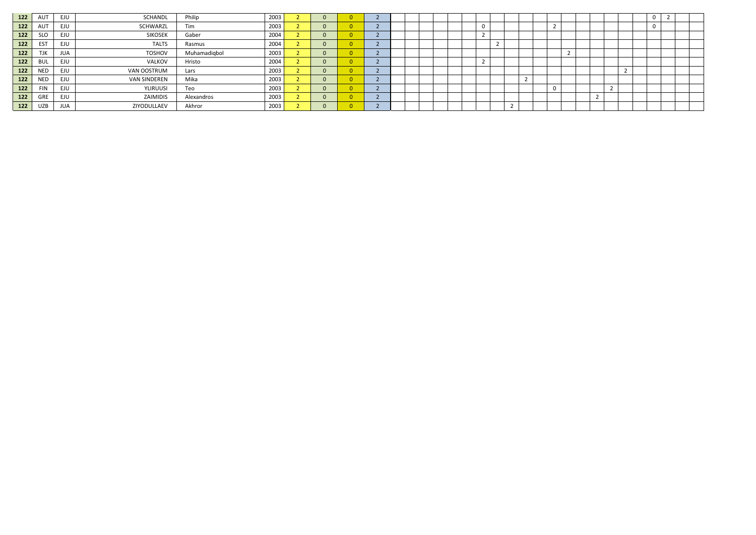| 122 | AUT        | EJU        | <b>SCHANDL</b>      | Philip       | 2003 |  |  |  |  |   |  |  |  |  |  |  |
|-----|------------|------------|---------------------|--------------|------|--|--|--|--|---|--|--|--|--|--|--|
| 122 | AUT        | EJU.       | SCHWARZL            | Tim          | 2003 |  |  |  |  |   |  |  |  |  |  |  |
| 122 | <b>SLO</b> | EJU.       | <b>SIKOSEK</b>      | Gaber        | 2004 |  |  |  |  |   |  |  |  |  |  |  |
| 122 | <b>EST</b> | EJU        | <b>TALTS</b>        | Rasmus       | 2004 |  |  |  |  |   |  |  |  |  |  |  |
| 122 | <b>TJK</b> | <b>JUA</b> | <b>TOSHOV</b>       | Muhamadigbol | 2003 |  |  |  |  |   |  |  |  |  |  |  |
| 122 | <b>BUL</b> | EJU        | VALKOV              | Hristo       | 2004 |  |  |  |  | ∼ |  |  |  |  |  |  |
| 122 | <b>NED</b> | EJU        | VAN OOSTRUM         | Lars         | 2003 |  |  |  |  |   |  |  |  |  |  |  |
| 122 | <b>NED</b> | EJU.       | <b>VAN SINDEREN</b> | Mika         | 2003 |  |  |  |  |   |  |  |  |  |  |  |
| 122 | <b>FIN</b> | EJU        | <b>YLIRUUSI</b>     | Teo          | 2003 |  |  |  |  |   |  |  |  |  |  |  |
| 122 | GRE        | EJU.       | ZAIMIDIS            | Alexandros   | 2003 |  |  |  |  |   |  |  |  |  |  |  |
| 122 | UZB        | JUA        | ZIYODULLAEV         | Akhror       | 2003 |  |  |  |  |   |  |  |  |  |  |  |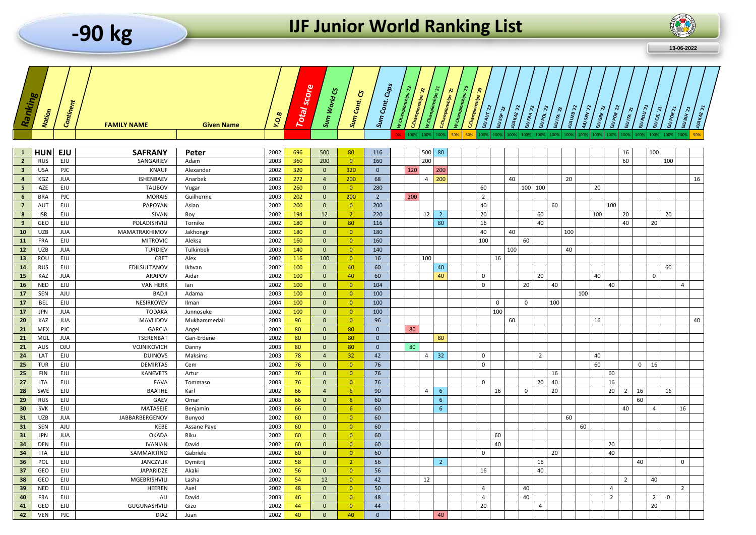



| Ranking                 | Nation            | Continent         | <b>FAMILY NAME</b>     | <b>Given Name</b> | $\bullet$<br><b>P.O.</b> | Total score | Sum World CS                   | ୪<br>$\frac{\int \mathcal{S} u_{m}}{\int \mathcal{S} v_{m}}$ | Sum Cont.      | Cups<br>W.Ch<br>n% | <b>Tiships</b><br><b>Prionships</b><br>å<br>nno | Ñ<br>ô<br>1009 | $\tilde{\bm{\mathcal{N}}}$<br><b>Prionships</b><br>å<br>100 | ಸಿ<br>Ñ<br>ô<br>50% | 2<br><b>Championships</b><br>50%<br>100% | ElU AUT 2<br>Elu Esp <sub>22</sub><br>100% | $\frac{1}{4}$ kaz $\frac{1}{2}$<br>oos | EJU FRA 22<br>1009 | Elu POL 22<br>1009 | Elum <sub>A 22</sub><br>0 <sub>0s</sub> | $\frac{1}{4}$ $\frac{1}{28}$ $\frac{1}{22}$<br>oos | AJU SEN 22<br>1009 | EJU GRE 22<br>100% | $\approx$<br>EJU POR<br>009 | EJU ITA 21<br>oos | EJU ROU 21<br>1009 | EJU CZE 21<br>oos | Elu POR'21<br>$00^{\circ}$ | N<br>EJU BIH 21<br>JUA KAZ<br>50% |  |
|-------------------------|-------------------|-------------------|------------------------|-------------------|--------------------------|-------------|--------------------------------|--------------------------------------------------------------|----------------|--------------------|-------------------------------------------------|----------------|-------------------------------------------------------------|---------------------|------------------------------------------|--------------------------------------------|----------------------------------------|--------------------|--------------------|-----------------------------------------|----------------------------------------------------|--------------------|--------------------|-----------------------------|-------------------|--------------------|-------------------|----------------------------|-----------------------------------|--|
| $\mathbf{1}$            | <b>HUN</b>        | EJU               | <b>SAFRANY</b>         | Peter             | 2002                     | 696         | 500                            | 80                                                           | 116            |                    |                                                 | 500            | 80                                                          |                     |                                          |                                            |                                        |                    |                    |                                         |                                                    |                    |                    |                             | 16                |                    | 100               |                            |                                   |  |
| $\overline{2}$          | <b>RUS</b>        | EJU               | SANGARIEV              | Adam              | 2003                     | 360         | 200                            | $\overline{0}$                                               | 160            |                    |                                                 | 200            |                                                             |                     |                                          |                                            |                                        |                    |                    |                                         |                                                    |                    |                    |                             | 60                |                    |                   | 100                        |                                   |  |
| $\overline{\mathbf{3}}$ | <b>USA</b>        | PJC               | <b>KNAUF</b>           | Alexander         | 2002                     | 320         | $\mathbf{0}$                   | 320                                                          | $\mathbf{0}$   |                    | 120                                             |                | 200                                                         |                     |                                          |                                            |                                        |                    |                    |                                         |                                                    |                    |                    |                             |                   |                    |                   |                            |                                   |  |
| $\overline{\mathbf{4}}$ | KGZ               | <b>JUA</b>        | <b>ISHENBAEV</b>       | Anarbek           | 2002                     | 272         | $\overline{4}$                 | 200                                                          | 68             |                    |                                                 | $\overline{4}$ | 200                                                         |                     |                                          |                                            | 40                                     |                    |                    |                                         | 20                                                 |                    |                    |                             |                   |                    |                   |                            | 16                                |  |
| $5\phantom{.0}$         | AZE               | EJU               | <b>TALIBOV</b>         | Vugar             | 2003                     | 260         | $\mathbf{0}$                   | $\overline{0}$                                               | 280            |                    |                                                 |                |                                                             |                     | 60                                       |                                            |                                        | 100 100            |                    |                                         |                                                    |                    | 20                 |                             |                   |                    |                   |                            |                                   |  |
| 6                       | <b>BRA</b>        | PJC               | <b>MORAIS</b>          | Guilherme         | 2003                     | 202         | $\mathbf{0}$                   | 200                                                          | $\overline{2}$ |                    | 200                                             |                |                                                             |                     | $\overline{2}$                           |                                            |                                        |                    |                    |                                         |                                                    |                    |                    |                             |                   |                    |                   |                            |                                   |  |
| $\overline{7}$          | <b>AUT</b>        | EJU               | PAPOYAN                | Aslan             | 2002                     | 200         | $\mathbf{0}$                   | $\overline{0}$                                               | 200            |                    |                                                 |                |                                                             |                     | 40                                       |                                            |                                        |                    |                    | 60                                      |                                                    |                    |                    | 100                         |                   |                    |                   |                            |                                   |  |
| $\boldsymbol{8}$        | <b>ISR</b>        | EJU               | SIVAN                  | Roy               | 2002                     | 194         | 12                             | $\overline{2}$                                               | 220            |                    |                                                 | 12             | $\overline{2}$                                              |                     | 20                                       |                                            |                                        |                    | 60                 |                                         |                                                    |                    | 100                |                             | 20                |                    |                   | 20                         |                                   |  |
| 9                       | GEO               | EJU               | POLADISHVILI           | Tornike           | 2002                     | 180         | $\mathbf{0}$                   | 80                                                           | 116            |                    |                                                 |                | 80                                                          |                     | 16                                       |                                            |                                        |                    | 40                 |                                         |                                                    |                    |                    |                             | 40                |                    | 20                |                            |                                   |  |
| 10                      | UZB               | <b>JUA</b>        | MAMATRAKHIMOV          | Jakhongir         | 2002                     | 180         | $\overline{0}$                 | $\overline{0}$                                               | 180            |                    |                                                 |                |                                                             |                     | 40<br>100                                |                                            | 40                                     |                    |                    |                                         | 100                                                |                    |                    |                             |                   |                    |                   |                            |                                   |  |
| 11                      | FRA               | EJU               | <b>MITROVIC</b>        | Aleksa            | 2002                     | 160         | $\mathbf{0}$<br>$\overline{0}$ | $\overline{0}$<br>$\overline{0}$                             | 160            |                    |                                                 |                |                                                             |                     |                                          |                                            | 100                                    | 60                 |                    |                                         |                                                    |                    |                    |                             |                   |                    |                   |                            |                                   |  |
| $12$<br>13              | <b>UZB</b><br>ROU | <b>JUA</b><br>EJU | <b>TURDIEV</b><br>CRET | Tulkinbek         | 2003<br>2002             | 140         |                                | $\overline{0}$                                               | 140<br>16      |                    |                                                 | 100            |                                                             |                     |                                          | 16                                         |                                        |                    |                    |                                         | 40                                                 |                    |                    |                             |                   |                    |                   |                            |                                   |  |
| 14                      | <b>RUS</b>        | EJU               | EDILSULTANOV           | Alex<br>Ikhvan    | 2002                     | 116<br>100  | 100<br>$\mathbf{0}$            | 40                                                           | 60             |                    |                                                 |                | 40                                                          |                     |                                          |                                            |                                        |                    |                    |                                         |                                                    |                    |                    |                             |                   |                    |                   | 60                         |                                   |  |
| 15                      | KAZ               | <b>JUA</b>        | <b>ARAPOV</b>          | Aidar             | 2002                     | 100         | $\mathbf{0}$                   | 40                                                           | 60             |                    |                                                 |                | 40                                                          |                     | $\mathbf 0$                              |                                            |                                        |                    | 20                 |                                         |                                                    |                    | 40                 |                             |                   |                    | $\mathbf 0$       |                            |                                   |  |
| 16                      | <b>NED</b>        | EJU               | <b>VAN HERK</b>        | lan               | 2002                     | 100         | $\mathbf{0}$                   | $\overline{0}$                                               | 104            |                    |                                                 |                |                                                             |                     | $\mathbf 0$                              |                                            |                                        | 20                 |                    | 40                                      |                                                    |                    |                    | 40                          |                   |                    |                   |                            | $\overline{4}$                    |  |
| 17                      | <b>SEN</b>        | AJU               | <b>BADJI</b>           | Adama             | 2003                     | 100         | $\mathbf{0}$                   | $\overline{0}$                                               | 100            |                    |                                                 |                |                                                             |                     |                                          |                                            |                                        |                    |                    |                                         |                                                    | 100                |                    |                             |                   |                    |                   |                            |                                   |  |
| 17                      | <b>BEL</b>        | EJU               | NESIRKOYEV             | Ilman             | 2004                     | 100         | $\mathbf{0}$                   | $\overline{0}$                                               | 100            |                    |                                                 |                |                                                             |                     |                                          | $\mathbf 0$                                |                                        | $\mathbf{0}$       |                    | 100                                     |                                                    |                    |                    |                             |                   |                    |                   |                            |                                   |  |
| 17                      | <b>JPN</b>        | <b>JUA</b>        | <b>TODAKA</b>          | Junnosuke         | 2002                     | 100         | $\mathbf{0}$                   | $\overline{0}$                                               | 100            |                    |                                                 |                |                                                             |                     |                                          | 100                                        |                                        |                    |                    |                                         |                                                    |                    |                    |                             |                   |                    |                   |                            |                                   |  |
| 20                      | KAZ               | <b>JUA</b>        | MAVLIDOV               | Mukhammedali      | 2003                     | 96          | $\mathbf{0}$                   | $\overline{0}$                                               | 96             |                    |                                                 |                |                                                             |                     |                                          |                                            | 60                                     |                    |                    |                                         |                                                    |                    | 16                 |                             |                   |                    |                   |                            | 40                                |  |
| 21                      | <b>MEX</b>        | PJC               | <b>GARCIA</b>          | Angel             | 2002                     | 80          | $\mathbf{0}$                   | 80                                                           | $\mathbf{0}$   |                    | 80                                              |                |                                                             |                     |                                          |                                            |                                        |                    |                    |                                         |                                                    |                    |                    |                             |                   |                    |                   |                            |                                   |  |
| 21                      | MGL               | JUA               | TSERENBAT              | Gan-Erdene        | 2002                     | 80          | $\mathbf{0}$                   | 80                                                           | $\mathbf{0}$   |                    |                                                 |                | 80                                                          |                     |                                          |                                            |                                        |                    |                    |                                         |                                                    |                    |                    |                             |                   |                    |                   |                            |                                   |  |
| 21                      | AUS               | OJU               | VOJNIKOVICH            | Danny             | 2003                     | 80          | $\mathbf{0}$                   | 80                                                           | $\mathbf 0$    |                    | 80                                              |                |                                                             |                     |                                          |                                            |                                        |                    |                    |                                         |                                                    |                    |                    |                             |                   |                    |                   |                            |                                   |  |
| 24                      | LAT               | EJU               | <b>DUINOVS</b>         | Maksims           | 2003                     | 78          | $\overline{4}$                 | 32 <sub>2</sub>                                              | 42             |                    |                                                 | $\overline{4}$ | 32                                                          |                     | $\mathsf{o}$                             |                                            |                                        |                    | $\overline{2}$     |                                         |                                                    |                    | 40                 |                             |                   |                    |                   |                            |                                   |  |
| 25                      | <b>TUR</b>        | EJU               | <b>DEMIRTAS</b>        | Cem               | 2002                     | 76          | $\mathbf{0}$                   | $\overline{0}$                                               | 76             |                    |                                                 |                |                                                             |                     | $\mathsf 0$                              |                                            |                                        |                    |                    |                                         |                                                    |                    | 60                 |                             |                   | $\mathbf 0$        | 16                |                            |                                   |  |
| 25                      | <b>FIN</b>        | EJU               | <b>KANEVETS</b>        | Artur             | 2002                     | 76          | $\mathbf{0}$                   | $\overline{0}$                                               | 76             |                    |                                                 |                |                                                             |                     |                                          |                                            |                                        |                    |                    | 16                                      |                                                    |                    |                    | 60                          |                   |                    |                   |                            |                                   |  |
| 27                      | <b>ITA</b>        | EJU               | <b>FAVA</b>            | Tommaso           | 2003                     | 76          | $\mathbf{0}$                   | $\overline{0}$                                               | 76             |                    |                                                 |                |                                                             |                     | $\mathsf 0$                              |                                            |                                        |                    | 20                 | 40                                      |                                                    |                    |                    | 16                          |                   |                    |                   |                            |                                   |  |
| 28                      | SWE               | EJU               | <b>BAATHE</b>          | Karl              | 2002                     | 66          | $\overline{4}$                 | 6 <sup>°</sup>                                               | 90             |                    |                                                 | $\overline{4}$ | 6                                                           |                     |                                          | 16                                         |                                        | $\mathbf 0$        |                    | 20                                      |                                                    |                    |                    | 20                          | $\overline{2}$    | 16                 |                   | 16                         |                                   |  |
| 29                      | <b>RUS</b>        | EJU               | GAEV                   | Omar              | 2003                     | 66          | $\mathbf{0}$                   | 6 <sup>°</sup>                                               | 60             |                    |                                                 |                | $6\overline{6}$                                             |                     |                                          |                                            |                                        |                    |                    |                                         |                                                    |                    |                    |                             |                   | 60                 |                   |                            |                                   |  |
| 30                      | SVK               | EJU               | MATASEJE               | Benjamin          | 2003                     | 66          | $\mathbf{0}$                   | 6 <sup>°</sup>                                               | 60             |                    |                                                 |                | 6                                                           |                     |                                          |                                            |                                        |                    |                    |                                         |                                                    |                    |                    |                             | 40                |                    | $\overline{4}$    |                            | 16                                |  |
| 31                      | <b>UZB</b>        | <b>JUA</b>        | JABBARBERGENOV         | Bunyod            | 2002                     | 60          | $\mathbf{0}$                   | $\overline{0}$                                               | 60             |                    |                                                 |                |                                                             |                     |                                          |                                            |                                        |                    |                    |                                         | 60                                                 |                    |                    |                             |                   |                    |                   |                            |                                   |  |
| 31                      | SEN               | AJU               | KEBE                   | Assane Paye       | 2003                     | 60          | $\mathbf{0}$                   | $\overline{0}$                                               | 60             |                    |                                                 |                |                                                             |                     |                                          |                                            |                                        |                    |                    |                                         |                                                    | 60                 |                    |                             |                   |                    |                   |                            |                                   |  |
| 31                      | <b>JPN</b>        | JUA               | <b>OKADA</b>           | Riku              | 2002                     | 60          | $\mathbf{0}$                   | $\overline{0}$                                               | 60             |                    |                                                 |                |                                                             |                     |                                          | 60                                         |                                        |                    |                    |                                         |                                                    |                    |                    |                             |                   |                    |                   |                            |                                   |  |
| 34                      | <b>DEN</b>        | EJU               | <b>IVANIAN</b>         | David             | 2002                     | 60          | $\mathbf{0}$                   | $\overline{0}$                                               | 60             |                    |                                                 |                |                                                             |                     |                                          | 40                                         |                                        |                    |                    |                                         |                                                    |                    |                    | 20                          |                   |                    |                   |                            |                                   |  |
| 34                      | <b>ITA</b>        | EJU               | SAMMARTINO             | Gabriele          | 2002                     | 60          | $\mathbf{0}$                   | $\overline{0}$                                               | 60             |                    |                                                 |                |                                                             |                     | $\mathbf 0$                              |                                            |                                        |                    |                    | 20                                      |                                                    |                    |                    | 40                          |                   |                    |                   |                            |                                   |  |
| 36                      | POL               | EJU               | <b>JANCZYLIK</b>       | Dymitrij          | 2002                     | 58          | $\mathbf{0}$                   | $\overline{2}$                                               | 56             |                    |                                                 |                | $\overline{2}$                                              |                     |                                          |                                            |                                        |                    | 16                 |                                         |                                                    |                    |                    |                             |                   | 40                 |                   |                            | 0                                 |  |
| 37                      | GEO               | EJU               | <b>JAPARIDZE</b>       | Akaki             | 2002                     | 56          | $\mathbf{0}$                   | $\overline{0}$                                               | 56             |                    |                                                 |                |                                                             |                     | 16                                       |                                            |                                        |                    | 40                 |                                         |                                                    |                    |                    |                             |                   |                    |                   |                            |                                   |  |
| 38                      | GEO               | EJU               | MGEBRISHVILI           | Lasha             | 2002                     | 54          | 12                             | $\overline{0}$                                               | 42             |                    |                                                 | 12             |                                                             |                     |                                          |                                            |                                        |                    |                    |                                         |                                                    |                    |                    |                             | $\overline{2}$    |                    | 40                |                            |                                   |  |
| 39                      | <b>NED</b>        | EJU               | HEEREN                 | Axel              | 2002                     | 48          | $\mathbf{0}$                   | $\overline{0}$                                               | 50             |                    |                                                 |                |                                                             |                     | $\overline{4}$                           |                                            |                                        | 40                 |                    |                                         |                                                    |                    |                    | $\overline{4}$              |                   |                    |                   |                            | $\overline{2}$                    |  |
| 40                      | FRA               | EJU               | ALI                    | David             | 2003                     | 46          | $\mathbf{0}$                   | $\overline{0}$                                               | 48             |                    |                                                 |                |                                                             |                     | $\overline{4}$                           |                                            |                                        | 40                 |                    |                                         |                                                    |                    |                    | $\overline{2}$              |                   |                    | 2                 | $\mathbf 0$                |                                   |  |
| 41                      | GEO               | EJU               | GUGUNASHVILI           | Gizo              | 2002                     | 44          | $\mathbf{0}$                   | $\overline{0}$                                               | 44             |                    |                                                 |                |                                                             |                     | 20                                       |                                            |                                        |                    | $\overline{4}$     |                                         |                                                    |                    |                    |                             |                   |                    | 20                |                            |                                   |  |
| 42                      | <b>VEN</b>        | PJC               | <b>DIAZ</b>            | Juan              | 2002                     | 40          | $\mathbf{0}$                   | 40                                                           | $\mathbf{0}$   |                    |                                                 |                | 40                                                          |                     |                                          |                                            |                                        |                    |                    |                                         |                                                    |                    |                    |                             |                   |                    |                   |                            |                                   |  |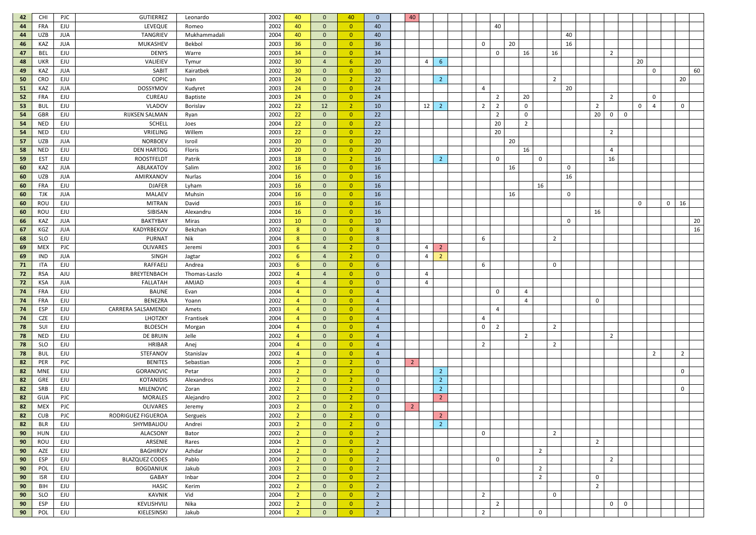| 42         | CHI               | PJC        | <b>GUTIERREZ</b>         | Leonardo        | 2002         | 40             | $\mathbf{0}$   | 40                      | $\overline{0}$ | 40             |                 |                |                |                |                |                |                |             |                |                |             |              |                |              |                |    |
|------------|-------------------|------------|--------------------------|-----------------|--------------|----------------|----------------|-------------------------|----------------|----------------|-----------------|----------------|----------------|----------------|----------------|----------------|----------------|-------------|----------------|----------------|-------------|--------------|----------------|--------------|----------------|----|
| 44         | <b>FRA</b>        | EJU        | LEVEQUE                  | Romeo           | 2002         | 40             | $\mathbf{0}$   | $\overline{0}$          | 40             |                |                 |                |                | 40             |                |                |                |             |                |                |             |              |                |              |                |    |
| 44         | <b>UZB</b>        | JUA        | <b>TANGRIEV</b>          | Mukhammadali    | 2004         | 40             | $\mathbf{0}$   | $\overline{0}$          | 40             |                |                 |                |                |                |                |                |                | 40          |                |                |             |              |                |              |                |    |
| 46         | KAZ               | JUA        | MUKASHEV                 | Bekbol          | 2003         | 36             | $\mathbf{0}$   | $\overline{0}$          | 36             |                |                 |                | 0              |                | 20             |                |                | 16          |                |                |             |              |                |              |                |    |
| 47         | <b>BEL</b>        | EJU        | <b>DENYS</b>             | Warre           | 2003         | 34             | $\mathbf{0}$   | $\overline{0}$          | 34             |                |                 |                |                | $\mathbf 0$    | 16             |                | 16             |             |                | $\overline{2}$ |             |              |                |              |                |    |
| 48         | <b>UKR</b>        | EJU        | VALIEIEV                 | Tymur           | 2002         | 30             | $\overline{4}$ | 6                       | 20             |                | $\overline{4}$  | 6              |                |                |                |                |                |             |                |                |             | 20           |                |              |                |    |
| 49         | KAZ               | JUA        | SABIT                    | Kairatbek       | 2002         | 30             | $\mathbf{0}$   | $\overline{0}$          | 30             |                |                 |                |                |                |                |                |                |             |                |                |             |              | 0              |              |                | 60 |
| 50         | CRO               | EJU        | <b>COPIC</b>             | Ivan            | 2003         | 24             | $\mathbf{0}$   | $\overline{2}$          | 22             |                |                 | $\overline{2}$ |                |                |                |                | $\overline{2}$ |             |                |                |             |              |                |              | 20             |    |
| 51         | KAZ               | JUA        | <b>DOSSYMOV</b>          |                 | 2003         | 24             | $\mathbf{0}$   | $\overline{0}$          | 24             |                |                 |                | $\overline{4}$ |                |                |                |                | 20          |                |                |             |              |                |              |                |    |
| 52         | <b>FRA</b>        | EJU        | CUREAU                   | Kudyret         | 2003         | 24             | $\mathbf{0}$   | $\overline{0}$          | 24             |                |                 |                |                |                | 20             |                |                |             |                | $\overline{2}$ |             |              | $\mathbf 0$    |              |                |    |
|            | <b>BUL</b>        |            | VLADOV                   | <b>Baptiste</b> |              |                | 12             | $\overline{2}$          |                |                | 12 <sup>1</sup> | $\overline{2}$ | $\overline{2}$ | 2<br>2         | 0              |                |                |             |                |                |             |              | $\overline{4}$ |              | $\mathbf 0$    |    |
| 53<br>54   |                   | EJU<br>EJU |                          | Borislav        | 2002         | 22<br>22       | $\mathbf{0}$   | $\overline{0}$          | 10<br>22       |                |                 |                |                | $\overline{2}$ | $\mathsf{o}$   |                |                |             | 2              | $\mathsf{O}$   | $\mathbf 0$ | $\mathbf{0}$ |                |              |                |    |
| 54         | GBR<br><b>NED</b> | EJU        | RIJKSEN SALMAN<br>SCHELL | Ryan            | 2002<br>2004 | 22             | $\mathbf{0}$   | $\overline{0}$          | 22             |                |                 |                |                | 20             | $\overline{2}$ |                |                |             | 20             |                |             |              |                |              |                |    |
|            |                   |            |                          | Joes            |              |                |                |                         |                |                |                 |                |                |                |                |                |                |             |                |                |             |              |                |              |                |    |
| 54         | <b>NED</b>        | EJU        | VRIELING                 | Willem          | 2003         | 22             | $\mathbf{0}$   | $\overline{0}$          | 22             |                |                 |                |                | 20             |                |                |                |             |                | $\overline{2}$ |             |              |                |              |                |    |
| 57         | <b>UZB</b>        | JUA        | <b>NORBOEV</b>           | Isroil          | 2003         | 20             | $\mathbf{0}$   | $\overline{0}$          | 20             |                |                 |                |                |                | 20             |                |                |             |                |                |             |              |                |              |                |    |
| 58         | <b>NED</b>        | EJU        | <b>DEN HARTOG</b>        | Floris          | 2004         | 20             | $\mathbf{0}$   | $\overline{0}$          | 20             |                |                 |                |                |                | 16             |                |                |             |                | $\overline{4}$ |             |              |                |              |                |    |
| 59         | <b>EST</b>        | EJU        | ROOSTFELDT               | Patrik          | 2003         | 18             | $\mathbf{0}$   | $\overline{2}$          | 16             |                |                 | $\overline{2}$ |                | $\mathbf{0}$   |                | 0              |                |             |                | 16             |             |              |                |              |                |    |
| 60         | KAZ               | JUA        | ABLAKATOV                | Salim           | 2002         | 16             | $\mathbf{0}$   | $\overline{0}$          | 16             |                |                 |                |                |                | 16             |                |                | $\mathbf 0$ |                |                |             |              |                |              |                |    |
| 60         | <b>UZB</b>        | JUA        | AMIRXANOV                | Nurlas          | 2004         | 16             | $\mathbf{0}$   | $\overline{0}$          | 16             |                |                 |                |                |                |                |                |                | 16          |                |                |             |              |                |              |                |    |
| 60         | FRA               | EJU        | <b>DJAFER</b>            | Lyham           | 2003         | 16             | $\mathbf{0}$   | $\overline{0}$          | 16             |                |                 |                |                |                |                | 16             |                |             |                |                |             |              |                |              |                |    |
| 60         | <b>TJK</b>        | <b>JUA</b> | MALAEV                   | Muhsin          | 2004         | 16             | $\mathbf{0}$   | $\overline{0}$          | 16             |                |                 |                |                |                | 16             |                |                | 0           |                |                |             |              |                |              |                |    |
| 60         | ROU               | EJU        | <b>MITRAN</b>            | David           | 2003         | 16             | $\mathbf{0}$   | $\overline{0}$          | 16             |                |                 |                |                |                |                |                |                |             |                |                |             | 0            |                | $\mathbf{0}$ | 16             |    |
| 60         | ROU               | EJU        | SIBISAN                  | Alexandru       | 2004         | 16             | $\mathbf{0}$   | $\overline{0}$          | 16             |                |                 |                |                |                |                |                |                |             | 16             |                |             |              |                |              |                |    |
| 66         | KAZ               | JUA        | <b>BAKTYBAY</b>          | Miras           | 2003         | 10             | $\mathbf{0}$   | $\overline{0}$          | 10             |                |                 |                |                |                |                |                |                | 0           |                |                |             |              |                |              |                | 20 |
| 67         | KGZ               | JUA        | KADYRBEKOV               | Bekzhan         | 2002         | 8              | $\mathbf{0}$   | $\overline{0}$          | 8              |                |                 |                |                |                |                |                |                |             |                |                |             |              |                |              |                | 16 |
| 68         | <b>SLO</b>        | EJU        | <b>PURNAT</b>            | Nik             | 2004         | 8              | $\mathbf{0}$   | $\overline{0}$          | 8              |                |                 |                | 6              |                |                |                | $\overline{2}$ |             |                |                |             |              |                |              |                |    |
| 69         | <b>MEX</b>        | PJC        | OLIVARES                 | Jeremi          | 2003         | 6              | $\overline{4}$ | $\overline{2}$          | $\mathbf{0}$   |                | $\overline{4}$  | $\overline{2}$ |                |                |                |                |                |             |                |                |             |              |                |              |                |    |
| 69         | <b>IND</b>        | JUA        | <b>SINGH</b>             | Jagtar          | 2002         | 6              | $\overline{4}$ | $\overline{2}$          | $\mathbf{0}$   |                | $\overline{4}$  | $\overline{2}$ |                |                |                |                |                |             |                |                |             |              |                |              |                |    |
| 71         | <b>ITA</b>        | EJU        | RAFFAELI                 | Andrea          | 2003         | 6              | $\mathbf{0}$   | $\overline{0}$          | 6              |                |                 |                | 6              |                |                |                | $\mathbf 0$    |             |                |                |             |              |                |              |                |    |
| 72         | <b>RSA</b>        | AJU        | BREYTENBACH              | Thomas-Laszlo   | 2002         | $\overline{4}$ | $\overline{4}$ | $\overline{0}$          | $\mathbf{0}$   |                | $\overline{4}$  |                |                |                |                |                |                |             |                |                |             |              |                |              |                |    |
| 72         | <b>KSA</b>        | JUA        | <b>FALLATAH</b>          | AMJAD           | 2003         | $\overline{4}$ | $\overline{4}$ | $\overline{0}$          | $\mathbf{0}$   |                | $\overline{4}$  |                |                |                |                |                |                |             |                |                |             |              |                |              |                |    |
| 74         | FRA               | EJU        | <b>BAUNE</b>             | Evan            | 2004         | $\overline{4}$ | $\mathbf{0}$   | $\overline{\mathbf{0}}$ | $\overline{4}$ |                |                 |                |                | $\mathbf 0$    | 4              |                |                |             |                |                |             |              |                |              |                |    |
| 74         | FRA               | EJU        | <b>BENEZRA</b>           | Yoann           | 2002         | $\overline{4}$ | $\mathbf{0}$   | $\overline{0}$          | $\overline{4}$ |                |                 |                |                |                | $\overline{4}$ |                |                |             | 0              |                |             |              |                |              |                |    |
| 74         | ESP               | EJU        | CARRERA SALSAMENDI       | Amets           | 2003         | $\overline{4}$ | $\mathbf{0}$   | $\overline{0}$          | $\overline{4}$ |                |                 |                |                | $\overline{4}$ |                |                |                |             |                |                |             |              |                |              |                |    |
| 74         | <b>CZE</b>        | EJU        | LHOTZKY                  | Frantisek       | 2004         | $\overline{4}$ | $\mathbf{0}$   | $\overline{0}$          | $\overline{4}$ |                |                 |                | $\overline{4}$ |                |                |                |                |             |                |                |             |              |                |              |                |    |
| 78         | SUI               | EJU        | <b>BLOESCH</b>           | Morgan          | 2004         | $\overline{4}$ | $\mathbf{0}$   | $\overline{0}$          | $\overline{4}$ |                |                 |                | $\mathbf 0$    | $\overline{2}$ |                |                | $\overline{2}$ |             |                |                |             |              |                |              |                |    |
| 78         | <b>NED</b>        | EJU        | <b>DE BRUIN</b>          | Jelle           | 2002         | $\overline{4}$ | $\mathbf{0}$   | $\overline{0}$          | $\overline{4}$ |                |                 |                |                |                | $\overline{2}$ |                |                |             |                | $\overline{2}$ |             |              |                |              |                |    |
| 78         | <b>SLO</b>        | EJU        | <b>HRIBAR</b>            | Anej            | 2004         | $\overline{4}$ | $\mathbf{0}$   | $\overline{0}$          | $\overline{4}$ |                |                 |                | $\overline{2}$ |                |                |                | $\overline{2}$ |             |                |                |             |              |                |              |                |    |
| 78         | <b>BUL</b>        | EJU        | <b>STEFANOV</b>          | Stanislav       | 2002         | $\overline{4}$ | $\mathbf{0}$   | $\overline{0}$          | $\overline{4}$ |                |                 |                |                |                |                |                |                |             |                |                |             |              | $\overline{2}$ |              | $\overline{2}$ |    |
| 82         | PER               | <b>PJC</b> | <b>BENITES</b>           | Sebastian       | 2006         | $2^{\circ}$    | $\mathbf{0}$   | $\overline{2}$          | $\mathbf{0}$   | $\overline{2}$ |                 |                |                |                |                |                |                |             |                |                |             |              |                |              |                |    |
| 82         | <b>MNE</b>        | EJU        | GORANOVIC                | Petar           | 2003         | $\overline{2}$ | $\mathbf{0}$   | $\overline{2}$          | $\mathbf{0}$   |                |                 | $\overline{2}$ |                |                |                |                |                |             |                |                |             |              |                |              | $\mathbf 0$    |    |
| 82         | GRE               | EJU        | <b>KOTANIDIS</b>         | Alexandros      | 2002         | $\overline{2}$ | $\mathbf{0}$   | $\overline{2}$          | $\mathbf{0}$   |                |                 | $\overline{2}$ |                |                |                |                |                |             |                |                |             |              |                |              |                |    |
| 82         | SRB               | EJU        | MILENOVIC                | Zoran           | 2002         | $2^{\circ}$    | $\mathbf{0}$   | $\overline{2}$          | $\mathbf{0}$   |                |                 | $\overline{2}$ |                |                |                |                |                |             |                |                |             |              |                |              | $\mathbf 0$    |    |
| 82         | <b>GUA</b>        | PJC        | <b>MORALES</b>           | Alejandro       | 2002         | $\overline{2}$ | $\mathbf{0}$   | $\overline{2}$          | $\mathbf{0}$   |                |                 | $\overline{2}$ |                |                |                |                |                |             |                |                |             |              |                |              |                |    |
| 82         | <b>MEX</b>        | PJC        | OLIVARES                 | Jeremy          | 2003         | $2^{\circ}$    | $\mathbf{0}$   | $\overline{2}$          | $\mathbf 0$    | $\overline{2}$ |                 |                |                |                |                |                |                |             |                |                |             |              |                |              |                |    |
| ${\bf 82}$ | CUB               | PJC        | RODRIGUEZ FIGUEROA       | Sergueis        | 2002         | $\overline{2}$ | $\mathbf 0$    | $\overline{2}$          | $\mathbf 0$    |                |                 | $\overline{2}$ |                |                |                |                |                |             |                |                |             |              |                |              |                |    |
| 82         | <b>BLR</b>        | EJU        | SHYMBALIOU               | Andrei          | 2003         | $2^{\circ}$    | $\mathbf{0}$   | $\overline{2}$          | $\mathbf{0}$   |                |                 | $\overline{2}$ |                |                |                |                |                |             |                |                |             |              |                |              |                |    |
| 90         | <b>HUN</b>        | EJU        | ALACSONY                 | Bator           | 2002         | $\overline{2}$ | $\mathbf{0}$   | $\overline{0}$          | $\overline{2}$ |                |                 |                | $\mathbf 0$    |                |                |                | $\overline{2}$ |             |                |                |             |              |                |              |                |    |
| 90         | ROU               | EJU        | ARSENIE                  | Rares           | 2004         | $\overline{2}$ | $\mathbf{0}$   | $\overline{0}$          | $\overline{2}$ |                |                 |                |                |                |                |                |                |             | 2              |                |             |              |                |              |                |    |
| 90         | AZE               | EJU        | <b>BAGHIROV</b>          | Azhdar          | 2004         | $2^{\circ}$    | $\mathbf{0}$   | $\overline{0}$          | $\overline{2}$ |                |                 |                |                |                |                | 2              |                |             |                |                |             |              |                |              |                |    |
| 90         | ESP               | EJU        | <b>BLAZQUEZ CODES</b>    | Pablo           | 2004         | 2 <sup>1</sup> | $\mathbf{0}$   | $\overline{0}$          | $\overline{2}$ |                |                 |                |                | $\overline{0}$ |                |                |                |             |                | $\overline{2}$ |             |              |                |              |                |    |
| 90         | POL               | EJU        | <b>BOGDANIUK</b>         | Jakub           | 2003         | $\overline{2}$ | $\mathbf{0}$   | $\overline{0}$          | $\overline{2}$ |                |                 |                |                |                |                | $\overline{2}$ |                |             |                |                |             |              |                |              |                |    |
| 90         | <b>ISR</b>        | EJU        | GABAY                    | Inbar           | 2004         | $\overline{2}$ | $\mathbf{0}$   | $\overline{0}$          | $\overline{2}$ |                |                 |                |                |                |                | $\overline{2}$ |                |             | 0              |                |             |              |                |              |                |    |
| 90         | BIH               | EJU        | <b>HASIC</b>             | Kerim           | 2002         | $\overline{2}$ | $\mathbf{0}$   | $\overline{0}$          | $\overline{2}$ |                |                 |                |                |                |                |                |                |             | $\overline{2}$ |                |             |              |                |              |                |    |
| 90         | SLO               | EJU        | <b>KAVNIK</b>            | Vid             | 2004         | $\overline{2}$ | $\mathbf{0}$   | $\overline{0}$          | $\overline{2}$ |                |                 |                | $\overline{2}$ |                |                |                | $\mathbf 0$    |             |                |                |             |              |                |              |                |    |
| 90         | ESP               | EJU        | KEVLISHVILI              | Nika            | 2002         | $\overline{2}$ | $\mathbf{0}$   | $\overline{0}$          | $\overline{2}$ |                |                 |                |                | $\overline{2}$ |                |                |                |             |                | $\mathbf{0}$   | $\mathbf 0$ |              |                |              |                |    |
| 90         | POL               | EJU        | KIELESINSKI              | Jakub           | 2004         | 2 <sup>2</sup> | $\mathbf{0}$   | $\overline{0}$          | $\overline{2}$ |                |                 |                | $\overline{2}$ |                |                | $\mathbf 0$    |                |             |                |                |             |              |                |              |                |    |
|            |                   |            |                          |                 |              |                |                |                         |                |                |                 |                |                |                |                |                |                |             |                |                |             |              |                |              |                |    |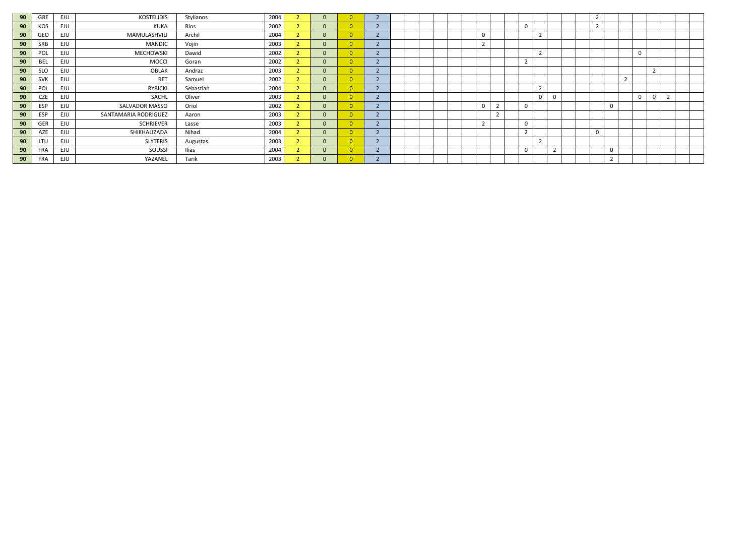| 90 | GRE        | EJU | <b>KOSTELIDIS</b>    | Stylianos | 2004 |  |    |  |  |  |               |                    |              |                               |                |   |                    |             |                |                          |  |
|----|------------|-----|----------------------|-----------|------|--|----|--|--|--|---------------|--------------------|--------------|-------------------------------|----------------|---|--------------------|-------------|----------------|--------------------------|--|
| 90 | KOS        | EJU | <b>KUKA</b>          | Rios      | 2002 |  |    |  |  |  |               |                    | $\mathbf 0$  |                               |                |   |                    |             |                |                          |  |
| 90 | GEO        | EJU | MAMULASHVILI         | Archil    | 2004 |  |    |  |  |  | $\mathbf 0$   |                    |              | $\sim$                        |                |   |                    |             |                |                          |  |
| 90 | SRB        | EJU | <b>MANDIC</b>        | Vojin     | 2003 |  |    |  |  |  | $\mathcal{D}$ |                    |              |                               |                |   |                    |             |                |                          |  |
| 90 | POL        | EJU | <b>MECHOWSKI</b>     | Dawid     | 2002 |  |    |  |  |  |               |                    |              | $\sim$                        |                |   |                    | $\mathbf 0$ |                |                          |  |
| 90 | <b>BEL</b> | EJU | <b>MOCCI</b>         | Goran     | 2002 |  |    |  |  |  |               |                    | ∠            |                               |                |   |                    |             |                |                          |  |
| 90 | <b>SLO</b> | EJU | OBLAK                | Andraz    | 2003 |  |    |  |  |  |               |                    |              |                               |                |   |                    |             | $\overline{2}$ |                          |  |
| 90 | <b>SVK</b> | EJU | <b>RET</b>           | Samuel    | 2002 |  |    |  |  |  |               |                    |              |                               |                |   | $\mathcal{L}$<br>∠ |             |                |                          |  |
| 90 | POL        | EJU | <b>RYBICKI</b>       | Sebastian | 2004 |  | -0 |  |  |  |               |                    |              | $\overline{\phantom{a}}$<br>∠ |                |   |                    |             |                |                          |  |
| 90 | <b>CZE</b> | EJU | SACHL                | Oliver    | 2003 |  |    |  |  |  |               |                    |              | 0                             |                |   |                    | $\mathbf 0$ | $\mathbf 0$    | $\overline{\phantom{a}}$ |  |
| 90 | ESP        | EJU | SALVADOR MASSO       | Oriol     | 2002 |  |    |  |  |  | $\mathbf 0$   |                    | $\mathbf{0}$ |                               |                |   |                    |             |                |                          |  |
| 90 | ESP        | EJU | SANTAMARIA RODRIGUEZ | Aaron     | 2003 |  | -0 |  |  |  |               | $\mathbf{\hat{z}}$ |              |                               |                |   |                    |             |                |                          |  |
| 90 | GER        | EJU | <b>SCHRIEVER</b>     | Lasse     | 2003 |  |    |  |  |  | $\mathcal{D}$ |                    | $\mathbf{0}$ |                               |                |   |                    |             |                |                          |  |
| 90 | AZE        | EJU | SHIKHALIZADA         | Nihad     | 2004 |  |    |  |  |  |               |                    | $\mathbf{r}$ |                               |                | 0 |                    |             |                |                          |  |
| 90 | LTU        | EJU | <b>SLYTERIS</b>      | Augustas  | 2003 |  |    |  |  |  |               |                    |              | $\overline{\phantom{a}}$<br>∠ |                |   |                    |             |                |                          |  |
| 90 | <b>FRA</b> | EJU | SOUSSI               | Ilias     | 2004 |  |    |  |  |  |               |                    | $\mathbf 0$  |                               | $\overline{ }$ |   |                    |             |                |                          |  |
| 90 | FRA        | EJU | YAZANEL              | Tarik     | 2003 |  |    |  |  |  |               |                    |              |                               |                |   |                    |             |                |                          |  |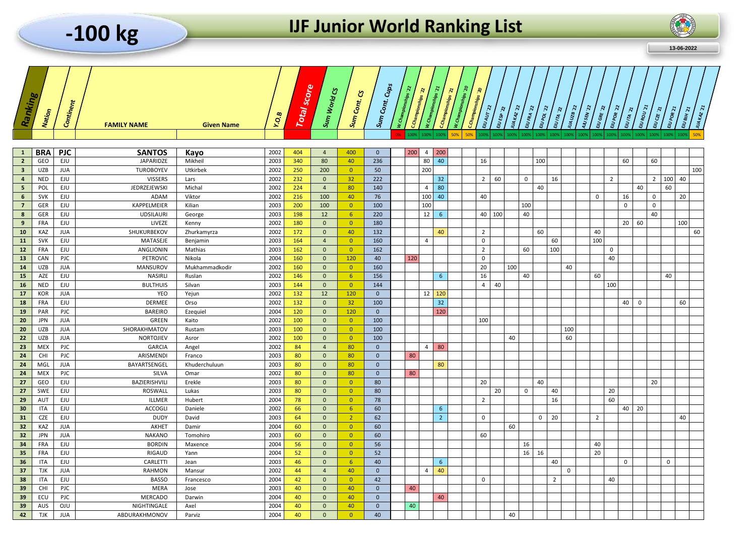



| <b>PJC</b><br><b>BRA</b><br><b>SANTOS</b><br>2002<br>$\mathbf{1}$<br>Kayo<br>404<br>$\overline{4}$<br>400<br>$\overline{0}$<br>200<br>$\overline{4}$<br>200<br>2003<br>80<br>40<br>$\overline{2}$<br>GEO<br>JAPARIDZE<br>340<br>80<br>40<br>236<br>16<br>100<br>60<br>60<br>EJU<br>Mikheil<br>2002<br>200<br>$\overline{\mathbf{3}}$<br><b>UZB</b><br><b>TUROBOYEV</b><br>250<br>200<br>$\overline{0}$<br>50<br><b>JUA</b><br>Utkirbek<br><b>VISSERS</b><br>2002<br>32 <sub>2</sub><br>222<br>$\overline{4}$<br><b>NED</b><br>EJU<br>232<br>$\mathbf{0}$<br>32<br>$\overline{2}$<br>60<br>$\mathbf 0$<br>16<br>$\overline{2}$<br>2 100<br>Lars<br>2002<br>80<br>80<br>60<br>$5\phantom{.0}$<br>POL<br>EJU<br>JEDRZEJEWSKI<br>Michal<br>224<br>$\overline{4}$<br>140<br>$\overline{4}$<br>40<br>40<br>$6\phantom{1}$<br>2002<br>40<br>76<br>40<br><b>SVK</b><br>ADAM<br>216<br>100<br>100<br>40<br>16<br>$\mathbf 0$<br>EJU<br>Viktor<br>$\mathbf 0$<br>$\overline{7}$<br>GER<br>KAPPELMEIER<br>2003<br>100<br>100<br>100<br>$\mathbf 0$<br>EJU<br>Kilian<br>200<br>100<br>$\overline{0}$<br>$\mathbf 0$<br>6 <sup>°</sup><br>$\boldsymbol{8}$<br>GER<br><b>UDSILAURI</b><br>2003<br>198<br>12<br>220<br>12<br>40<br>40<br>EJU<br>6<br>100<br>40<br>George<br>9<br>2002<br>$\mathbf{0}$<br>$\overline{0}$<br>180<br>60<br>FRA<br>EJU<br>LIVEZE<br>180<br>20<br>Kenny<br>${\bf 10}$<br>2002<br>40<br>SHUKURBEKOV<br>$\mathbf{0}$<br>132<br>60<br>KAZ<br><b>JUA</b><br>Zhurkamyrza<br>172<br>40<br>$\overline{2}$<br>40<br>11<br>2003<br>100<br><b>SVK</b><br>EJU<br>164<br>$\overline{4}$<br>$\overline{0}$<br>160<br>$\overline{4}$<br>0<br>60<br>MATASEJE<br>Benjamin<br>$12$<br>2003<br>$\overline{0}$<br>$\overline{2}$<br>60<br>FRA<br>EJU<br>162<br>$\mathbf{0}$<br>162<br>100<br>$\mathsf 0$<br>ANGLIONIN<br>Mathias<br>13<br>CAN<br><b>PJC</b><br>PETROVIC<br>2004<br>160<br>$\mathbf{0}$<br>120<br>40<br>120<br>$\mathsf{O}$<br>40<br>Nikola | EJU POR'ZZ<br>EJU BIH 21<br>Ñ<br>JUA KAZ<br>50% |
|-----------------------------------------------------------------------------------------------------------------------------------------------------------------------------------------------------------------------------------------------------------------------------------------------------------------------------------------------------------------------------------------------------------------------------------------------------------------------------------------------------------------------------------------------------------------------------------------------------------------------------------------------------------------------------------------------------------------------------------------------------------------------------------------------------------------------------------------------------------------------------------------------------------------------------------------------------------------------------------------------------------------------------------------------------------------------------------------------------------------------------------------------------------------------------------------------------------------------------------------------------------------------------------------------------------------------------------------------------------------------------------------------------------------------------------------------------------------------------------------------------------------------------------------------------------------------------------------------------------------------------------------------------------------------------------------------------------------------------------------------------------------------------------------------------------------------------------------------------------------------------------------------------------------------------------------------------|-------------------------------------------------|
|                                                                                                                                                                                                                                                                                                                                                                                                                                                                                                                                                                                                                                                                                                                                                                                                                                                                                                                                                                                                                                                                                                                                                                                                                                                                                                                                                                                                                                                                                                                                                                                                                                                                                                                                                                                                                                                                                                                                                     |                                                 |
|                                                                                                                                                                                                                                                                                                                                                                                                                                                                                                                                                                                                                                                                                                                                                                                                                                                                                                                                                                                                                                                                                                                                                                                                                                                                                                                                                                                                                                                                                                                                                                                                                                                                                                                                                                                                                                                                                                                                                     |                                                 |
|                                                                                                                                                                                                                                                                                                                                                                                                                                                                                                                                                                                                                                                                                                                                                                                                                                                                                                                                                                                                                                                                                                                                                                                                                                                                                                                                                                                                                                                                                                                                                                                                                                                                                                                                                                                                                                                                                                                                                     | 100                                             |
|                                                                                                                                                                                                                                                                                                                                                                                                                                                                                                                                                                                                                                                                                                                                                                                                                                                                                                                                                                                                                                                                                                                                                                                                                                                                                                                                                                                                                                                                                                                                                                                                                                                                                                                                                                                                                                                                                                                                                     | 40                                              |
|                                                                                                                                                                                                                                                                                                                                                                                                                                                                                                                                                                                                                                                                                                                                                                                                                                                                                                                                                                                                                                                                                                                                                                                                                                                                                                                                                                                                                                                                                                                                                                                                                                                                                                                                                                                                                                                                                                                                                     |                                                 |
|                                                                                                                                                                                                                                                                                                                                                                                                                                                                                                                                                                                                                                                                                                                                                                                                                                                                                                                                                                                                                                                                                                                                                                                                                                                                                                                                                                                                                                                                                                                                                                                                                                                                                                                                                                                                                                                                                                                                                     | 20                                              |
|                                                                                                                                                                                                                                                                                                                                                                                                                                                                                                                                                                                                                                                                                                                                                                                                                                                                                                                                                                                                                                                                                                                                                                                                                                                                                                                                                                                                                                                                                                                                                                                                                                                                                                                                                                                                                                                                                                                                                     |                                                 |
|                                                                                                                                                                                                                                                                                                                                                                                                                                                                                                                                                                                                                                                                                                                                                                                                                                                                                                                                                                                                                                                                                                                                                                                                                                                                                                                                                                                                                                                                                                                                                                                                                                                                                                                                                                                                                                                                                                                                                     |                                                 |
|                                                                                                                                                                                                                                                                                                                                                                                                                                                                                                                                                                                                                                                                                                                                                                                                                                                                                                                                                                                                                                                                                                                                                                                                                                                                                                                                                                                                                                                                                                                                                                                                                                                                                                                                                                                                                                                                                                                                                     | 100                                             |
|                                                                                                                                                                                                                                                                                                                                                                                                                                                                                                                                                                                                                                                                                                                                                                                                                                                                                                                                                                                                                                                                                                                                                                                                                                                                                                                                                                                                                                                                                                                                                                                                                                                                                                                                                                                                                                                                                                                                                     | 60                                              |
|                                                                                                                                                                                                                                                                                                                                                                                                                                                                                                                                                                                                                                                                                                                                                                                                                                                                                                                                                                                                                                                                                                                                                                                                                                                                                                                                                                                                                                                                                                                                                                                                                                                                                                                                                                                                                                                                                                                                                     |                                                 |
|                                                                                                                                                                                                                                                                                                                                                                                                                                                                                                                                                                                                                                                                                                                                                                                                                                                                                                                                                                                                                                                                                                                                                                                                                                                                                                                                                                                                                                                                                                                                                                                                                                                                                                                                                                                                                                                                                                                                                     |                                                 |
|                                                                                                                                                                                                                                                                                                                                                                                                                                                                                                                                                                                                                                                                                                                                                                                                                                                                                                                                                                                                                                                                                                                                                                                                                                                                                                                                                                                                                                                                                                                                                                                                                                                                                                                                                                                                                                                                                                                                                     |                                                 |
| 2002<br>20<br>14<br><b>UZB</b><br>MANSUROV<br>Mukhammadkodir<br>160<br>$\mathbf{0}$<br>$\overline{0}$<br>160<br>100<br>40<br><b>JUA</b><br>6 <sup>°</sup><br>60                                                                                                                                                                                                                                                                                                                                                                                                                                                                                                                                                                                                                                                                                                                                                                                                                                                                                                                                                                                                                                                                                                                                                                                                                                                                                                                                                                                                                                                                                                                                                                                                                                                                                                                                                                                     |                                                 |
| 2002<br>156<br>16<br>15<br>AZE<br><b>EJU</b><br><b>NASIRLI</b><br>146<br>$\overline{0}$<br>40<br>40<br>Ruslan<br>6<br>$\overline{4}$<br>16<br>$\overline{0}$<br>$\overline{0}$<br>100                                                                                                                                                                                                                                                                                                                                                                                                                                                                                                                                                                                                                                                                                                                                                                                                                                                                                                                                                                                                                                                                                                                                                                                                                                                                                                                                                                                                                                                                                                                                                                                                                                                                                                                                                               |                                                 |
| 2003<br><b>NED</b><br>EJU<br><b>BULTHUIS</b><br>Silvan<br>144<br>144<br>40<br>17<br><b>KOR</b><br>YEO<br>2002<br>12<br>120                                                                                                                                                                                                                                                                                                                                                                                                                                                                                                                                                                                                                                                                                                                                                                                                                                                                                                                                                                                                                                                                                                                                                                                                                                                                                                                                                                                                                                                                                                                                                                                                                                                                                                                                                                                                                          |                                                 |
| <b>JUA</b><br>132<br>$\overline{0}$<br>12<br>120<br>Yejun<br>18<br><b>DERMEE</b><br>2002<br>132<br>$\mathbf{0}$<br>32 <sup>°</sup><br>100<br>32<br>40<br>$\mathbf 0$                                                                                                                                                                                                                                                                                                                                                                                                                                                                                                                                                                                                                                                                                                                                                                                                                                                                                                                                                                                                                                                                                                                                                                                                                                                                                                                                                                                                                                                                                                                                                                                                                                                                                                                                                                                | 60                                              |
| FRA<br>EJU<br>Orso<br>2004<br>19<br><b>BAREIRO</b><br>$\overline{0}$<br>120<br>$\mathbf{0}$<br>120<br>PAR                                                                                                                                                                                                                                                                                                                                                                                                                                                                                                                                                                                                                                                                                                                                                                                                                                                                                                                                                                                                                                                                                                                                                                                                                                                                                                                                                                                                                                                                                                                                                                                                                                                                                                                                                                                                                                           |                                                 |
| PJC<br>120<br>Ezequiel                                                                                                                                                                                                                                                                                                                                                                                                                                                                                                                                                                                                                                                                                                                                                                                                                                                                                                                                                                                                                                                                                                                                                                                                                                                                                                                                                                                                                                                                                                                                                                                                                                                                                                                                                                                                                                                                                                                              |                                                 |
| 20<br>GREEN<br>2002<br><b>JPN</b><br><b>JUA</b><br>100<br>$\mathbf{0}$<br>$\overline{0}$<br>100<br>100<br>Kaito<br>$\overline{0}$<br>$\mathbf{0}$<br>100<br>100                                                                                                                                                                                                                                                                                                                                                                                                                                                                                                                                                                                                                                                                                                                                                                                                                                                                                                                                                                                                                                                                                                                                                                                                                                                                                                                                                                                                                                                                                                                                                                                                                                                                                                                                                                                     |                                                 |
| 20<br>SHORAKHMATOV<br>2003<br><b>UZB</b><br><b>JUA</b><br>100<br>Rustam<br>60<br>22<br>UZB<br>2002<br>$\mathbf{0}$<br>$\overline{0}$<br>40                                                                                                                                                                                                                                                                                                                                                                                                                                                                                                                                                                                                                                                                                                                                                                                                                                                                                                                                                                                                                                                                                                                                                                                                                                                                                                                                                                                                                                                                                                                                                                                                                                                                                                                                                                                                          |                                                 |
| <b>JUA</b><br>NORTOJIEV<br>100<br>100<br>Asror<br>23<br>MEX<br><b>GARCIA</b><br>2002<br>84<br>$\overline{4}$<br>80<br>80<br>PJC<br>Angel<br>$\mathbf{0}$<br>$\overline{4}$                                                                                                                                                                                                                                                                                                                                                                                                                                                                                                                                                                                                                                                                                                                                                                                                                                                                                                                                                                                                                                                                                                                                                                                                                                                                                                                                                                                                                                                                                                                                                                                                                                                                                                                                                                          |                                                 |
| 24<br>CHI<br>PJC<br>ARISMENDI<br>2003<br>$\mathbf{0}$<br>80<br>80<br>80<br>$\overline{0}$                                                                                                                                                                                                                                                                                                                                                                                                                                                                                                                                                                                                                                                                                                                                                                                                                                                                                                                                                                                                                                                                                                                                                                                                                                                                                                                                                                                                                                                                                                                                                                                                                                                                                                                                                                                                                                                           |                                                 |
| Franco<br>24<br>MGL<br>2003<br>80<br><b>JUA</b><br>BAYARTSENGEL<br>80<br>$\overline{0}$<br>80<br>Khuderchuluun<br>$\overline{0}$                                                                                                                                                                                                                                                                                                                                                                                                                                                                                                                                                                                                                                                                                                                                                                                                                                                                                                                                                                                                                                                                                                                                                                                                                                                                                                                                                                                                                                                                                                                                                                                                                                                                                                                                                                                                                    |                                                 |
| 2002<br>24<br><b>MEX</b><br>PJC<br>SILVA<br>$\mathbf{0}$<br>80<br>$\mathbf{0}$<br>80<br>80<br>Omar                                                                                                                                                                                                                                                                                                                                                                                                                                                                                                                                                                                                                                                                                                                                                                                                                                                                                                                                                                                                                                                                                                                                                                                                                                                                                                                                                                                                                                                                                                                                                                                                                                                                                                                                                                                                                                                  |                                                 |
| 27<br>2003<br>GEO<br>EJU<br>BAZIERISHVILI<br>Erekle<br>80<br>$\mathbf{0}$<br>$\overline{0}$<br>80<br>20<br>40<br>20                                                                                                                                                                                                                                                                                                                                                                                                                                                                                                                                                                                                                                                                                                                                                                                                                                                                                                                                                                                                                                                                                                                                                                                                                                                                                                                                                                                                                                                                                                                                                                                                                                                                                                                                                                                                                                 |                                                 |
| 27<br><b>ROSWALL</b><br>2003<br>$\mathbf{0}$<br>$\overline{0}$<br>80<br>SWE<br>EJU<br>Lukas<br>80<br>20<br>$\mathbf 0$<br>40<br>20                                                                                                                                                                                                                                                                                                                                                                                                                                                                                                                                                                                                                                                                                                                                                                                                                                                                                                                                                                                                                                                                                                                                                                                                                                                                                                                                                                                                                                                                                                                                                                                                                                                                                                                                                                                                                  |                                                 |
| 29<br>2004<br>16<br>60<br><b>AUT</b><br>EJU<br><b>ILLMER</b><br>Hubert<br>78<br>$\mathbf{0}$<br>$\overline{0}$<br>78<br>$\overline{2}$                                                                                                                                                                                                                                                                                                                                                                                                                                                                                                                                                                                                                                                                                                                                                                                                                                                                                                                                                                                                                                                                                                                                                                                                                                                                                                                                                                                                                                                                                                                                                                                                                                                                                                                                                                                                              |                                                 |
| 30<br>2002<br>6 <sup>1</sup><br><b>ITA</b><br><b>ACCOGLI</b><br>$\overline{0}$<br>40 l<br>20<br>EJU<br>Daniele<br>66<br>60<br>6                                                                                                                                                                                                                                                                                                                                                                                                                                                                                                                                                                                                                                                                                                                                                                                                                                                                                                                                                                                                                                                                                                                                                                                                                                                                                                                                                                                                                                                                                                                                                                                                                                                                                                                                                                                                                     |                                                 |
| 31<br>2003<br>20<br>CZE<br>EJU<br><b>DUDY</b><br>64<br>$\mathbf{0}$<br>$\overline{2}$<br>62<br>$\overline{2}$<br>$\mathbf 0$<br>$\mathbf{0}$<br>$\overline{2}$<br>David                                                                                                                                                                                                                                                                                                                                                                                                                                                                                                                                                                                                                                                                                                                                                                                                                                                                                                                                                                                                                                                                                                                                                                                                                                                                                                                                                                                                                                                                                                                                                                                                                                                                                                                                                                             | 40                                              |
| 32<br>KAZ<br>2004<br>60<br>$\mathbf{0}$<br>$\overline{0}$<br>60<br><b>JUA</b><br><b>AKHET</b><br>60<br>Damir                                                                                                                                                                                                                                                                                                                                                                                                                                                                                                                                                                                                                                                                                                                                                                                                                                                                                                                                                                                                                                                                                                                                                                                                                                                                                                                                                                                                                                                                                                                                                                                                                                                                                                                                                                                                                                        |                                                 |
| <b>JPN</b><br><b>NAKANO</b><br>2003<br>$\overline{0}$<br>60<br>32<br><b>JUA</b><br>Tomohiro<br>60<br>$\mathbf{0}$<br>60                                                                                                                                                                                                                                                                                                                                                                                                                                                                                                                                                                                                                                                                                                                                                                                                                                                                                                                                                                                                                                                                                                                                                                                                                                                                                                                                                                                                                                                                                                                                                                                                                                                                                                                                                                                                                             |                                                 |
| 34<br>FRA<br><b>BORDIN</b><br>2004<br>$\mathbf{0}$<br>$\overline{0}$<br>56<br>EJU<br>Maxence<br>56<br>16<br>40                                                                                                                                                                                                                                                                                                                                                                                                                                                                                                                                                                                                                                                                                                                                                                                                                                                                                                                                                                                                                                                                                                                                                                                                                                                                                                                                                                                                                                                                                                                                                                                                                                                                                                                                                                                                                                      |                                                 |
| 20<br>35<br>FRA<br>2004<br>$\overline{0}$<br>52<br>16<br>16<br>EJU<br><b>RIGAUD</b><br>52<br>$\mathbf{0}$<br>Yann                                                                                                                                                                                                                                                                                                                                                                                                                                                                                                                                                                                                                                                                                                                                                                                                                                                                                                                                                                                                                                                                                                                                                                                                                                                                                                                                                                                                                                                                                                                                                                                                                                                                                                                                                                                                                                   |                                                 |
| 36<br>40<br><b>ITA</b><br>EJU<br>CARLETTI<br>2003<br>46<br>$\mathbf{0}$<br>6 <sup>1</sup><br>6<br>$\mathbf 0$<br>$\mathbf 0$<br>40<br>Jean                                                                                                                                                                                                                                                                                                                                                                                                                                                                                                                                                                                                                                                                                                                                                                                                                                                                                                                                                                                                                                                                                                                                                                                                                                                                                                                                                                                                                                                                                                                                                                                                                                                                                                                                                                                                          |                                                 |
| 37<br>2002<br>40<br><b>TJK</b><br>JUA<br><b>RAHMON</b><br>44<br>$\overline{4}$<br>$\mathbf{0}$<br>40<br>$\mathbf 0$<br>Mansur<br>$\overline{4}$                                                                                                                                                                                                                                                                                                                                                                                                                                                                                                                                                                                                                                                                                                                                                                                                                                                                                                                                                                                                                                                                                                                                                                                                                                                                                                                                                                                                                                                                                                                                                                                                                                                                                                                                                                                                     |                                                 |
| 38<br><b>ITA</b><br>EJU<br><b>BASSO</b><br>2004<br>42<br>$\mathbf{0}$<br>$\overline{0}$<br>42<br>$\mathbf 0$<br>$\overline{2}$<br>40<br>Francesco                                                                                                                                                                                                                                                                                                                                                                                                                                                                                                                                                                                                                                                                                                                                                                                                                                                                                                                                                                                                                                                                                                                                                                                                                                                                                                                                                                                                                                                                                                                                                                                                                                                                                                                                                                                                   |                                                 |
| 39<br><b>MERA</b><br>2003<br>40<br>CHI<br>PJC<br>40<br>$\overline{0}$<br>$\mathbf{0}$<br>Jose<br>40                                                                                                                                                                                                                                                                                                                                                                                                                                                                                                                                                                                                                                                                                                                                                                                                                                                                                                                                                                                                                                                                                                                                                                                                                                                                                                                                                                                                                                                                                                                                                                                                                                                                                                                                                                                                                                                 |                                                 |
| 40<br>39<br>ECU<br><b>PJC</b><br>2004<br>40<br>$\mathbf{0}$<br>40<br><b>MERCADO</b><br>Darwin<br>$\mathbf{0}$                                                                                                                                                                                                                                                                                                                                                                                                                                                                                                                                                                                                                                                                                                                                                                                                                                                                                                                                                                                                                                                                                                                                                                                                                                                                                                                                                                                                                                                                                                                                                                                                                                                                                                                                                                                                                                       |                                                 |
| 39<br>2004<br>40<br>40<br>AUS<br>OJU<br>40<br>$\mathbf{0}$<br>$\mathbf{0}$<br>NIGHTINGALE<br>Axel                                                                                                                                                                                                                                                                                                                                                                                                                                                                                                                                                                                                                                                                                                                                                                                                                                                                                                                                                                                                                                                                                                                                                                                                                                                                                                                                                                                                                                                                                                                                                                                                                                                                                                                                                                                                                                                   |                                                 |
| 42<br>TJK<br>2004<br>40<br>$\overline{0}$<br>$\overline{0}$<br>40<br>40<br><b>JUA</b><br>ABDURAKHMONOV<br>Parviz                                                                                                                                                                                                                                                                                                                                                                                                                                                                                                                                                                                                                                                                                                                                                                                                                                                                                                                                                                                                                                                                                                                                                                                                                                                                                                                                                                                                                                                                                                                                                                                                                                                                                                                                                                                                                                    |                                                 |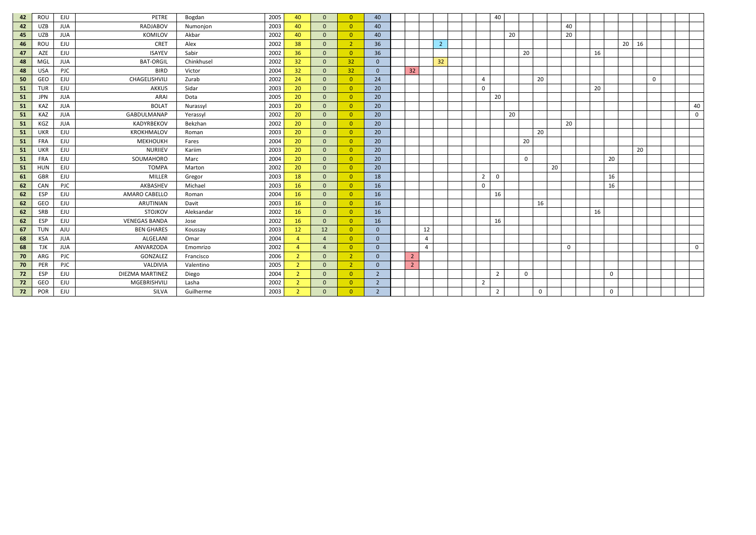| 42 | ROU        | EJU        | PETRE                  | Bogdan     | 2005 | 40              | $\Omega$       | $\overline{0}$ | 40             |                |                |  | 40               |    |             |          |    |    |    |             |    |    |   |  |             |
|----|------------|------------|------------------------|------------|------|-----------------|----------------|----------------|----------------|----------------|----------------|--|------------------|----|-------------|----------|----|----|----|-------------|----|----|---|--|-------------|
| 42 | <b>UZB</b> | <b>JUA</b> | RADJABOV               | Numonjon   | 2003 | 40              | $\Omega$       | $\mathbf{0}$   | 40             |                |                |  |                  |    |             |          |    | 40 |    |             |    |    |   |  |             |
| 45 | <b>UZB</b> | <b>JUA</b> | KOMILOV                | Akbar      | 2002 | 40              | $\Omega$       | $\mathbf{0}$   | 40             |                |                |  |                  | 20 |             |          |    | 20 |    |             |    |    |   |  |             |
| 46 | ROU        | EJU        | <b>CRET</b>            | Alex       | 2002 | 38              | $\Omega$       | $\overline{2}$ | 36             |                | $\overline{2}$ |  |                  |    |             |          |    |    |    |             | 20 | 16 |   |  |             |
| 47 | AZE        | EJU        | <b>ISAYEV</b>          | Sabir      | 2002 | 36              | $\mathbf{0}$   | $\overline{0}$ | 36             |                |                |  |                  |    | 20          |          |    |    | 16 |             |    |    |   |  |             |
| 48 | MGL        | <b>JUA</b> | <b>BAT-ORGIL</b>       | Chinkhusel | 2002 | 32              | $\Omega$       | 32             | $\mathbf{0}$   |                | 32             |  |                  |    |             |          |    |    |    |             |    |    |   |  |             |
| 48 | <b>USA</b> | PJC        | <b>BIRD</b>            | Victor     | 2004 | 32 <sub>2</sub> | $\Omega$       | 32             | $\Omega$       | 32             |                |  |                  |    |             |          |    |    |    |             |    |    |   |  |             |
| 50 | GEO        | EJU        | CHAGELISHVILI          | Zurab      | 2002 | 24              | $\Omega$       | $\mathbf{0}$   | 24             |                |                |  | $\overline{a}$   |    |             | 20       |    |    |    |             |    |    | 0 |  |             |
| 51 | <b>TUR</b> | EJU        | <b>AKKUS</b>           | Sidar      | 2003 | 20 <sup>°</sup> | $\Omega$       | $\overline{0}$ | 20             |                |                |  | $\Omega$         |    |             |          |    |    | 20 |             |    |    |   |  |             |
| 51 | <b>JPN</b> | <b>JUA</b> | ARAI                   | Dota       | 2005 | 20              | $\Omega$       | $\overline{0}$ | 20             |                |                |  |                  | 20 |             |          |    |    |    |             |    |    |   |  |             |
| 51 | KAZ        | <b>JUA</b> | <b>BOLAT</b>           | Nurassyl   | 2003 | 20              | $\Omega$       | $\overline{0}$ | 20             |                |                |  |                  |    |             |          |    |    |    |             |    |    |   |  | 40          |
| 51 | KAZ        | <b>JUA</b> | <b>GABDULMANAP</b>     | Yerassyl   | 2002 | 20              | $\Omega$       | $\mathbf{0}$   | 20             |                |                |  |                  | 20 |             |          |    |    |    |             |    |    |   |  | $\mathbf 0$ |
| 51 | KGZ        | <b>JUA</b> | KADYRBEKOV             | Bekzhan    | 2002 | 20              | $\Omega$       | $\Omega$       | 20             |                |                |  |                  |    |             |          |    | 20 |    |             |    |    |   |  |             |
| 51 | <b>UKR</b> | EJU        | <b>KROKHMALOV</b>      | Roman      | 2003 | 20              | $\Omega$       | $\overline{0}$ | 20             |                |                |  |                  |    |             | 20       |    |    |    |             |    |    |   |  |             |
| 51 | FRA        | EJU        | <b>MEKHOUKH</b>        | Fares      | 2004 | 20              | $\Omega$       | $\overline{0}$ | 20             |                |                |  |                  |    | 20          |          |    |    |    |             |    |    |   |  |             |
| 51 | <b>UKR</b> | EJU        | <b>NURIIEV</b>         | Kariim     | 2003 | 20              | $\Omega$       | $\overline{0}$ | 20             |                |                |  |                  |    |             |          |    |    |    |             |    | 20 |   |  |             |
| 51 | <b>FRA</b> | EJU        | SOUMAHORO              | Marc       | 2004 | 20              | $\Omega$       | $\overline{0}$ | 20             |                |                |  |                  |    | $\mathbf 0$ |          |    |    |    | 20          |    |    |   |  |             |
| 51 | <b>HUN</b> | EJU        | <b>TOMPA</b>           | Marton     | 2002 | 20              | $\mathbf{0}$   | $\overline{0}$ | 20             |                |                |  |                  |    |             |          | 20 |    |    |             |    |    |   |  |             |
| 61 | GBR        | EJU        | MILLER                 | Gregor     | 2003 | 18              | $\mathbf{0}$   | $\overline{0}$ | 18             |                |                |  | 2<br>$\mathbf 0$ |    |             |          |    |    |    | 16          |    |    |   |  |             |
| 62 | CAN        | PJC        | AKBASHEV               | Michael    | 2003 | 16 <sup>1</sup> | $\Omega$       | $\overline{0}$ | 16             |                |                |  | $\Omega$         |    |             |          |    |    |    | 16          |    |    |   |  |             |
| 62 | ESP        | EJU        | AMARO CABELLO          | Roman      | 2004 | 16              | $\mathbf{0}$   | $\overline{0}$ | 16             |                |                |  |                  | 16 |             |          |    |    |    |             |    |    |   |  |             |
| 62 | GEO        | EJU        | ARUTINIAN              | Davit      | 2003 | 16              | $\Omega$       | $\overline{0}$ | 16             |                |                |  |                  |    |             | 16       |    |    |    |             |    |    |   |  |             |
| 62 | SRB        | EJU        | <b>STOJKOV</b>         | Aleksandar | 2002 | 16 <sup>1</sup> | $\mathbf{0}$   | $\overline{0}$ | 16             |                |                |  |                  |    |             |          |    |    | 16 |             |    |    |   |  |             |
| 62 | ESP        | EJU        | <b>VENEGAS BANDA</b>   | Jose       | 2002 | 16              | $\mathbf{0}$   | $\overline{0}$ | 16             |                |                |  | 16               |    |             |          |    |    |    |             |    |    |   |  |             |
| 67 | <b>TUN</b> | AJU        | <b>BEN GHARES</b>      | Koussay    | 2003 | 12 <sup>2</sup> | 12             | $\overline{0}$ | $\mathbf{0}$   |                | 12             |  |                  |    |             |          |    |    |    |             |    |    |   |  |             |
| 68 | <b>KSA</b> | <b>JUA</b> | ALGELANI               | Omar       | 2004 | $\overline{a}$  | $\overline{4}$ | $\overline{0}$ | $\Omega$       |                | $\overline{4}$ |  |                  |    |             |          |    |    |    |             |    |    |   |  |             |
| 68 | TJK        | JUA        | ANVARZODA              | Emomrizo   | 2002 | $\overline{4}$  | $\overline{a}$ | $\overline{0}$ | $\Omega$       |                | $\overline{4}$ |  |                  |    |             |          |    | 0  |    |             |    |    |   |  | $\mathbf 0$ |
| 70 | ARG        | <b>PJC</b> | GONZALEZ               | Francisco  | 2006 | $\overline{2}$  | $\Omega$       | -2             | $\mathbf{0}$   | $\overline{2}$ |                |  |                  |    |             |          |    |    |    |             |    |    |   |  |             |
| 70 | PER        | PJC        | VALDIVIA               | Valentino  | 2005 | $\overline{2}$  | $\Omega$       | $\overline{2}$ | $\Omega$       | $\overline{2}$ |                |  |                  |    |             |          |    |    |    |             |    |    |   |  |             |
| 72 | ESP        | EJU        | <b>DIEZMA MARTINEZ</b> | Diego      | 2004 | $\overline{2}$  | $\Omega$       | $\overline{0}$ | $\overline{2}$ |                |                |  | $\overline{2}$   |    | $\mathbf 0$ |          |    |    |    | $\mathbf 0$ |    |    |   |  |             |
| 72 | GEO        | EJU        | MGEBRISHVILI           | Lasha      | 2002 | $\overline{2}$  | $\Omega$       | $\Omega$       | $\overline{2}$ |                |                |  | $\overline{2}$   |    |             |          |    |    |    |             |    |    |   |  |             |
| 72 | POR        | EJU        | SILVA                  | Guilherme  | 2003 |                 | $\Omega$       | $\Omega$       | $\overline{2}$ |                |                |  | $\overline{2}$   |    |             | $\Omega$ |    |    |    | $\Omega$    |    |    |   |  |             |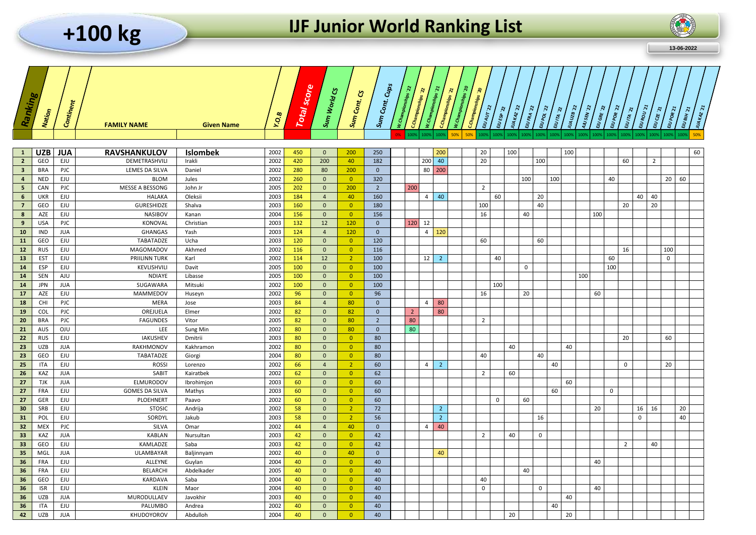



| Total score<br>Sum World CS<br>Sum Cont. CS<br>Ranking<br>ampionships<br>ionships<br>C.Championships<br>$ s_{um}$ $_{Cont}$ $ $<br>Continent<br>EJUAUT'2<br>JUA KAZ 22<br>$\approx$<br>AJU SEN 22<br>EJU GRE 22<br>$\approx$<br>Elu Rou 21<br>EJU FRA 22<br>$\stackrel{\sim}{\sim}$<br>EJU ESP 22<br>EJUTA 22<br>EUTA 21<br>Nation<br>JUA UZB<br>EJUPOR<br>$\boldsymbol{\omega}$<br>EluPOL<br>ò,<br>ė,<br>ő<br><b>FAMILY NAME</b><br><b>Given Name</b><br>50%<br>50%<br>nos<br>nos<br>nos<br>1009<br>100%<br>1009<br>.009<br>.00%<br>.00% | 509                   |
|-------------------------------------------------------------------------------------------------------------------------------------------------------------------------------------------------------------------------------------------------------------------------------------------------------------------------------------------------------------------------------------------------------------------------------------------------------------------------------------------------------------------------------------------|-----------------------|
| <b>UZB</b><br><b>RAVSHANKULOV</b><br>2002<br>250<br><b>JUA</b><br>450<br>$\overline{0}$<br>200<br>200<br>20<br>100<br>100<br>$\mathbf{1}$<br><b>Islombek</b>                                                                                                                                                                                                                                                                                                                                                                              | 60                    |
| 2002<br>200<br>182<br>40<br>20<br>$\overline{2}$<br>GEO<br>EJU<br>DEMETRASHVILI<br>420<br>40<br>200<br>100<br>60<br>Irakli                                                                                                                                                                                                                                                                                                                                                                                                                | $\overline{2}$        |
| 2002<br>280<br>200<br>80<br>$\overline{\mathbf{3}}$<br>PJC<br>LEMES DA SILVA<br>80<br>$\mathbf{0}$<br>200<br><b>BRA</b><br>Daniel                                                                                                                                                                                                                                                                                                                                                                                                         |                       |
| $\overline{\mathbf{4}}$<br>2002<br>100<br><b>NED</b><br>EJU<br><b>BLOM</b><br>260<br>$\overline{0}$<br>320<br>100<br>40<br>Jules<br>$\overline{0}$                                                                                                                                                                                                                                                                                                                                                                                        | 20 <sup>1</sup><br>60 |
| MESSE A BESSONG<br>2005<br>202<br>200<br>$\overline{2}$<br>200<br>$\overline{2}$<br>5<br>CAN<br>PJC<br>$\overline{0}$<br>John Jr                                                                                                                                                                                                                                                                                                                                                                                                          |                       |
| 2003<br>184<br>40<br>160<br>40<br>60<br>$6\phantom{1}$<br><b>UKR</b><br>EJU<br><b>HALAKA</b><br>Oleksii<br>$\overline{4}$<br>$\overline{4}$<br>20<br>40                                                                                                                                                                                                                                                                                                                                                                                   | 40                    |
| 2003<br>GURESHIDZE<br>$\overline{0}$<br>40<br>$\overline{7}$<br>GEO<br>EJU<br>Shalva<br>160<br>$\Omega$<br>180<br>100<br>20                                                                                                                                                                                                                                                                                                                                                                                                               | 20                    |
| 2004<br>$\boldsymbol{8}$<br>AZE<br>156<br>$\overline{0}$<br>156<br>16<br>40<br>EJU<br><b>NASIBOV</b><br>$\overline{0}$<br>100<br>Kanan                                                                                                                                                                                                                                                                                                                                                                                                    |                       |
| 2003<br>120<br>12<br>9<br><b>USA</b><br>KONOVAL<br>132<br>12<br>120<br>PJC<br>Christian<br>$\mathbf{0}$                                                                                                                                                                                                                                                                                                                                                                                                                                   |                       |
| 2003<br>10<br><b>IND</b><br><b>JUA</b><br><b>GHANGAS</b><br>124<br>$\overline{4}$<br>120<br>$\mathbf{0}$<br>$\overline{4}$<br>120<br>Yash                                                                                                                                                                                                                                                                                                                                                                                                 |                       |
| 2003<br>11<br>GEO<br>EJU<br>TABATADZE<br>Ucha<br>120<br>$\overline{0}$<br>120<br>60<br>60<br>$\overline{0}$                                                                                                                                                                                                                                                                                                                                                                                                                               |                       |
| 2002<br>$\overline{0}$<br>12<br><b>RUS</b><br>EJU<br>MAGOMADOV<br>116<br>$\overline{0}$<br>116<br>Akhmed<br>16                                                                                                                                                                                                                                                                                                                                                                                                                            | 100                   |
| 2002<br>13<br>114<br>12<br>2 <sup>7</sup><br>100<br>12<br>EST<br>EJU<br><b>PRIILINN TURK</b><br>Karl<br>$\overline{2}$<br>40<br>60                                                                                                                                                                                                                                                                                                                                                                                                        | $\mathbf 0$           |
| 2005<br>$\overline{0}$<br>100<br>14<br>ESP<br>EJU<br>KEVLISHVILI<br>100<br>100<br>$\mathbf 0$<br>Davit<br>$\overline{0}$                                                                                                                                                                                                                                                                                                                                                                                                                  |                       |
| 2005<br>$\overline{0}$<br>14<br>SEN<br>AJU<br><b>NDIAYE</b><br>100<br>$\overline{0}$<br>100<br>100<br>Libasse                                                                                                                                                                                                                                                                                                                                                                                                                             |                       |
| <b>JPN</b><br><b>JUA</b><br>2002<br>100<br>$\overline{0}$<br>100<br>100<br>14<br>SUGAWARA<br>Mitsuki<br>$\overline{0}$                                                                                                                                                                                                                                                                                                                                                                                                                    |                       |
| 2002<br>$\overline{0}$<br>17<br>AZE<br>EJU<br><b>MAMMEDOV</b><br>96<br>$\Omega$<br>96<br>16<br>20<br>60<br>Huseyn                                                                                                                                                                                                                                                                                                                                                                                                                         |                       |
| 18<br>2003<br>80<br>80<br>CHI<br>PJC<br><b>MERA</b><br>84<br>$\overline{4}$<br>$\mathbf{0}$<br>$\overline{4}$<br>Jose                                                                                                                                                                                                                                                                                                                                                                                                                     |                       |
| 19<br>COL<br>PJC<br>OREJUELA<br>2002<br>82<br>82<br>80<br>Elmer<br>$\overline{0}$<br>$\mathbf{0}$<br>$\overline{2}$                                                                                                                                                                                                                                                                                                                                                                                                                       |                       |
| 20<br><b>BRA</b><br>PJC<br><b>FAGUNDES</b><br>2005<br>82<br>$\mathbf{0}$<br>80<br>$\overline{2}$<br>80<br>$\overline{2}$<br>Vitor                                                                                                                                                                                                                                                                                                                                                                                                         |                       |
| 2002<br>21<br>AUS<br>OJU<br>80<br>$\overline{0}$<br>80<br>$\mathbf{0}$<br>80<br>LEE<br>Sung Min                                                                                                                                                                                                                                                                                                                                                                                                                                           |                       |
| 22<br>2003<br><b>RUS</b><br>EJU<br><b>IAKUSHEV</b><br>80<br>$\overline{0}$<br>80<br>20<br>Dmitrii<br>$\overline{0}$                                                                                                                                                                                                                                                                                                                                                                                                                       | 60                    |
| 2002<br>80<br>$\overline{0}$<br>23<br><b>UZB</b><br><b>JUA</b><br>RAKHMONOV<br>$\overline{0}$<br>80<br>40<br>40<br>Kakhramon                                                                                                                                                                                                                                                                                                                                                                                                              |                       |
| 2004<br>80<br>40<br>23<br>GEO<br>EJU<br><b>TABATADZE</b><br>$\overline{0}$<br>80<br>40<br>$\overline{0}$<br>Giorgi                                                                                                                                                                                                                                                                                                                                                                                                                        |                       |
| 25<br>2002<br>66<br>2 <sup>7</sup><br><b>ITA</b><br>EJU<br><b>ROSSI</b><br>$\overline{4}$<br>60<br>$\overline{4}$<br>$\overline{2}$<br>40<br>$\mathbf 0$<br>Lorenzo                                                                                                                                                                                                                                                                                                                                                                       | 20                    |
| SABIT<br>2002<br>$\overline{0}$<br>26<br>KAZ<br><b>JUA</b><br>Kairatbek<br>62<br>$\overline{0}$<br>62<br>$\overline{2}$<br>60                                                                                                                                                                                                                                                                                                                                                                                                             |                       |
| 27<br><b>TJK</b><br>2003<br>60<br>$\overline{0}$<br><b>JUA</b><br><b>ELMURODOV</b><br>$\mathbf{0}$<br>60<br>60<br>Ibrohimjon                                                                                                                                                                                                                                                                                                                                                                                                              |                       |
| 27<br>2003<br>FRA<br>$\overline{0}$<br>60<br>60<br>EJU<br><b>GOMES DA SILVA</b><br>60<br>$\mathbf{0}$<br>0<br>Mathys                                                                                                                                                                                                                                                                                                                                                                                                                      |                       |
| 27<br>GER<br>EJU<br>PLOEHNERT<br>2002<br>60<br>$\overline{0}$<br>$\overline{0}$<br>60<br>$\mathsf 0$<br>60<br>Paavo<br>58<br>2 <sup>1</sup><br>$\overline{0}$                                                                                                                                                                                                                                                                                                                                                                             |                       |
| 30<br>EJU<br>2002<br>72<br>SRB<br><b>STOSIC</b><br>Andrija<br>$\overline{2}$<br>20<br>16<br>31<br>SORDYL<br>2003<br>56<br>$\mathbf 0$<br>EJU<br>Jakub<br>58<br>$\mathbf{0}$<br>2 <sup>7</sup><br>$\overline{2}$<br>16                                                                                                                                                                                                                                                                                                                     | 16<br>20<br>40        |
| POL<br>2002<br>40<br>32<br>SILVA<br>40<br><b>MEX</b><br>PJC<br>Omar<br>44<br>$\overline{4}$<br>$\mathbf{0}$<br>$\overline{4}$                                                                                                                                                                                                                                                                                                                                                                                                             |                       |
| 2003<br>33<br><b>KABLAN</b><br>42<br>$\overline{0}$<br>42<br>$\overline{2}$<br>40<br>KAZ<br><b>JUA</b><br>$\mathbf{0}$<br>$\mathsf{o}$<br>Nursultan                                                                                                                                                                                                                                                                                                                                                                                       |                       |
| 33<br>GEO<br>EJU<br>KAMLADZE<br>2003<br>42<br>$\mathbf{0}$<br>$\overline{0}$<br>42<br>$\overline{2}$<br>Saba                                                                                                                                                                                                                                                                                                                                                                                                                              | 40                    |
| 2002<br>35<br>MGL<br><b>JUA</b><br><b>ULAMBAYAR</b><br>40<br>40<br>40<br>Baljinnyam<br>$\overline{0}$<br>$\overline{0}$                                                                                                                                                                                                                                                                                                                                                                                                                   |                       |
| 2004<br>$\overline{0}$<br>36<br><b>FRA</b><br><b>EJU</b><br>ALLEYNE<br>40<br>$\overline{0}$<br>40<br>40<br>Guylan                                                                                                                                                                                                                                                                                                                                                                                                                         |                       |
| 2005<br>$\overline{0}$<br>36<br><b>FRA</b><br>EJU<br><b>BELARCHI</b><br>40<br>40<br>40<br>Abdelkader<br>$\mathbf{0}$                                                                                                                                                                                                                                                                                                                                                                                                                      |                       |
| 36<br>KARDAVA<br>2004<br>GEO<br>EJU<br>40<br>$\mathbf{0}$<br>$\overline{0}$<br>40<br>40<br>Saba                                                                                                                                                                                                                                                                                                                                                                                                                                           |                       |
| 36<br><b>KLEIN</b><br>2004<br>$\overline{0}$<br>40<br>$\mathbf 0$<br><b>ISR</b><br>EJU<br>Maor<br>40<br>$\mathbf{0}$<br>$\mathbf 0$<br>40                                                                                                                                                                                                                                                                                                                                                                                                 |                       |
| 36<br><b>UZB</b><br>MURODULLAEV<br>2003<br>$\overline{0}$<br>40<br>40<br><b>JUA</b><br>Javokhir<br>40<br>$\mathbf{0}$                                                                                                                                                                                                                                                                                                                                                                                                                     |                       |
| 2002<br>36<br>$\overline{0}$<br>40<br><b>ITA</b><br>EJU<br>PALUMBO<br>Andrea<br>40<br>$\mathbf{0}$<br>40                                                                                                                                                                                                                                                                                                                                                                                                                                  |                       |
| <b>UZB</b><br>2004<br>40<br>$\overline{0}$<br>42<br><b>JUA</b><br>40<br>20<br>KHUDOYOROV<br>$\mathbf{0}$<br>20<br>Abdulloh                                                                                                                                                                                                                                                                                                                                                                                                                |                       |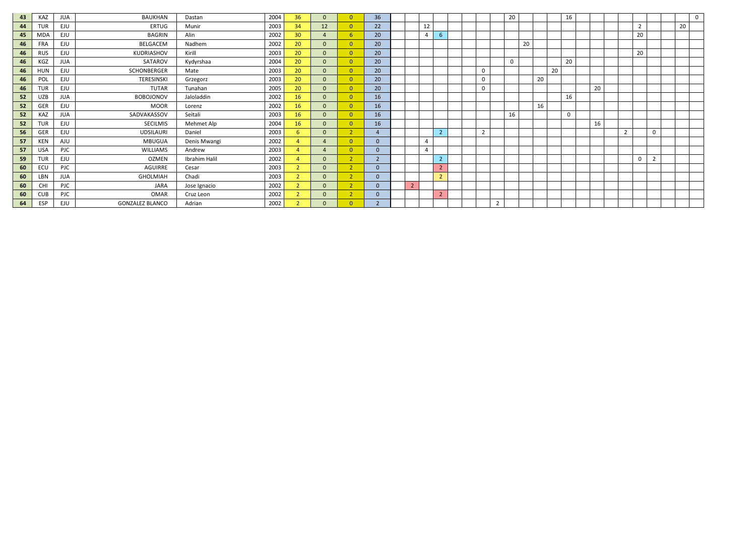| 43 | KAZ        | <b>JUA</b> | <b>BAUKHAN</b>         | Dastan        | 2004 | 36 | $\Omega$        | $\Omega$ | 36           |                |                       |                |  |                |                  | 20 |    |    | 16          |    |                |    |                |    | $\mathbf 0$ |
|----|------------|------------|------------------------|---------------|------|----|-----------------|----------|--------------|----------------|-----------------------|----------------|--|----------------|------------------|----|----|----|-------------|----|----------------|----|----------------|----|-------------|
| 44 | <b>TUR</b> | EJU        | <b>ERTUG</b>           | Munir         | 2003 | 34 | 12 <sup>2</sup> |          | 22           |                | 12                    |                |  |                |                  |    |    |    |             |    |                | n, |                | 20 |             |
| 45 | <b>MDA</b> | EJU        | <b>BAGRIN</b>          | Alin          | 2002 | 30 |                 | -6       | 20           |                | 4                     | 6              |  |                |                  |    |    |    |             |    |                | 20 |                |    |             |
| 46 | <b>FRA</b> | EJU        | <b>BELGACEM</b>        | Nadhem        | 2002 | 20 | $\Omega$        | $\Omega$ | 20           |                |                       |                |  |                |                  | 20 |    |    |             |    |                |    |                |    |             |
| 46 | <b>RUS</b> | EJU        | KUDRIASHOV             | Kirill        | 2003 | 20 | $\Omega$        | $\Omega$ | 20           |                |                       |                |  |                |                  |    |    |    |             |    |                | 20 |                |    |             |
| 46 | KGZ        | JUA        | SATAROV                | Kydyrshaa     | 2004 | 20 | $\Omega$        | $\Omega$ | 20           |                |                       |                |  |                |                  | 0  |    |    | 20          |    |                |    |                |    |             |
| 46 | <b>HUN</b> | EJU        | SCHONBERGER            | Mate          | 2003 | 20 | $\Omega$        | $\Omega$ | 20           |                |                       |                |  | $\mathbf{0}$   |                  |    |    | 20 |             |    |                |    |                |    |             |
| 46 | POL        | EJU        | <b>TERESINSKI</b>      | Grzegorz      | 2003 | 20 | $\Omega$        | $\Omega$ | 20           |                |                       |                |  | $\mathbf{0}$   |                  |    | 20 |    |             |    |                |    |                |    |             |
| 46 | <b>TUR</b> | EJU        | <b>TUTAR</b>           | Tunahan       | 2005 | 20 | $\Omega$        | $\Omega$ | 20           |                |                       |                |  | $\mathbf{0}$   |                  |    |    |    |             | 20 |                |    |                |    |             |
| 52 | <b>UZB</b> | JUA        | <b>BOBOJONOV</b>       | Jaloladdin    | 2002 | 16 | $\Omega$        | $\Omega$ | 16           |                |                       |                |  |                |                  |    |    |    | 16          |    |                |    |                |    |             |
| 52 | GER        | EJU        | <b>MOOR</b>            | Lorenz        | 2002 | 16 | $\Omega$        | $\Omega$ | 16           |                |                       |                |  |                |                  |    | 16 |    |             |    |                |    |                |    |             |
| 52 | KAZ        | JUA        | SADVAKASSOV            | Seitali       | 2003 | 16 | $\Omega$        | $\Omega$ | 16           |                |                       |                |  |                |                  | 16 |    |    | $\mathbf 0$ |    |                |    |                |    |             |
| 52 | <b>TUR</b> | EJU        | <b>SECILMIS</b>        | Mehmet Alp    | 2004 | 16 | $\Omega$        | $\Omega$ | 16           |                |                       |                |  |                |                  |    |    |    |             | 16 |                |    |                |    |             |
| 56 | GER        | EJU        | <b>UDSILAURI</b>       | Daniel        | 2003 | 6  | $\Omega$        |          | A            |                |                       | $\overline{2}$ |  | $\overline{2}$ |                  |    |    |    |             |    | $\overline{2}$ |    | $\mathbf 0$    |    |             |
| 57 | <b>KEN</b> | AJU        | <b>MBUGUA</b>          | Denis Mwangi  | 2002 |    |                 | $\Omega$ | $\Omega$     |                | 4                     |                |  |                |                  |    |    |    |             |    |                |    |                |    |             |
| 57 | <b>USA</b> | <b>PJC</b> | <b>WILLIAMS</b>        | Andrew        | 2003 |    |                 | $\Omega$ | $\Omega$     |                | $\boldsymbol{\Delta}$ |                |  |                |                  |    |    |    |             |    |                |    |                |    |             |
| 59 | <b>TUR</b> | EJU        | <b>OZMEN</b>           | Ibrahim Halil | 2002 |    | $\Omega$        |          |              |                |                       | $\overline{2}$ |  |                |                  |    |    |    |             |    |                | 0  | $\overline{2}$ |    |             |
| 60 | ECU        | PJC        | <b>AGUIRRE</b>         | Cesar         | 2003 |    | $\Omega$        |          | $\mathbf{0}$ |                |                       | $\overline{2}$ |  |                |                  |    |    |    |             |    |                |    |                |    |             |
| 60 | LBN        | <b>JUA</b> | <b>GHOLMIAH</b>        | Chadi         | 2003 |    | $\Omega$        |          | $\Omega$     |                |                       | $\overline{2}$ |  |                |                  |    |    |    |             |    |                |    |                |    |             |
| 60 | CHI        | <b>PJC</b> | <b>JARA</b>            | Jose Ignacio  | 2002 |    | $\Omega$        |          | $\mathbf{0}$ | $\overline{2}$ |                       |                |  |                |                  |    |    |    |             |    |                |    |                |    |             |
| 60 | <b>CUB</b> | <b>PJC</b> | OMAR                   | Cruz Leon     | 2002 |    | $\Omega$        |          | $\Omega$     |                |                       | $\overline{2}$ |  |                |                  |    |    |    |             |    |                |    |                |    |             |
| 64 | <b>ESP</b> | EJU        | <b>GONZALEZ BLANCO</b> | Adrian        | 2002 |    | $\Omega$        |          |              |                |                       |                |  |                | $\mathbf{\cdot}$ |    |    |    |             |    |                |    |                |    |             |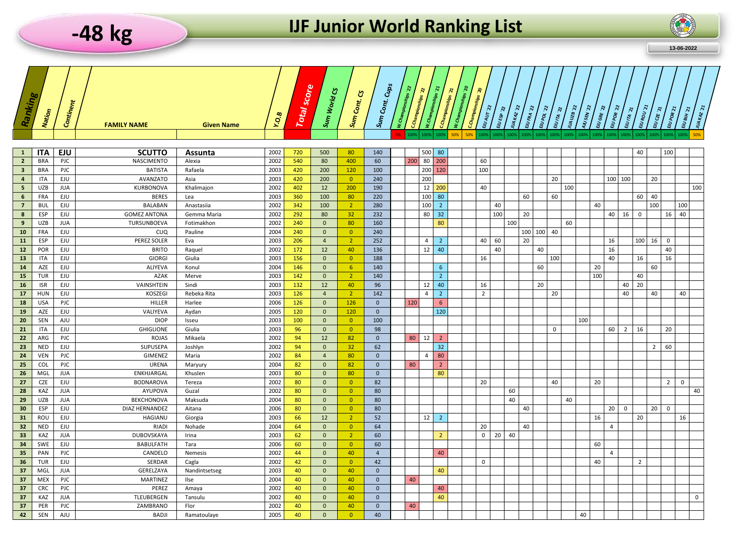



| Ranking                 | Nation            | Continent         | <b>FAMILY NAME</b>             | <b>Given Name</b>  | <b>Y.O.B</b> | Total score | Sum World CS                   | ୪<br>Sum Cont.  | Cups<br>Sum Cont.            | n% | Ĝ   | Ñ<br>1009      | Ñ<br><b>npionships</b><br>Ő | N<br>50% | ୷<br>mpionships<br>ś<br>50% | EIU AUT 2<br>1009 | JUA KAZ `ZZ<br>Elu <sub>ESP22</sub><br>009 | EJU FRA 22<br>oos | ElU POL 22 | EJU TA 22   | $\frac{1}{2}$ | AJU SEN 22 | $\approx$<br>EJU GRE | Ñ<br>EJU POR   | Elurn <sub>21</sub> | EJU ROV 21     | $\tilde{N}$<br>EJU CZE | EJU POR 21     | Ñ<br>EJU BIH' 21<br><b>JUA KAZ</b><br>50% |  |
|-------------------------|-------------------|-------------------|--------------------------------|--------------------|--------------|-------------|--------------------------------|-----------------|------------------------------|----|-----|----------------|-----------------------------|----------|-----------------------------|-------------------|--------------------------------------------|-------------------|------------|-------------|---------------|------------|----------------------|----------------|---------------------|----------------|------------------------|----------------|-------------------------------------------|--|
| $\mathbf{1}$            | <b>ITA</b>        | EJU               | <b>SCUTTO</b>                  | Assunta            | 2002         | 720         | 500                            | 80              | 140                          |    |     | 500            | 80                          |          |                             |                   |                                            |                   |            |             |               |            |                      |                |                     | 40             |                        | 100            |                                           |  |
| $\overline{2}$          | <b>BRA</b>        | <b>PJC</b>        | <b>NASCIMENTO</b>              | Alexia             | 2002         | 540         | 80                             | 400             | 60                           |    | 200 | 80             | 200                         |          |                             | 60                |                                            |                   |            |             |               |            |                      |                |                     |                |                        |                |                                           |  |
| $\overline{\mathbf{3}}$ | <b>BRA</b>        | <b>PJC</b>        | <b>BATISTA</b>                 | Rafaela            | 2003         | 420         | 200                            | 120             | 100                          |    |     | 200            | 120                         |          |                             | 100               |                                            |                   |            |             |               |            |                      |                |                     |                |                        |                |                                           |  |
| $\overline{a}$          | ITA               | EJU               | <b>AVANZATO</b>                | Asia               | 2003         | 420         | 200                            | $\overline{0}$  | 240                          |    |     | 200            |                             |          |                             |                   |                                            |                   |            | 20          |               |            |                      | 100 100        |                     |                | 20                     |                |                                           |  |
| 5                       | <b>UZB</b>        | <b>JUA</b>        | <b>KURBONOVA</b>               | Khalimajon         | 2002         | 402         | 12                             | 200             | 190                          |    |     | 12             | 200                         |          |                             | 40                |                                            |                   |            |             | 100           |            |                      |                |                     |                |                        |                | 100                                       |  |
| 6                       | <b>FRA</b>        | EJU               | <b>BERES</b>                   | Lea                | 2003         | 360         | 100                            | 80              | 220                          |    |     | 100            | 80                          |          |                             |                   |                                            | 60                |            | 60          |               |            |                      |                |                     | 60             | 40                     |                |                                           |  |
| $\overline{7}$          | <b>BUL</b>        | EJU               | <b>BALABAN</b>                 | Anastasiia         | 2002         | 342         | 100                            | $\overline{2}$  | 280                          |    |     | 100            | $\overline{2}$              |          |                             |                   | 40                                         |                   |            |             |               |            | 40                   |                |                     |                | 100                    |                | 100                                       |  |
| $\boldsymbol{8}$        | ESP               | EJU               | <b>GOMEZ ANTONA</b>            | Gemma Maria        | 2002         | 292         | 80                             | 32              | 232                          |    |     | 80             | 32                          |          |                             | 100               |                                            | 20                |            |             |               |            |                      | 40             | 16                  | $\mathbf 0$    |                        | 16             | 40                                        |  |
| 9                       | UZB               | <b>JUA</b>        | TURSUNBOEVA                    | Fotimakhon         | 2002         | 240         | $\mathbf{0}$                   | 80              | 160                          |    |     |                | 80                          |          |                             |                   | 100                                        |                   |            |             | 60            |            |                      |                |                     |                |                        |                |                                           |  |
| 10                      | FRA               | EJU               | CUQ                            | Pauline            | 2004         | 240         | $\mathbf{0}$                   | $\overline{0}$  | 240                          |    |     |                |                             |          |                             |                   |                                            | 100               | 100        | 40          |               |            |                      |                |                     |                |                        |                |                                           |  |
| 11                      | ESP               | EJU               | PEREZ SOLER                    | Eva                | 2003         | 206         | $\overline{4}$                 | $\overline{2}$  | 252                          |    |     | $\overline{4}$ | $\overline{2}$              |          |                             | 40                | 60                                         | 20                |            |             |               |            |                      | 16             |                     | 100            | 16                     | $\mathbf 0$    |                                           |  |
| $12$                    | POR               | EJU               | <b>BRITO</b>                   | Raguel             | 2002         | 172         | 12                             | 40              | 136                          |    |     | 12             | 40                          |          |                             |                   | 40                                         |                   | 40         |             |               |            |                      | 16             |                     |                |                        | 40             |                                           |  |
| 13                      | <b>ITA</b>        | EJU               | <b>GIORGI</b>                  | Giulia             | 2003         | 156         | $\mathbf{0}$                   | $\overline{0}$  | 188                          |    |     |                |                             |          |                             | 16                |                                            |                   |            | 100         |               |            |                      | 40             |                     | 16             |                        | 16             |                                           |  |
| 14                      | AZE               | EJU               | ALIYEVA                        | Konul              | 2004         | 146         | $\mathbf{0}$                   | 6 <sup>°</sup>  | 140                          |    |     |                | 6                           |          |                             |                   |                                            |                   | 60         |             |               |            | 20                   |                |                     |                | 60                     |                |                                           |  |
| 15                      | <b>TUR</b>        | EJU               | <b>AZAK</b>                    | Merve              | 2003         | 142         | $\mathbf{0}$                   | $\overline{2}$  | 140                          |    |     |                | $\overline{2}$              |          |                             |                   |                                            |                   |            |             |               |            | 100                  |                |                     | 40             |                        |                |                                           |  |
| 16                      | <b>ISR</b>        | EJU               | VAINSHTEIN                     | Sindi              | 2003         | 132         | 12                             | 40              | 96                           |    |     | 12             | 40                          |          |                             | 16                |                                            |                   | 20         |             |               |            |                      |                | 40                  | 20             |                        |                |                                           |  |
| 17                      | <b>HUN</b>        | EJU               | <b>KOSZEGI</b>                 | Rebeka Rita        | 2003         | 126         | $\overline{4}$                 | $\overline{2}$  | 142                          |    |     | $\overline{4}$ | $\overline{2}$              |          |                             | $\overline{2}$    |                                            |                   |            | 20          |               |            |                      |                | 40                  |                | 40                     |                | 40                                        |  |
| 18                      | <b>USA</b>        | PJC               | HILLER                         | Harlee             | 2006         | 126         | $\mathbf{0}$                   | 126             | $\overline{0}$               |    | 120 |                | $6\phantom{1}6$             |          |                             |                   |                                            |                   |            |             |               |            |                      |                |                     |                |                        |                |                                           |  |
| 19                      | AZE               | EJU               | VALIYEVA                       | Aydan              | 2005         | 120         | $\mathbf{0}$                   | 120             | $\overline{0}$               |    |     |                | 120                         |          |                             |                   |                                            |                   |            |             |               |            |                      |                |                     |                |                        |                |                                           |  |
| 20                      | SEN               | AJU               | <b>DIOP</b>                    | Isseu              | 2003         | 100         | $\mathbf{0}$                   | $\overline{0}$  | 100                          |    |     |                |                             |          |                             |                   |                                            |                   |            |             |               | 100        |                      |                |                     |                |                        |                |                                           |  |
| 21                      | <b>ITA</b>        | EJU               | <b>GHIGLIONE</b>               | Giulia             | 2003         | 96          | $\mathbf{0}$                   | $\overline{0}$  | 98                           |    |     |                |                             |          |                             |                   |                                            |                   |            | $\mathbf 0$ |               |            |                      | 60             | $\overline{2}$      | 16             |                        | 20             |                                           |  |
| 22                      | ARG               | PJC               | <b>ROJAS</b>                   | Mikaela            | 2002         | 94          | 12                             | 82              | $\mathbf{0}$                 |    | 80  | 12             | $\overline{2}$              |          |                             |                   |                                            |                   |            |             |               |            |                      |                |                     |                |                        |                |                                           |  |
| 23                      | <b>NED</b>        | EJU               | SUPUSEPA                       | Joshlyn            | 2002         | 94          | $\mathbf{0}$                   | 32 <sup>2</sup> | 62                           |    |     |                | 32                          |          |                             |                   |                                            |                   |            |             |               |            |                      |                |                     |                | $\overline{2}$         | 60             |                                           |  |
| 24<br>25                | <b>VEN</b><br>COL | <b>PJC</b><br>PJC | <b>GIMENEZ</b><br><b>URENA</b> | Maria              | 2002<br>2004 | 84<br>82    | $\overline{4}$<br>$\mathbf{0}$ | 80<br>82        | $\mathbf{0}$<br>$\mathbf{0}$ |    | 80  | $\overline{4}$ | 80<br>$\overline{2}$        |          |                             |                   |                                            |                   |            |             |               |            |                      |                |                     |                |                        |                |                                           |  |
| 26                      | MGL               | JUA               | ENKHJARGAL                     | Maryury<br>Khuslen | 2003         | 80          | $\mathbf{0}$                   | 80              | $\mathbf{0}$                 |    |     |                | 80                          |          |                             |                   |                                            |                   |            |             |               |            |                      |                |                     |                |                        |                |                                           |  |
| 27                      | <b>CZE</b>        | EJU               | <b>BODNAROVA</b>               | Tereza             | 2002         | 80          | $\mathbf{0}$                   | $\overline{0}$  | 82                           |    |     |                |                             |          |                             | 20                |                                            |                   |            | 40          |               |            | 20                   |                |                     |                |                        | $\overline{2}$ | $\mathsf 0$                               |  |
| 28                      | KAZ               | JUA               | AYUPOVA                        | Guzal              | 2002         | 80          | $\mathbf{0}$                   | $\overline{0}$  | 80                           |    |     |                |                             |          |                             |                   | 60                                         |                   |            |             |               |            |                      |                |                     |                |                        |                | 40                                        |  |
| 29                      | <b>UZB</b>        | JUA               | <b>BEKCHONOVA</b>              | Maksuda            | 2004         | 80          | $\mathbf{0}$                   | $\overline{0}$  | 80                           |    |     |                |                             |          |                             |                   | 40                                         |                   |            |             | 40            |            |                      |                |                     |                |                        |                |                                           |  |
| 30                      | ESP               | EJU               | DIAZ HERNANDEZ                 | Aitana             | 2006         | 80          | $\mathbf{0}$                   | $\overline{0}$  | 80                           |    |     |                |                             |          |                             |                   |                                            | 40                |            |             |               |            |                      | 20             | $\mathbf 0$         |                | 20                     | $\mathsf{o}$   |                                           |  |
| 31                      | <b>ROU</b>        | EJU               | HAGIANU                        | Giorgia            | 2003         | 66          | 12                             | $\overline{2}$  | 52                           |    |     | 12             | $\overline{2}$              |          |                             |                   |                                            |                   |            |             |               |            | 16                   |                |                     | 20             |                        |                | 16                                        |  |
| 32                      | <b>NED</b>        | EJU               | <b>RIADI</b>                   | Nohade             | 2004         | 64          | $\mathbf{0}$                   | $\overline{0}$  | 64                           |    |     |                |                             |          |                             | 20                |                                            | 40                |            |             |               |            |                      | $\overline{4}$ |                     |                |                        |                |                                           |  |
| 33                      | KAZ               | <b>JUA</b>        | DUBOVSKAYA                     | Irina              | 2003         | 62          | $\mathbf{0}$                   | $\overline{2}$  | 60                           |    |     |                | $\overline{2}$              |          |                             | $\mathsf{o}$      | 20 40                                      |                   |            |             |               |            |                      |                |                     |                |                        |                |                                           |  |
| 34                      | SWE               | EJU               | <b>BABULFATH</b>               | Tara               | 2006         | 60          | $\mathbf{0}$                   | $\overline{0}$  | 60                           |    |     |                |                             |          |                             |                   |                                            |                   |            |             |               |            | 60                   |                |                     |                |                        |                |                                           |  |
| 35                      | PAN               | PJC               | CANDELO                        | Nemesis            | 2002         | 44          | $\mathbf{0}$                   | 40              | $\overline{4}$               |    |     |                | 40                          |          |                             |                   |                                            |                   |            |             |               |            |                      | $\overline{4}$ |                     |                |                        |                |                                           |  |
| 36                      | <b>TUR</b>        | EJU               | SERDAR                         | Cagla              | 2002         | 42          | $\mathbf{0}$                   | $\overline{0}$  | 42                           |    |     |                |                             |          |                             | $\mathbf 0$       |                                            |                   |            |             |               |            | 40                   |                |                     | $\overline{2}$ |                        |                |                                           |  |
| 37                      | MGL               | <b>JUA</b>        | GERELZAYA                      | Nandintsetseg      | 2003         | 40          | $\mathbf{0}$                   | 40              | $\mathbf{0}$                 |    |     |                | 40                          |          |                             |                   |                                            |                   |            |             |               |            |                      |                |                     |                |                        |                |                                           |  |
| 37                      | <b>MEX</b>        | <b>PJC</b>        | MARTINEZ                       | Ilse               | 2004         | 40          | $\mathbf{0}$                   | 40              | $\overline{0}$               |    | 40  |                |                             |          |                             |                   |                                            |                   |            |             |               |            |                      |                |                     |                |                        |                |                                           |  |
| 37                      | <b>CRC</b>        | PJC               | PEREZ                          | Amaya              | 2002         | 40          | $\overline{0}$                 | 40              | $\overline{0}$               |    |     |                | 40                          |          |                             |                   |                                            |                   |            |             |               |            |                      |                |                     |                |                        |                |                                           |  |
| 37                      | KAZ               | JUA               | TLEUBERGEN                     | Tansulu            | 2002         | 40          | $\mathbf{0}$                   | 40              | $\mathbf{0}$                 |    |     |                | 40                          |          |                             |                   |                                            |                   |            |             |               |            |                      |                |                     |                |                        |                | $\mathbf 0$                               |  |
| 37                      | PER               | PJC               | ZAMBRANO                       | Flor               | 2002         | 40          | $\mathbf{0}$                   | 40              | $\mathbf{0}$                 |    | 40  |                |                             |          |                             |                   |                                            |                   |            |             |               |            |                      |                |                     |                |                        |                |                                           |  |
| 42                      | SEN               | AJU               | <b>BADJI</b>                   | Ramatoulaye        | 2005         | 40          | $\mathbf{0}$                   | $\overline{0}$  | 40                           |    |     |                |                             |          |                             |                   |                                            |                   |            |             |               | 40         |                      |                |                     |                |                        |                |                                           |  |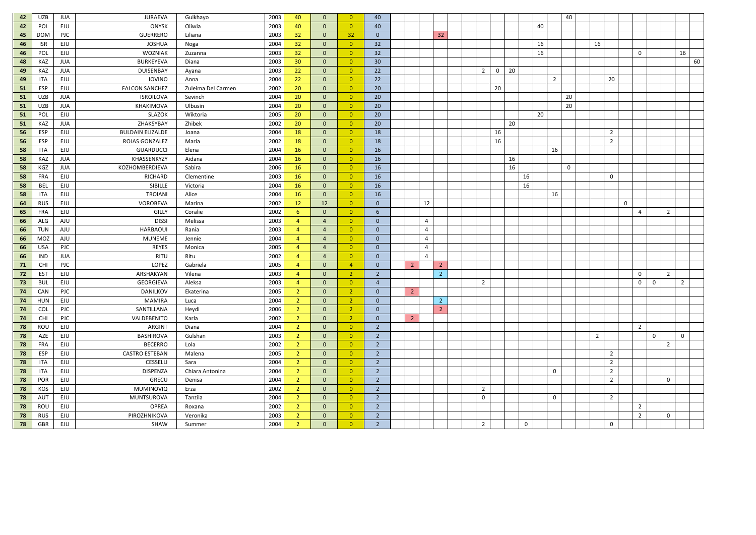|    |            |            |                         |                    |      |                 |                |                |                 |                |                |                |                |             |    |              |    |                | 40 |    |                |             |                |             |                |                |    |
|----|------------|------------|-------------------------|--------------------|------|-----------------|----------------|----------------|-----------------|----------------|----------------|----------------|----------------|-------------|----|--------------|----|----------------|----|----|----------------|-------------|----------------|-------------|----------------|----------------|----|
| 42 | <b>UZB</b> | JUA        | <b>JURAEVA</b>          | Gulkhayo           | 2003 | 40              | $\Omega$       | $\Omega$       | 40              |                |                |                |                |             |    |              |    |                |    |    |                |             |                |             |                |                |    |
| 42 | POL        | EJU        | <b>ONYSK</b>            | Oliwia             | 2003 | 40              | $\mathbf{0}$   | $\overline{0}$ | 40              |                |                |                |                |             |    |              | 40 |                |    |    |                |             |                |             |                |                |    |
| 45 | <b>DOM</b> | <b>PJC</b> | <b>GUERRERO</b>         | Liliana            | 2003 | 32              | $\mathbf{0}$   | 32             | $\mathbf{0}$    |                |                | 32             |                |             |    |              |    |                |    |    |                |             |                |             |                |                |    |
| 46 | <b>ISR</b> | EJU        | <b>JOSHUA</b>           | Noga               | 2004 | 32              | $\mathbf{0}$   | $\overline{0}$ | 32              |                |                |                |                |             |    |              | 16 |                |    | 16 |                |             |                |             |                |                |    |
| 46 | POL        | EJU        | <b>WOZNIAK</b>          | Zuzanna            | 2003 | 32              | $\mathbf{0}$   | $\overline{0}$ | 32              |                |                |                |                |             |    |              | 16 |                |    |    |                |             | $\mathbf 0$    |             |                | 16             |    |
| 48 | KAZ        | <b>JUA</b> | <b>BURKEYEVA</b>        | Diana              | 2003 | 30 <sup>°</sup> | $\mathbf{0}$   | $\overline{0}$ | 30              |                |                |                |                |             |    |              |    |                |    |    |                |             |                |             |                |                | 60 |
| 49 | KAZ        | <b>JUA</b> | DUISENBAY               | Ayana              | 2003 | 22              | $\mathbf{0}$   | $\overline{0}$ | 22              |                |                |                | $\overline{2}$ | $\mathbf 0$ | 20 |              |    |                |    |    |                |             |                |             |                |                |    |
| 49 | <b>ITA</b> | EJU        | <b>IOVINO</b>           | Anna               | 2004 | 22              | $\mathbf{0}$   | $\overline{0}$ | 22              |                |                |                |                |             |    |              |    | $\overline{2}$ |    |    | 20             |             |                |             |                |                |    |
| 51 | ESP        | EJU        | <b>FALCON SANCHEZ</b>   | Zuleima Del Carmen | 2002 | 20              | $\mathbf{0}$   | $\overline{0}$ | 20              |                |                |                |                | 20          |    |              |    |                |    |    |                |             |                |             |                |                |    |
| 51 | <b>UZB</b> | JUA        | <b>ISROILOVA</b>        | Sevinch            | 2004 | 20              | $\mathbf{0}$   | $\overline{0}$ | 20              |                |                |                |                |             |    |              |    |                | 20 |    |                |             |                |             |                |                |    |
| 51 | <b>UZB</b> | JUA        | KHAKIMOVA               | Ulbusin            | 2004 | 20              | $\mathbf{0}$   | $\overline{0}$ | 20              |                |                |                |                |             |    |              |    |                | 20 |    |                |             |                |             |                |                |    |
| 51 | POL        | EJU        | <b>SLAZOK</b>           | Wiktoria           | 2005 | 20              | $\mathbf{0}$   | $\overline{0}$ | 20              |                |                |                |                |             |    |              | 20 |                |    |    |                |             |                |             |                |                |    |
| 51 | KAZ        | <b>JUA</b> | ZHAKSYBAY               | Zhibek             | 2002 | 20              | $\mathbf{0}$   | $\Omega$       | 20              |                |                |                |                |             | 20 |              |    |                |    |    |                |             |                |             |                |                |    |
| 56 | ESP        | EJU        | <b>BULDAIN ELIZALDE</b> | Joana              | 2004 | 18              | $\mathbf{0}$   | $\overline{0}$ | 18              |                |                |                |                | 16          |    |              |    |                |    |    | $\overline{2}$ |             |                |             |                |                |    |
| 56 | ESP        | EJU        | ROJAS GONZALEZ          | Maria              | 2002 | 18              | $\mathbf{0}$   | $\overline{0}$ | 18              |                |                |                |                | 16          |    |              |    |                |    |    | $\overline{2}$ |             |                |             |                |                |    |
| 58 | <b>ITA</b> | EJU        | <b>GUARDUCCI</b>        | Elena              | 2004 | 16              | $\mathbf{0}$   | $\overline{0}$ | 16              |                |                |                |                |             |    |              |    | 16             |    |    |                |             |                |             |                |                |    |
| 58 | KAZ        | <b>JUA</b> | KHASSENKYZY             | Aidana             | 2004 | 16              | $\mathbf{0}$   | $\overline{0}$ | 16              |                |                |                |                |             | 16 |              |    |                |    |    |                |             |                |             |                |                |    |
| 58 | KGZ        | JUA        | KOZHOMBERDIEVA          | Sabira             | 2006 | 16              | $\mathbf{0}$   | $\overline{0}$ | 16              |                |                |                |                |             | 16 |              |    |                | 0  |    |                |             |                |             |                |                |    |
| 58 | FRA        | EJU        | RICHARD                 | Clementine         | 2003 | 16              | $\mathbf{0}$   | $\overline{0}$ | 16              |                |                |                |                |             |    | 16           |    |                |    |    | $\mathbf 0$    |             |                |             |                |                |    |
| 58 | <b>BEL</b> | EJU        | SIBILLE                 | Victoria           | 2004 | 16              | $\mathbf{0}$   | $\overline{0}$ | 16              |                |                |                |                |             |    | 16           |    |                |    |    |                |             |                |             |                |                |    |
| 58 | <b>ITA</b> | EJU        | <b>TROIANI</b>          | Alice              | 2004 | 16              | $\mathbf{0}$   | $\overline{0}$ | 16              |                |                |                |                |             |    |              |    | 16             |    |    |                |             |                |             |                |                |    |
| 64 | <b>RUS</b> | EJU        | VOROBEVA                | Marina             | 2002 | 12              | 12             | $\overline{0}$ | $\overline{0}$  |                | 12             |                |                |             |    |              |    |                |    |    |                | $\mathbf 0$ |                |             |                |                |    |
| 65 | FRA        | EJU        | <b>GILLY</b>            | Coralie            | 2002 | 6 <sup>1</sup>  | $\mathbf{0}$   | $\overline{0}$ | $6\overline{6}$ |                |                |                |                |             |    |              |    |                |    |    |                |             | $\overline{4}$ |             | $\overline{2}$ |                |    |
| 66 | ALG        | AJU        | <b>DISSI</b>            | Melissa            | 2003 | $\overline{4}$  | $\overline{4}$ | $\overline{0}$ | $\overline{0}$  |                | $\overline{4}$ |                |                |             |    |              |    |                |    |    |                |             |                |             |                |                |    |
| 66 | <b>TUN</b> | AJU        | <b>HARBAOUI</b>         | Rania              | 2003 | $\overline{4}$  | $\overline{4}$ | $\overline{0}$ | $\mathbf{0}$    |                | $\overline{4}$ |                |                |             |    |              |    |                |    |    |                |             |                |             |                |                |    |
| 66 | MOZ        | AJU        | <b>MUNEME</b>           | Jennie             | 2004 | $\overline{4}$  | $\overline{4}$ | $\overline{0}$ | $\mathbf{0}$    |                | $\overline{4}$ |                |                |             |    |              |    |                |    |    |                |             |                |             |                |                |    |
| 66 | <b>USA</b> | PJC        | <b>REYES</b>            | Monica             | 2005 | $\overline{4}$  | $\overline{4}$ | $\overline{0}$ | $\mathbf{0}$    |                | $\overline{4}$ |                |                |             |    |              |    |                |    |    |                |             |                |             |                |                |    |
| 66 | <b>IND</b> | JUA        | RITU                    | Ritu               | 2002 | $\overline{4}$  | $\overline{4}$ | $\overline{0}$ | $\mathbf{0}$    |                | $\overline{4}$ |                |                |             |    |              |    |                |    |    |                |             |                |             |                |                |    |
| 71 | CHI        | PJC        | <b>LOPEZ</b>            | Gabriela           | 2005 | $\overline{4}$  | $\mathbf{0}$   | $\overline{4}$ | $\overline{0}$  | $2^{\circ}$    |                | <sup>2</sup>   |                |             |    |              |    |                |    |    |                |             |                |             |                |                |    |
| 72 | <b>EST</b> | EJU        | ARSHAKYAN               | Vilena             | 2003 | $\overline{4}$  | $\Omega$       | $\overline{2}$ | $\overline{2}$  |                |                | $\overline{2}$ |                |             |    |              |    |                |    |    |                |             | $\mathbf 0$    |             | 2              |                |    |
| 73 | <b>BUL</b> | EJU        | GEORGIEVA               | Aleksa             | 2003 | $\overline{4}$  | $\mathbf{0}$   | $\overline{0}$ | $\overline{4}$  |                |                |                | $\overline{2}$ |             |    |              |    |                |    |    |                |             | $\mathbf 0$    | $\mathbf 0$ |                | $\overline{2}$ |    |
| 74 | CAN        | PJC        | DANILKOV                | Ekaterina          | 2005 | $\overline{2}$  | $\mathbf{0}$   | $\overline{2}$ | $\mathbf{0}$    | $\overline{2}$ |                |                |                |             |    |              |    |                |    |    |                |             |                |             |                |                |    |
| 74 | <b>HUN</b> | EJU        | <b>MAMIRA</b>           | Luca               | 2004 | $\overline{2}$  | $\mathbf{0}$   | $\overline{2}$ | $\mathbf{0}$    |                |                | $\overline{2}$ |                |             |    |              |    |                |    |    |                |             |                |             |                |                |    |
| 74 | COL        | PJC        | SANTILLANA              | Heydi              | 2006 | 2 <sup>1</sup>  | $\mathbf{0}$   | $\overline{2}$ | $\overline{0}$  |                |                | $\overline{2}$ |                |             |    |              |    |                |    |    |                |             |                |             |                |                |    |
| 74 | CHI        | PJC        | VALDEBENITO             | Karla              | 2002 | $2^{\circ}$     | $\mathbf{0}$   | $\overline{2}$ | $\overline{0}$  | $\overline{2}$ |                |                |                |             |    |              |    |                |    |    |                |             |                |             |                |                |    |
| 78 | ROU        | EJU        | ARGINT                  | Diana              | 2004 | $2^{\circ}$     | $\Omega$       | $\Omega$       | $\overline{2}$  |                |                |                |                |             |    |              |    |                |    |    |                |             | $\overline{2}$ |             |                |                |    |
| 78 | AZE        | EJU        | <b>BASHIROVA</b>        | Gulshan            | 2003 | 2 <sup>1</sup>  | $\mathbf{0}$   | $\overline{0}$ | $\overline{2}$  |                |                |                |                |             |    |              |    |                |    | 2  |                |             |                | $\mathbf 0$ |                | $\Omega$       |    |
| 78 | <b>FRA</b> | EJU        | <b>BECERRO</b>          | Lola               | 2002 | $\overline{2}$  | $\mathbf{0}$   | $\overline{0}$ | $\overline{2}$  |                |                |                |                |             |    |              |    |                |    |    |                |             |                | 2           |                |                |    |
| 78 |            |            |                         |                    |      |                 |                | $\overline{0}$ |                 |                |                |                |                |             |    |              |    |                |    |    |                |             |                |             |                |                |    |
|    | ESP        | EJU        | <b>CASTRO ESTEBAN</b>   | Malena             | 2005 | $2^{\circ}$     | $\mathbf{0}$   |                | $\overline{2}$  |                |                |                |                |             |    |              |    |                |    |    | $\overline{2}$ |             |                |             |                |                |    |
| 78 | ITA        | EJU        | <b>CESSELLI</b>         | Sara               | 2004 | $2^{\circ}$     | $\mathbf{0}$   | $\overline{0}$ | $\overline{2}$  |                |                |                |                |             |    |              |    |                |    |    | $\overline{2}$ |             |                |             |                |                |    |
| 78 | <b>ITA</b> | EJU        | <b>DISPENZA</b>         | Chiara Antonina    | 2004 | 2 <sup>1</sup>  | $\mathbf{0}$   | $\overline{0}$ | $\overline{2}$  |                |                |                |                |             |    |              |    | 0              |    |    | $\overline{2}$ |             |                |             |                |                |    |
| 78 | <b>POR</b> | EJU        | GRECU                   | Denisa             | 2004 | 2 <sup>1</sup>  | $\mathbf{0}$   | $\overline{0}$ | $\overline{2}$  |                |                |                |                |             |    |              |    |                |    |    | $\overline{2}$ |             |                |             | $\mathbf 0$    |                |    |
| 78 | KOS        | EJU        | <b>MUMINOVIQ</b>        | Erza               | 2002 | $\overline{2}$  | $\mathbf{0}$   | $\overline{0}$ | $\overline{2}$  |                |                |                | $\overline{2}$ |             |    |              |    |                |    |    |                |             |                |             |                |                |    |
| 78 | AUT        | EJU        | MUNTSUROVA              | Tanzila            | 2004 | $2^{\circ}$     | $\mathbf{0}$   | $\overline{0}$ | $\overline{2}$  |                |                |                | $\mathsf{o}$   |             |    |              |    | 0              |    |    | $\overline{2}$ |             |                |             |                |                |    |
| 78 | ROU        | EJU        | OPREA                   | Roxana             | 2002 | $\overline{2}$  | $\Omega$       | $\Omega$       | $\overline{2}$  |                |                |                |                |             |    |              |    |                |    |    |                |             | $\overline{2}$ |             |                |                |    |
| 78 | <b>RUS</b> | EJU        | PIROZHNIKOVA            | Veronika           | 2003 | 2 <sup>2</sup>  | $\mathbf{0}$   | $\overline{0}$ | $\overline{2}$  |                |                |                |                |             |    |              |    |                |    |    |                |             | $\overline{2}$ |             | $\mathbf{0}$   |                |    |
| 78 | <b>GBR</b> | EJU        | SHAW                    | Summer             | 2004 | $\overline{2}$  | $\mathbf{0}$   | $\Omega$       | $\overline{2}$  |                |                |                | $\overline{2}$ |             |    | $\mathbf{0}$ |    |                |    |    | $\mathbf 0$    |             |                |             |                |                |    |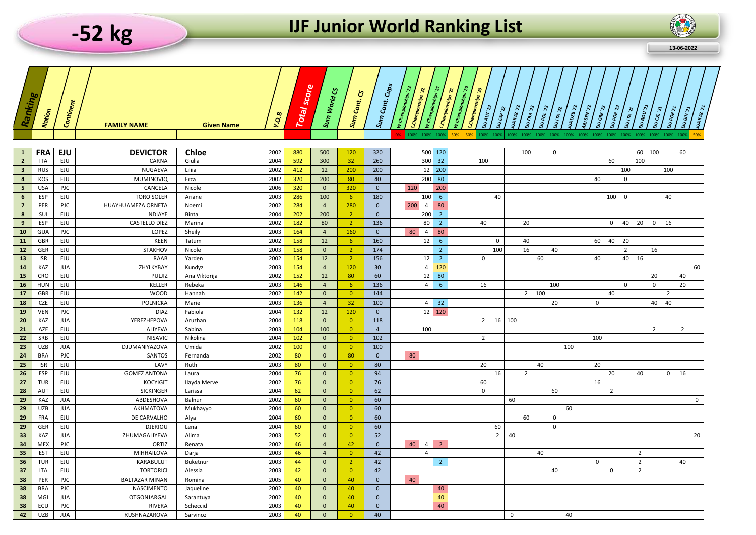



| Ranking                 | Nation            | <b>Continent</b> | <b>FAMILY NAME</b>      | <b>Given Name</b> | $\bullet$<br><b>P.O.</b> | Total score | Sum World CS                 | ୪<br>$\frac{\int \mathcal{S} u_{m}}{\int \mathcal{S} v_{m}}$ | Sum Cont.               | Cups<br>O% | <b>TPionships</b><br>ś<br>100% | W.Ch<br>100%   | $\vec{\bm{\gamma}}$<br>pionships<br>ŝ<br>1009 | Ñ<br>Ñ<br>ψģ,<br>50%<br>50% | -Championships<br>100% | EIU AUT 2<br>Elu ESP 22<br>100% | $\frac{1}{4}$ kaz $\frac{1}{2}$<br>100% | EJU FRA 22<br>100% | Elu POL 22<br>1009 | EJU ITA 22<br>00% | Jua uza 22<br>00% | AJUSEN 22<br>100% | EJU GRE 22<br>100% | $\approx$<br>EJU POR<br>100% | Elurra 21<br>1009 | Elu ROU 21<br>1009 | Elu Car 21<br>inns | Elu POR'21     | -77<br>EJU BIH' 21<br>JUA KAZ<br>50% |  |
|-------------------------|-------------------|------------------|-------------------------|-------------------|--------------------------|-------------|------------------------------|--------------------------------------------------------------|-------------------------|------------|--------------------------------|----------------|-----------------------------------------------|-----------------------------|------------------------|---------------------------------|-----------------------------------------|--------------------|--------------------|-------------------|-------------------|-------------------|--------------------|------------------------------|-------------------|--------------------|--------------------|----------------|--------------------------------------|--|
| $\mathbf{1}$            | <b>FRA</b>        | <b>EJU</b>       | <b>DEVICTOR</b>         | <b>Chloe</b>      | 2002                     | 880         | 500                          | 120                                                          | 320                     |            |                                | 500            | 120                                           |                             |                        |                                 |                                         | 100                |                    | $\mathbf 0$       |                   |                   |                    |                              |                   | 60                 | 100                |                | 60                                   |  |
| $\overline{2}$          | <b>ITA</b>        | EJU              | CARNA                   | Giulia            | 2004                     | 592         | 300                          | 32 <sub>2</sub>                                              | 260                     |            |                                | 300            | 32                                            |                             | 100                    |                                 |                                         |                    |                    |                   |                   |                   |                    | 60                           |                   | 100                |                    |                |                                      |  |
| $\overline{\mathbf{3}}$ | <b>RUS</b>        | EJU              | <b>NUGAEVA</b>          | Liliia            | 2002                     | 412         | 12                           | 200                                                          | 200                     |            |                                | 12             | 200                                           |                             |                        |                                 |                                         |                    |                    |                   |                   |                   |                    |                              | 100               |                    |                    | 100            |                                      |  |
| $\overline{a}$          | KOS               | EJU              | <b>MUMINOVIQ</b>        | Erza              | 2002                     | 320         | 200                          | 80                                                           | 40                      |            |                                | 200            | 80                                            |                             |                        |                                 |                                         |                    |                    |                   |                   |                   | 40                 |                              | $\mathbf 0$       |                    |                    |                |                                      |  |
| $\sqrt{5}$              | <b>USA</b>        | PJC              | CANCELA                 | Nicole            | 2006                     | 320         | $\mathbf{0}$                 | 320                                                          | $\overline{0}$          |            | 120                            |                | 200                                           |                             |                        |                                 |                                         |                    |                    |                   |                   |                   |                    |                              |                   |                    |                    |                |                                      |  |
| 6                       | ESP               | EJU              | <b>TORO SOLER</b>       | Ariane            | 2003                     | 286         | 100                          | 6 <sup>°</sup>                                               | 180                     |            |                                | 100            | 6                                             |                             |                        | 40                              |                                         |                    |                    |                   |                   |                   |                    | 100                          | $\mathbf 0$       |                    |                    | 40             |                                      |  |
| $\overline{7}$          | PER               | PJC              | HUAYHUAMEZA ORNETA      | Noemi             | 2002                     | 284         | $\overline{4}$               | 280                                                          | $\mathbf{0}$            |            | 200                            | $\overline{4}$ | 80                                            |                             |                        |                                 |                                         |                    |                    |                   |                   |                   |                    |                              |                   |                    |                    |                |                                      |  |
| $\boldsymbol{8}$        | SUI               | EJU              | <b>NDIAYE</b>           | Binta             | 2004                     | 202         | 200                          | $\overline{2}$                                               | $\mathbf{0}$            |            |                                | 200            | $\overline{2}$                                |                             |                        |                                 |                                         |                    |                    |                   |                   |                   |                    |                              |                   |                    |                    |                |                                      |  |
| 9                       | ESP               | EJU              | <b>CASTELLO DIEZ</b>    | Marina            | 2002                     | 182         | 80                           | 2 <sup>7</sup>                                               | 136                     |            |                                | 80             | $\overline{2}$                                |                             | 40                     |                                 |                                         | 20                 |                    |                   |                   |                   |                    | 0                            | 40                | 20                 | $\mathbf 0$        | 16             |                                      |  |
| 10                      | <b>GUA</b>        | PJC              | LOPEZ                   | Sheily            | 2003                     | 164         | $\overline{4}$               | 160                                                          | $\mathbf 0$             |            | 80                             | $\overline{4}$ | 80                                            |                             |                        |                                 |                                         |                    |                    |                   |                   |                   |                    |                              |                   |                    |                    |                |                                      |  |
| 11                      | <b>GBR</b>        | EJU              | KEEN                    | Tatum             | 2002                     | 158         | 12                           | 6 <sup>°</sup>                                               | 160                     |            |                                | 12             | 6                                             |                             |                        | $\mathbf 0$                     |                                         | 40                 |                    |                   |                   |                   | 60                 | 40                           | 20                |                    |                    |                |                                      |  |
| 12                      | GER               | EJU              | <b>STAKHOV</b>          | Nicole            | 2003                     | 158         | $\mathbf{0}$                 | $\overline{2}$                                               | 174                     |            |                                |                | $\overline{2}$                                |                             |                        | 100                             |                                         | 16                 |                    | 40                |                   |                   |                    |                              | $\overline{2}$    |                    | 16                 |                |                                      |  |
| 13                      | <b>ISR</b>        | EJU              | RAAB                    | Yarden            | 2002                     | 154         | 12                           | 2 <sup>7</sup>                                               | 156                     |            |                                | 12             | $\overline{2}$                                |                             | $\mathsf 0$            |                                 |                                         |                    | 60                 |                   |                   |                   | 40                 |                              | 40                | 16                 |                    |                |                                      |  |
| 14                      | KAZ               | <b>JUA</b>       | ZHYLKYBAY               | Kundyz            | 2003                     | 154         | $\overline{4}$               | 120                                                          | 30                      |            |                                | $\overline{4}$ | 120                                           |                             |                        |                                 |                                         |                    |                    |                   |                   |                   |                    |                              |                   |                    |                    |                | 60                                   |  |
| 15                      | CRO               | EJU              | PULJIZ                  | Ana Viktorija     | 2002                     | 152         | 12                           | 80                                                           | 60                      |            |                                | 12             | 80                                            |                             |                        |                                 |                                         |                    |                    |                   |                   |                   |                    |                              |                   |                    | 20                 |                | 40                                   |  |
| 16                      | <b>HUN</b>        | EJU              | <b>KELLER</b>           | Rebeka            | 2003                     | 146         | $\overline{4}$               | 6 <sup>°</sup>                                               | 136                     |            |                                | $\overline{4}$ | $6\overline{6}$                               |                             | 16                     |                                 |                                         |                    |                    | 100               |                   |                   |                    |                              | $\Omega$          |                    | $\mathbf 0$        |                | 20                                   |  |
| 17                      | GBR               | EJU              | <b>WOOD</b>             | Hannah            | 2002                     | 142         | $\mathbf{0}$                 | $\overline{0}$                                               | 144                     |            |                                |                |                                               |                             |                        |                                 |                                         | 2 100              |                    |                   |                   |                   |                    | 40                           |                   |                    |                    | $\overline{2}$ |                                      |  |
| 18                      | CZE               | EJU              | <b>POLNICKA</b>         | Marie             | 2003                     | 136         | $\overline{4}$               | 32 <sup>°</sup>                                              | 100                     |            |                                | $\overline{4}$ | 32                                            |                             |                        |                                 |                                         |                    |                    | 20                |                   |                   | $\mathbf 0$        |                              |                   |                    | 40                 | 40             |                                      |  |
| 19                      | <b>VEN</b>        | PJC              | <b>DIAZ</b>             | Fabiola           | 2004                     | 132         | 12                           | 120                                                          | $\overline{\mathbf{0}}$ |            |                                | 12             | 120                                           |                             |                        |                                 |                                         |                    |                    |                   |                   |                   |                    |                              |                   |                    |                    |                |                                      |  |
| 20                      | KAZ               | <b>JUA</b>       | YEREZHEPOVA             | Aruzhan           | 2004                     | 118         | $\mathbf{0}$                 | $\overline{0}$                                               | 118                     |            |                                |                |                                               |                             | 2                      | 16                              | 100                                     |                    |                    |                   |                   |                   |                    |                              |                   |                    |                    |                |                                      |  |
| 21                      | AZE               | EJU              | <b>ALIYEVA</b>          | Sabina            | 2003                     | 104         | 100                          | $\overline{0}$                                               | $\overline{4}$          |            |                                | 100            |                                               |                             |                        |                                 |                                         |                    |                    |                   |                   |                   |                    |                              |                   |                    | $\overline{2}$     |                | $\overline{2}$                       |  |
| 22<br>23                | SRB<br><b>UZB</b> | EJU              | <b>NISAVIC</b>          | Nikolina          | 2004<br>2002             | 102<br>100  | $\mathbf{0}$<br>$\mathbf{0}$ | $\overline{0}$<br>$\overline{0}$                             | 102<br>100              |            |                                |                |                                               |                             | $\overline{2}$         |                                 |                                         |                    |                    |                   | 100               |                   | 100                |                              |                   |                    |                    |                |                                      |  |
|                         | <b>BRA</b>        | <b>JUA</b>       | DJUMANIYAZOVA<br>SANTOS | Umida             |                          | 80          |                              |                                                              |                         |            |                                |                |                                               |                             |                        |                                 |                                         |                    |                    |                   |                   |                   |                    |                              |                   |                    |                    |                |                                      |  |
| 24<br>25                | <b>ISR</b>        | PJC<br>EJU       | LAVY                    | Fernanda<br>Ruth  | 2002<br>2003             | 80          | $\mathbf{0}$<br>$\mathbf{0}$ | 80<br>$\overline{0}$                                         | $\mathbf{0}$<br>80      |            | 80                             |                |                                               |                             | 20                     |                                 |                                         |                    | 40                 |                   |                   |                   | 20                 |                              |                   |                    |                    |                |                                      |  |
| 26                      | ESP               | EJU              | <b>GOMEZ ANTONA</b>     | Laura             | 2004                     | 76          | $\mathbf{0}$                 | $\overline{0}$                                               | 94                      |            |                                |                |                                               |                             |                        | 16                              |                                         | $\overline{2}$     |                    |                   |                   |                   |                    | 20                           |                   | 40                 |                    | 0              | 16                                   |  |
| 27                      | <b>TUR</b>        | EJU              | <b>KOCYIGIT</b>         | Ilayda Merve      | 2002                     | 76          | $\mathbf{0}$                 | $\overline{0}$                                               | 76                      |            |                                |                |                                               |                             | 60                     |                                 |                                         |                    |                    |                   |                   |                   | 16                 |                              |                   |                    |                    |                |                                      |  |
| 28                      | AUT               | EJU              | <b>SICKINGER</b>        | Larissa           | 2004                     | 62          | $\mathbf{0}$                 | $\overline{0}$                                               | 62                      |            |                                |                |                                               |                             | $\mathbf 0$            |                                 |                                         |                    |                    | 60                |                   |                   |                    | $\overline{2}$               |                   |                    |                    |                |                                      |  |
| 29                      | KAZ               | <b>JUA</b>       | ABDESHOVA               | Balnur            | 2002                     | 60          | $\mathbf{0}$                 | $\overline{0}$                                               | 60                      |            |                                |                |                                               |                             |                        |                                 | 60                                      |                    |                    |                   |                   |                   |                    |                              |                   |                    |                    |                | $\mathbf 0$                          |  |
| 29                      | <b>UZB</b>        | <b>JUA</b>       | AKHMATOVA               | Mukhayyo          | 2004                     | 60          | $\mathbf{0}$                 | $\overline{0}$                                               | 60                      |            |                                |                |                                               |                             |                        |                                 |                                         |                    |                    |                   | 60                |                   |                    |                              |                   |                    |                    |                |                                      |  |
| 29                      | FRA               | EJU              | DE CARVALHO             | Alya              | 2004                     | 60          | $\mathbf{0}$                 | $\overline{0}$                                               | 60                      |            |                                |                |                                               |                             |                        |                                 |                                         | 60                 |                    | $\mathbf 0$       |                   |                   |                    |                              |                   |                    |                    |                |                                      |  |
| 29                      | GER               | EJU              | <b>DJERIOU</b>          | Lena              | 2004                     | 60          | $\mathbf{0}$                 | $\overline{0}$                                               | 60                      |            |                                |                |                                               |                             |                        | 60                              |                                         |                    |                    | $\mathsf{O}$      |                   |                   |                    |                              |                   |                    |                    |                |                                      |  |
| 33                      | KAZ               | <b>JUA</b>       | ZHUMAGALIYEVA           | Alima             | 2003                     | 52          | $\mathbf{0}$                 | $\overline{0}$                                               | 52                      |            |                                |                |                                               |                             |                        | $\overline{2}$                  | 40                                      |                    |                    |                   |                   |                   |                    |                              |                   |                    |                    |                | 20                                   |  |
| 34                      | <b>MEX</b>        | PJC              | ORTIZ                   | Renata            | 2002                     | 46          | $\overline{4}$               | 42                                                           | $\overline{0}$          |            | 40                             | $\overline{4}$ | $\overline{2}$                                |                             |                        |                                 |                                         |                    |                    |                   |                   |                   |                    |                              |                   |                    |                    |                |                                      |  |
| 35                      | <b>EST</b>        | EJU              | MIHHAILOVA              | Darja             | 2003                     | 46          | $\overline{4}$               | $\overline{0}$                                               | 42                      |            |                                | $\overline{4}$ |                                               |                             |                        |                                 |                                         |                    | 40                 |                   |                   |                   |                    |                              |                   | $\overline{2}$     |                    |                |                                      |  |
| 36                      | <b>TUR</b>        | EJU              | <b>KARABULUT</b>        | Buketnur          | 2003                     | 44          | $\mathbf{0}$                 | 2 <sup>7</sup>                                               | 42                      |            |                                |                | $\overline{2}$                                |                             |                        |                                 |                                         |                    |                    |                   |                   |                   | $\mathbf 0$        |                              |                   | $\overline{2}$     |                    |                | 40                                   |  |
| 37                      | <b>ITA</b>        | EJU              | <b>TORTORICI</b>        | Alessia           | 2003                     | 42          | $\mathbf{0}$                 | $\overline{0}$                                               | 42                      |            |                                |                |                                               |                             |                        |                                 |                                         |                    |                    | 40                |                   |                   |                    | $\mathsf{O}$                 |                   | $\overline{2}$     |                    |                |                                      |  |
| 38                      | PER               | PJC              | <b>BALTAZAR MINAN</b>   | Romina            | 2005                     | 40          | $\mathbf{0}$                 | 40                                                           | $\overline{\mathbf{0}}$ |            | 40                             |                |                                               |                             |                        |                                 |                                         |                    |                    |                   |                   |                   |                    |                              |                   |                    |                    |                |                                      |  |
| 38                      | <b>BRA</b>        | <b>PJC</b>       | NASCIMENTO              | Jaqueline         | 2002                     | 40          | $\mathbf{0}$                 | 40                                                           | $\mathbf{0}$            |            |                                |                | 40                                            |                             |                        |                                 |                                         |                    |                    |                   |                   |                   |                    |                              |                   |                    |                    |                |                                      |  |
| 38                      | MGL               | <b>JUA</b>       | OTGONJARGAL             | Sarantuya         | 2002                     | 40          | $\mathbf{0}$                 | 40                                                           | $\mathbf{0}$            |            |                                |                | 40                                            |                             |                        |                                 |                                         |                    |                    |                   |                   |                   |                    |                              |                   |                    |                    |                |                                      |  |
| 38                      | ECU               | PJC              | <b>RIVERA</b>           | Scheccid          | 2003                     | 40          | $\mathbf{0}$                 | 40                                                           | $\mathbf 0$             |            |                                |                | 40                                            |                             |                        |                                 |                                         |                    |                    |                   |                   |                   |                    |                              |                   |                    |                    |                |                                      |  |
| 42                      | <b>UZB</b>        | <b>JUA</b>       | KUSHNAZAROVA            | Sarvinoz          | 2003                     | 40          | $\mathbf{0}$                 | $\overline{0}$                                               | 40                      |            |                                |                |                                               |                             |                        |                                 | $\mathbf 0$                             |                    |                    |                   | 40                |                   |                    |                              |                   |                    |                    |                |                                      |  |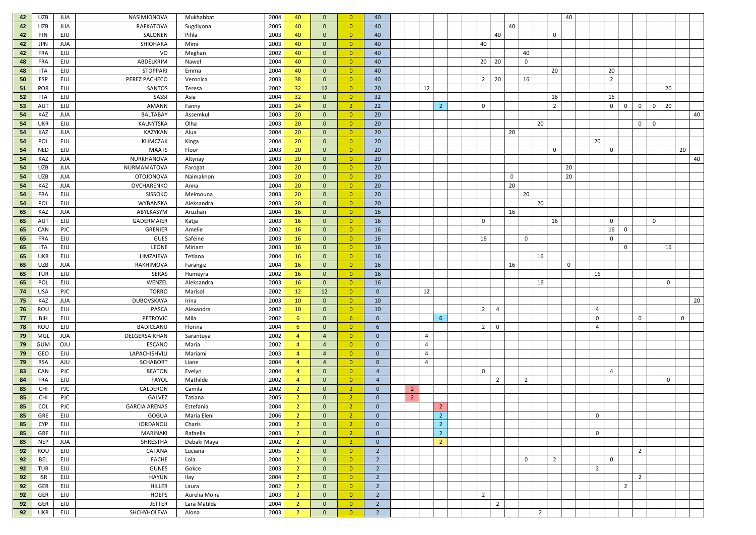| 42 | <b>UZB</b> | <b>JUA</b> | NASIMJONOVA          | Mukhabbat     | 2004 | 40              | $\mathbf{0}$   | $\overline{0}$ | 40              |                |                |                 |                 |                |    |                |                | 40 |                |                |                |                |                   |    |    |
|----|------------|------------|----------------------|---------------|------|-----------------|----------------|----------------|-----------------|----------------|----------------|-----------------|-----------------|----------------|----|----------------|----------------|----|----------------|----------------|----------------|----------------|-------------------|----|----|
| 42 | <b>UZB</b> | <b>JUA</b> | RAFKATOVA            | Sugdiyona     | 2005 | 40              | $\mathbf{0}$   | $\overline{0}$ | 40              |                |                |                 |                 |                | 40 |                |                |    |                |                |                |                |                   |    |    |
| 42 | <b>FIN</b> | EJU        | SALONEN              | Pihla         | 2003 | 40              | $\mathbf{0}$   | $\overline{0}$ | 40              |                |                |                 |                 | 40             |    |                | $\mathbf 0$    |    |                |                |                |                |                   |    |    |
| 42 | <b>JPN</b> | JUA        | SHIOHARA             | Mimi          | 2003 | 40              | $\mathbf{0}$   | $\overline{0}$ | 40              |                |                |                 | 40              |                |    |                |                |    |                |                |                |                |                   |    |    |
| 42 | FRA        | EJU        | VO                   | Meghan        | 2002 | 40              | $\mathbf{0}$   | $\overline{0}$ | 40              |                |                |                 |                 |                |    | 40             |                |    |                |                |                |                |                   |    |    |
| 48 | FRA        | EJU        | ABDELKRIM            | Nawel         | 2004 | 40              | $\overline{0}$ | $\overline{0}$ | 40              |                |                |                 | 20 <sup>1</sup> | 20             |    | 0              |                |    |                |                |                |                |                   |    |    |
| 48 | ITA        | EJU        | <b>STOPPARI</b>      | Emma          | 2004 | 40              | $\mathbf{0}$   | $\overline{0}$ | 40              |                |                |                 |                 |                |    |                | 20             |    |                | 20             |                |                |                   |    |    |
| 50 | ESP        | EJU        | PEREZ PACHECO        | Veronica      | 2003 | 38              | $\mathbf{0}$   | $\overline{0}$ | 40              |                |                |                 | $\overline{2}$  | 20             |    | 16             |                |    |                | $\overline{2}$ |                |                |                   |    |    |
| 51 | <b>POR</b> | EJU        | SANTOS               | Teresa        | 2002 | 32 <sub>2</sub> | 12             | $\overline{0}$ | 20              |                | 12             |                 |                 |                |    |                |                |    |                |                |                |                | 20                |    |    |
| 52 | <b>ITA</b> | EJU        | SASSI                | Asia          | 2004 | 32 <sub>2</sub> | $\mathbf{0}$   | $\overline{0}$ | 32              |                |                |                 |                 |                |    |                | 16             |    |                | 16             |                |                |                   |    |    |
| 53 | AUT        | EJU        | AMANN                | Fanny         | 2003 | 24              | $\mathbf{0}$   | $\overline{2}$ | 22              |                |                | $\overline{2}$  | 0               |                |    |                | $\overline{2}$ |    |                | $\mathbf 0$    | $\mathbf 0$    | $\mathbf 0$    | $\mathbf 0$<br>20 |    |    |
| 54 | KAZ        | JUA        | BALTABAY             | Assemkul      | 2003 | 20              | $\mathbf{0}$   | $\overline{0}$ | 20              |                |                |                 |                 |                |    |                |                |    |                |                |                |                |                   |    | 40 |
| 54 | <b>UKR</b> | EJU        | KALNYTSKA            | Olha          | 2003 | 20              | $\mathbf{0}$   | $\overline{0}$ | 20              |                |                |                 |                 |                |    |                | 20             |    |                |                |                | 0              | $\mathbf 0$       |    |    |
| 54 | KAZ        | <b>JUA</b> | KAZYKAN              | Alua          | 2004 | 20              | $\mathbf{0}$   | $\overline{0}$ | 20              |                |                |                 |                 |                | 20 |                |                |    |                |                |                |                |                   |    |    |
| 54 | POL        | EJU        | <b>KLIMCZAK</b>      | Kinga         | 2004 | 20              | $\mathbf{0}$   | $\overline{0}$ | 20              |                |                |                 |                 |                |    |                |                |    | 20             |                |                |                |                   |    |    |
| 54 | <b>NED</b> | EJU        | <b>MAATS</b>         | Floor         | 2003 | 20              | $\mathbf{0}$   | $\overline{0}$ | 20              |                |                |                 |                 |                |    |                | $\mathbf 0$    |    |                | $\mathbf 0$    |                |                |                   | 20 |    |
| 54 | KAZ        | JUA        | NURKHANOVA           | Altynay       | 2003 | 20              | $\mathbf{0}$   | $\overline{0}$ | 20              |                |                |                 |                 |                |    |                |                |    |                |                |                |                |                   |    | 40 |
| 54 | <b>UZB</b> | JUA        | NURMAMATOVA          | Farogat       | 2004 | 20              | $\mathbf{0}$   | $\overline{0}$ | 20              |                |                |                 |                 |                |    |                |                | 20 |                |                |                |                |                   |    |    |
| 54 | <b>UZB</b> | <b>JUA</b> | <b>OTOJONOVA</b>     | Naimakhon     | 2003 | 20              | $\mathbf{0}$   | $\overline{0}$ | 20              |                |                |                 |                 |                | 0  |                |                | 20 |                |                |                |                |                   |    |    |
| 54 | KAZ        | JUA        | OVCHARENKO           | Anna          | 2004 | 20              | $\mathbf{0}$   | $\overline{0}$ | 20              |                |                |                 |                 |                | 20 |                |                |    |                |                |                |                |                   |    |    |
| 54 | FRA        | EJU        | <b>SISSOKO</b>       | Meimouna      | 2003 | 20              | $\mathbf{0}$   | $\overline{0}$ | 20              |                |                |                 |                 |                |    | 20             |                |    |                |                |                |                |                   |    |    |
| 54 | POL        | EJU        | WYBANSKA             | Aleksandra    | 2003 | 20              | $\mathbf{0}$   | $\overline{0}$ | 20              |                |                |                 |                 |                |    |                | 20             |    |                |                |                |                |                   |    |    |
| 65 | KAZ        | <b>JUA</b> | ABYLKASYM            | Aruzhan       | 2004 | 16              | $\mathbf{0}$   | $\overline{0}$ | 16              |                |                |                 |                 |                | 16 |                |                |    |                |                |                |                |                   |    |    |
| 65 | <b>AUT</b> | EJU        | GADERMAIER           | Katja         | 2003 | 16              | $\overline{0}$ | $\overline{0}$ | 16              |                |                |                 | 0               |                |    |                | 16             |    |                | $\mathbf 0$    |                |                | $\mathbf 0$       |    |    |
| 65 | CAN        | PJC        | GRENIER              | Amelie        | 2002 | 16              | $\mathbf{0}$   | $\overline{0}$ | 16              |                |                |                 |                 |                |    |                |                |    |                | 16             | $\mathbf 0$    |                |                   |    |    |
| 65 | FRA        | EJU        | GUES                 | Safeine       | 2003 | 16              | $\mathbf{0}$   | $\overline{0}$ | 16              |                |                |                 | 16              |                |    | $\mathbf{0}$   |                |    |                | $\mathbf 0$    |                |                |                   |    |    |
| 65 | <b>ITA</b> | EJU        | LEONE                | Miriam        | 2003 | 16              | $\mathbf{0}$   | $\overline{0}$ | 16              |                |                |                 |                 |                |    |                |                |    |                |                | $\mathbf 0$    |                | 16                |    |    |
| 65 | <b>UKR</b> | EJU        | LIMZAIEVA            | Tetiana       | 2004 | 16              | $\mathbf{0}$   | $\overline{0}$ | 16              |                |                |                 |                 |                |    |                | 16             |    |                |                |                |                |                   |    |    |
| 65 | <b>UZB</b> | JUA        | RAKHIMOVA            | Farangiz      | 2004 | 16              | $\mathbf{0}$   | $\overline{0}$ | 16              |                |                |                 |                 |                | 16 |                |                | 0  |                |                |                |                |                   |    |    |
| 65 | <b>TUR</b> | EJU        | SERAS                | Humeyra       | 2002 | 16              | $\mathbf{0}$   | $\overline{0}$ | 16              |                |                |                 |                 |                |    |                |                |    | 16             |                |                |                |                   |    |    |
| 65 | POL        | EJU        | WENZEL               | Aleksandra    | 2003 | 16              | $\overline{0}$ | $\overline{0}$ | 16              |                |                |                 |                 |                |    |                | 16             |    |                |                |                |                | $\mathbf 0$       |    |    |
| 74 | <b>USA</b> | PJC        | <b>TORRO</b>         | Marisol       | 2002 | 12              | 12             | $\overline{0}$ | $\mathbf{0}$    |                | 12             |                 |                 |                |    |                |                |    |                |                |                |                |                   |    |    |
| 75 | KAZ        | <b>JUA</b> | DUBOVSKAYA           | Irina         | 2003 | 10              | $\mathbf{0}$   | $\overline{0}$ | 10              |                |                |                 |                 |                |    |                |                |    |                |                |                |                |                   |    | 20 |
| 76 | ROU        | EJU        | <b>PASCA</b>         | Alexandra     | 2002 | 10              | $\mathbf{0}$   | $\overline{0}$ | 10              |                |                |                 | $\overline{2}$  | $\overline{4}$ |    |                |                |    | $\overline{4}$ |                |                |                |                   |    |    |
| 77 | BIH        | EJU        | PETROVIC             | Mila          | 2002 | -6              | $\mathbf{0}$   | 6              | $\mathbf{0}$    |                |                | $6\overline{6}$ |                 |                |    |                |                |    | 0              |                |                | 0              |                   | 0  |    |
| 78 | ROU        | EJU        | <b>BADICEANU</b>     | Florina       | 2004 | $6^{\circ}$     | $\mathbf{0}$   | $\overline{0}$ | $6\overline{6}$ |                |                |                 | $\overline{2}$  | $\mathsf{O}$   |    |                |                |    | $\overline{4}$ |                |                |                |                   |    |    |
| 79 | MGL        | JUA        | DELGERSAIKHAN        | Sarantuya     | 2002 | $\overline{4}$  | $\overline{a}$ | $\overline{0}$ | $\mathbf{0}$    |                | $\overline{4}$ |                 |                 |                |    |                |                |    |                |                |                |                |                   |    |    |
| 79 | <b>GUM</b> | <b>OJU</b> | <b>ESCANO</b>        | Maria         | 2002 | $\overline{4}$  | $\overline{4}$ | $\overline{0}$ | $\overline{0}$  |                | $\overline{4}$ |                 |                 |                |    |                |                |    |                |                |                |                |                   |    |    |
| 79 | GEO        | EJU        | LAPACHISHVILI        | Mariami       | 2003 | $\overline{4}$  | $\overline{4}$ | $\overline{0}$ | $\mathbf{0}$    |                | $\overline{4}$ |                 |                 |                |    |                |                |    |                |                |                |                |                   |    |    |
| 79 | <b>RSA</b> | AJU        | <b>SCHABORT</b>      | Liane         | 2004 | $\overline{4}$  | $\overline{4}$ | $\overline{0}$ | $\overline{0}$  |                | $\overline{4}$ |                 |                 |                |    |                |                |    |                |                |                |                |                   |    |    |
| 83 | CAN        | PJC        | <b>BEATON</b>        | Evelyn        | 2004 | $\overline{4}$  | $\mathbf{0}$   | $\overline{0}$ | $\overline{4}$  |                |                |                 | $\mathbf 0$     |                |    |                |                |    |                | $\overline{4}$ |                |                |                   |    |    |
| 84 | FRA        | EJU        | <b>FAYOL</b>         | Mathilde      | 2002 | $\overline{4}$  | $\mathbf{0}$   | $\overline{0}$ | $\overline{4}$  |                |                |                 |                 | $\overline{2}$ |    | $\overline{2}$ |                |    |                |                |                |                | $\mathbf 0$       |    |    |
| 85 | <b>CHI</b> | PJC        | CALDERON             | Camila        | 2002 | $\overline{2}$  | $\mathbf{0}$   | $\overline{2}$ | $\overline{0}$  | $\overline{2}$ |                |                 |                 |                |    |                |                |    |                |                |                |                |                   |    |    |
| 85 | <b>CHI</b> | PJC        | GALVEZ               | Tatiana       | 2005 | 2               | $\mathbf{0}$   | $\overline{2}$ | $\mathbf{0}$    | $\overline{2}$ |                |                 |                 |                |    |                |                |    |                |                |                |                |                   |    |    |
| 85 | COL        | PJC        | <b>GARCIA ARENAS</b> | Estefania     | 2004 | $\overline{2}$  | $\mathbf{0}$   | $\overline{2}$ | $\overline{0}$  |                |                | $\overline{2}$  |                 |                |    |                |                |    |                |                |                |                |                   |    |    |
| 85 | GRE        | EJU        | GOGUA                | Maria Eleni   | 2006 | $\overline{2}$  | $\mathbf 0$    | $\overline{2}$ | $\mathbf{0}$    |                |                | $\mathbf{Z}$    |                 |                |    |                |                |    | $\cup$         |                |                |                |                   |    |    |
| 85 | <b>CYP</b> | EJU        | IORDANOU             | Charis        | 2003 | $\overline{2}$  | $\mathbf{0}$   | $\overline{2}$ | $\mathbf{0}$    |                |                | $\overline{2}$  |                 |                |    |                |                |    |                |                |                |                |                   |    |    |
| 85 | GRE        | EJU        | MARINAKI             | Rafaella      | 2003 | $\overline{2}$  | $\mathbf{0}$   | $\overline{2}$ | $\mathbf{0}$    |                |                | $\overline{2}$  |                 |                |    |                |                |    | $\mathbf 0$    |                |                |                |                   |    |    |
| 85 | <b>NEP</b> | <b>JUA</b> | SHRESTHA             | Debaki Maya   | 2002 | $\overline{2}$  | $\mathbf{0}$   | $\overline{2}$ | $\overline{0}$  |                |                | $\overline{2}$  |                 |                |    |                |                |    |                |                |                |                |                   |    |    |
| 92 | ROU        | EJU        | CATANA               | Luciana       | 2005 | 2 <sup>1</sup>  | $\mathbf{0}$   | $\overline{0}$ | $\overline{2}$  |                |                |                 |                 |                |    |                |                |    |                |                |                | $\overline{2}$ |                   |    |    |
| 92 | BEL        | EJU        | FACHE                | Lola          | 2004 | $\overline{2}$  | $\mathbf{0}$   | $\overline{0}$ | $\overline{2}$  |                |                |                 |                 |                |    | $\mathbf 0$    | $\overline{2}$ |    |                | $\mathsf 0$    |                |                |                   |    |    |
| 92 | <b>TUR</b> | EJU        | <b>GUNES</b>         | Gokce         | 2003 | $\overline{2}$  | $\mathbf{0}$   | $\overline{0}$ | $\overline{2}$  |                |                |                 |                 |                |    |                |                |    | $\overline{2}$ |                |                |                |                   |    |    |
| 92 | <b>ISR</b> | EJU        | <b>HAYUN</b>         | Ilay          | 2004 | $2^{\circ}$     | $\mathbf{0}$   | $\overline{0}$ | $\overline{2}$  |                |                |                 |                 |                |    |                |                |    |                |                |                | $\overline{2}$ |                   |    |    |
| 92 | GER        | EJU        | HILLER               | Laura         | 2002 | $\overline{2}$  | $\mathbf{0}$   | $\overline{0}$ | $\overline{2}$  |                |                |                 |                 |                |    |                |                |    |                |                | $\overline{2}$ |                |                   |    |    |
| 92 | GER        | EJU        | <b>HOEPS</b>         | Aurelia Moira | 2003 | $\overline{2}$  | $\mathbf{0}$   | $\overline{0}$ | $\overline{2}$  |                |                |                 | $\overline{2}$  |                |    |                |                |    |                |                |                |                |                   |    |    |
| 92 | GER        | EJU        | <b>JETTER</b>        | Lara Matilda  | 2004 | 2 <sup>2</sup>  | $\mathbf{0}$   | $\overline{0}$ | $\overline{2}$  |                |                |                 |                 | $\overline{2}$ |    |                |                |    |                |                |                |                |                   |    |    |
| 92 | <b>UKR</b> | EJU        | SHCHYHOLEVA          | Alona         | 2003 | 2 <sup>1</sup>  | $\mathbf{0}$   | $\overline{0}$ | $\overline{2}$  |                |                |                 |                 |                |    |                | $\overline{2}$ |    |                |                |                |                |                   |    |    |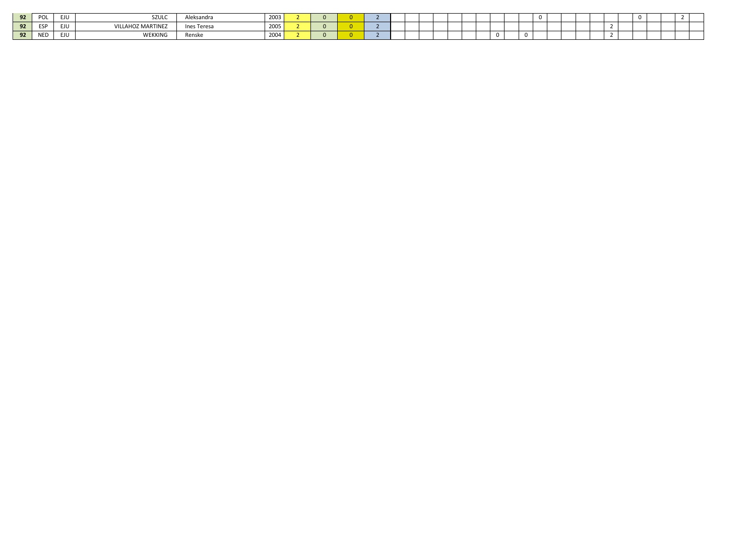| 92                                | POL        |   | SZULC.                             | Aleksandra  | 2003 |  |  |  |  |  |  |  |  |  |  |
|-----------------------------------|------------|---|------------------------------------|-------------|------|--|--|--|--|--|--|--|--|--|--|
| $\vert$ 92                        | ECD<br>້   | ᄓ | <b>MARTINEZ</b><br>VILL            | Ines Teresa | 2005 |  |  |  |  |  |  |  |  |  |  |
| $\begin{array}{c} \end{array}$ 92 | <b>NED</b> |   | <b>INEVVING</b><br><b>IVENNIJA</b> | Renske      | 2004 |  |  |  |  |  |  |  |  |  |  |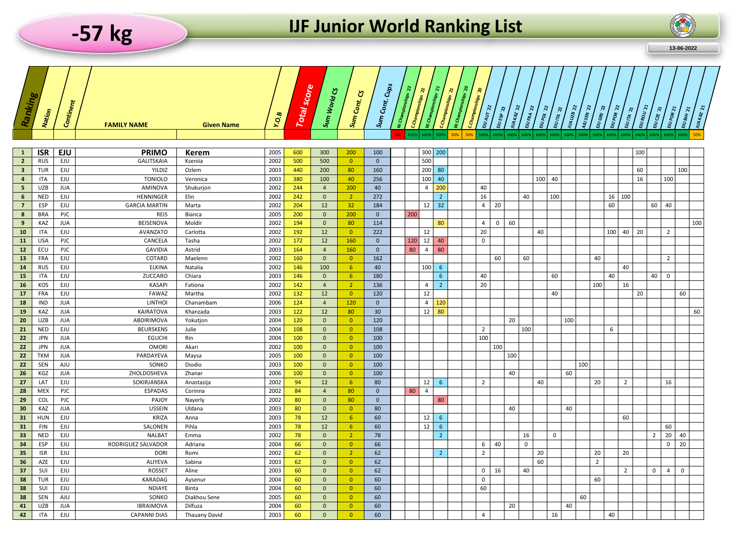



| Ranking                 | Nation            | <b>Continent</b>  | <b>FAMILY NAME</b>       | <b>Given Name</b>    | $\pmb{\omega}$<br>V.O. | Total score | Sum World CS         | Sum Cont. CS                     | Sum Cont. Cups | O% | <b>Ipionships</b><br>š<br>100% | Ñ<br>100%            | Ñ<br>pionships >21<br>š<br>100% | 2<br>50%<br>50% | <b>R</b><br>-Championships<br>EIU AUT 22<br>100% | EJU ESP 22<br>100% | JUA KAZ 22<br>100% | EJU FRA 22<br>100% | Elu POL 22<br>100% | ElUTA 22<br>100% | $\frac{1}{2}$<br>100% | AJU SEN 22<br>100%<br>100% | EJU GRE 22<br>EJU POR<br>1009 | $\approx$<br>EJU ITA 21<br>1009 | Elu ROU 21<br>100% | EJU CZE 21<br>inns | ElU POR'Z1<br>oos | N<br>EJU BIH' 21<br><b>JUA KAZ</b><br>50% |  |
|-------------------------|-------------------|-------------------|--------------------------|----------------------|------------------------|-------------|----------------------|----------------------------------|----------------|----|--------------------------------|----------------------|---------------------------------|-----------------|--------------------------------------------------|--------------------|--------------------|--------------------|--------------------|------------------|-----------------------|----------------------------|-------------------------------|---------------------------------|--------------------|--------------------|-------------------|-------------------------------------------|--|
| $\mathbf{1}$            | <b>ISR</b>        | EJU               | <b>PRIMO</b>             | Kerem                | 2005                   | 600         | 300                  | 200                              | 100            |    |                                | 300                  | 200                             |                 |                                                  |                    |                    |                    |                    |                  |                       |                            |                               |                                 | 100                |                    |                   |                                           |  |
| $\overline{2}$          | <b>RUS</b>        | EJU               | <b>GALITSKAIA</b>        | Kseniia              | 2002                   | 500         | 500                  | $\overline{0}$                   | $\overline{0}$ |    |                                | 500                  |                                 |                 |                                                  |                    |                    |                    |                    |                  |                       |                            |                               |                                 |                    |                    |                   |                                           |  |
| $\overline{\mathbf{3}}$ | <b>TUR</b>        | EJU               | YILDIZ                   | Ozlem                | 2003                   | 440         | 200                  | 80                               | 160            |    |                                | 200                  | 80                              |                 |                                                  |                    |                    |                    |                    |                  |                       |                            |                               |                                 | 60                 |                    |                   | 100                                       |  |
| $\overline{\mathbf{4}}$ | ITA               | EJU               | <b>TONIOLO</b>           | Veronica             | 2003                   | 380         | 100                  | 40                               | 256            |    |                                | 100                  | 40                              |                 |                                                  |                    |                    |                    | 100                | 40               |                       |                            |                               |                                 | 16                 |                    | 100               |                                           |  |
| $5\phantom{.0}$         | UZB               | <b>JUA</b>        | AMINOVA                  | Shukurjon            | 2002                   | 244         | $\overline{4}$       | 200                              | 40             |    |                                | $\overline{4}$       | 200                             |                 | 40                                               |                    |                    |                    |                    |                  |                       |                            |                               |                                 |                    |                    |                   |                                           |  |
| $\,$ 6 $\,$             | <b>NED</b>        | EJU               | HENNINGER                | Elin                 | 2002                   | 242         | $\overline{0}$       | $\overline{2}$                   | 272            |    |                                |                      | $\overline{2}$                  |                 | 16                                               |                    |                    | 40                 |                    | 100              |                       |                            | 16                            | 100                             |                    |                    |                   |                                           |  |
| $\overline{7}$          | ESP               | EJU               | <b>GARCIA MARTIN</b>     | Marta                | 2002                   | 204         | 12                   | 32                               | 184            |    |                                | 12                   | 32                              |                 | $\overline{4}$                                   | 20                 |                    |                    |                    |                  |                       |                            | 60                            |                                 |                    | 60                 | 40                |                                           |  |
| $\boldsymbol{8}$        | <b>BRA</b>        | PJC               | <b>REIS</b>              | Bianca               | 2005                   | 200         | $\mathbf{0}$         | 200                              | $\overline{0}$ |    | 200                            |                      |                                 |                 |                                                  |                    |                    |                    |                    |                  |                       |                            |                               |                                 |                    |                    |                   |                                           |  |
| 9                       | KAZ               | <b>JUA</b>        | <b>BEISENOVA</b>         | Moldir               | 2002                   | 194         | $\mathbf{0}$         | 80                               | 114            |    |                                |                      | 80                              |                 | $\overline{4}$                                   | $\mathbf 0$        | 60                 |                    |                    |                  |                       |                            |                               |                                 |                    |                    |                   | 100                                       |  |
| ${\bf 10}$              | <b>ITA</b>        | EJU               | AVANZATO                 | Carlotta             | 2002                   | 192         | 12                   | $\overline{0}$                   | 222            |    |                                | 12                   |                                 |                 | 20                                               |                    |                    |                    | 40                 |                  |                       |                            | 100                           | 40                              | 20                 |                    | 2                 |                                           |  |
| ${\bf 11}$              | <b>USA</b>        | PJC               | CANCELA                  | Tasha                | 2002                   | 172         | 12                   | 160                              | $\mathbf{0}$   |    | 120                            | 12                   | 40                              |                 | $\mathsf 0$                                      |                    |                    |                    |                    |                  |                       |                            |                               |                                 |                    |                    |                   |                                           |  |
| ${\bf 12}$              | ECU               | PJC               | <b>GAVIDIA</b>           | Astrid               | 2003                   | 164         | $\overline{4}$       | 160                              | $\mathbf{0}$   |    | 80                             | $\overline{4}$       | 80                              |                 |                                                  |                    |                    |                    |                    |                  |                       |                            |                               |                                 |                    |                    |                   |                                           |  |
| 13                      | FRA               | EJU               | COTARD                   | Maelenn              | 2002                   | 160         | $\overline{0}$       | $\overline{0}$                   | 162            |    |                                |                      |                                 |                 |                                                  | 60                 |                    | 60                 |                    |                  |                       | 40                         |                               |                                 |                    |                    | $\overline{2}$    |                                           |  |
| 14                      | <b>RUS</b>        | EJU               | <b>ELKINA</b>            | Natalia              | 2002                   | 146         | 100                  | 6 <sup>1</sup><br>6 <sup>1</sup> | 40             |    |                                | 100                  | 6                               |                 |                                                  |                    |                    |                    |                    |                  |                       |                            |                               | 40                              |                    |                    |                   |                                           |  |
| 15                      | <b>ITA</b>        | EJU               | ZUCCARO<br><b>KASAPI</b> | Chiara               | 2003                   | 146         | $\mathbf{0}$         | 2 <sup>7</sup>                   | 180            |    |                                |                      | 6<br>$\overline{2}$             |                 | 40<br>20                                         |                    |                    |                    |                    | 60               |                       |                            | 40                            |                                 |                    | 40                 | $\mathbf 0$       |                                           |  |
| 16<br>17                | KOS<br><b>FRA</b> | EJU               |                          | Fationa              | 2002<br>2002           | 142         | $\overline{4}$<br>12 | $\overline{0}$                   | 136<br>120     |    |                                | $\overline{4}$<br>12 |                                 |                 |                                                  |                    |                    |                    |                    |                  |                       | 100                        |                               | 16                              |                    |                    |                   | 60                                        |  |
| 18                      | <b>IND</b>        | EJU<br><b>JUA</b> | FAWAZ<br><b>LINTHOI</b>  | Martha<br>Chanambam  | 2006                   | 132<br>124  | $\overline{4}$       | 120                              | $\overline{0}$ |    |                                | $\overline{4}$       | 120                             |                 |                                                  |                    |                    |                    |                    | 40               |                       |                            |                               |                                 | 20                 |                    |                   |                                           |  |
| ${\bf 19}$              | KAZ               | <b>JUA</b>        | KAIRATOVA                | Khanzada             | 2003                   | 122         | 12                   | 80                               | 30             |    |                                | 12                   | 80                              |                 |                                                  |                    |                    |                    |                    |                  |                       |                            |                               |                                 |                    |                    |                   | 60                                        |  |
| 20                      | <b>UZB</b>        | <b>JUA</b>        | ABDIRIMOVA               | Yokutjon             | 2004                   | 120         | $\mathbf{0}$         | $\overline{0}$                   | 120            |    |                                |                      |                                 |                 |                                                  |                    | 20                 |                    |                    |                  | 100                   |                            |                               |                                 |                    |                    |                   |                                           |  |
| ${\bf 21}$              | <b>NED</b>        | EJU               | <b>BEURSKENS</b>         | Julie                | 2004                   | 108         | $\mathbf{0}$         | $\overline{0}$                   | 108            |    |                                |                      |                                 |                 | $\overline{2}$                                   |                    |                    | 100                |                    |                  |                       |                            | 6                             |                                 |                    |                    |                   |                                           |  |
| 22                      | <b>JPN</b>        | <b>JUA</b>        | <b>EGUCHI</b>            | Rin                  | 2004                   | 100         | $\mathbf{0}$         | $\overline{0}$                   | 100            |    |                                |                      |                                 |                 | 100                                              |                    |                    |                    |                    |                  |                       |                            |                               |                                 |                    |                    |                   |                                           |  |
| 22                      | <b>JPN</b>        | <b>JUA</b>        | <b>OMORI</b>             | Akari                | 2002                   | 100         | $\mathbf{0}$         | $\overline{0}$                   | 100            |    |                                |                      |                                 |                 |                                                  | 100                |                    |                    |                    |                  |                       |                            |                               |                                 |                    |                    |                   |                                           |  |
| 22                      | <b>TKM</b>        | <b>JUA</b>        | PARDAYEVA                | Maysa                | 2005                   | 100         | $\mathbf{0}$         | $\overline{0}$                   | 100            |    |                                |                      |                                 |                 |                                                  |                    | 100                |                    |                    |                  |                       |                            |                               |                                 |                    |                    |                   |                                           |  |
| 22                      | SEN               | AJU               | SONKO                    | Diodio               | 2003                   | 100         | $\mathbf{0}$         | $\overline{0}$                   | 100            |    |                                |                      |                                 |                 |                                                  |                    |                    |                    |                    |                  |                       | 100                        |                               |                                 |                    |                    |                   |                                           |  |
| 26                      | KGZ               | <b>JUA</b>        | ZHOLDOSHEVA              | Zhanar               | 2006                   | 100         | $\mathbf{0}$         | $\overline{0}$                   | 100            |    |                                |                      |                                 |                 |                                                  |                    | 40                 |                    |                    |                  | 60                    |                            |                               |                                 |                    |                    |                   |                                           |  |
| 27                      | LAT               | EJU               | SOKIRJANSKA              | Anastasija           | 2002                   | 94          | 12                   | 6 <sup>°</sup>                   | 80             |    |                                | 12                   | 6                               |                 | $\overline{2}$                                   |                    |                    |                    | 40                 |                  |                       | 20                         |                               | $\overline{2}$                  |                    |                    | 16                |                                           |  |
| 28                      | <b>MEX</b>        | PJC               | <b>ESPADAS</b>           | Corinna              | 2002                   | 84          | $\overline{4}$       | 80                               | $\overline{0}$ |    | 80                             | $\overline{4}$       |                                 |                 |                                                  |                    |                    |                    |                    |                  |                       |                            |                               |                                 |                    |                    |                   |                                           |  |
| 29                      | COL               | PJC               | PAJOY                    | Nayerly              | 2002                   | 80          | $\mathbf{0}$         | 80                               | $\overline{0}$ |    |                                |                      | 80                              |                 |                                                  |                    |                    |                    |                    |                  |                       |                            |                               |                                 |                    |                    |                   |                                           |  |
| 30                      | KAZ               | JUA               | <b>USSEIN</b>            | Uldana               | 2003                   | 80          | $\mathbf{0}$         | $\overline{0}$                   | 80             |    |                                |                      |                                 |                 |                                                  |                    | 40                 |                    |                    |                  | 40                    |                            |                               |                                 |                    |                    |                   |                                           |  |
| 31                      | <b>HUN</b>        | EJU               | KRIZA                    | Anna                 | 2003                   | 78          | 12                   | 6 <sup>1</sup>                   | 60             |    |                                | 12                   | 6                               |                 |                                                  |                    |                    |                    |                    |                  |                       |                            |                               | 60                              |                    |                    |                   |                                           |  |
| 31                      | <b>FIN</b>        | EJU               | SALONEN                  | Pihla                | 2003                   | 78          | 12                   | 6 <sup>1</sup>                   | 60             |    |                                | 12                   | $6\phantom{1}6$                 |                 |                                                  |                    |                    |                    |                    |                  |                       |                            |                               |                                 |                    |                    | 60                |                                           |  |
| 33                      | <b>NED</b>        | EJU               | <b>NALBAT</b>            | Emma                 | 2002                   | 78          | $\mathbf{0}$         | 2 <sup>7</sup>                   | 78             |    |                                |                      | $\overline{2}$                  |                 |                                                  |                    |                    | 16                 |                    | $\mathsf{O}$     |                       |                            |                               |                                 |                    | $\overline{2}$     | 20                | 40                                        |  |
| 34                      | ESP               | EJU               | RODRIGUEZ SALVADOR       | Adriana              | 2004                   | 66          | $\mathbf{0}$         | $\overline{0}$                   | 66             |    |                                |                      |                                 |                 | 6                                                | 40                 |                    | $\mathsf 0$        |                    |                  |                       |                            |                               |                                 |                    |                    | 0                 | 20                                        |  |
| 35                      | <b>ISR</b>        | EJU               | <b>DORI</b>              | Romi                 | 2002                   | 62          | $\mathbf{0}$         | $\overline{2}$                   | 62             |    |                                |                      | $\overline{2}$                  |                 | $\overline{2}$                                   |                    |                    |                    | 20                 |                  |                       | 20                         |                               | 20                              |                    |                    |                   |                                           |  |
| 36                      | AZE               | EJU               | <b>ALIYEVA</b>           | Sabina               | 2003                   | 62          | $\mathbf{0}$         | $\overline{0}$                   | 62             |    |                                |                      |                                 |                 |                                                  |                    |                    |                    | 60                 |                  |                       | $\overline{2}$             |                               |                                 |                    |                    |                   |                                           |  |
| 37                      | SUI               | EJU               | <b>ROSSET</b>            | Aline                | 2003                   | 60          | $\mathbf{0}$         | $\overline{0}$                   | 62             |    |                                |                      |                                 |                 | $\mathbf 0$                                      | 16                 |                    | 40                 |                    |                  |                       |                            |                               | $\overline{2}$                  |                    | 0                  | $\overline{4}$    | $\mathsf 0$                               |  |
| 38                      | <b>TUR</b>        | EJU               | KARADAG                  | Aysenur              | 2004                   | 60          | $\mathbf{0}$         | $\overline{0}$                   | 60             |    |                                |                      |                                 |                 | $\mathsf 0$                                      |                    |                    |                    |                    |                  |                       | 60                         |                               |                                 |                    |                    |                   |                                           |  |
| 38                      | SUI               | EJU               | <b>NDIAYE</b>            | Binta                | 2004                   | 60          | $\mathbf{0}$         | $\overline{0}$                   | 60             |    |                                |                      |                                 |                 | 60                                               |                    |                    |                    |                    |                  |                       |                            |                               |                                 |                    |                    |                   |                                           |  |
| 38                      | SEN               | AJU               | SONKO                    | Diakhou Sene         | 2005                   | 60          | $\mathbf{0}$         | $\overline{0}$                   | 60             |    |                                |                      |                                 |                 |                                                  |                    |                    |                    |                    |                  |                       | 60                         |                               |                                 |                    |                    |                   |                                           |  |
| 41                      | <b>UZB</b>        | <b>JUA</b>        | <b>IBRAIMOVA</b>         | Dilfuza              | 2004                   | 60          | $\mathbf{0}$         | $\overline{0}$                   | 60             |    |                                |                      |                                 |                 |                                                  |                    | 20                 |                    |                    |                  | 40                    |                            |                               |                                 |                    |                    |                   |                                           |  |
| 42                      | <b>ITA</b>        | EJU               | <b>CAPANNI DIAS</b>      | <b>Thauany David</b> | 2003                   | 60          | $\mathbf{0}$         | $\bullet$                        | 60             |    |                                |                      |                                 |                 | $\overline{4}$                                   |                    |                    |                    |                    | 16               |                       |                            | 40                            |                                 |                    |                    |                   |                                           |  |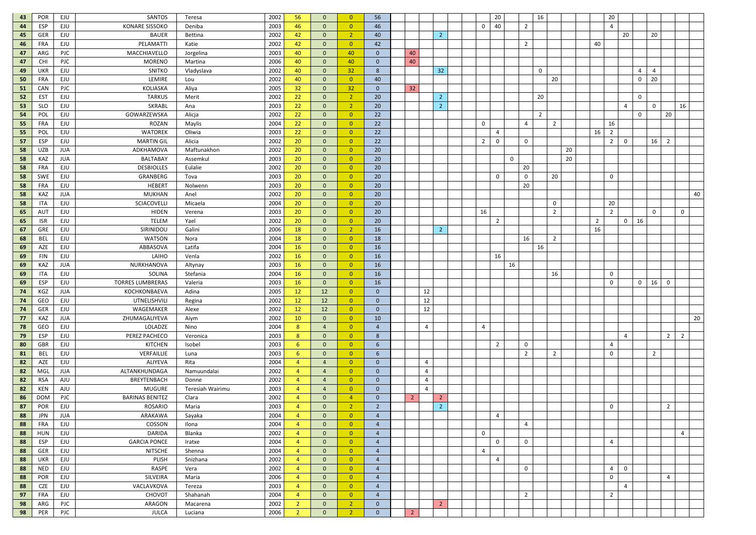| 2002<br>20<br>16<br>20<br>POR<br>EJU<br>56<br>56<br>43<br>SANTOS<br>Teresa<br>$\mathbf 0$<br>40<br>$\overline{4}$<br>44<br>ESP<br>EJU<br><b>KONARE SISSOKO</b><br>Deniba<br>2003<br>46<br>$\mathbf{0}$<br>$\overline{0}$<br>46<br>$\overline{2}$<br>45<br>2002<br>GER<br>EJU<br><b>BAUER</b><br>Bettina<br>42<br>$\mathbf{0}$<br>$\overline{2}$<br>40<br>$\overline{2}$<br>46<br>PELAMATTI<br>2002<br>42<br>$\mathbf{0}$<br>$\overline{0}$<br>42<br>2<br>40<br><b>FRA</b><br>EJU<br>Katie<br>47<br>MACCHIAVELLO<br>2003<br>40<br>ARG<br>PJC<br>Jorgelina<br>40<br>$\mathbf{0}$<br>$\mathbf{0}$<br>40<br>47<br>CHI<br><b>PJC</b><br><b>MORENO</b><br>2006<br>40<br>$\mathbf{0}$<br>40<br>$\mathbf 0$<br>40<br>Martina<br>49<br><b>SNITKO</b><br>2002<br>40<br>32<br>32<br><b>UKR</b><br>EJU<br>Vladyslava<br>$\mathbf{0}$<br>8<br>$\mathbf 0$<br>50<br>LEMIRE<br>2002<br>$\mathbf{0}$<br>$\overline{0}$<br>40<br>20<br><b>FRA</b><br>EJU<br>40<br>Lou<br>51<br>KOLIASKA<br>2005<br>32<br>32<br>32<br>CAN<br>PJC<br>Aliya<br>$\mathbf{0}$<br>$\mathbf{0}$<br>52<br>$\overline{2}$<br>EST<br><b>TARKUS</b><br>2002<br>22<br>$\mathbf{0}$<br>$\overline{2}$<br>20<br>20<br>EJU<br>Merit<br>53<br><b>SLO</b><br>SKRABL<br>2003<br>22<br>$\mathbf{0}$<br>$\overline{2}$<br>20<br>$\overline{2}$<br>EJU<br>Ana<br>54<br>2002<br>22<br>$\overline{2}$<br>POL<br>EJU<br>GOWARZEWSKA<br>Alicja<br>$\mathbf{0}$<br>$\overline{0}$<br>22<br>55<br>FRA<br><b>ROZAN</b><br>2004<br>22<br>$\mathbf{0}$<br>$\overline{0}$<br>22<br>$\mathbf 0$<br>$\overline{2}$<br>16<br>EJU<br>Maylis<br>$\overline{4}$<br>55<br><b>WATOREK</b><br>2003<br>$\overline{0}$<br>16<br>$\overline{2}$<br>POL<br>EJU<br>Oliwia<br>22<br>$\mathbf{0}$<br>22<br>$\overline{4}$<br>57<br>ESP<br>2002<br>20<br>$\mathbf{0}$<br>$\overline{0}$<br>22<br>$\overline{2}$<br>$\mathbf 0$<br>$\overline{2}$<br>EJU<br><b>MARTIN GIL</b><br>Alicia<br>$\mathbf 0$<br>58<br><b>UZB</b><br>ADKHAMOVA<br>2002<br>20<br>$\mathbf{0}$<br>20<br>20<br>JUA<br>Maftunakhon<br>$\overline{0}$<br>58<br>20<br>KAZ<br>2003<br>20<br>$\mathbf{0}$<br>20<br>JUA<br>BALTABAY<br>$\overline{0}$<br>$\mathbf 0$<br>Assemkul<br>58<br>FRA<br><b>DESBIOLLES</b><br>2002<br>20<br>$\mathbf{0}$<br>$\overline{0}$<br>20<br>20<br>EJU<br>Eulalie<br>58<br>GRANBERG<br>2003<br>20<br>20<br>20<br><b>SWE</b><br>EJU<br>Tova<br>$\mathbf{0}$<br>$\overline{0}$<br>$\mathbf 0$<br>0<br>0 | 20<br>20<br>$\overline{4}$<br>$\overline{4}$<br>$\mathbf 0$<br>20<br>$\mathbf 0$<br>$\overline{4}$<br>$\mathbf 0$<br>16<br>20<br>0<br>16<br>$\overline{2}$<br>$\mathbf 0$ |
|--------------------------------------------------------------------------------------------------------------------------------------------------------------------------------------------------------------------------------------------------------------------------------------------------------------------------------------------------------------------------------------------------------------------------------------------------------------------------------------------------------------------------------------------------------------------------------------------------------------------------------------------------------------------------------------------------------------------------------------------------------------------------------------------------------------------------------------------------------------------------------------------------------------------------------------------------------------------------------------------------------------------------------------------------------------------------------------------------------------------------------------------------------------------------------------------------------------------------------------------------------------------------------------------------------------------------------------------------------------------------------------------------------------------------------------------------------------------------------------------------------------------------------------------------------------------------------------------------------------------------------------------------------------------------------------------------------------------------------------------------------------------------------------------------------------------------------------------------------------------------------------------------------------------------------------------------------------------------------------------------------------------------------------------------------------------------------------------------------------------------------------------------------------------------------------------------------------------------------------------------------------------------------------------------------------------------------------------------------------------------------------------------------------------|---------------------------------------------------------------------------------------------------------------------------------------------------------------------------|
|                                                                                                                                                                                                                                                                                                                                                                                                                                                                                                                                                                                                                                                                                                                                                                                                                                                                                                                                                                                                                                                                                                                                                                                                                                                                                                                                                                                                                                                                                                                                                                                                                                                                                                                                                                                                                                                                                                                                                                                                                                                                                                                                                                                                                                                                                                                                                                                                                    |                                                                                                                                                                           |
|                                                                                                                                                                                                                                                                                                                                                                                                                                                                                                                                                                                                                                                                                                                                                                                                                                                                                                                                                                                                                                                                                                                                                                                                                                                                                                                                                                                                                                                                                                                                                                                                                                                                                                                                                                                                                                                                                                                                                                                                                                                                                                                                                                                                                                                                                                                                                                                                                    |                                                                                                                                                                           |
|                                                                                                                                                                                                                                                                                                                                                                                                                                                                                                                                                                                                                                                                                                                                                                                                                                                                                                                                                                                                                                                                                                                                                                                                                                                                                                                                                                                                                                                                                                                                                                                                                                                                                                                                                                                                                                                                                                                                                                                                                                                                                                                                                                                                                                                                                                                                                                                                                    |                                                                                                                                                                           |
|                                                                                                                                                                                                                                                                                                                                                                                                                                                                                                                                                                                                                                                                                                                                                                                                                                                                                                                                                                                                                                                                                                                                                                                                                                                                                                                                                                                                                                                                                                                                                                                                                                                                                                                                                                                                                                                                                                                                                                                                                                                                                                                                                                                                                                                                                                                                                                                                                    |                                                                                                                                                                           |
|                                                                                                                                                                                                                                                                                                                                                                                                                                                                                                                                                                                                                                                                                                                                                                                                                                                                                                                                                                                                                                                                                                                                                                                                                                                                                                                                                                                                                                                                                                                                                                                                                                                                                                                                                                                                                                                                                                                                                                                                                                                                                                                                                                                                                                                                                                                                                                                                                    |                                                                                                                                                                           |
|                                                                                                                                                                                                                                                                                                                                                                                                                                                                                                                                                                                                                                                                                                                                                                                                                                                                                                                                                                                                                                                                                                                                                                                                                                                                                                                                                                                                                                                                                                                                                                                                                                                                                                                                                                                                                                                                                                                                                                                                                                                                                                                                                                                                                                                                                                                                                                                                                    |                                                                                                                                                                           |
|                                                                                                                                                                                                                                                                                                                                                                                                                                                                                                                                                                                                                                                                                                                                                                                                                                                                                                                                                                                                                                                                                                                                                                                                                                                                                                                                                                                                                                                                                                                                                                                                                                                                                                                                                                                                                                                                                                                                                                                                                                                                                                                                                                                                                                                                                                                                                                                                                    |                                                                                                                                                                           |
|                                                                                                                                                                                                                                                                                                                                                                                                                                                                                                                                                                                                                                                                                                                                                                                                                                                                                                                                                                                                                                                                                                                                                                                                                                                                                                                                                                                                                                                                                                                                                                                                                                                                                                                                                                                                                                                                                                                                                                                                                                                                                                                                                                                                                                                                                                                                                                                                                    |                                                                                                                                                                           |
|                                                                                                                                                                                                                                                                                                                                                                                                                                                                                                                                                                                                                                                                                                                                                                                                                                                                                                                                                                                                                                                                                                                                                                                                                                                                                                                                                                                                                                                                                                                                                                                                                                                                                                                                                                                                                                                                                                                                                                                                                                                                                                                                                                                                                                                                                                                                                                                                                    |                                                                                                                                                                           |
|                                                                                                                                                                                                                                                                                                                                                                                                                                                                                                                                                                                                                                                                                                                                                                                                                                                                                                                                                                                                                                                                                                                                                                                                                                                                                                                                                                                                                                                                                                                                                                                                                                                                                                                                                                                                                                                                                                                                                                                                                                                                                                                                                                                                                                                                                                                                                                                                                    |                                                                                                                                                                           |
|                                                                                                                                                                                                                                                                                                                                                                                                                                                                                                                                                                                                                                                                                                                                                                                                                                                                                                                                                                                                                                                                                                                                                                                                                                                                                                                                                                                                                                                                                                                                                                                                                                                                                                                                                                                                                                                                                                                                                                                                                                                                                                                                                                                                                                                                                                                                                                                                                    |                                                                                                                                                                           |
|                                                                                                                                                                                                                                                                                                                                                                                                                                                                                                                                                                                                                                                                                                                                                                                                                                                                                                                                                                                                                                                                                                                                                                                                                                                                                                                                                                                                                                                                                                                                                                                                                                                                                                                                                                                                                                                                                                                                                                                                                                                                                                                                                                                                                                                                                                                                                                                                                    |                                                                                                                                                                           |
|                                                                                                                                                                                                                                                                                                                                                                                                                                                                                                                                                                                                                                                                                                                                                                                                                                                                                                                                                                                                                                                                                                                                                                                                                                                                                                                                                                                                                                                                                                                                                                                                                                                                                                                                                                                                                                                                                                                                                                                                                                                                                                                                                                                                                                                                                                                                                                                                                    |                                                                                                                                                                           |
|                                                                                                                                                                                                                                                                                                                                                                                                                                                                                                                                                                                                                                                                                                                                                                                                                                                                                                                                                                                                                                                                                                                                                                                                                                                                                                                                                                                                                                                                                                                                                                                                                                                                                                                                                                                                                                                                                                                                                                                                                                                                                                                                                                                                                                                                                                                                                                                                                    |                                                                                                                                                                           |
|                                                                                                                                                                                                                                                                                                                                                                                                                                                                                                                                                                                                                                                                                                                                                                                                                                                                                                                                                                                                                                                                                                                                                                                                                                                                                                                                                                                                                                                                                                                                                                                                                                                                                                                                                                                                                                                                                                                                                                                                                                                                                                                                                                                                                                                                                                                                                                                                                    |                                                                                                                                                                           |
|                                                                                                                                                                                                                                                                                                                                                                                                                                                                                                                                                                                                                                                                                                                                                                                                                                                                                                                                                                                                                                                                                                                                                                                                                                                                                                                                                                                                                                                                                                                                                                                                                                                                                                                                                                                                                                                                                                                                                                                                                                                                                                                                                                                                                                                                                                                                                                                                                    |                                                                                                                                                                           |
|                                                                                                                                                                                                                                                                                                                                                                                                                                                                                                                                                                                                                                                                                                                                                                                                                                                                                                                                                                                                                                                                                                                                                                                                                                                                                                                                                                                                                                                                                                                                                                                                                                                                                                                                                                                                                                                                                                                                                                                                                                                                                                                                                                                                                                                                                                                                                                                                                    |                                                                                                                                                                           |
|                                                                                                                                                                                                                                                                                                                                                                                                                                                                                                                                                                                                                                                                                                                                                                                                                                                                                                                                                                                                                                                                                                                                                                                                                                                                                                                                                                                                                                                                                                                                                                                                                                                                                                                                                                                                                                                                                                                                                                                                                                                                                                                                                                                                                                                                                                                                                                                                                    |                                                                                                                                                                           |
| 58<br>FRA<br><b>HEBERT</b><br>2003<br>20<br>$\mathbf{0}$<br>$\overline{0}$<br>20<br>20<br>EJU<br>Nolwenn                                                                                                                                                                                                                                                                                                                                                                                                                                                                                                                                                                                                                                                                                                                                                                                                                                                                                                                                                                                                                                                                                                                                                                                                                                                                                                                                                                                                                                                                                                                                                                                                                                                                                                                                                                                                                                                                                                                                                                                                                                                                                                                                                                                                                                                                                                           |                                                                                                                                                                           |
| 58<br>2002<br>20<br>$\overline{0}$<br>20<br>KAZ<br><b>JUA</b><br>MUKHAN<br>Anel<br>$\mathbf{0}$                                                                                                                                                                                                                                                                                                                                                                                                                                                                                                                                                                                                                                                                                                                                                                                                                                                                                                                                                                                                                                                                                                                                                                                                                                                                                                                                                                                                                                                                                                                                                                                                                                                                                                                                                                                                                                                                                                                                                                                                                                                                                                                                                                                                                                                                                                                    | 40                                                                                                                                                                        |
| 58<br><b>ITA</b><br>SCIACOVELLI<br>2004<br>20<br>$\mathbf{0}$<br>$\overline{0}$<br>20<br>$\mathbf 0$<br>20<br>EJU<br>Micaela                                                                                                                                                                                                                                                                                                                                                                                                                                                                                                                                                                                                                                                                                                                                                                                                                                                                                                                                                                                                                                                                                                                                                                                                                                                                                                                                                                                                                                                                                                                                                                                                                                                                                                                                                                                                                                                                                                                                                                                                                                                                                                                                                                                                                                                                                       |                                                                                                                                                                           |
| 65<br><b>AUT</b><br>2003<br>20<br>$\mathbf{0}$<br>16<br>$\overline{2}$<br>$\overline{2}$<br>EJU<br><b>HIDEN</b><br>$\overline{0}$<br>20<br>Verena                                                                                                                                                                                                                                                                                                                                                                                                                                                                                                                                                                                                                                                                                                                                                                                                                                                                                                                                                                                                                                                                                                                                                                                                                                                                                                                                                                                                                                                                                                                                                                                                                                                                                                                                                                                                                                                                                                                                                                                                                                                                                                                                                                                                                                                                  | $\mathsf{o}$<br>$\mathbf 0$                                                                                                                                               |
| 65<br><b>ISR</b><br>EJU<br><b>TELEM</b><br>2002<br>20<br>$\mathbf{0}$<br>$\overline{0}$<br>20<br>$\overline{2}$<br>$\overline{2}$<br>Yael                                                                                                                                                                                                                                                                                                                                                                                                                                                                                                                                                                                                                                                                                                                                                                                                                                                                                                                                                                                                                                                                                                                                                                                                                                                                                                                                                                                                                                                                                                                                                                                                                                                                                                                                                                                                                                                                                                                                                                                                                                                                                                                                                                                                                                                                          | 16<br>0                                                                                                                                                                   |
| 67<br>SIRINIDOU<br>2006<br>18<br>$\mathbf{0}$<br>$\overline{2}$<br>16<br>16<br>GRE<br>EJU<br>Galini<br>$\overline{2}$                                                                                                                                                                                                                                                                                                                                                                                                                                                                                                                                                                                                                                                                                                                                                                                                                                                                                                                                                                                                                                                                                                                                                                                                                                                                                                                                                                                                                                                                                                                                                                                                                                                                                                                                                                                                                                                                                                                                                                                                                                                                                                                                                                                                                                                                                              |                                                                                                                                                                           |
| 68<br>2004<br>18<br>16<br>2<br><b>BEL</b><br>EJU<br>WATSON<br>Nora<br>$\mathbf{0}$<br>$\overline{0}$<br>18                                                                                                                                                                                                                                                                                                                                                                                                                                                                                                                                                                                                                                                                                                                                                                                                                                                                                                                                                                                                                                                                                                                                                                                                                                                                                                                                                                                                                                                                                                                                                                                                                                                                                                                                                                                                                                                                                                                                                                                                                                                                                                                                                                                                                                                                                                         |                                                                                                                                                                           |
| 69<br>AZE<br>EJU<br>ABBASOVA<br>Latifa<br>2004<br>16<br>$\mathbf{0}$<br>$\overline{0}$<br>16<br>16                                                                                                                                                                                                                                                                                                                                                                                                                                                                                                                                                                                                                                                                                                                                                                                                                                                                                                                                                                                                                                                                                                                                                                                                                                                                                                                                                                                                                                                                                                                                                                                                                                                                                                                                                                                                                                                                                                                                                                                                                                                                                                                                                                                                                                                                                                                 |                                                                                                                                                                           |
| 69<br><b>FIN</b><br>2002<br>16<br>EJU<br>LAIHO<br>Venla<br>16<br>$\mathbf{0}$<br>$\overline{0}$<br>16                                                                                                                                                                                                                                                                                                                                                                                                                                                                                                                                                                                                                                                                                                                                                                                                                                                                                                                                                                                                                                                                                                                                                                                                                                                                                                                                                                                                                                                                                                                                                                                                                                                                                                                                                                                                                                                                                                                                                                                                                                                                                                                                                                                                                                                                                                              |                                                                                                                                                                           |
| 69<br>NURKHANOVA<br>2003<br>16<br>$\mathbf{0}$<br>$\overline{0}$<br>16<br>16<br>KAZ<br>JUA<br>Altynay                                                                                                                                                                                                                                                                                                                                                                                                                                                                                                                                                                                                                                                                                                                                                                                                                                                                                                                                                                                                                                                                                                                                                                                                                                                                                                                                                                                                                                                                                                                                                                                                                                                                                                                                                                                                                                                                                                                                                                                                                                                                                                                                                                                                                                                                                                              |                                                                                                                                                                           |
| 69<br>16<br>ITA<br>EJU<br>SOLINA<br>Stefania<br>2004<br>16<br>$\mathbf{0}$<br>$\overline{0}$<br>16<br>0                                                                                                                                                                                                                                                                                                                                                                                                                                                                                                                                                                                                                                                                                                                                                                                                                                                                                                                                                                                                                                                                                                                                                                                                                                                                                                                                                                                                                                                                                                                                                                                                                                                                                                                                                                                                                                                                                                                                                                                                                                                                                                                                                                                                                                                                                                            |                                                                                                                                                                           |
| 69<br>ESP<br><b>TORRES LUMBRERAS</b><br>2003<br>16<br>$\mathbf{0}$<br>$\overline{0}$<br>16<br>$\mathbf 0$<br>EJU<br>Valeria                                                                                                                                                                                                                                                                                                                                                                                                                                                                                                                                                                                                                                                                                                                                                                                                                                                                                                                                                                                                                                                                                                                                                                                                                                                                                                                                                                                                                                                                                                                                                                                                                                                                                                                                                                                                                                                                                                                                                                                                                                                                                                                                                                                                                                                                                        | $\overline{0}$<br>16<br>$\mathbf 0$                                                                                                                                       |
| 74<br>Adina<br>2005<br>12<br>12<br>$\overline{0}$<br>12<br>KGZ<br><b>JUA</b><br>KOCHKONBAEVA<br>$\mathbf{0}$                                                                                                                                                                                                                                                                                                                                                                                                                                                                                                                                                                                                                                                                                                                                                                                                                                                                                                                                                                                                                                                                                                                                                                                                                                                                                                                                                                                                                                                                                                                                                                                                                                                                                                                                                                                                                                                                                                                                                                                                                                                                                                                                                                                                                                                                                                       |                                                                                                                                                                           |
| 74<br>12<br>12<br>GEO<br>EJU<br>UTNELISHVILI<br>12<br>$\overline{0}$<br>$\overline{0}$<br>2002<br>Regina                                                                                                                                                                                                                                                                                                                                                                                                                                                                                                                                                                                                                                                                                                                                                                                                                                                                                                                                                                                                                                                                                                                                                                                                                                                                                                                                                                                                                                                                                                                                                                                                                                                                                                                                                                                                                                                                                                                                                                                                                                                                                                                                                                                                                                                                                                           |                                                                                                                                                                           |
| 74<br>12<br>GER<br>EJU<br>WAGEMAKER<br>2002<br>12<br>12<br>$\overline{0}$<br>$\mathbf 0$<br>Alexe                                                                                                                                                                                                                                                                                                                                                                                                                                                                                                                                                                                                                                                                                                                                                                                                                                                                                                                                                                                                                                                                                                                                                                                                                                                                                                                                                                                                                                                                                                                                                                                                                                                                                                                                                                                                                                                                                                                                                                                                                                                                                                                                                                                                                                                                                                                  |                                                                                                                                                                           |
| 77<br>2002<br>10<br>$\overline{0}$<br>10<br>KAZ<br><b>JUA</b><br>ZHUMAGALIYEVA<br>$\mathbf{0}$<br>Aiym                                                                                                                                                                                                                                                                                                                                                                                                                                                                                                                                                                                                                                                                                                                                                                                                                                                                                                                                                                                                                                                                                                                                                                                                                                                                                                                                                                                                                                                                                                                                                                                                                                                                                                                                                                                                                                                                                                                                                                                                                                                                                                                                                                                                                                                                                                             | 20                                                                                                                                                                        |
| 78<br>GEO<br>EJU<br>LOLADZE<br>2004<br>8 <sup>°</sup><br>$\overline{4}$<br>$\overline{0}$<br>$\overline{4}$<br>$\overline{4}$<br>Nino<br>$\overline{4}$                                                                                                                                                                                                                                                                                                                                                                                                                                                                                                                                                                                                                                                                                                                                                                                                                                                                                                                                                                                                                                                                                                                                                                                                                                                                                                                                                                                                                                                                                                                                                                                                                                                                                                                                                                                                                                                                                                                                                                                                                                                                                                                                                                                                                                                            |                                                                                                                                                                           |
| 79<br>ESP<br>PEREZ PACHECO<br>2003<br>EJU<br>8<br>$\mathbf{0}$<br>$\overline{0}$<br>8<br>Veronica                                                                                                                                                                                                                                                                                                                                                                                                                                                                                                                                                                                                                                                                                                                                                                                                                                                                                                                                                                                                                                                                                                                                                                                                                                                                                                                                                                                                                                                                                                                                                                                                                                                                                                                                                                                                                                                                                                                                                                                                                                                                                                                                                                                                                                                                                                                  | $\overline{2}$<br>$\overline{2}$<br>$\overline{4}$                                                                                                                        |
| 6<br>80<br><b>GBR</b><br>EJU<br><b>KITCHEN</b><br>$\mathbf{0}$<br>$\overline{0}$<br>$\overline{2}$<br>Isobel<br>2003<br>-6<br>0<br>$\overline{a}$                                                                                                                                                                                                                                                                                                                                                                                                                                                                                                                                                                                                                                                                                                                                                                                                                                                                                                                                                                                                                                                                                                                                                                                                                                                                                                                                                                                                                                                                                                                                                                                                                                                                                                                                                                                                                                                                                                                                                                                                                                                                                                                                                                                                                                                                  |                                                                                                                                                                           |
| 81<br>VERFAILLIE<br>2003<br>$\overline{0}$<br>$\overline{2}$<br><b>BEL</b><br>EJU<br>6<br>$\mathbf{0}$<br>6<br>$\overline{2}$<br>0<br>Luna                                                                                                                                                                                                                                                                                                                                                                                                                                                                                                                                                                                                                                                                                                                                                                                                                                                                                                                                                                                                                                                                                                                                                                                                                                                                                                                                                                                                                                                                                                                                                                                                                                                                                                                                                                                                                                                                                                                                                                                                                                                                                                                                                                                                                                                                         | $\overline{2}$                                                                                                                                                            |
| 82<br>2004<br>$\overline{0}$<br>$\mathbf{0}$<br>$\overline{4}$<br>AZE<br>EJU<br><b>ALIYEVA</b><br>$\overline{4}$<br>$\overline{4}$<br>Rita                                                                                                                                                                                                                                                                                                                                                                                                                                                                                                                                                                                                                                                                                                                                                                                                                                                                                                                                                                                                                                                                                                                                                                                                                                                                                                                                                                                                                                                                                                                                                                                                                                                                                                                                                                                                                                                                                                                                                                                                                                                                                                                                                                                                                                                                         |                                                                                                                                                                           |
| 82<br>ALTANKHUNDAGA<br>2002<br>$\overline{0}$<br>$\mathbf{0}$<br>$\overline{4}$<br>MGL<br>JUA<br>Namuundalai<br>$\overline{4}$<br>$\overline{4}$                                                                                                                                                                                                                                                                                                                                                                                                                                                                                                                                                                                                                                                                                                                                                                                                                                                                                                                                                                                                                                                                                                                                                                                                                                                                                                                                                                                                                                                                                                                                                                                                                                                                                                                                                                                                                                                                                                                                                                                                                                                                                                                                                                                                                                                                   |                                                                                                                                                                           |
| 82<br>2002<br>$\overline{0}$<br>$\mathbf{0}$<br>$\overline{4}$<br><b>RSA</b><br>AJU<br>BREYTENBACH<br>$\overline{4}$<br>$\overline{4}$<br>Donne                                                                                                                                                                                                                                                                                                                                                                                                                                                                                                                                                                                                                                                                                                                                                                                                                                                                                                                                                                                                                                                                                                                                                                                                                                                                                                                                                                                                                                                                                                                                                                                                                                                                                                                                                                                                                                                                                                                                                                                                                                                                                                                                                                                                                                                                    |                                                                                                                                                                           |
| 82<br><b>MUGURE</b><br>2003<br>$\overline{0}$<br>$\overline{0}$<br>$\overline{4}$<br>KEN<br>AJU<br>$\overline{4}$<br>$\overline{4}$<br>Teresiah Wairimu                                                                                                                                                                                                                                                                                                                                                                                                                                                                                                                                                                                                                                                                                                                                                                                                                                                                                                                                                                                                                                                                                                                                                                                                                                                                                                                                                                                                                                                                                                                                                                                                                                                                                                                                                                                                                                                                                                                                                                                                                                                                                                                                                                                                                                                            |                                                                                                                                                                           |
| <b>BARINAS BENITEZ</b><br>86<br><b>DOM</b><br>PJC<br>Clara<br>2002<br>$\mathbf{0}$<br>$\overline{4}$<br>$\mathbf{0}$<br>$\overline{2}$<br>$\overline{2}$<br>$\overline{4}$<br>87<br>POR<br>EJU<br><b>ROSARIO</b><br>2003<br>$\mathbf{0}$<br>2 <sup>2</sup><br>$\overline{2}$<br>$\overline{2}$<br>0                                                                                                                                                                                                                                                                                                                                                                                                                                                                                                                                                                                                                                                                                                                                                                                                                                                                                                                                                                                                                                                                                                                                                                                                                                                                                                                                                                                                                                                                                                                                                                                                                                                                                                                                                                                                                                                                                                                                                                                                                                                                                                                | $\overline{2}$                                                                                                                                                            |
| Maria<br>$\overline{4}$<br>$\overline{4}$                                                                                                                                                                                                                                                                                                                                                                                                                                                                                                                                                                                                                                                                                                                                                                                                                                                                                                                                                                                                                                                                                                                                                                                                                                                                                                                                                                                                                                                                                                                                                                                                                                                                                                                                                                                                                                                                                                                                                                                                                                                                                                                                                                                                                                                                                                                                                                          |                                                                                                                                                                           |
| 88<br>2004<br><b>JPN</b><br>Sayaka<br>$\mathbf 0$<br>$\overline{0}$<br><b>JUA</b><br>ARAKAWA<br>$\overline{4}$<br>4                                                                                                                                                                                                                                                                                                                                                                                                                                                                                                                                                                                                                                                                                                                                                                                                                                                                                                                                                                                                                                                                                                                                                                                                                                                                                                                                                                                                                                                                                                                                                                                                                                                                                                                                                                                                                                                                                                                                                                                                                                                                                                                                                                                                                                                                                                |                                                                                                                                                                           |
| 88<br>FRA<br>EJU<br>COSSON<br>2004<br>$\mathbf{0}$<br>$\overline{0}$<br>$\overline{4}$<br>$\overline{4}$<br>Ilona<br>$\overline{4}$                                                                                                                                                                                                                                                                                                                                                                                                                                                                                                                                                                                                                                                                                                                                                                                                                                                                                                                                                                                                                                                                                                                                                                                                                                                                                                                                                                                                                                                                                                                                                                                                                                                                                                                                                                                                                                                                                                                                                                                                                                                                                                                                                                                                                                                                                |                                                                                                                                                                           |
| 88<br>EJU<br>DARIDA<br>Blanka<br>2002<br>$\mathbf 0$<br>$\overline{0}$<br>$\mathbf 0$<br><b>HUN</b><br>$\overline{4}$<br>$\overline{4}$<br>ESP<br>$\mathbf{0}$<br>$\overline{0}$<br>$\overline{4}$<br>$\mathsf{o}$<br>$\overline{4}$<br>$\overline{4}$                                                                                                                                                                                                                                                                                                                                                                                                                                                                                                                                                                                                                                                                                                                                                                                                                                                                                                                                                                                                                                                                                                                                                                                                                                                                                                                                                                                                                                                                                                                                                                                                                                                                                                                                                                                                                                                                                                                                                                                                                                                                                                                                                             | $\overline{4}$                                                                                                                                                            |
| 88<br>EJU<br><b>GARCIA PONCE</b><br>2004<br>Iratxe<br>0<br>2004<br>$\overline{0}$<br>$\overline{4}$<br>$\overline{4}$<br>$\mathbf{0}$<br>$\overline{4}$                                                                                                                                                                                                                                                                                                                                                                                                                                                                                                                                                                                                                                                                                                                                                                                                                                                                                                                                                                                                                                                                                                                                                                                                                                                                                                                                                                                                                                                                                                                                                                                                                                                                                                                                                                                                                                                                                                                                                                                                                                                                                                                                                                                                                                                            |                                                                                                                                                                           |
| 88<br>GER<br>EJU<br><b>NITSCHE</b><br>Shenna<br>88<br>EJU<br>PLISH<br>2002<br>$\mathbf{0}$<br>$\overline{0}$<br><b>UKR</b><br>Snizhana<br>$\overline{4}$<br>$\overline{4}$<br>$\overline{4}$                                                                                                                                                                                                                                                                                                                                                                                                                                                                                                                                                                                                                                                                                                                                                                                                                                                                                                                                                                                                                                                                                                                                                                                                                                                                                                                                                                                                                                                                                                                                                                                                                                                                                                                                                                                                                                                                                                                                                                                                                                                                                                                                                                                                                       |                                                                                                                                                                           |
| 88<br>RASPE<br><b>NED</b><br>EJU<br>2002<br>$\mathbf{0}$<br>$\overline{0}$<br>$\overline{4}$<br>$\mathbf 0$<br>Vera<br>$\overline{4}$<br>$\overline{4}$                                                                                                                                                                                                                                                                                                                                                                                                                                                                                                                                                                                                                                                                                                                                                                                                                                                                                                                                                                                                                                                                                                                                                                                                                                                                                                                                                                                                                                                                                                                                                                                                                                                                                                                                                                                                                                                                                                                                                                                                                                                                                                                                                                                                                                                            | $\mathbf 0$                                                                                                                                                               |
| 88<br>POR<br>2006<br>$\overline{0}$<br>0<br>EJU<br>SILVEIRA<br>Maria<br>$\overline{4}$<br>$\mathbf{0}$<br>$\overline{4}$                                                                                                                                                                                                                                                                                                                                                                                                                                                                                                                                                                                                                                                                                                                                                                                                                                                                                                                                                                                                                                                                                                                                                                                                                                                                                                                                                                                                                                                                                                                                                                                                                                                                                                                                                                                                                                                                                                                                                                                                                                                                                                                                                                                                                                                                                           | 4                                                                                                                                                                         |
| $\overline{0}$<br>88<br>CZE<br>EJU<br>VACLAVKOVA<br>2003<br>$\overline{4}$<br>$\mathbf{0}$<br>$\overline{4}$<br>Tereza                                                                                                                                                                                                                                                                                                                                                                                                                                                                                                                                                                                                                                                                                                                                                                                                                                                                                                                                                                                                                                                                                                                                                                                                                                                                                                                                                                                                                                                                                                                                                                                                                                                                                                                                                                                                                                                                                                                                                                                                                                                                                                                                                                                                                                                                                             | $\overline{4}$                                                                                                                                                            |
| 97<br>FRA<br>EJU<br>CHOVOT<br>Shahanah<br>2004<br>$\overline{4}$<br>$\mathbf{0}$<br>$\overline{0}$<br>$\overline{4}$<br>2<br>$\overline{2}$                                                                                                                                                                                                                                                                                                                                                                                                                                                                                                                                                                                                                                                                                                                                                                                                                                                                                                                                                                                                                                                                                                                                                                                                                                                                                                                                                                                                                                                                                                                                                                                                                                                                                                                                                                                                                                                                                                                                                                                                                                                                                                                                                                                                                                                                        |                                                                                                                                                                           |
| 98<br>ARG<br>PJC<br>ARAGON<br>2002<br>$\overline{2}$<br>$\mathbf{0}$<br>$\overline{2}$<br>$\mathbf 0$<br>$\overline{2}$<br>Macarena                                                                                                                                                                                                                                                                                                                                                                                                                                                                                                                                                                                                                                                                                                                                                                                                                                                                                                                                                                                                                                                                                                                                                                                                                                                                                                                                                                                                                                                                                                                                                                                                                                                                                                                                                                                                                                                                                                                                                                                                                                                                                                                                                                                                                                                                                |                                                                                                                                                                           |
| 98<br>$\overline{2}$<br>PER<br>PJC<br><b>JULCA</b><br>2006<br>$2^{\circ}$<br>$\mathbf{0}$<br>$\mathbf{0}$<br>$\overline{2}$<br>Luciana                                                                                                                                                                                                                                                                                                                                                                                                                                                                                                                                                                                                                                                                                                                                                                                                                                                                                                                                                                                                                                                                                                                                                                                                                                                                                                                                                                                                                                                                                                                                                                                                                                                                                                                                                                                                                                                                                                                                                                                                                                                                                                                                                                                                                                                                             |                                                                                                                                                                           |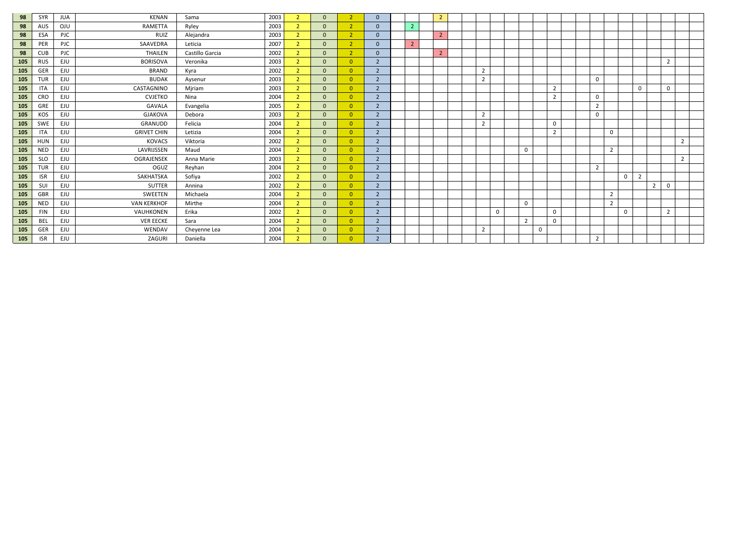| 98  | SYR        | <b>JUA</b> | <b>KENAN</b>       | Sama            | 2003 |                | $\Omega$ |                | $\mathbf{0}$   |                | $\overline{2}$ |                |          |                |             |                |                |                |          |                |                     |                |
|-----|------------|------------|--------------------|-----------------|------|----------------|----------|----------------|----------------|----------------|----------------|----------------|----------|----------------|-------------|----------------|----------------|----------------|----------|----------------|---------------------|----------------|
| 98  | AUS        | OJU        | RAMETTA            | Ryley           | 2003 |                |          | $\mathcal{D}$  | $\Omega$       | $\overline{2}$ |                |                |          |                |             |                |                |                |          |                |                     |                |
| 98  | ESA        | PJC        | RUIZ               | Alejandra       | 2003 | $\overline{2}$ | $\Omega$ |                | $\Omega$       |                | $\overline{2}$ |                |          |                |             |                |                |                |          |                |                     |                |
| 98  | PER        | PJC        | SAAVEDRA           | Leticia         | 2007 | $\overline{2}$ | $\Omega$ |                | $\Omega$       | $\overline{2}$ |                |                |          |                |             |                |                |                |          |                |                     |                |
| 98  | <b>CUB</b> | PJC        | <b>THAILEN</b>     | Castillo Garcia | 2002 |                |          |                | $\Omega$       |                | $\overline{2}$ |                |          |                |             |                |                |                |          |                |                     |                |
| 105 | <b>RUS</b> | EJU        | <b>BORISOVA</b>    | Veronika        | 2003 |                | $\Omega$ | $\Omega$       | $\overline{2}$ |                |                |                |          |                |             |                |                |                |          |                | $\overline{2}$      |                |
| 105 | GER        | EJU        | <b>BRAND</b>       | Kyra            | 2002 | $\overline{2}$ | $\Omega$ | $\overline{0}$ | $\overline{2}$ |                |                | $\overline{2}$ |          |                |             |                |                |                |          |                |                     |                |
| 105 | <b>TUR</b> | EJU        | <b>BUDAK</b>       | Aysenur         | 2003 | $\overline{2}$ | $\Omega$ | $\overline{0}$ | $\overline{2}$ |                |                | $\overline{2}$ |          |                |             |                | $\mathbf 0$    |                |          |                |                     |                |
| 105 | <b>ITA</b> | EJU        | CASTAGNINO         | Miriam          | 2003 | $\overline{2}$ | $\Omega$ | $\Omega$       | $\overline{2}$ |                |                |                |          |                |             | $\overline{2}$ |                |                |          | $\mathbf 0$    | $\Omega$            |                |
| 105 | CRO        | EJU        | <b>CVJETKO</b>     | Nina            | 2004 | $\overline{2}$ | $\Omega$ | $\Omega$       | $\overline{2}$ |                |                |                |          |                |             | $\overline{2}$ | $\Omega$       |                |          |                |                     |                |
| 105 | GRE        | EJU        | <b>GAVALA</b>      | Evangelia       | 2005 | <sup>2</sup>   | $\Omega$ | $\overline{0}$ | $\overline{2}$ |                |                |                |          |                |             |                | 2              |                |          |                |                     |                |
| 105 | KOS        | EJU        | <b>GJAKOVA</b>     | Debora          | 2003 | $\mathcal{L}$  | $\Omega$ | $\overline{0}$ | $\overline{2}$ |                |                | $\overline{2}$ |          |                |             |                | $\mathbf 0$    |                |          |                |                     |                |
| 105 | SWE        | EJU        | GRANUDD            | Felicia         | 2004 | $\overline{2}$ | $\Omega$ | $\Omega$       | $\overline{2}$ |                |                | $\overline{2}$ |          |                |             | $\mathbf 0$    |                |                |          |                |                     |                |
| 105 | <b>ITA</b> | EJU        | <b>GRIVET CHIN</b> | Letizia         | 2004 | $\mathcal{L}$  | $\Omega$ | $\overline{0}$ | $\overline{2}$ |                |                |                |          |                |             | $\overline{2}$ |                | $\Omega$       |          |                |                     |                |
| 105 | <b>HUN</b> | EJU        | <b>KOVACS</b>      | Viktoria        | 2002 | $\overline{2}$ | $\Omega$ | $\Omega$       | $\overline{2}$ |                |                |                |          |                |             |                |                |                |          |                |                     | $\overline{2}$ |
| 105 | <b>NED</b> | EJU        | LAVRIJSSEN         | Maud            | 2004 | 2              | $\Omega$ | $\Omega$       | $\overline{2}$ |                |                |                |          | $\mathbf 0$    |             |                |                | $\overline{2}$ |          |                |                     |                |
| 105 | <b>SLO</b> | EJU        | OGRAJENSEK         | Anna Marie      | 2003 |                | $\Omega$ | $\Omega$       | $\overline{2}$ |                |                |                |          |                |             |                |                |                |          |                |                     | $\overline{2}$ |
| 105 | <b>TUR</b> | EJU        | OGUZ               | Reyhan          | 2004 |                | $\Omega$ | $\Omega$       | $\overline{2}$ |                |                |                |          |                |             |                | $\overline{2}$ |                |          |                |                     |                |
| 105 | <b>ISR</b> | EJU        | SAKHATSKA          | Sofiya          | 2002 |                | $\Omega$ | $\Omega$       | $\overline{2}$ |                |                |                |          |                |             |                |                |                | $\Omega$ | $\overline{2}$ |                     |                |
| 105 | SUI        | EJU        | SUTTER             | Annina          | 2002 |                | $\Omega$ | $\overline{0}$ | $\overline{2}$ |                |                |                |          |                |             |                |                |                |          |                | $\overline{2}$<br>0 |                |
| 105 | GBR        | EJU        | SWEETEN            | Michaela        | 2004 | $\overline{2}$ | $\Omega$ | $\Omega$       | $\overline{2}$ |                |                |                |          |                |             |                |                | $\overline{2}$ |          |                |                     |                |
| 105 | <b>NED</b> | EJU        | <b>VAN KERKHOF</b> | Mirthe          | 2004 | $\overline{2}$ | $\Omega$ | $\Omega$       | $\overline{2}$ |                |                |                |          | $\mathbf 0$    |             |                |                | $\overline{2}$ |          |                |                     |                |
| 105 | <b>FIN</b> | EJU        | VAUHKONEN          | Erika           | 2002 |                | $\Omega$ | $\overline{0}$ | $\overline{2}$ |                |                |                | $\Omega$ |                |             | $\Omega$       |                |                | $\Omega$ |                | $\overline{2}$      |                |
| 105 | <b>BEL</b> | EJU        | <b>VER EECKE</b>   | Sara            | 2004 |                | $\Omega$ | $\Omega$       | $\overline{2}$ |                |                |                |          | $\overline{2}$ |             | $\Omega$       |                |                |          |                |                     |                |
| 105 | GER        | EJU        | WENDAV             | Cheyenne Lea    | 2004 |                | $\Omega$ | $\overline{0}$ | $\overline{2}$ |                |                | $\overline{2}$ |          |                | $\mathbf 0$ |                |                |                |          |                |                     |                |
| 105 | <b>ISR</b> | EJU        | ZAGURI             | Daniella        | 2004 |                |          | $\Omega$       | $\overline{2}$ |                |                |                |          |                |             |                | $\overline{2}$ |                |          |                |                     |                |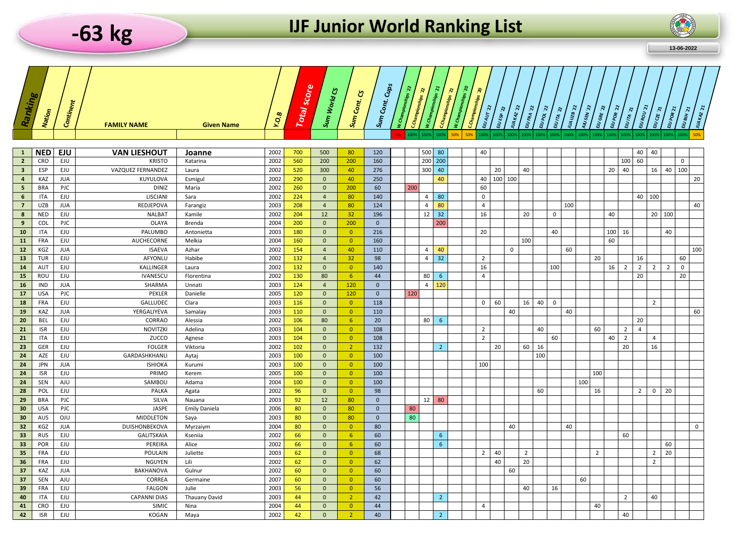



| Ranking                 | Nation            | Continent  | <b>FAMILY NAME</b>  | <b>Given Name</b>    | $\pmb{\omega}$<br>Y.O. | Total score | Sum World CS                 | Sum Cont.                        | ୪<br>Sum Cont.          | Cups<br>O% | npionships<br>å<br>100% | Ñ<br>100%      | Ñ<br><b>TPionships</b><br>ŝ<br>1009 | Ñ<br>õ<br>50% | <b>Championships</b><br>50% | EIU AUT 2<br>100% | $\mu$ ua kaz $\geq$<br>EJU ESP 22<br>100%<br>100% | EJU FRA 22<br>100% | Elu POL 22<br>1009 | EIU ITA 22<br>.009 | $\frac{1}{2}$<br>i009 | AJU SEN 22<br>100% | EJU GRE 22<br>100% | Elu POR 22<br>100% | Elum <sub>A 21</sub><br>1009 | EJU ROU 21<br>1009 | Elu CZE 21<br>inns | Elu POR'Z1<br>oos | Ñ<br>EJU BIH 21<br><b>UA KAZ</b><br>50% |  |
|-------------------------|-------------------|------------|---------------------|----------------------|------------------------|-------------|------------------------------|----------------------------------|-------------------------|------------|-------------------------|----------------|-------------------------------------|---------------|-----------------------------|-------------------|---------------------------------------------------|--------------------|--------------------|--------------------|-----------------------|--------------------|--------------------|--------------------|------------------------------|--------------------|--------------------|-------------------|-----------------------------------------|--|
| $\mathbf{1}$            | <b>NED</b>        | <b>EJU</b> | <b>VAN LIESHOUT</b> | Joanne               | 2002                   | 700         | 500                          | 80                               | 120                     |            |                         | 500            | 80                                  |               |                             | 40                |                                                   |                    |                    |                    |                       |                    |                    |                    |                              | 40                 | 40                 |                   |                                         |  |
| $\overline{2}$          | CRO               | EJU        | <b>KRISTO</b>       | Katarina             | 2002                   | 560         | 200                          | 200                              | 160                     |            |                         | 200            | 200                                 |               |                             |                   |                                                   |                    |                    |                    |                       |                    |                    |                    | 100                          | 60                 |                    |                   | 0                                       |  |
| $\overline{\mathbf{3}}$ | ESP               | EJU        | VAZQUEZ FERNANDEZ   | Laura                | 2002                   | 520         | 300                          | 40                               | 276                     |            |                         | 300            | 40                                  |               |                             |                   | 20                                                | 40                 |                    |                    |                       |                    |                    | 20                 | 40                           |                    | 16 <sup>1</sup>    | 40                | 100                                     |  |
| $\overline{a}$          | KAZ               | <b>JUA</b> | KUYULOVA            | Esmigul              | 2002                   | 290         | $\mathbf{0}$                 | 40                               | 250                     |            |                         |                | 40                                  |               |                             | 40                | 100 100                                           |                    |                    |                    |                       |                    |                    |                    |                              |                    |                    |                   | 20                                      |  |
| $\sqrt{5}$              | <b>BRA</b>        | PJC        | <b>DINIZ</b>        | Maria                | 2002                   | 260         | $\mathbf{0}$                 | 200                              | 60                      |            | 200                     |                |                                     |               |                             | 60                |                                                   |                    |                    |                    |                       |                    |                    |                    |                              |                    |                    |                   |                                         |  |
| 6                       | <b>ITA</b>        | EJU        | LISCIANI            | Sara                 | 2002                   | 224         | $\overline{4}$               | 80                               | 140                     |            |                         | $\overline{4}$ | 80                                  |               |                             | $\mathbf 0$       |                                                   |                    |                    |                    |                       |                    |                    |                    |                              | 40                 | 100                |                   |                                         |  |
| $\overline{7}$          | <b>UZB</b>        | <b>JUA</b> | REDJEPOVA           | Farangiz             | 2003                   | 208         | $\overline{4}$               | 80                               | 124                     |            |                         | $\overline{4}$ | 80                                  |               |                             | $\overline{4}$    |                                                   |                    |                    |                    | 100                   |                    |                    |                    |                              |                    |                    |                   | 40                                      |  |
| $\boldsymbol{8}$        | <b>NED</b>        | EJU        | <b>NALBAT</b>       | Kamile               | 2002                   | 204         | 12                           | 32 <sup>°</sup>                  | 196                     |            |                         | 12             | 32                                  |               |                             | 16                |                                                   | 20                 |                    | $\mathsf{O}$       |                       |                    |                    | 40                 |                              |                    | 20 100             |                   |                                         |  |
| $\overline{9}$          | COL               | PJC        | <b>OLAYA</b>        | <b>Brenda</b>        | 2004                   | 200         | $\mathbf{0}$                 | 200                              | $\overline{\mathbf{0}}$ |            |                         |                | 200                                 |               |                             |                   |                                                   |                    |                    |                    |                       |                    |                    |                    |                              |                    |                    |                   |                                         |  |
| 10                      | <b>ITA</b>        | EJU        | PALUMBO             | Antonietta           | 2003                   | 180         | $\mathbf{0}$                 | $\overline{0}$                   | 216                     |            |                         |                |                                     |               |                             | 20                |                                                   |                    |                    | 40                 |                       |                    |                    | 100                | 16                           |                    |                    | 40                |                                         |  |
| 11                      | FRA               | EJU        | AUCHECORNE          | Melkia               | 2004                   | 160         | $\mathbf{0}$                 | $\overline{0}$                   | 160                     |            |                         |                |                                     |               |                             |                   |                                                   | 100                |                    |                    |                       |                    |                    | 60                 |                              |                    |                    |                   |                                         |  |
| 12                      | KGZ               | <b>JUA</b> | <b>ISAEVA</b>       | Azhar                | 2002                   | 154         | $\overline{4}$               | 40                               | 110                     |            |                         | $\overline{4}$ | 40                                  |               |                             |                   | $\mathbf 0$                                       |                    |                    |                    | 60                    |                    |                    |                    |                              |                    |                    |                   | 100                                     |  |
| 13                      | <b>TUR</b>        | EJU        | AFYONLU             | Habibe               | 2002                   | 132         | $\overline{4}$               | 32                               | 98                      |            |                         | $\overline{4}$ | 32                                  |               |                             | $\overline{2}$    |                                                   |                    |                    |                    |                       |                    | 20                 |                    |                              | 16                 |                    |                   | 60                                      |  |
| 14                      | AUT               | EJU        | KALLINGER           | Laura                | 2002                   | 132         | $\overline{0}$               | $\overline{0}$                   | 140                     |            |                         |                |                                     |               |                             | 16                |                                                   |                    |                    | 100                |                       |                    |                    | 16                 | $\overline{2}$               | $\overline{2}$     | $\overline{2}$     | $\overline{2}$    | $\mathbf 0$                             |  |
| 15                      | <b>ROU</b>        | EJU        | <b>IVANESCU</b>     | Florentina           | 2002                   | 130         | 80                           | 6 <sup>1</sup>                   | 44                      |            |                         | 80             | 6                                   |               |                             | $\overline{4}$    |                                                   |                    |                    |                    |                       |                    |                    |                    |                              | 20                 |                    |                   | 20                                      |  |
| 16                      | <b>IND</b>        | <b>JUA</b> | SHARMA              | Unnati               | 2003                   | 124         | $\overline{4}$               | 120                              | $\mathbf{0}$            |            |                         | $\overline{4}$ | 120                                 |               |                             |                   |                                                   |                    |                    |                    |                       |                    |                    |                    |                              |                    |                    |                   |                                         |  |
| 17                      | <b>USA</b>        | PJC        | <b>PEKLER</b>       | Danielle             | 2005                   | 120         | $\mathbf{0}$                 | 120                              | $\mathbf{0}$            |            | 120                     |                |                                     |               |                             |                   |                                                   |                    |                    |                    |                       |                    |                    |                    |                              |                    |                    |                   |                                         |  |
| 18                      | FRA               | EJU        | <b>GALLUDEC</b>     | Clara                | 2003                   | 116         | $\mathbf{0}$                 | $\overline{0}$                   | 118                     |            |                         |                |                                     |               |                             | $\mathsf{O}$      | 60                                                | 16                 | 40                 | $\mathsf 0$        |                       |                    |                    |                    |                              |                    | $\overline{2}$     |                   |                                         |  |
| 19                      | KAZ               | <b>JUA</b> | YERGALIYEVA         | Samalay              | 2003                   | 110         | $\mathbf{0}$                 | $\overline{0}$                   | 110                     |            |                         |                |                                     |               |                             |                   | 40                                                |                    |                    |                    | 40                    |                    |                    |                    |                              |                    |                    |                   | 60                                      |  |
| 20                      | <b>BEL</b>        | EJU        | CORRAO              | Alessia              | 2002                   | 106         | 80                           | 6 <sup>°</sup>                   | 20                      |            |                         | 80             | 6                                   |               |                             |                   |                                                   |                    |                    |                    |                       |                    |                    |                    |                              | 20                 |                    |                   |                                         |  |
| 21                      | <b>ISR</b>        | EJU        | <b>NOVITZKI</b>     | Adelina              | 2003                   | 104         | $\mathbf{0}$                 | $\overline{0}$                   | 108                     |            |                         |                |                                     |               |                             | $\overline{2}$    |                                                   |                    | 40                 |                    |                       |                    | 60                 |                    | 2                            | $\overline{4}$     |                    |                   |                                         |  |
| 21                      | <b>ITA</b>        | EJU        | ZUCCO               | Agnese               | 2003                   | 104         | $\mathbf{0}$                 | $\overline{0}$                   | 108                     |            |                         |                |                                     |               |                             | $\overline{2}$    |                                                   |                    |                    | 60                 |                       |                    |                    | 40                 | $\overline{2}$               |                    | $\overline{4}$     |                   |                                         |  |
| 23                      | GER               | EJU        | <b>FOLGER</b>       | Viktoria             | 2002                   | 102         | $\mathbf{0}$                 | 2 <sup>7</sup>                   | 132                     |            |                         |                | $\overline{2}$                      |               |                             |                   | 20                                                | 60                 | 16                 |                    |                       |                    |                    |                    | 20                           |                    | 16                 |                   |                                         |  |
| 24                      | AZE               | EJU        | GARDASHKHANLI       | Aytaj                | 2003                   | 100         | $\mathbf{0}$                 | $\overline{0}$                   | 100                     |            |                         |                |                                     |               |                             |                   |                                                   |                    | 100                |                    |                       |                    |                    |                    |                              |                    |                    |                   |                                         |  |
| 24                      | <b>JPN</b>        | <b>JUA</b> | <b>ISHIOKA</b>      | Kurumi               | 2003                   | 100         | $\overline{0}$               | $\overline{0}$                   | 100                     |            |                         |                |                                     |               |                             | 100               |                                                   |                    |                    |                    |                       |                    |                    |                    |                              |                    |                    |                   |                                         |  |
| 24<br>24                | <b>ISR</b><br>SEN | EJU<br>AJU | PRIMO<br>SAMBOU     | Kerem<br>Adama       | 2005<br>2004           | 100<br>100  | $\mathbf{0}$<br>$\mathbf{0}$ | $\overline{0}$<br>$\overline{0}$ | 100<br>100              |            |                         |                |                                     |               |                             |                   |                                                   |                    |                    |                    |                       | 100                | 100                |                    |                              |                    |                    |                   |                                         |  |
| 28                      | POL               | EJU        | <b>PALKA</b>        |                      | 2002                   | 96          | $\mathbf{0}$                 | $\overline{0}$                   | 98                      |            |                         |                |                                     |               |                             |                   |                                                   |                    | 60                 |                    |                       |                    | 16                 |                    |                              | $\overline{2}$     | 0                  | 20                |                                         |  |
| 29                      | <b>BRA</b>        | PJC        | SILVA               | Agata<br>Nauana      | 2003                   | 92          | 12                           | 80                               | $\mathbf{0}$            |            |                         | 12             | 80                                  |               |                             |                   |                                                   |                    |                    |                    |                       |                    |                    |                    |                              |                    |                    |                   |                                         |  |
| 30                      | <b>USA</b>        | PJC        | JASPE               | <b>Emily Daniela</b> | 2006                   | 80          | $\mathbf{0}$                 | 80                               | $\overline{\mathbf{0}}$ |            | 80                      |                |                                     |               |                             |                   |                                                   |                    |                    |                    |                       |                    |                    |                    |                              |                    |                    |                   |                                         |  |
| 30                      | AUS               | OJU        | MIDDLETON           | Saya                 | 2003                   | 80          | $\mathbf{0}$                 | 80                               | $\overline{\mathbf{0}}$ |            | 80                      |                |                                     |               |                             |                   |                                                   |                    |                    |                    |                       |                    |                    |                    |                              |                    |                    |                   |                                         |  |
| 32                      | KGZ               | <b>JUA</b> | DUISHONBEKOVA       | Myrzaiym             | 2004                   | 80          | $\mathbf{0}$                 | $\overline{0}$                   | 80                      |            |                         |                |                                     |               |                             |                   | 40                                                |                    |                    |                    | 40                    |                    |                    |                    |                              |                    |                    |                   | $\mathbf 0$                             |  |
| 33                      | <b>RUS</b>        | EJU        | <b>GALITSKAIA</b>   | Kseniia              | 2002                   | 66          | $\mathbf{0}$                 | 6 <sup>°</sup>                   | 60                      |            |                         |                | 6                                   |               |                             |                   |                                                   |                    |                    |                    |                       |                    |                    |                    | 60                           |                    |                    |                   |                                         |  |
| 33                      | POR               | EJU        | PEREIRA             | Alice                | 2002                   | 66          | $\mathbf{0}$                 | 6 <sup>1</sup>                   | 60                      |            |                         |                | 6                                   |               |                             |                   |                                                   |                    |                    |                    |                       |                    |                    |                    |                              |                    |                    | 60                |                                         |  |
| 35                      | FRA               | EJU        | POULAIN             | Juliette             | 2003                   | 62          | $\mathbf{0}$                 | $\overline{0}$                   | 68                      |            |                         |                |                                     |               |                             | $\overline{2}$    | 40                                                | $\overline{2}$     |                    |                    |                       |                    | $\overline{2}$     |                    |                              |                    | $\overline{2}$     | 20                |                                         |  |
| 36                      | FRA               | EJU        | <b>NGUYEN</b>       | Lili                 | 2002                   | 62          | $\mathbf{0}$                 | $\overline{0}$                   | 62                      |            |                         |                |                                     |               |                             |                   | 40                                                | 20                 |                    |                    |                       |                    |                    |                    |                              |                    | $\overline{2}$     |                   |                                         |  |
| 37                      | KAZ               | <b>JUA</b> | BAKHANOVA           | Gulnur               | 2002                   | 60          | $\mathbf{0}$                 | $\overline{0}$                   | 60                      |            |                         |                |                                     |               |                             |                   | 60                                                |                    |                    |                    |                       |                    |                    |                    |                              |                    |                    |                   |                                         |  |
| 37                      | SEN               | AJU        | CORREA              | Germaine             | 2007                   | 60          | $\mathbf{0}$                 | $\overline{0}$                   | 60                      |            |                         |                |                                     |               |                             |                   |                                                   |                    |                    |                    |                       | 60                 |                    |                    |                              |                    |                    |                   |                                         |  |
| 39                      | FRA               | EJU        | <b>FALGON</b>       | Julie                | 2003                   | 56          | $\mathbf{0}$                 | $\overline{0}$                   | 56                      |            |                         |                |                                     |               |                             |                   |                                                   | 40                 |                    | 16                 |                       |                    |                    |                    |                              |                    |                    |                   |                                         |  |
| 40                      | <b>ITA</b>        | EJU        | <b>CAPANNI DIAS</b> | <b>Thauany David</b> | 2003                   | 44          | $\mathbf{0}$                 | $\overline{2}$                   | 42                      |            |                         |                | $\overline{2}$                      |               |                             |                   |                                                   |                    |                    |                    |                       |                    |                    |                    | $\overline{2}$               |                    | 40                 |                   |                                         |  |
| 41                      | CRO               | EJU        | SIMIC               | Nina                 | 2004                   | 44          | $\mathbf 0$                  | $\overline{0}$                   | 44                      |            |                         |                |                                     |               |                             | $\overline{4}$    |                                                   |                    |                    |                    |                       |                    | 40                 |                    |                              |                    |                    |                   |                                         |  |
| 42                      | <b>ISR</b>        | <b>EJU</b> | <b>KOGAN</b>        | Maya                 | 2002                   | 42          | $\mathbf{0}$                 | $\overline{2}$                   | 40                      |            |                         |                | $\overline{2}$                      |               |                             |                   |                                                   |                    |                    |                    |                       |                    |                    |                    | 40                           |                    |                    |                   |                                         |  |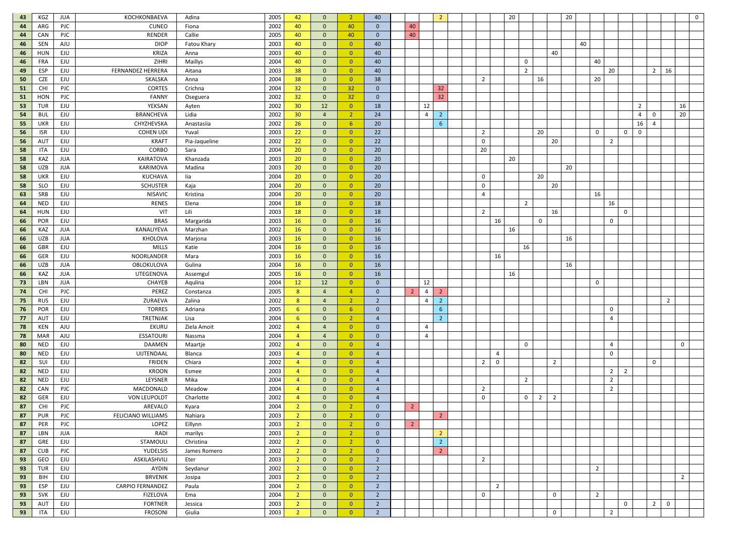| 43         | KGZ        | <b>JUA</b> | KOCHKONBAEVA            | 2005<br>Adina         | 42              | $\mathbf{0}$   | $\overline{2}$ | 40             |                |                | $\overline{2}$ |                |                | 20             |                               |                | 20 |    |                |                |                |                |                |                | $\mathbf 0$    |
|------------|------------|------------|-------------------------|-----------------------|-----------------|----------------|----------------|----------------|----------------|----------------|----------------|----------------|----------------|----------------|-------------------------------|----------------|----|----|----------------|----------------|----------------|----------------|----------------|----------------|----------------|
| 44         | ARG        | PJC        | <b>CUNEO</b>            | 2002<br>Fiona         | 40              | $\mathbf{0}$   | 40             | $\mathbf{0}$   | 40             |                |                |                |                |                |                               |                |    |    |                |                |                |                |                |                |                |
| 44         | CAN        | PJC        | <b>RENDER</b>           | 2005<br>Callie        | 40              | $\mathbf{0}$   | 40             | $\overline{0}$ | 40             |                |                |                |                |                |                               |                |    |    |                |                |                |                |                |                |                |
| 46         | SEN        | AJU        | <b>DIOP</b>             | 2003<br>Fatou Khary   | 40              | $\mathbf{0}$   | $\overline{0}$ | 40             |                |                |                |                |                |                |                               |                |    | 40 |                |                |                |                |                |                |                |
| 46         | <b>HUN</b> | EJU        | <b>KRIZA</b>            | 2003<br>Anna          | 40              | $\mathbf{0}$   | $\overline{0}$ | 40             |                |                |                |                |                |                |                               | 40             |    |    |                |                |                |                |                |                |                |
| 46         | FRA        | EJU        | ZIHRI                   | Maillys<br>2004       | 40              | $\mathbf{0}$   | $\overline{0}$ | 40             |                |                |                |                |                | 0              |                               |                |    |    | 40             |                |                |                |                |                |                |
| 49         | ESP        | EJU        | FERNANDEZ HERRERA       | 2003<br>Aitana        | 38              | $\mathbf{0}$   | $\overline{0}$ | 40             |                |                |                |                |                | $\overline{2}$ |                               |                |    |    |                | 20             |                |                | $\overline{2}$ | 16             |                |
| 50         | <b>CZE</b> | EJU        | SKALSKA                 | 2004<br>Anna          | 38              | $\mathbf{0}$   | $\overline{0}$ | 38             |                |                |                | $\overline{2}$ |                |                | 16                            |                |    |    | 20             |                |                |                |                |                |                |
| 51         | CHI        | PJC        | <b>CORTES</b>           | 2004<br>Crichna       | 32              | $\mathbf{0}$   | 32             | $\mathbf{0}$   |                |                | 32             |                |                |                |                               |                |    |    |                |                |                |                |                |                |                |
| 51         | <b>HON</b> | <b>PJC</b> | <b>FANNY</b>            | 2002<br>Oseguera      | 32              | $\mathbf{0}$   | 32             | $\mathbf{0}$   |                |                | 32             |                |                |                |                               |                |    |    |                |                |                |                |                |                |                |
| 53         | <b>TUR</b> | EJU        | YEKSAN                  | 2002<br>Ayten         | 30 <sup>°</sup> | 12             | $\overline{0}$ | 18             |                | 12             |                |                |                |                |                               |                |    |    |                |                |                | $\overline{2}$ |                |                | 16             |
| 54         | <b>BUL</b> | EJU        | <b>BRANCHEVA</b>        | Lidia<br>2002         | 30 <sup>°</sup> | $\overline{4}$ | $\overline{2}$ | 24             |                | $\overline{4}$ | $\overline{2}$ |                |                |                |                               |                |    |    |                |                |                | $\overline{4}$ | $\mathbf 0$    |                | 20             |
| 55         | <b>UKR</b> | EJU        | CHYZHEVSKA              | 2002<br>Anastasiia    | 26              | $\mathbf{0}$   | 6              | 20             |                |                | 6              |                |                |                |                               |                |    |    |                |                |                | 16             | $\overline{4}$ |                |                |
| 56         | <b>ISR</b> | EJU        | <b>COHEN UDI</b>        | 2003<br>Yuval         | 22              | $\mathbf{0}$   | $\overline{0}$ | 22             |                |                |                | $\overline{2}$ |                |                | 20                            |                |    |    | $\mathbf 0$    |                | 0              | $\mathbf 0$    |                |                |                |
| 56         | <b>AUT</b> | EJU        | <b>KRAFT</b>            | 2002<br>Pia-Jaqueline | 22              | $\mathbf{0}$   | $\overline{0}$ | 22             |                |                |                | $\mathbf 0$    |                |                |                               | 20             |    |    |                | $\overline{2}$ |                |                |                |                |                |
| 58         | ITA        | EJU        | CORBO                   | 2004<br>Sara          | 20              | $\mathbf{0}$   | $\overline{0}$ | 20             |                |                |                | 20             |                |                |                               |                |    |    |                |                |                |                |                |                |                |
| 58         | KAZ        | JUA        | KAIRATOVA               | 2003<br>Khanzada      | 20              | $\mathbf{0}$   | $\overline{0}$ | 20             |                |                |                |                |                | 20             |                               |                |    |    |                |                |                |                |                |                |                |
| 58         | <b>UZB</b> | <b>JUA</b> | KARIMOVA                | 2003<br>Madina        | 20              | $\mathbf{0}$   | $\overline{0}$ | 20             |                |                |                |                |                |                |                               |                | 20 |    |                |                |                |                |                |                |                |
| 58         | <b>UKR</b> | EJU        | KUCHAVA                 | lia<br>2004           | 20              | $\mathbf{0}$   | $\overline{0}$ | 20             |                |                |                | $\mathbf{0}$   |                |                | 20                            |                |    |    |                |                |                |                |                |                |                |
| 58         | <b>SLO</b> | EJU        | <b>SCHUSTER</b>         | 2004<br>Kaja          | 20              | $\mathbf{0}$   | $\overline{0}$ | 20             |                |                |                | $\mathsf{o}$   |                |                |                               | 20             |    |    |                |                |                |                |                |                |                |
| 63         | SRB        | EJU        | <b>NISAVIC</b>          | 2004<br>Kristina      | 20              | $\mathbf{0}$   | $\overline{0}$ | 20             |                |                |                | $\overline{4}$ |                |                |                               |                |    |    | 16             |                |                |                |                |                |                |
| 64         | <b>NED</b> | EJU        | <b>RENES</b>            | Elena<br>2004         | 18              | $\mathbf{0}$   | $\overline{0}$ | 18             |                |                |                |                |                | 2              |                               |                |    |    |                | 16             |                |                |                |                |                |
| 64         | <b>HUN</b> | EJU        | VIT                     | Lili<br>2003          | 18              | $\mathbf{0}$   | $\overline{0}$ | 18             |                |                |                | $\overline{2}$ |                |                |                               | 16             |    |    |                |                | 0              |                |                |                |                |
| 66         | POR        | EJU        | <b>BRAS</b>             | 2003<br>Margarida     | 16              | $\mathbf{0}$   | $\overline{0}$ | 16             |                |                |                |                | 16             |                | $\mathsf{o}$                  |                |    |    |                | $\mathbf 0$    |                |                |                |                |                |
| 66         | KAZ        | <b>JUA</b> | KANALIYEVA              | 2002<br>Marzhan       | 16              | $\mathbf{0}$   | $\overline{0}$ | 16             |                |                |                |                |                | 16             |                               |                |    |    |                |                |                |                |                |                |                |
| 66         | UZB        | <b>JUA</b> | KHOLOVA                 | 2003<br>Marjona       | 16              | $\mathbf{0}$   | $\overline{0}$ | 16             |                |                |                |                |                |                |                               |                | 16 |    |                |                |                |                |                |                |                |
| 66         | GBR        | EJU        | <b>MILLS</b>            | Katie<br>2004         | 16              | $\mathbf{0}$   | $\overline{0}$ | 16             |                |                |                |                |                | 16             |                               |                |    |    |                |                |                |                |                |                |                |
| 66         | GER        | EJU        | NOORLANDER              | 2003<br>Mara          | 16              | $\mathbf{0}$   | $\overline{0}$ | 16             |                |                |                |                | 16             |                |                               |                |    |    |                |                |                |                |                |                |                |
| 66         | <b>UZB</b> | <b>JUA</b> | OBLOKULOVA              | 2004<br>Gulina        | 16              | $\mathbf{0}$   | $\overline{0}$ | 16             |                |                |                |                |                |                |                               |                | 16 |    |                |                |                |                |                |                |                |
| 66         | KAZ        | <b>JUA</b> | UTEGENOVA               | 2005<br>Assemgul      | 16              | $\mathbf{0}$   | $\overline{0}$ | 16             |                |                |                |                |                | 16             |                               |                |    |    |                |                |                |                |                |                |                |
| 73         | LBN        | JUA        | CHAYEB                  | 2004<br>Aqulina       | 12              | 12             | $\overline{0}$ | $\mathbf 0$    |                | 12             |                |                |                |                |                               |                |    |    | 0              |                |                |                |                |                |                |
| ${\bf 74}$ | <b>CHI</b> | PJC        | PEREZ                   | 2005<br>Constanza     | 8               | $\overline{4}$ | $\overline{4}$ | $\mathbf{0}$   | $\overline{2}$ | $\overline{4}$ | $\overline{2}$ |                |                |                |                               |                |    |    |                |                |                |                |                |                |                |
| 75         | <b>RUS</b> | EJU        | ZURAEVA                 | Zalina<br>2002        | 8 <sup>°</sup>  | $\overline{4}$ | $\overline{2}$ | $\overline{2}$ |                | $\overline{4}$ | $\overline{2}$ |                |                |                |                               |                |    |    |                |                |                |                |                | $\overline{2}$ |                |
| 76         | POR        | EJU        | <b>TORRES</b>           | 2005<br>Adriana       | 6               | $\mathbf{0}$   | 6              | $\mathbf{0}$   |                |                | 6              |                |                |                |                               |                |    |    |                | 0              |                |                |                |                |                |
| 77         | AUT        | EJU        | TRETNJAK                | 2004<br>Lisa          | 6               | $\mathbf{0}$   | $\overline{2}$ | $\overline{4}$ |                |                | $\overline{2}$ |                |                |                |                               |                |    |    |                | $\overline{4}$ |                |                |                |                |                |
| 78         | <b>KEN</b> | AJU        | <b>EKURU</b>            | 2002<br>Ziela Amoit   | $\overline{4}$  | $\overline{4}$ | $\overline{0}$ | $\mathbf 0$    |                | $\overline{4}$ |                |                |                |                |                               |                |    |    |                |                |                |                |                |                |                |
| 78         | <b>MAR</b> | AJU        | <b>ESSATOURI</b>        | 2004<br>Nassma        | $\overline{4}$  | $\overline{4}$ | $\overline{0}$ | $\overline{0}$ |                | $\overline{4}$ |                |                |                |                |                               |                |    |    |                |                |                |                |                |                |                |
| 80         | <b>NED</b> | EJU        | <b>DAAMEN</b>           | 2002<br>Maartje       | $\overline{4}$  | $\mathbf{0}$   | $\overline{0}$ | $\overline{4}$ |                |                |                |                |                | $\mathbf 0$    |                               |                |    |    |                | 4              |                |                |                |                | $\mathbf 0$    |
| 80         | <b>NED</b> | EJU        | UIJTENDAAL              | 2003<br>Blanca        | $\overline{4}$  | $\mathbf{0}$   | $\overline{0}$ | $\overline{4}$ |                |                |                |                | $\overline{4}$ |                |                               |                |    |    |                | $\mathbf 0$    |                |                |                |                |                |
| 82         | SUI        | EJU        | <b>FRIDEN</b>           | 2002<br>Chiara        | $\overline{4}$  | $\mathbf{0}$   | $\overline{0}$ | $\overline{4}$ |                |                |                | $\overline{2}$ | $\mathbf 0$    |                |                               | $\overline{2}$ |    |    |                |                |                |                | $\mathsf{o}$   |                |                |
| 82         | <b>NED</b> | EJU        | <b>KROON</b>            | 2003<br>Esmee         | $\overline{4}$  | $\mathbf{0}$   | $\overline{0}$ | $\overline{4}$ |                |                |                |                |                |                |                               |                |    |    |                | $\overline{2}$ | $\overline{2}$ |                |                |                |                |
| 82         | <b>NED</b> | EJU        | LEYSNER                 | 2004<br>Mika          | $\overline{4}$  | $\mathbf{0}$   | $\overline{0}$ | $\overline{4}$ |                |                |                |                |                | $\overline{2}$ |                               |                |    |    |                | $\overline{2}$ |                |                |                |                |                |
| 82         | CAN        | PJC        | MACDONALD               | 2004<br>Meadow        | $\overline{4}$  | $\mathbf{0}$   | $\overline{0}$ | $\overline{4}$ |                |                |                | $\overline{2}$ |                |                |                               |                |    |    |                | $\overline{2}$ |                |                |                |                |                |
| 82         | GER        | EJU        | <b>VON LEUPOLDT</b>     | 2002<br>Charlotte     | $\overline{4}$  | $\mathbf{0}$   | $\overline{0}$ | $\overline{4}$ |                |                |                | $\mathbf{0}$   |                |                | $\overline{2}$<br>$\mathbf 0$ | $\overline{2}$ |    |    |                |                |                |                |                |                |                |
| 87         | CHI        | PJC        | AREVALO                 | 2004<br>Kyara         | $\overline{2}$  | $\mathbf{0}$   | 2 <sup>2</sup> | $\mathbf 0$    | $\overline{2}$ |                |                |                |                |                |                               |                |    |    |                |                |                |                |                |                |                |
| 87         | PUR        | PJC        | FELICIANO WILLIAMS      | Nahiara<br>2003       | $\overline{2}$  | $\mathbf 0$    | 2 <sup>7</sup> | $\mathbf 0$    |                |                | $2^{\circ}$    |                |                |                |                               |                |    |    |                |                |                |                |                |                |                |
| 87         | PER        | PJC        | LOPEZ                   | Eillynn<br>2003       | $\overline{2}$  | $\mathbf{0}$   | $\overline{2}$ | $\overline{0}$ | $\overline{2}$ |                |                |                |                |                |                               |                |    |    |                |                |                |                |                |                |                |
| 87         | LBN        | JUA        | RADI                    | 2003<br>marilys       | $\overline{2}$  | $\mathbf{0}$   | $\overline{2}$ | $\mathbf 0$    |                |                | $\overline{2}$ |                |                |                |                               |                |    |    |                |                |                |                |                |                |                |
| 87         | GRE        | EJU        | STAMOULI                | 2002<br>Christina     | $\overline{2}$  | $\mathbf{0}$   | $\overline{2}$ | $\mathbf 0$    |                |                | $\overline{2}$ |                |                |                |                               |                |    |    |                |                |                |                |                |                |                |
| 87         | <b>CUB</b> | PJC        | YUDELSIS                | 2002<br>James Romero  | $\overline{2}$  | $\mathbf{0}$   | $\overline{2}$ | $\mathbf{0}$   |                |                | $\overline{2}$ |                |                |                |                               |                |    |    |                |                |                |                |                |                |                |
| 93         | GEO        | EJU        | ASKILASHVILI            | 2003<br>Eter          | $2^{\circ}$     | $\mathbf{0}$   | $\overline{0}$ | $\overline{2}$ |                |                |                | $\overline{2}$ |                |                |                               |                |    |    |                |                |                |                |                |                |                |
| 93         | <b>TUR</b> | EJU        | AYDIN                   | 2002<br>Seydanur      | $\overline{2}$  | $\mathbf{0}$   | $\overline{0}$ | $\overline{2}$ |                |                |                |                |                |                |                               |                |    |    | $\overline{2}$ |                |                |                |                |                |                |
| 93         | BIH        | EJU        | <b>BRVENIK</b>          | 2003<br>Josipa        | $\overline{2}$  | $\mathbf{0}$   | $\overline{0}$ | $\overline{2}$ |                |                |                |                |                |                |                               |                |    |    |                |                |                |                |                |                | $\overline{2}$ |
| 93         | ESP        | EJU        | <b>CARPIO FERNANDEZ</b> | 2004<br>Paula         | $2^{\circ}$     | $\mathbf{0}$   | $\overline{0}$ | $\overline{2}$ |                |                |                |                | $\overline{2}$ |                |                               |                |    |    |                |                |                |                |                |                |                |
| 93         | <b>SVK</b> | EJU        | <b>FIZELOVA</b>         | 2004<br>Ema           | $\overline{2}$  | $\mathbf{0}$   | $\overline{0}$ | $\overline{2}$ |                |                |                | $\mathbf 0$    |                |                |                               | $\mathsf{o}$   |    |    | $\overline{2}$ |                |                |                |                |                |                |
| 93         | AUT        | EJU        | <b>FORTNER</b>          | 2003<br>Jessica       | $\overline{2}$  | $\mathbf{0}$   | $\overline{0}$ | $\overline{2}$ |                |                |                |                |                |                |                               |                |    |    |                |                | $\mathbf 0$    |                | $\overline{2}$ | $\mathbf 0$    |                |
| 93         | <b>ITA</b> | EJU        | <b>FROSONI</b>          | Giulia<br>2003        | $\overline{2}$  | $\mathbf{0}$   | $\overline{0}$ | $\overline{2}$ |                |                |                |                |                |                |                               | $\mathbf 0$    |    |    |                | $\overline{2}$ |                |                |                |                |                |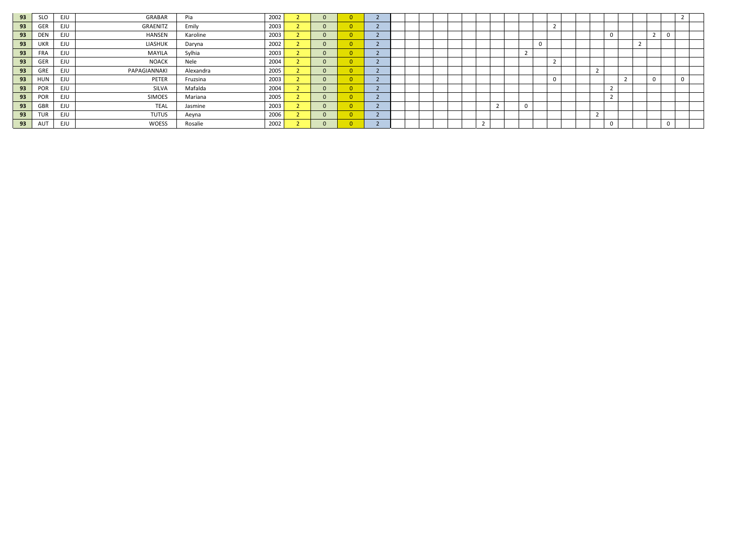| 93 | <b>SLO</b> | EJU  | <b>GRABAR</b>  | Pia       | 2002 |              |  |  |  |  |             |  |  |  |          |                               |          |  |
|----|------------|------|----------------|-----------|------|--------------|--|--|--|--|-------------|--|--|--|----------|-------------------------------|----------|--|
| 93 | GER        | EJU  | GRAENITZ       | Emily     | 2003 |              |  |  |  |  |             |  |  |  |          |                               |          |  |
| 93 | <b>DEN</b> | EJU  | <b>HANSEN</b>  | Karoline  | 2003 | 0            |  |  |  |  |             |  |  |  | $\Omega$ | $\overline{\phantom{0}}$<br>▵ | 0        |  |
| 93 | UKR        | EJU  | <b>LIASHUK</b> | Daryna    | 2002 |              |  |  |  |  |             |  |  |  |          |                               |          |  |
| 93 | FRA        | EJU  | <b>MAYILA</b>  | Sylhia    | 2003 |              |  |  |  |  |             |  |  |  |          |                               |          |  |
| 93 | GER        | EJU  | <b>NOACK</b>   | Nele      | 2004 |              |  |  |  |  |             |  |  |  |          |                               |          |  |
| 93 | GRE        | EJU. | PAPAGIANNAKI   | Alexandra | 2005 |              |  |  |  |  |             |  |  |  |          |                               |          |  |
| 93 | <b>HUN</b> | EJU. | PETER          | Fruzsina  | 2003 | <sup>n</sup> |  |  |  |  |             |  |  |  |          | $\Omega$                      |          |  |
| 93 | <b>POR</b> | EJU  | SILVA          | Mafalda   | 2004 |              |  |  |  |  |             |  |  |  |          |                               |          |  |
| 93 | POR        | EJU  | <b>SIMOES</b>  | Mariana   | 2005 | 0            |  |  |  |  |             |  |  |  |          |                               |          |  |
| 93 | <b>GBR</b> | EJU  | <b>TEAL</b>    | Jasmine   | 2003 |              |  |  |  |  | $\sim$<br>▵ |  |  |  |          |                               |          |  |
| 93 |            | EJU  | <b>TUTUS</b>   | Aeyna     | 2006 |              |  |  |  |  |             |  |  |  |          |                               |          |  |
| 93 | AUT        | EJU. | <b>WOESS</b>   | Rosalie   | 2002 |              |  |  |  |  |             |  |  |  |          |                               | $\Omega$ |  |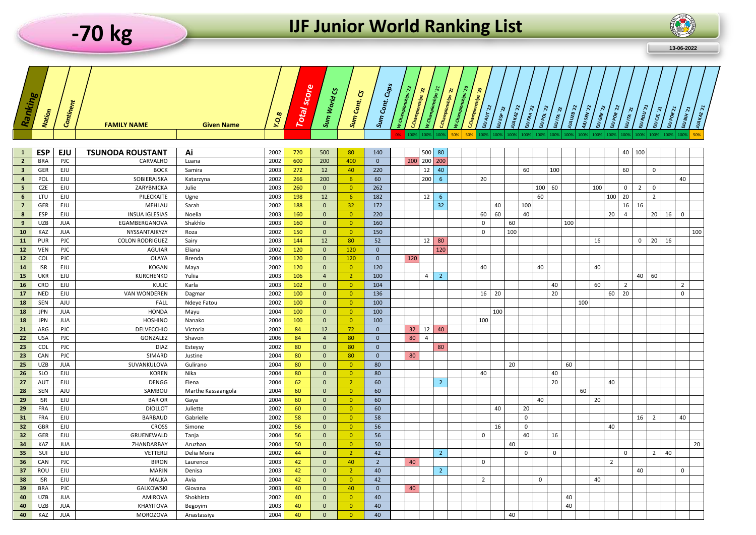



**13-06-2022**

**Ranking Nation Continent FAMILY NAME Given Name Y.O.B Total score Sum World CS Sum Cont. CS Sum Cont. Cups W.Championships `22 C.Championships `22 W.Championships `21 C.Championships `21 W.Championships `20 C.Championships `20 EJU AUT `22 EJU ESP `22 JUA KAZ `22 EJU FRA `22 EJU POL `22 EJU ITA `22 JUA UZB `22 AJU SEN `22 EJU GRE `22 EJU POR `22 EJU ITA `21 EJU ROU `21 EJU CZE `21 EJU POR`21 EJU BIH `21 JUA KAZ `21** 0% 100% 100% 100% 50% 50% 100% 100% 100% 100% 100% 100% 100% 100% 100% 100% 100% 100% 100% 100% 100% 50% **<sup>1</sup> ESP EJU TSUNODA ROUSTANT Ai** <sup>2002</sup> <sup>720</sup> <sup>500</sup> <sup>80</sup> <sup>140</sup> <sup>500</sup> <sup>80</sup> <sup>40</sup> <sup>100</sup> **2** BRA PJC CARVALHO Luana 2002 600 200 400 0 200 200 200 **3** GER EJU BOCK Samira 2003 272 12 40 220 12 40 60 100 60 0 **4** POL EJU SOBIERAJSKA Katarzyna 2002 266 200 6 60 200 6 20 40 **5** CZE EJU ZARYBNICKA Julie 2003 260 0 0 262 100 60 100 0 2 0 **6** LTU EJU PILECKAITE Ugne 2003 198 12 6 182 12 6 60 100 20 2 **7** | GER | EJU | MEHLAU | Sarah | 2002 | 188 | 0 | 32 | 172 | | | | 32 | | | | 40 | 100 | | | | | | | | | 16 | 16 8 ESP EJU | INSUA IGLESIAS | Noelia | 2003 <mark>| 160 |</mark> 0 | 0 | 220 | | | | | | | 60 |60 | |40 | | | | | | | | | | 20 | 16 | 0 **9** UZB JUA EGAMBERGANOVA Shakhlo 2003 160 0 0 160 0 60 100 **10** KAZ JUA NYSSANTAIKYZY Roza 2002 150 0 0 150 0 100 100 **11** PUR PJC COLON RODRIGUEZ Sairy 2003 144 12 80 52 12 80 16 0 20 16 **12** VEN PJC AGUIAR Eliana 2002 120 0 120 0 120 **12** COL PJC OLAYA Brenda 2004 120 0 120 0 120 **14** ISR EJU KOGAN Maya 2002 120 0 0 120 40 40 40 **15** UKR EJU KURCHENKO Yuliia 2003 106 4 2 100 4 2 40 60 **16** CRO EJU KULIC Karla 2003 102 0 0 104 40 60 2 2 <mark>17</mark> NED | EJU | VAN WONDEREN | Dagmar | 2002 <mark>| 100 |</mark> 0 | 0 | 136 | | | | | | | | | | 16 | 20 | | | | | | | | 60 | 20 | | | | | 0 **18** SEN AJU FALL Ndeye Fatou 2002 100 0 0 100 100 **18 J**PN | JUA | HONDA | Mayu | 2004 <mark>| 100 |</mark> 0 | <mark>0 0 |</mark> 100 | | | | | | | | | | | | 100 <mark>18</mark> JPN | JUA | HOSHINO | Nanako | 2004 <mark>| 100 |</mark> 0 | 0 | 100 | | | | | | | | | |100 **21** ARG PJC DELVECCHIO Victoria 2002 84 12 72 0 32 12 40 **22** USA PJC GONZALEZ Shavon 2006 84 4 80 0 80 4 **23** COL PJC DIAZ Esteysy 2002 80 0 80 0 80 **23** CAN PJC SIMARD Justine 2004 80 0 80 0 80 **25** UZB JUA SUVANKULOVA Gulirano 2004 80 0 0 80 20 60 **26** SLO EJU KOREN Nika 2004 80 0 0 80 40 40 **27** AUT EJU DENGG Elena 2004 62 0 2 60 2 20 40 **28** SEN AJU SAMBOU Marthe Kassaangola 2004 60 0 0 60 60 **29** ISR EJU BAR OR Gaya 2004 60 0 0 60 40 20 **29** FRA EJU DIOLLOT Juliette 2002 60 0 0 60 40 20 **31** FRA EJU BARBAUD Gabrielle 2002 58 0 0 58 0 16 2 40 **32** GBR EJU CROSS Simone 2002 56 0 0 56 16 0 40 **32** GER EJU | GRUENEWALD | Tanja | 2004 <mark>56 0 0 0 56</mark> 0 | 15 | | | | | 0 | | 40 | 16 **34** KAZ JUA ZHANDARBAY Aruzhan 2004 50 0 0 50 40 20 **35** SUI EJU VETTERLI Delia Moira 2002 44 0 2 42 2 0 0 0 2 40 **36** CAN PJC BIRON Laurence 2003 42 0 40 2 40 0 2 **37** ROU EJU MARIN Denisa 2003 42 0 2 40 2 40 0 **38** ISR EJU MALKA Avia 2004 42 0 0 42 2 0 40 **39** BRA PJC GALKOWSKI Giovana 2003 40 0 40 0 40 **40** UZB JUA AMIROVA Shokhista 2002 40 0 0 40 40 **40** UZB JUA KHAYITOVA Begoyim 2003 40 0 0 40 40 **40** KAZ JUA MOROZOVA Anastassiya 2004 40 0 0 40 40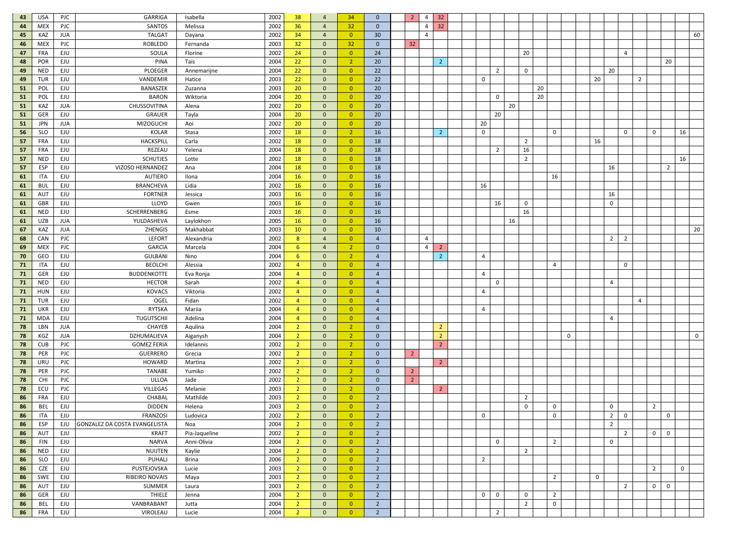| 43         | <b>USA</b>        | PJC        | <b>GARRIGA</b>                                | 2002<br>Isabella                     | 38                               | $\overline{a}$              | 34                                        | $\overline{0}$                   | $2^{\circ}$    | $\overline{4}$ | 32             |                |                |                |    |                     |   |             |                |                |                |                |              |             |
|------------|-------------------|------------|-----------------------------------------------|--------------------------------------|----------------------------------|-----------------------------|-------------------------------------------|----------------------------------|----------------|----------------|----------------|----------------|----------------|----------------|----|---------------------|---|-------------|----------------|----------------|----------------|----------------|--------------|-------------|
| 44         | <b>MEX</b>        | PJC        | SANTOS                                        | Melissa<br>2002                      | 36                               | $\overline{4}$              | 32 <sub>2</sub>                           | $\mathbf{0}$                     |                | $\overline{4}$ | 32             |                |                |                |    |                     |   |             |                |                |                |                |              |             |
| 45         | KAZ               | JUA        | <b>TALGAT</b>                                 | 2002<br>Dayana                       | 34                               | $\overline{4}$              | $\overline{0}$                            | 30 <sup>°</sup>                  |                | $\overline{4}$ |                |                |                |                |    |                     |   |             |                |                |                |                |              | 60          |
| 46         | <b>MEX</b>        | PJC        | ROBLEDO                                       | 2003<br>Fernanda                     | 32                               | $\mathbf{0}$                | 32 <sub>2</sub>                           | $\overline{0}$                   | 32             |                |                |                |                |                |    |                     |   |             |                |                |                |                |              |             |
| 47         | FRA               | EJU        | SOULA                                         | 2002<br>Florine                      | 24                               | $\mathbf{0}$                | $\overline{0}$                            | 24                               |                |                |                |                |                | 20             |    |                     |   |             |                | $\overline{4}$ |                |                |              |             |
| 48         | POR               | EJU        | PINA                                          | 2004<br>Tais                         | 22                               | $\mathbf{0}$                | $\overline{2}$                            | 20                               |                |                | $\overline{2}$ |                |                |                |    |                     |   |             |                |                |                |                | 20           |             |
| 49         | <b>NED</b>        | EJU        | PLOEGER                                       | Annemarijne<br>2004                  | 22                               | $\mathbf{0}$                | $\overline{0}$                            | 22                               |                |                |                |                | $\overline{2}$ | 0              |    |                     |   |             | 20             |                |                |                |              |             |
| 49         | <b>TUR</b>        | EJU        | VANDEMIR                                      | 2003<br>Hatice                       | 22                               | $\mathbf{0}$                | $\overline{0}$                            | 22                               |                |                |                | $\mathbf{0}$   |                |                |    |                     |   | 20          |                |                | $\overline{2}$ |                |              |             |
| 51         | POL               | EJU        | BANASZEK                                      | 2003<br>Zuzanna                      | 20                               | $\mathbf{0}$                | $\overline{0}$                            | 20                               |                |                |                |                |                |                | 20 |                     |   |             |                |                |                |                |              |             |
| 51         | POL               | EJU        | <b>BARON</b>                                  | 2004<br>Wiktoria                     | 20                               | $\mathbf{0}$                | $\overline{0}$                            | 20                               |                |                |                |                | $\mathbf 0$    |                | 20 |                     |   |             |                |                |                |                |              |             |
| 51         | KAZ               | JUA        | CHUSSOVITINA                                  | 2002<br>Alena                        | 20                               | $\mathbf{0}$                | $\overline{0}$                            | 20                               |                |                |                |                |                | 20             |    |                     |   |             |                |                |                |                |              |             |
| 51         | GER               | EJU        | <b>GRAUER</b>                                 | 2004<br>Tayla                        | 20                               | $\mathbf{0}$                | $\overline{0}$                            | 20                               |                |                |                |                | 20             |                |    |                     |   |             |                |                |                |                |              |             |
| 51         | <b>JPN</b>        | JUA        | <b>MIZOGUCHI</b>                              | 2002<br>Aoi                          | 20                               | $\mathbf{0}$                | $\overline{0}$                            | 20                               |                |                |                | 20             |                |                |    |                     |   |             |                |                |                |                |              |             |
| 56         | <b>SLO</b>        | EJU        | KOLAR                                         | 2002<br>Stasa                        | 18                               | $\mathbf{0}$                | $\overline{2}$                            | 16                               |                |                | $\overline{2}$ | $\mathbf 0$    |                |                |    | 0                   |   |             |                | $\mathbf 0$    |                | $\mathbf 0$    |              | 16          |
| 57         | FRA               | EJU        | HACKSPILL                                     | 2002<br>Carla                        | 18                               | $\mathbf{0}$                | $\overline{0}$                            | 18                               |                |                |                |                |                | $\overline{2}$ |    |                     |   | 16          |                |                |                |                |              |             |
| 57         | FRA               | EJU        | REZEAU                                        | Yelena<br>2004                       | 18                               | $\mathbf{0}$                | $\overline{0}$                            | 18                               |                |                |                |                | $\overline{2}$ | 16             |    |                     |   |             |                |                |                |                |              |             |
| 57         | <b>NED</b>        | EJU        | <b>SCHUTJES</b>                               | 2002<br>Lotte                        | 18                               | $\mathbf{0}$                | $\overline{0}$                            | 18                               |                |                |                |                |                | $\overline{2}$ |    |                     |   |             |                |                |                |                |              | 16          |
| 57         | ESP               | EJU        | VIZOSO HERNANDEZ                              | 2004<br>Ana                          | 18                               | $\mathbf{0}$                | $\overline{0}$                            | 18                               |                |                |                |                |                |                |    |                     |   |             | 16             |                |                |                | 2            |             |
| 61         | ITA               | EJU        | <b>AUTIERO</b>                                | 2004<br>Ilona                        | 16                               | $\mathbf{0}$                | $\overline{0}$                            | 16                               |                |                |                |                |                |                |    | 16                  |   |             |                |                |                |                |              |             |
| 61         | <b>BUL</b>        | EJU        | <b>BRANCHEVA</b>                              | 2002<br>Lidia                        | 16                               | $\mathbf{0}$                | $\overline{0}$                            | 16                               |                |                |                | 16             |                |                |    |                     |   |             |                |                |                |                |              |             |
| 61         | AUT               | EJU        | <b>FORTNER</b>                                | 2003<br>Jessica                      | 16                               | $\mathbf{0}$                | $\overline{0}$                            | 16                               |                |                |                |                |                |                |    |                     |   |             | 16             |                |                |                |              |             |
| 61         | GBR               | EJU        | LLOYD                                         | 2003<br>Gwen                         | 16                               | $\mathbf{0}$                | $\overline{0}$                            | 16                               |                |                |                |                | 16             | $\mathbf 0$    |    |                     |   |             | $\mathbf 0$    |                |                |                |              |             |
| 61         | <b>NED</b>        | EJU        | SCHERRENBERG                                  | 2003<br>Esme                         | 16                               | $\mathbf{0}$                | $\overline{0}$                            | 16                               |                |                |                |                |                | 16             |    |                     |   |             |                |                |                |                |              |             |
| 61         | <b>UZB</b>        | <b>JUA</b> | YULDASHEVA                                    | 2005<br>Laylokhon                    | 16                               | $\mathbf{0}$                | $\overline{0}$                            | 16                               |                |                |                |                |                | 16             |    |                     |   |             |                |                |                |                |              |             |
| 67         | KAZ               | <b>JUA</b> | ZHENGIS                                       | 2003<br>Makhabbat                    | 10                               | $\mathbf{0}$                | $\overline{0}$                            | 10                               |                |                |                |                |                |                |    |                     |   |             |                |                |                |                |              | 20          |
| 68         | CAN               | PJC        | <b>LEFORT</b>                                 | 2002<br>Alexandria                   | 8                                | $\overline{4}$              | $\overline{0}$                            | $\overline{4}$                   |                | $\overline{4}$ |                |                |                |                |    |                     |   |             | $\overline{2}$ | $\overline{2}$ |                |                |              |             |
| 69         | <b>MEX</b>        | PJC        | <b>GARCIA</b>                                 | 2004<br>Marcela                      | 6                                | $\overline{4}$              | $\overline{2}$                            | $\mathbf 0$                      |                | $\overline{4}$ | $\overline{2}$ |                |                |                |    |                     |   |             |                |                |                |                |              |             |
| 70         | GEO               | EJU        | <b>GULBANI</b>                                | 2004<br>Nino                         | 6                                | $\mathbf{0}$                | $\overline{2}$                            | $\overline{4}$                   |                |                | $\overline{2}$ | $\overline{4}$ |                |                |    |                     |   |             |                |                |                |                |              |             |
| 71         | <b>ITA</b>        | EJU        | <b>BEOLCHI</b>                                | 2002<br>Alessia                      | $\overline{4}$                   | $\mathbf{0}$                | $\overline{0}$                            | $\overline{4}$                   |                |                |                |                |                |                |    | $\overline{4}$      |   |             |                | $\mathbf 0$    |                |                |              |             |
| 71         | GER               | EJU        | <b>BUDDENKOTTE</b>                            | 2004<br>Eva Ronja                    | $\overline{4}$                   | $\mathbf{0}$                | $\overline{0}$                            | $\overline{4}$                   |                |                |                | $\overline{4}$ |                |                |    |                     |   |             |                |                |                |                |              |             |
| 71         | <b>NED</b>        | EJU        | <b>HECTOR</b>                                 | 2002<br>Sarah                        | $\overline{4}$                   | $\mathbf{0}$                | $\overline{0}$                            | $\overline{4}$                   |                |                |                |                | $\mathbf 0$    |                |    |                     |   |             | 4              |                |                |                |              |             |
| 71         | <b>HUN</b>        | EJU        | <b>KOVACS</b>                                 | 2002<br>Viktoria                     | $\overline{4}$                   | $\mathbf{0}$                | $\overline{0}$                            | $\overline{4}$                   |                |                |                | $\overline{4}$ |                |                |    |                     |   |             |                |                |                |                |              |             |
| 71         | <b>TUR</b>        | EJU        | OGEL                                          | Fidan<br>2002                        | $\overline{4}$                   | $\mathbf{0}$                | $\overline{0}$                            | $\overline{4}$                   |                |                |                |                |                |                |    |                     |   |             |                |                | $\overline{4}$ |                |              |             |
| ${\bf 71}$ | <b>UKR</b>        | EJU        | <b>RYTSKA</b>                                 | 2004<br>Mariia                       | $\overline{4}$                   | $\mathbf{0}$                | $\overline{0}$                            | $\overline{4}$                   |                |                |                | $\overline{4}$ |                |                |    |                     |   |             |                |                |                |                |              |             |
| 71         | <b>MDA</b>        | EJU        | TUGUTSCHII                                    | 2004<br>Adelina                      | $\overline{4}$                   | $\mathbf{0}$                | $\overline{0}$                            | $\overline{4}$                   |                |                |                |                |                |                |    |                     |   |             | $\overline{4}$ |                |                |                |              |             |
| 78         | LBN               | JUA        | CHAYEB                                        | 2004<br>Aqulina                      | $2^{\circ}$                      | $\mathbf{0}$                | $\overline{2}$                            | $\mathbf{0}$                     |                |                | $\overline{2}$ |                |                |                |    |                     |   |             |                |                |                |                |              |             |
| 78         | KGZ               | JUA        | DZHUMALIEVA                                   | 2004<br>Aiganysh                     | $\overline{2}$                   | $\mathbf{0}$                | $\overline{2}$                            | $\mathbf{0}$                     |                |                | $\overline{2}$ |                |                |                |    |                     | 0 |             |                |                |                |                |              | 0           |
| 78         | <b>CUB</b>        | <b>PJC</b> | <b>GOMEZ FERIA</b>                            | Idelannis<br>2002                    | $\overline{2}$                   | $\mathbf{0}$                | $\overline{2}$                            | $\mathbf{0}$                     |                |                | $\overline{2}$ |                |                |                |    |                     |   |             |                |                |                |                |              |             |
| 78         | PER               | PJC        | <b>GUERRERO</b>                               | 2002<br>Grecia                       | $2^{\circ}$                      | $\mathbf{0}$                | $\overline{2}$                            | $\overline{0}$                   | $2^{\circ}$    |                |                |                |                |                |    |                     |   |             |                |                |                |                |              |             |
| 78         | <b>URU</b>        | PJC        | <b>HOWARD</b>                                 | 2002<br>Martina                      | $\overline{2}$                   | $\mathbf{0}$                | $\overline{2}$                            | $\mathbf{0}$                     |                |                | $\overline{2}$ |                |                |                |    |                     |   |             |                |                |                |                |              |             |
| 78         | PER               | PJC        | <b>TANABE</b>                                 | 2002<br>Yumiko                       | $\overline{2}$                   | $\mathbf{0}$                | $\overline{2}$                            | $\mathbf{0}$                     | $2^{\circ}$    |                |                |                |                |                |    |                     |   |             |                |                |                |                |              |             |
| 78         | <b>CHI</b>        | <b>PJC</b> | <b>ULLOA</b>                                  | 2002<br>Jade                         | $\overline{2}$                   | $\mathbf{0}$                | $\overline{2}$                            | $\mathbf{0}$                     | $\overline{2}$ |                |                |                |                |                |    |                     |   |             |                |                |                |                |              |             |
| 78         | ECU               | <b>PJC</b> | <b>VILLEGAS</b>                               | 2003<br>Melanie                      | $\overline{2}$                   | $\mathbf{0}$                | $\overline{2}$                            | $\mathbf{0}$                     |                |                | $\overline{2}$ |                |                |                |    |                     |   |             |                |                |                |                |              |             |
| 86         | <b>FRA</b>        | EJU        | CHABAL                                        | Mathilde<br>2003                     | <sup>2</sup>                     | $\mathbf{0}$                | $\overline{0}$                            | $\overline{2}$                   |                |                |                |                |                | $\overline{2}$ |    |                     |   |             |                |                |                |                |              |             |
| 86         | <b>BEL</b>        | EJU        | <b>DIDDEN</b>                                 | 2003<br>Helena                       | $\overline{2}$                   | $\mathbf{0}$                | $\overline{0}$                            | $\overline{2}$                   |                |                |                |                |                | $\mathbf 0$    |    | 0                   |   |             | 0              |                |                | $\overline{2}$ |              |             |
| 86         | <b>ITA</b><br>ESP | EJU        | <b>FRANZOSI</b>                               | Ludovica<br>2002<br>2004             | 2 <sup>2</sup><br>$\overline{2}$ | $\mathbf 0$<br>$\mathbf{0}$ | $\overline{\mathbf{0}}$<br>$\overline{0}$ | $\overline{2}$<br>$\overline{2}$ |                |                |                | U              |                |                |    | $\mathsf{O}\xspace$ |   |             | $\overline{2}$ | $2 \mid 0$     |                |                | $\mathbf{0}$ |             |
| 86<br>86   | AUT               | EJU<br>EJU | GONZALEZ DA COSTA EVANGELISTA<br><b>KRAFT</b> | Noa<br>2002                          |                                  | $\mathbf{0}$                | $\overline{0}$                            | $\overline{2}$                   |                |                |                |                |                |                |    |                     |   |             |                | $\overline{2}$ |                | $\mathbf{0}$   | $\mathbf 0$  |             |
| 86         | <b>FIN</b>        | EJU        | <b>NARVA</b>                                  | Pia-Jaqueline<br>Anni-Olivia<br>2004 | $\overline{2}$<br>$\overline{2}$ | $\mathbf{0}$                | $\overline{0}$                            | $\overline{2}$                   |                |                |                |                | $\mathsf{o}$   |                |    | $\overline{2}$      |   |             | $\mathbf 0$    |                |                |                |              |             |
| 86         | <b>NED</b>        | EJU        | <b>NUIJTEN</b>                                | 2004<br>Kaylie                       | 2 <sup>7</sup>                   | $\mathbf{0}$                | $\overline{0}$                            | $\overline{2}$                   |                |                |                |                |                | $\overline{2}$ |    |                     |   |             |                |                |                |                |              |             |
| 86         | <b>SLO</b>        | EJU        | PUHALJ                                        | 2006<br><b>Brina</b>                 | $2^{\circ}$                      | $\mathbf{0}$                | $\overline{0}$                            | $\overline{2}$                   |                |                |                | $\overline{2}$ |                |                |    |                     |   |             |                |                |                |                |              |             |
| 86         | CZE               | EJU        | PUSTEJOVSKA                                   | Lucie<br>2003                        | $\overline{2}$                   | $\mathbf{0}$                | $\overline{0}$                            | $\overline{2}$                   |                |                |                |                |                |                |    |                     |   |             |                |                |                | $\overline{2}$ |              | $\mathbf 0$ |
| 86         | SWE               | EJU        | RIBEIRO NOVAIS                                | 2003<br>Maya                         | $2^{\circ}$                      | $\mathbf{0}$                | $\overline{0}$                            | $\overline{2}$                   |                |                |                |                |                |                |    | $\overline{2}$      |   | $\mathbf 0$ |                |                |                |                |              |             |
| 86         | AUT               | EJU        | SUMMER                                        | 2003<br>Laura                        | $2^{\circ}$                      | $\mathbf{0}$                | $\overline{0}$                            | $\overline{2}$                   |                |                |                |                |                |                |    |                     |   |             |                | $\overline{2}$ |                | $\mathbf{0}$   | $\mathbf 0$  |             |
| 86         | GER               | EJU        | THIELE                                        | Jenna<br>2004                        | $2^{\circ}$                      | $\mathbf{0}$                | $\overline{0}$                            | $\overline{2}$                   |                |                |                | $\overline{0}$ | $\overline{0}$ | $\mathbf 0$    |    | $\overline{2}$      |   |             |                |                |                |                |              |             |
| 86         | <b>BEL</b>        | EJU        | VANBRABANT                                    | 2004<br>Jutta                        | $2^{\circ}$                      | $\mathbf{0}$                | $\overline{0}$                            | $\overline{2}$                   |                |                |                |                |                | $\overline{2}$ |    | $\mathbf 0$         |   |             |                |                |                |                |              |             |
| 86         | FRA               | EJU        | VIROLEAU                                      | Lucie<br>2004                        | $2^{\circ}$                      | $\overline{0}$              | $\overline{0}$                            | $\overline{2}$                   |                |                |                |                | $\overline{2}$ |                |    |                     |   |             |                |                |                |                |              |             |
|            |                   |            |                                               |                                      |                                  |                             |                                           |                                  |                |                |                |                |                |                |    |                     |   |             |                |                |                |                |              |             |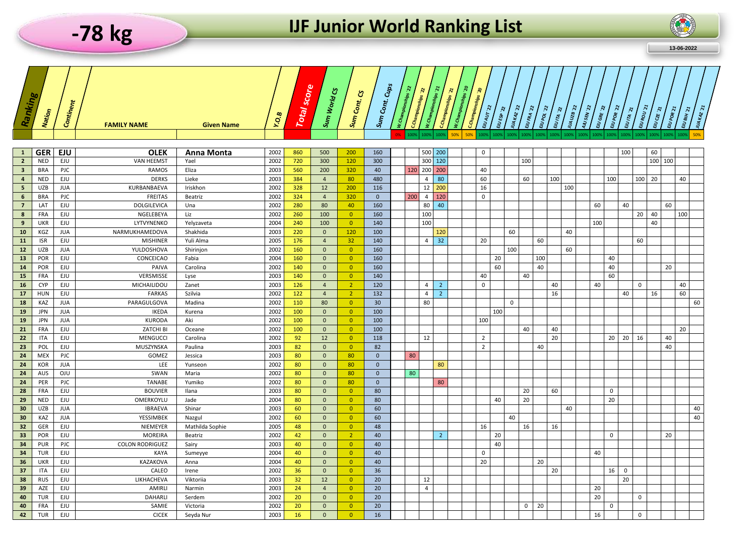



| Ranking                 | Nation            | Continent         | <b>FAMILY NAME</b>                | <b>Given Name</b>   | <b>Y.O.B</b> | Total score | Sum World CS                 | ୪<br>Sum Cont.                   | Sum Cont.    | Cups<br>n٠, | Ŝ   | onships<br>Š   | Ñ<br>Ŝ         | Ñ<br>ģ<br>50% | C.Championships<br>50% | $\boldsymbol{\mathcal{N}}$<br>EJU AUT | $\boldsymbol{\mathcal{R}}$<br>ElU ESP 22<br>JUA KAZ | EJU FRA 22  | $\boldsymbol{\mathcal{N}}$<br>Elu POL | $\approx$<br>EJU ITA | $\frac{1}{2}$ | $\boldsymbol{\mathcal{N}}$<br>AJU SEN<br>EJU GRE | $\boldsymbol{\mathcal{R}}$<br>EJUPOR | N<br>EU TA 21  | $\tilde{\bm{N}}$<br>EJUROU | $\tilde{N}$<br>EJUCE | Elu POR'21 | $\tilde{N}$<br>JUA KAZ<br>EJU BIH<br>50% | -77 |
|-------------------------|-------------------|-------------------|-----------------------------------|---------------------|--------------|-------------|------------------------------|----------------------------------|--------------|-------------|-----|----------------|----------------|---------------|------------------------|---------------------------------------|-----------------------------------------------------|-------------|---------------------------------------|----------------------|---------------|--------------------------------------------------|--------------------------------------|----------------|----------------------------|----------------------|------------|------------------------------------------|-----|
| $\mathbf{1}$            | <b>GER</b>        | EJU               | <b>OLEK</b>                       | Anna Monta          | 2002         | 860         | 500                          | 200                              | 160          |             |     | 500            | 200            |               |                        | $\mathbf 0$                           |                                                     |             |                                       |                      |               |                                                  |                                      | 100            |                            | 60                   |            |                                          |     |
| $\overline{2}$          | <b>NED</b>        | EJU               | <b>VAN HEEMST</b>                 | Yael                | 2002         | 720         | 300                          | 120                              | 300          |             |     | 300            | 120            |               |                        |                                       |                                                     | 100         |                                       |                      |               |                                                  |                                      |                |                            | 100                  | 100        |                                          |     |
| $\overline{\mathbf{3}}$ | <b>BRA</b>        | PJC               | <b>RAMOS</b>                      | Eliza               | 2003         | 560         | 200                          | 320                              | 40           |             |     | 120 200        | 200            |               |                        | 40                                    |                                                     |             |                                       |                      |               |                                                  |                                      |                |                            |                      |            |                                          |     |
| $\overline{a}$          | <b>NED</b>        | EJU               | <b>DERKS</b>                      | Lieke               | 2003         | 384         | $\overline{4}$               | 80                               | 480          |             |     | $\overline{4}$ | 80             |               |                        | 60                                    |                                                     | 60          |                                       | 100                  |               |                                                  | 100                                  |                | 100                        | 20                   |            | 40                                       |     |
| $5\phantom{.0}$         | <b>UZB</b>        | <b>JUA</b>        | KURBANBAEVA                       | Iriskhon            | 2002         | 328         | 12                           | 200                              | 116          |             |     | 12             | 200            |               |                        | 16                                    |                                                     |             |                                       |                      | 100           |                                                  |                                      |                |                            |                      |            |                                          |     |
| 6                       | <b>BRA</b>        | PJC               | <b>FREITAS</b>                    | Beatriz             | 2002         | 324         | $\overline{4}$               | 320                              | $\mathbf{0}$ |             | 200 | $\overline{4}$ | 120            |               |                        | $\mathbf 0$                           |                                                     |             |                                       |                      |               |                                                  |                                      |                |                            |                      |            |                                          |     |
| $\overline{7}$          | LAT               | EJU               | <b>DOLGILEVICA</b>                | Una                 | 2002         | 280         | 80                           | 40                               | 160          |             |     | 80             | 40             |               |                        |                                       |                                                     |             |                                       |                      |               | 60                                               |                                      | 40             |                            |                      | 60         |                                          |     |
| $\boldsymbol{8}$        | FRA               | EJU               | NGELEBEYA                         | Liz                 | 2002         | 260         | 100                          | $\overline{0}$                   | 160          |             |     | 100            |                |               |                        |                                       |                                                     |             |                                       |                      |               |                                                  |                                      |                | 20                         | 40                   |            | 100                                      |     |
| 9                       | <b>UKR</b>        | EJU               | LYTVYNENKO                        | Yelyzaveta          | 2004         | 240         | 100                          | $\overline{0}$                   | 140          |             |     | 100            |                |               |                        |                                       |                                                     |             |                                       |                      |               | 100                                              |                                      |                |                            | 40                   |            |                                          |     |
| 10                      | KGZ               | <b>JUA</b>        | NARMUKHAMEDOVA                    | Shakhida            | 2003         | 220         | $\mathbf{0}$                 | 120                              | 100          |             |     |                | 120            |               |                        |                                       | 60                                                  |             |                                       |                      | 40            |                                                  |                                      |                |                            |                      |            |                                          |     |
| 11                      | <b>ISR</b>        | EJU               | <b>MISHINER</b>                   | Yuli Alma           | 2005         | 176         | $\overline{4}$               | 32 <sup>°</sup>                  | 140          |             |     | $\overline{4}$ | 32             |               |                        | 20                                    |                                                     |             | 60                                    |                      |               |                                                  |                                      |                | 60                         |                      |            |                                          |     |
| $12$                    | <b>UZB</b>        | <b>JUA</b>        | YULDOSHOVA                        | Shirinjon           | 2002         | 160         | $\mathbf{0}$                 | $\overline{0}$                   | 160          |             |     |                |                |               |                        |                                       | 100                                                 |             |                                       |                      | 60            |                                                  |                                      |                |                            |                      |            |                                          |     |
| 13                      | POR               | EJU               | CONCEICAO                         | Fabia               | 2004         | 160         | $\mathbf{0}$                 | $\overline{0}$                   | 160          |             |     |                |                |               |                        | 20                                    |                                                     |             | 100                                   |                      |               |                                                  | 40                                   |                |                            |                      |            |                                          |     |
| 14                      | POR               | EJU               | PAIVA                             | Carolina            | 2002         | 140         | $\mathbf{0}$                 | $\overline{0}$                   | 160          |             |     |                |                |               |                        | 60                                    |                                                     |             | 40                                    |                      |               |                                                  | 40                                   |                |                            |                      | 20         |                                          |     |
| 15                      | FRA               | EJU               | VERSMISSE                         | Lyse                | 2003         | 140         | $\mathbf{0}$                 | $\overline{0}$                   | 140          |             |     |                |                |               |                        | 40                                    |                                                     | 40          |                                       |                      |               |                                                  | 60                                   |                |                            |                      |            |                                          |     |
| 16                      | <b>CYP</b>        | EJU               | MICHAILIDOU                       | Zanet               | 2003         | 126         | $\overline{4}$               | $\overline{2}$                   | 120          |             |     | $\overline{4}$ | $\overline{2}$ |               |                        | $\mathbf 0$                           |                                                     |             |                                       | 40                   |               | 40                                               |                                      |                | $\Omega$                   |                      |            | 40                                       |     |
| 17                      | <b>HUN</b>        | EJU               | <b>FARKAS</b>                     | Szilvia             | 2002         | 122         | $\overline{4}$               | $\overline{2}$                   | 132          |             |     | $\overline{4}$ | $\overline{2}$ |               |                        |                                       |                                                     |             |                                       | 16                   |               |                                                  |                                      | 40             |                            | 16                   |            | 60<br>60                                 |     |
| 18<br>19                | KAZ               | <b>JUA</b>        | PARAGULGOVA<br><b>IKEDA</b>       | Madina              | 2002<br>2002 | 110<br>100  | 80                           | $\overline{0}$<br>$\overline{0}$ | 30<br>100    |             |     | 80             |                |               |                        |                                       | 0                                                   |             |                                       |                      |               |                                                  |                                      |                |                            |                      |            |                                          |     |
|                         | <b>JPN</b>        | <b>JUA</b>        |                                   | Kurena              |              |             | $\mathbf{0}$                 |                                  |              |             |     |                |                |               |                        | 100                                   |                                                     |             |                                       |                      |               |                                                  |                                      |                |                            |                      |            |                                          |     |
| 19<br>21                | <b>JPN</b><br>FRA | <b>JUA</b><br>EJU | <b>KURODA</b><br><b>ZATCHI BI</b> | Aki                 | 2002<br>2002 | 100<br>100  | $\mathbf{0}$<br>$\mathbf{0}$ | $\overline{0}$<br>$\overline{0}$ | 100<br>100   |             |     |                |                |               |                        | 100                                   |                                                     | 40          |                                       | 40                   |               |                                                  |                                      |                |                            |                      |            | 20                                       |     |
| 22                      | <b>ITA</b>        | EJU               | <b>MENGUCCI</b>                   | Oceane              | 2002         | 92          | 12                           | $\overline{0}$                   | 118          |             |     | 12             |                |               |                        | $\overline{2}$                        |                                                     |             |                                       | 20                   |               |                                                  |                                      | 20 20          | 16                         |                      | 40         |                                          |     |
| 23                      | POL               | EJU               | MUSZYNSKA                         | Carolina<br>Paulina | 2003         | 82          | $\mathbf 0$                  | $\overline{0}$                   | 82           |             |     |                |                |               |                        | $\overline{2}$                        |                                                     |             | 40                                    |                      |               |                                                  |                                      |                |                            |                      | 40         |                                          |     |
| 24                      | <b>MEX</b>        | PJC               | GOMEZ                             | Jessica             | 2003         | 80          | $\mathbf{0}$                 | 80                               | $\mathbf{0}$ |             | 80  |                |                |               |                        |                                       |                                                     |             |                                       |                      |               |                                                  |                                      |                |                            |                      |            |                                          |     |
| 24                      | KOR               | <b>JUA</b>        | LEE                               | Yunseon             | 2002         | 80          | $\mathbf{0}$                 | 80                               | $\mathbf 0$  |             |     |                | 80             |               |                        |                                       |                                                     |             |                                       |                      |               |                                                  |                                      |                |                            |                      |            |                                          |     |
| 24                      | AUS               | OJU               | SWAN                              | Maria               | 2002         | 80          | $\mathbf{0}$                 | 80                               | $\mathbf{0}$ |             | 80  |                |                |               |                        |                                       |                                                     |             |                                       |                      |               |                                                  |                                      |                |                            |                      |            |                                          |     |
| 24                      | PER               | PJC               | <b>TANABE</b>                     | Yumiko              | 2002         | 80          | $\mathbf{0}$                 | 80                               | $\mathbf{0}$ |             |     |                | 80             |               |                        |                                       |                                                     |             |                                       |                      |               |                                                  |                                      |                |                            |                      |            |                                          |     |
| 28                      | FRA               | EJU               | <b>BOUVIER</b>                    | Ilana               | 2003         | 80          | $\mathbf{0}$                 | $\overline{0}$                   | 80           |             |     |                |                |               |                        |                                       |                                                     | 20          |                                       | 60                   |               |                                                  | $\mathbf 0$                          |                |                            |                      |            |                                          |     |
| 29                      | <b>NED</b>        | EJU               | OMERKOYLU                         | Jade                | 2004         | 80          | $\mathbf{0}$                 | $\overline{0}$                   | 80           |             |     |                |                |               |                        | 40                                    |                                                     | 20          |                                       |                      |               |                                                  | 20                                   |                |                            |                      |            |                                          |     |
| 30                      | <b>UZB</b>        | <b>JUA</b>        | <b>IBRAEVA</b>                    | Shinar              | 2003         | 60          | $\mathbf{0}$                 | $\overline{0}$                   | 60           |             |     |                |                |               |                        |                                       |                                                     |             |                                       |                      | 40            |                                                  |                                      |                |                            |                      |            | 40                                       |     |
| 30                      | KAZ               | <b>JUA</b>        | YESSIMBEK                         | Nazgul              | 2002         | 60          | $\mathbf{0}$                 | $\overline{0}$                   | 60           |             |     |                |                |               |                        |                                       | 40                                                  |             |                                       |                      |               |                                                  |                                      |                |                            |                      |            | 40                                       |     |
| 32                      | <b>GER</b>        | <b>EJU</b>        | NIEMEYER                          | Mathilda Sophie     | 2005         | 48          | $\mathbf{0}$                 | $\overline{0}$                   | 48           |             |     |                |                |               |                        | 16                                    |                                                     | 16          |                                       | 16                   |               |                                                  |                                      |                |                            |                      |            |                                          |     |
| 33                      | POR               | EJU               | <b>MOREIRA</b>                    | Beatriz             | 2002         | 42          | $\mathbf{0}$                 | 2 <sup>7</sup>                   | 40           |             |     |                | $\overline{2}$ |               |                        | 20                                    |                                                     |             |                                       |                      |               |                                                  | $\mathbf 0$                          |                |                            |                      | 20         |                                          |     |
| 34                      | PUR               | PJC               | <b>COLON RODRIGUEZ</b>            | Sairy               | 2003         | 40          | $\mathbf{0}$                 | $\overline{0}$                   | 40           |             |     |                |                |               |                        | 40                                    |                                                     |             |                                       |                      |               |                                                  |                                      |                |                            |                      |            |                                          |     |
| 34                      | <b>TUR</b>        | EJU               | <b>KAYA</b>                       | Sumeyye             | 2004         | 40          | $\mathbf{0}$                 | $\overline{0}$                   | 40           |             |     |                |                |               |                        | 0                                     |                                                     |             |                                       |                      |               | 40                                               |                                      |                |                            |                      |            |                                          |     |
| 36                      | <b>UKR</b>        | EJU               | KAZAKOVA                          | Anna                | 2004         | 40          | $\mathbf{0}$                 | $\overline{0}$                   | 40           |             |     |                |                |               |                        | 20                                    |                                                     |             | 20                                    |                      |               |                                                  |                                      |                |                            |                      |            |                                          |     |
| 37                      | <b>ITA</b>        | EJU               | CALEO                             | Irene               | 2002         | 36          | $\mathbf{0}$                 | $\overline{0}$                   | 36           |             |     |                |                |               |                        |                                       |                                                     |             |                                       | 20                   |               |                                                  | 16                                   | $\overline{0}$ |                            |                      |            |                                          |     |
| 38                      | <b>RUS</b>        | EJU               | LIKHACHEVA                        | Viktoriia           | 2003         | 32          | 12                           | $\overline{0}$                   | 20           |             |     | 12             |                |               |                        |                                       |                                                     |             |                                       |                      |               |                                                  |                                      | 20             |                            |                      |            |                                          |     |
| 39                      | AZE               | EJU               | AMIRLI                            | Narmin              | 2003         | 24          | $\overline{4}$               | $\overline{0}$                   | 20           |             |     | $\overline{4}$ |                |               |                        |                                       |                                                     |             |                                       |                      |               | 20                                               |                                      |                |                            |                      |            |                                          |     |
| 40                      | <b>TUR</b>        | EJU               | DAHARLI                           | Serdem              | 2002         | 20          | $\mathbf{0}$                 | $\overline{0}$                   | 20           |             |     |                |                |               |                        |                                       |                                                     |             |                                       |                      |               | 20                                               |                                      |                | $\mathbf 0$                |                      |            |                                          |     |
| 40                      | FRA               | EJU               | SAMIE                             | Victoria            | 2002         | 20          | $\mathbf{0}$                 | $\overline{0}$                   | 20           |             |     |                |                |               |                        |                                       |                                                     | $\mathbf 0$ | 20                                    |                      |               |                                                  | $\mathsf{o}$                         |                |                            |                      |            |                                          |     |
| 42                      | <b>TUR</b>        | EJU               | <b>CICEK</b>                      | Seyda Nur           | 2003         | 16          | $\mathbf{0}$                 | $\overline{0}$                   | 16           |             |     |                |                |               |                        |                                       |                                                     |             |                                       |                      |               | 16                                               |                                      |                | $\mathbf 0$                |                      |            |                                          |     |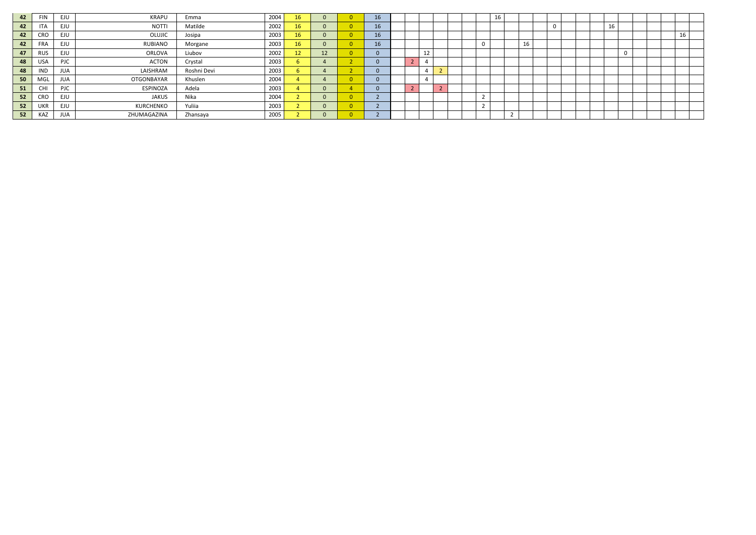| 42 | <b>FIN</b> | EJU        | <b>KRAPU</b>      | Emma        | 2004 | 16. |    |    |  |             |        |  | 16 |     |  |  |    |  |    |  |
|----|------------|------------|-------------------|-------------|------|-----|----|----|--|-------------|--------|--|----|-----|--|--|----|--|----|--|
| 42 | <b>ITA</b> | <b>EJU</b> | <b>NOTTI</b>      | Matilde     | 2002 | 16  |    | 16 |  |             |        |  |    |     |  |  | 16 |  |    |  |
| 42 | <b>CRO</b> | <b>EJU</b> | OLUJIC            | Josipa      | 2003 | 16  |    | 16 |  |             |        |  |    |     |  |  |    |  | 16 |  |
| 42 | <b>FRA</b> | <b>EJU</b> | <b>RUBIANO</b>    | Morgane     | 2003 | 16  |    | 16 |  |             |        |  |    | . . |  |  |    |  |    |  |
| 47 | <b>RUS</b> | <b>EJU</b> | ORLOVA            | Liubov      | 2002 | 12  | 12 |    |  | $\sim$<br>ᆠ |        |  |    |     |  |  |    |  |    |  |
| 48 | <b>USA</b> | <b>PJC</b> | <b>ACTON</b>      | Crystal     | 2003 |     |    |    |  |             |        |  |    |     |  |  |    |  |    |  |
| 48 | <b>IND</b> | JUA        | LAISHRAM          | Roshni Devi | 2003 |     |    |    |  |             | $\sim$ |  |    |     |  |  |    |  |    |  |
| 50 | MGL        | JUA        | <b>OTGONBAYAR</b> | Khuslen     | 2004 |     |    |    |  |             |        |  |    |     |  |  |    |  |    |  |
| 51 | <b>CHI</b> | PJC        | ESPINOZA          | Adela       | 2003 |     |    |    |  |             | $\sim$ |  |    |     |  |  |    |  |    |  |
| 52 | <b>CRO</b> | EJU        | <b>JAKUS</b>      | Nika        | 2004 |     |    |    |  |             |        |  |    |     |  |  |    |  |    |  |
| 52 | <b>UKR</b> | EJU        | <b>KURCHENKO</b>  | Yuliia      | 2003 |     |    |    |  |             |        |  |    |     |  |  |    |  |    |  |
| 52 | <b>KAZ</b> | JUA        | ZHUMAGAZINA       | Zhansaya    | 2005 |     |    |    |  |             |        |  |    |     |  |  |    |  |    |  |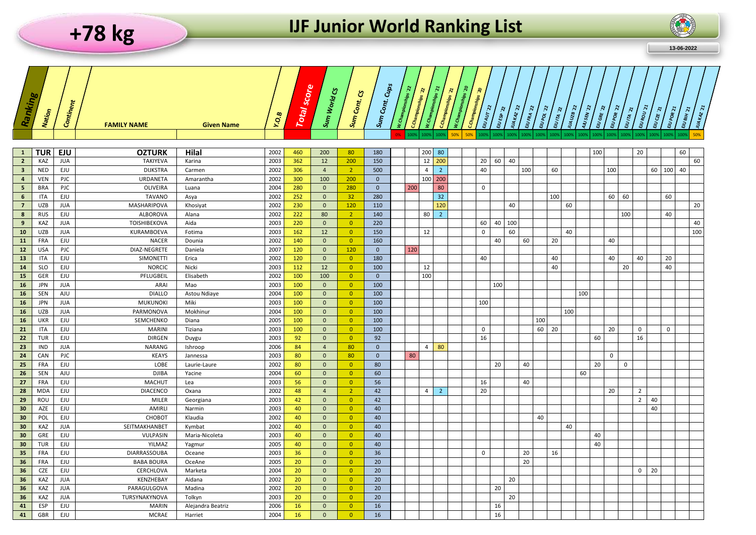



| Ranking                 | Nation     | <b>Continent</b> | <b>FAMILY NAME</b> | <b>Given Name</b> | $\pmb{\omega}$<br>v.o. | Total score | Sum World CS   | ୪<br>$ sum_{c_{opt}}$ | Sum Cont.      | Cups<br>ō<br>n% | <sup>iships</sup><br>mpionships<br>ś | Ō<br>1009      | Ñ<br><b>mpionships</b><br>ś | Ñ<br>ô<br>50%<br>50% | <b>Championships</b><br>EIU AUT 2<br>nns | Elu Esp <sub>22</sub><br>100% | $\frac{1}{4}$ kaz $\frac{1}{2}$<br>1009 | EJU FRA 22<br>1009 | $\approx$<br>Elu POL<br>1009<br>1009 | Elum <sub>4 22</sub><br>1009 | $\mu$ ua uza $z_2$<br>AJU SEN 22<br>100% | $\approx$<br><b>EJU GRE</b><br>100% | $\approx$<br><b>EJUPOR</b><br>100% | Elum <sub>A 21</sub><br>100% | EJU ROV 21<br>100% | EJU CZE 21<br>100% | Elu POR'Z1<br>100% | $\tilde{\bm{N}}$<br>EJU BIH' 21<br><b>UA KAZ</b><br>50% |  |
|-------------------------|------------|------------------|--------------------|-------------------|------------------------|-------------|----------------|-----------------------|----------------|-----------------|--------------------------------------|----------------|-----------------------------|----------------------|------------------------------------------|-------------------------------|-----------------------------------------|--------------------|--------------------------------------|------------------------------|------------------------------------------|-------------------------------------|------------------------------------|------------------------------|--------------------|--------------------|--------------------|---------------------------------------------------------|--|
| $\mathbf{1}$            | <b>TUR</b> | EJU              | <b>OZTURK</b>      | Hilal             | 2002                   | 460         | 200            | 80                    | 180            |                 |                                      | 200            | 80                          |                      |                                          |                               |                                         |                    |                                      |                              |                                          | 100                                 |                                    |                              | 20                 |                    |                    | 60                                                      |  |
| $\overline{2}$          | KAZ        | <b>JUA</b>       | <b>TAKIYEVA</b>    | Karina            | 2003                   | 362         | 12             | 200                   | 150            |                 |                                      | 12             | 200                         |                      | 20                                       | 60                            | 40                                      |                    |                                      |                              |                                          |                                     |                                    |                              |                    |                    |                    | 60                                                      |  |
| $\overline{\mathbf{3}}$ | <b>NED</b> | EJU              | <b>DIJKSTRA</b>    | Carmen            | 2002                   | 306         | $\overline{4}$ | $\overline{2}$        | 500            |                 |                                      | $\overline{4}$ | $\overline{2}$              |                      | 40                                       |                               |                                         | 100                |                                      | 60                           |                                          |                                     | 100                                |                              |                    | 60 100             | 40                 |                                                         |  |
| $\overline{a}$          | <b>VEN</b> | PJC              | URDANETA           | Amarantha         | 2002                   | 300         | 100            | 200                   | $\mathbf{0}$   |                 |                                      | 100            | 200                         |                      |                                          |                               |                                         |                    |                                      |                              |                                          |                                     |                                    |                              |                    |                    |                    |                                                         |  |
| $5\phantom{.0}$         | <b>BRA</b> | PJC              | OLIVEIRA           | Luana             | 2004                   | 280         | $\mathbf{0}$   | 280                   | $\mathbf{0}$   |                 | 200                                  |                | 80                          |                      | 0                                        |                               |                                         |                    |                                      |                              |                                          |                                     |                                    |                              |                    |                    |                    |                                                         |  |
| $6\overline{6}$         | <b>ITA</b> | EJU              | <b>TAVANO</b>      | Asya              | 2002                   | 252         | $\mathbf{0}$   | 32                    | 280            |                 |                                      |                | 32                          |                      |                                          |                               |                                         |                    |                                      | 100                          |                                          |                                     | 60                                 | 60                           |                    |                    | 60                 |                                                         |  |
| $\overline{7}$          | UZB        | <b>JUA</b>       | MASHARIPOVA        | Khosiyat          | 2002                   | 230         | $\mathbf{0}$   | 120                   | 110            |                 |                                      |                | 120                         |                      |                                          |                               | 40                                      |                    |                                      | 60                           |                                          |                                     |                                    |                              |                    |                    |                    | 20                                                      |  |
| $\boldsymbol{8}$        | <b>RUS</b> | EJU              | <b>ALBOROVA</b>    | Alana             | 2002                   | 222         | 80             | $\overline{2}$        | 140            |                 |                                      | 80             | $\overline{2}$              |                      |                                          |                               |                                         |                    |                                      |                              |                                          |                                     |                                    | 100                          |                    |                    | 40                 |                                                         |  |
| 9                       | KAZ        | <b>JUA</b>       | TOISHIBEKOVA       | Aida              | 2003                   | 220         | $\mathbf{0}$   | $\overline{0}$        | 220            |                 |                                      |                |                             |                      | 60                                       | 40                            | 100                                     |                    |                                      |                              |                                          |                                     |                                    |                              |                    |                    |                    | 40                                                      |  |
| ${\bf 10}$              | <b>UZB</b> | <b>JUA</b>       | KURAMBOEVA         | Fotima            | 2003                   | 162         | 12             | $\overline{0}$        | 150            |                 |                                      | 12             |                             |                      | 0                                        |                               | 60                                      |                    |                                      | 40                           |                                          |                                     |                                    |                              |                    |                    |                    | 100                                                     |  |
| 11                      | FRA        | EJU              | <b>NACER</b>       | Dounia            | 2002                   | 140         | $\mathbf{0}$   | $\overline{0}$        | 160            |                 |                                      |                |                             |                      |                                          | 40                            |                                         | 60                 |                                      | 20                           |                                          |                                     | 40                                 |                              |                    |                    |                    |                                                         |  |
| $12$                    | <b>USA</b> | PJC              | DIAZ-NEGRETE       | Daniela           | 2007                   | 120         | $\mathbf{0}$   | 120                   | $\overline{0}$ |                 | 120                                  |                |                             |                      |                                          |                               |                                         |                    |                                      |                              |                                          |                                     |                                    |                              |                    |                    |                    |                                                         |  |
| 13                      | ITA        | EJU              | <b>SIMONETTI</b>   | Erica             | 2002                   | 120         | $\mathbf{0}$   | $\overline{0}$        | 180            |                 |                                      |                |                             |                      | 40                                       |                               |                                         |                    |                                      | 40                           |                                          |                                     | 40                                 |                              | 40                 |                    | 20                 |                                                         |  |
| 14                      | SLO        | EJU              | <b>NORCIC</b>      | Nicki             | 2003                   | 112         | 12             | $\overline{0}$        | 100            |                 |                                      | 12             |                             |                      |                                          |                               |                                         |                    |                                      | 40                           |                                          |                                     |                                    | 20                           |                    |                    | 40                 |                                                         |  |
| 15                      | GER        | <b>EJU</b>       | PFLUGBEIL          | Elisabeth         | 2002                   | 100         | 100            | $\overline{0}$        | $\overline{0}$ |                 |                                      | 100            |                             |                      |                                          |                               |                                         |                    |                                      |                              |                                          |                                     |                                    |                              |                    |                    |                    |                                                         |  |
| 16                      | <b>JPN</b> | <b>JUA</b>       | ARAI               | Mao               | 2003                   | 100         | $\mathbf{0}$   | $\overline{0}$        | 100            |                 |                                      |                |                             |                      |                                          | 100                           |                                         |                    |                                      |                              |                                          |                                     |                                    |                              |                    |                    |                    |                                                         |  |
| 16                      | SEN        | AJU              | <b>DIALLO</b>      | Astou Ndiaye      | 2004                   | 100         | $\overline{0}$ | $\overline{0}$        | 100            |                 |                                      |                |                             |                      |                                          |                               |                                         |                    |                                      |                              | 100                                      |                                     |                                    |                              |                    |                    |                    |                                                         |  |
| 16                      | <b>JPN</b> | <b>JUA</b>       | <b>MUKUNOKI</b>    | Miki              | 2003                   | 100         | $\mathbf{0}$   | $\overline{0}$        | 100            |                 |                                      |                |                             |                      | 100                                      |                               |                                         |                    |                                      |                              |                                          |                                     |                                    |                              |                    |                    |                    |                                                         |  |
| 16                      | UZB        | <b>JUA</b>       | PARMONOVA          | Mokhinur          | 2004                   | 100         | $\mathbf{0}$   | $\overline{0}$        | 100            |                 |                                      |                |                             |                      |                                          |                               |                                         |                    |                                      | 100                          |                                          |                                     |                                    |                              |                    |                    |                    |                                                         |  |
| 16                      | UKR        | EJU              | SEMCHENKO          | Diana             | 2005                   | 100         | $\mathbf{0}$   | $\overline{0}$        | 100            |                 |                                      |                |                             |                      |                                          |                               |                                         |                    | 100                                  |                              |                                          |                                     |                                    |                              |                    |                    |                    |                                                         |  |
| 21                      | <b>ITA</b> | <b>EJU</b>       | <b>MARINI</b>      | Tiziana           | 2003                   | 100         | $\overline{0}$ | $\overline{0}$        | 100            |                 |                                      |                |                             |                      | 0                                        |                               |                                         |                    | 60<br>20                             |                              |                                          |                                     | 20                                 |                              | $\mathbf 0$        |                    | $\mathbf 0$        |                                                         |  |
| 22                      | <b>TUR</b> | EJU              | <b>DIRGEN</b>      | Duygu             | 2003                   | 92          | $\mathbf{0}$   | $\overline{0}$        | 92             |                 |                                      |                |                             |                      | 16                                       |                               |                                         |                    |                                      |                              |                                          | 60                                  |                                    |                              | 16                 |                    |                    |                                                         |  |
| 23                      | <b>IND</b> | <b>JUA</b>       | <b>NARANG</b>      | Ishroop           | 2006                   | 84          | $\overline{4}$ | 80                    | $\mathbf{0}$   |                 |                                      | $\overline{4}$ | 80                          |                      |                                          |                               |                                         |                    |                                      |                              |                                          |                                     |                                    |                              |                    |                    |                    |                                                         |  |
| 24                      | CAN        | PJC              | <b>KEAYS</b>       | Jannessa          | 2003                   | 80          | $\mathbf{0}$   | 80                    | $\overline{0}$ |                 | 80                                   |                |                             |                      |                                          |                               |                                         |                    |                                      |                              |                                          |                                     | $\mathbf 0$                        |                              |                    |                    |                    |                                                         |  |
| 25                      | FRA        | EJU              | LOBE               | Laurie-Laure      | 2002                   | 80          | $\mathbf{0}$   | $\overline{0}$        | 80             |                 |                                      |                |                             |                      |                                          | 20                            |                                         | 40                 |                                      |                              |                                          | 20                                  |                                    | 0                            |                    |                    |                    |                                                         |  |
| 26                      | SEN        | AJU              | <b>DJIBA</b>       | Yacine            | 2004                   | 60          | $\mathbf{0}$   | $\overline{0}$        | 60             |                 |                                      |                |                             |                      |                                          |                               |                                         |                    |                                      |                              | 60                                       |                                     |                                    |                              |                    |                    |                    |                                                         |  |
| 27                      | <b>FRA</b> | EJU              | MACHUT             | Lea               | 2003                   | 56          | $\mathbf{0}$   | $\overline{0}$        | 56             |                 |                                      |                |                             |                      | 16                                       |                               |                                         | 40                 |                                      |                              |                                          |                                     |                                    |                              |                    |                    |                    |                                                         |  |
| 28                      | <b>MDA</b> | EJU              | <b>DIACENCO</b>    | Oxana             | 2002                   | 48          | $\overline{4}$ | $\overline{2}$        | 42             |                 |                                      | $\overline{4}$ | $\overline{2}$              |                      | 20                                       |                               |                                         |                    |                                      |                              |                                          |                                     | 20                                 |                              | $\overline{2}$     |                    |                    |                                                         |  |
| 29                      | ROU        | EJU              | <b>MILER</b>       | Georgiana         | 2003                   | 42          | $\mathbf{0}$   | $\overline{0}$        | 42             |                 |                                      |                |                             |                      |                                          |                               |                                         |                    |                                      |                              |                                          |                                     |                                    |                              | $\overline{2}$     | 40                 |                    |                                                         |  |
| 30                      | AZE        | EJU              | AMIRLI             | Narmin            | 2003                   | 40          | $\mathbf{0}$   | $\overline{0}$        | 40             |                 |                                      |                |                             |                      |                                          |                               |                                         |                    |                                      |                              |                                          |                                     |                                    |                              |                    | 40                 |                    |                                                         |  |
| 30                      | POL        | <b>EJU</b>       | СНОВОТ             | Klaudia           | 2002                   | 40          | $\mathbf{0}$   | $\overline{0}$        | 40             |                 |                                      |                |                             |                      |                                          |                               |                                         |                    | 40                                   |                              |                                          |                                     |                                    |                              |                    |                    |                    |                                                         |  |
| 30                      | KAZ        | <b>JUA</b>       | SEITMAKHANBET      | Kymbat            | 2002                   | 40          | $\mathbf{0}$   | $\overline{0}$        | 40             |                 |                                      |                |                             |                      |                                          |                               |                                         |                    |                                      | 40                           |                                          |                                     |                                    |                              |                    |                    |                    |                                                         |  |
| 30                      | GRE        | EJU              | VULPASIN           | Maria-Nicoleta    | 2003                   | 40          | $\mathbf{0}$   | $\overline{0}$        | 40             |                 |                                      |                |                             |                      |                                          |                               |                                         |                    |                                      |                              |                                          | 40                                  |                                    |                              |                    |                    |                    |                                                         |  |
| 30                      | <b>TUR</b> | EJU              | YILMAZ             | Yagmur            | 2005                   | 40          | $\mathbf{0}$   | $\overline{0}$        | 40             |                 |                                      |                |                             |                      |                                          |                               |                                         |                    |                                      |                              |                                          | 40                                  |                                    |                              |                    |                    |                    |                                                         |  |
| 35                      | FRA        | EJU              | DIARRASSOUBA       | Oceane            | 2003                   | 36          | $\mathbf{0}$   | $\overline{0}$        | 36             |                 |                                      |                |                             |                      | 0                                        |                               |                                         | 20                 |                                      | 16                           |                                          |                                     |                                    |                              |                    |                    |                    |                                                         |  |
| 36                      | FRA        | EJU              | <b>BABA BOURA</b>  | OceAne            | 2005                   | 20          | $\mathbf{0}$   | $\overline{0}$        | 20             |                 |                                      |                |                             |                      |                                          |                               |                                         | 20                 |                                      |                              |                                          |                                     |                                    |                              |                    |                    |                    |                                                         |  |
| 36                      | CZE        | EJU              | CERCHLOVA          | Marketa           | 2004                   | 20          | $\mathbf{0}$   | $\overline{0}$        | 20             |                 |                                      |                |                             |                      |                                          |                               |                                         |                    |                                      |                              |                                          |                                     |                                    |                              | $\mathsf{O}$       | 20                 |                    |                                                         |  |
| 36                      | KAZ        | <b>JUA</b>       | KENZHEBAY          | Aidana            | 2002                   | 20          | $\mathbf{0}$   | $\overline{0}$        | 20             |                 |                                      |                |                             |                      |                                          |                               | 20                                      |                    |                                      |                              |                                          |                                     |                                    |                              |                    |                    |                    |                                                         |  |
| 36                      | KAZ        | JUA              | PARAGULGOVA        | Madina            | 2002                   | 20          | $\mathbf{0}$   | $\overline{0}$        | 20             |                 |                                      |                |                             |                      |                                          | 20                            |                                         |                    |                                      |                              |                                          |                                     |                                    |                              |                    |                    |                    |                                                         |  |
| 36                      | KAZ        | <b>JUA</b>       | TURSYNAKYNOVA      | Tolkyn            | 2003                   | 20          | $\mathbf{0}$   | $\overline{0}$        | 20             |                 |                                      |                |                             |                      |                                          |                               | 20                                      |                    |                                      |                              |                                          |                                     |                                    |                              |                    |                    |                    |                                                         |  |
| 41                      | ESP        | EJU              | <b>MARIN</b>       | Alejandra Beatriz | 2006                   | 16          | $\mathbf{0}$   | $\overline{0}$        | 16             |                 |                                      |                |                             |                      |                                          | 16                            |                                         |                    |                                      |                              |                                          |                                     |                                    |                              |                    |                    |                    |                                                         |  |
| 41                      | GBR        | EJU              | <b>MCRAE</b>       | Harriet           | 2004                   | 16          | $\mathbf{0}$   | $\overline{0}$        | 16             |                 |                                      |                |                             |                      |                                          | 16                            |                                         |                    |                                      |                              |                                          |                                     |                                    |                              |                    |                    |                    |                                                         |  |